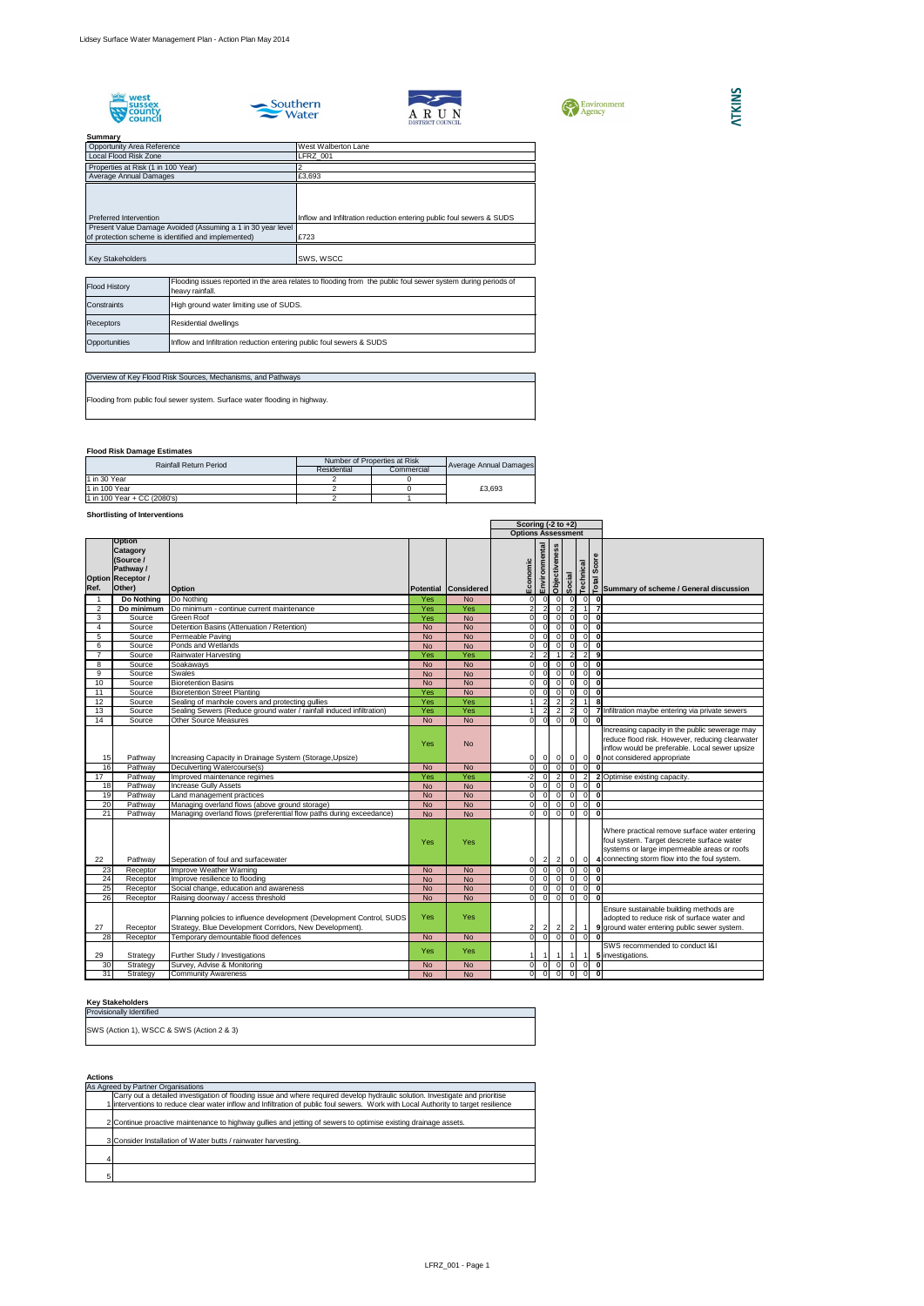







## **Summary**

## **Flood Risk Damage Estimates**

## **Shortlisting of Interventions**

## **Key Stakeholders**

#### **Actions**

|   | As Agreed by Partner Organisations                                                                                                  |
|---|-------------------------------------------------------------------------------------------------------------------------------------|
|   | Carry out a detailed investigation of flooding issue and where required develop hydraulic solution. Investigate and prioritise      |
|   | 1 interventions to reduce clear water inflow and Infiltration of public foul sewers. Work with Local Authority to target resilience |
|   |                                                                                                                                     |
|   | 2 Continue proactive maintenance to highway gullies and jetting of sewers to optimise existing drainage assets.                     |
|   |                                                                                                                                     |
|   | 3 Consider Installation of Water butts / rainwater harvesting.                                                                      |
|   |                                                                                                                                     |
| 4 |                                                                                                                                     |
|   |                                                                                                                                     |
| 5 |                                                                                                                                     |

|                 |                                                                                           |                                                                                                                                  |           |                      |                           | Scoring $(-2 \text{ to } +2)$    |                |                |                |                         |                                                                                                                                                                                             |
|-----------------|-------------------------------------------------------------------------------------------|----------------------------------------------------------------------------------------------------------------------------------|-----------|----------------------|---------------------------|----------------------------------|----------------|----------------|----------------|-------------------------|---------------------------------------------------------------------------------------------------------------------------------------------------------------------------------------------|
|                 |                                                                                           |                                                                                                                                  |           |                      | <b>Options Assessment</b> |                                  |                |                |                |                         |                                                                                                                                                                                             |
| Ref.            | Option<br><b>Catagory</b><br>(Source /<br>Pathway /<br><b>Option Receptor /</b><br>Other) | <b>Option</b>                                                                                                                    |           | Potential Considered | Economic                  | Environmental                    | Objectiveness  | Social         | Technical      | $\mathbf{\omega}$       | $\begin{bmatrix} 8 & 8 & 0 \\ 0 & 0 & 0 \\ \hline 7 & 0 & 0 \\ 0 & 0 & 0 \end{bmatrix}$ Summary of scheme / General discussion                                                              |
|                 | <b>Do Nothing</b>                                                                         | Do Nothing                                                                                                                       | Yes       | <b>No</b>            | $\overline{0}$            | 0l                               | $\overline{0}$ | $\Omega$       | $\overline{0}$ | $\overline{\mathbf{0}}$ |                                                                                                                                                                                             |
| $\overline{2}$  | Do minimum                                                                                | Do minimum - continue current maintenance                                                                                        | Yes       | Yes                  | $\overline{2}$            | 2                                | 0l             | 2              | $\overline{1}$ | $\overline{7}$          |                                                                                                                                                                                             |
| 3               | Source                                                                                    | Green Roof                                                                                                                       | Yes       | <b>No</b>            | $\overline{0}$            | $\overline{0}$                   | $\overline{0}$ | $\Omega$       | $\overline{0}$ | $\mathbf 0$             |                                                                                                                                                                                             |
| $\overline{4}$  | Source                                                                                    | Detention Basins (Attenuation / Retention)                                                                                       | <b>No</b> | <b>No</b>            | $\overline{0}$            | $\overline{0}$                   | $\Omega$       |                | $\overline{0}$ | $\bf{0}$                |                                                                                                                                                                                             |
| 5               | Source                                                                                    | Permeable Paving                                                                                                                 | <b>No</b> | <b>No</b>            | $\Omega$                  | $\Omega$                         | - Ol           |                | $\Omega$       | $\bf{0}$                |                                                                                                                                                                                             |
| 6               | Source                                                                                    | Ponds and Wetlands                                                                                                               | <b>No</b> | <b>No</b>            | $\Omega$                  | $\Omega$                         | $\Omega$       |                | $\Omega$       | $\bf{0}$                |                                                                                                                                                                                             |
| $\overline{7}$  | Source                                                                                    | <b>Rainwater Harvesting</b>                                                                                                      | Yes       | Yes                  |                           |                                  |                |                | $\overline{2}$ | 9                       |                                                                                                                                                                                             |
| 8               | Source                                                                                    | Soakaways                                                                                                                        | <b>No</b> | <b>No</b>            | $\Omega$                  | $\Omega$                         | $\Omega$       |                | <sup>O</sup>   | $\mathbf 0$             |                                                                                                                                                                                             |
| 9               | Source                                                                                    | <b>Swales</b>                                                                                                                    | <b>No</b> | <b>No</b>            | $\Omega$                  | $\overline{0}$                   | 0l             |                | $\Omega$       | $\bf{0}$                |                                                                                                                                                                                             |
| 10              | Source                                                                                    | <b>Bioretention Basins</b>                                                                                                       | <b>No</b> | <b>No</b>            | $\Omega$                  | $\Omega$                         | 0l             |                | $\Omega$       | $\bf{0}$                |                                                                                                                                                                                             |
| 11              | Source                                                                                    | <b>Bioretention Street Planting</b>                                                                                              | Yes       | <b>No</b>            | $\Omega$                  | $\Omega$                         | $\Omega$       |                | $\Omega$       | $\bf{0}$                |                                                                                                                                                                                             |
| $\overline{12}$ | Source                                                                                    | Sealing of manhole covers and protecting gullies                                                                                 | Yes       | Yes                  |                           | $\overline{2}$                   | $\overline{2}$ | 2              |                | $\overline{\mathbf{8}}$ |                                                                                                                                                                                             |
| $\overline{13}$ | Source                                                                                    | Sealing Sewers (Reduce ground water / rainfall induced infiltration)                                                             | Yes       | Yes                  |                           |                                  | $\overline{2}$ |                | $\overline{0}$ |                         | 7 Infiltration maybe entering via private sewers                                                                                                                                            |
| 14              | Source                                                                                    | <b>Other Source Measures</b>                                                                                                     | <b>No</b> | <b>No</b>            | $\Omega$                  | $\overline{0}$                   | $\overline{0}$ | $\Omega$       | 0              | $\Omega$                |                                                                                                                                                                                             |
| 15              | Pathway                                                                                   | Increasing Capacity in Drainage System (Storage, Upsize)                                                                         | Yes       | <b>No</b>            | 01                        | $\overline{0}$                   | 0              | $\overline{0}$ | $\overline{0}$ |                         | Increasing capacity in the public sewerage may<br>reduce flood risk. However, reducing clearwater<br>inflow would be preferable. Local sewer upsize<br>0 not considered appropriate         |
| 16              | Pathway                                                                                   | Deculverting Watercourse(s)                                                                                                      | <b>No</b> | <b>No</b>            | $\Omega$                  | $\overline{0}$                   | $\overline{0}$ | $\Omega$       | $\overline{0}$ | $\bf{0}$                |                                                                                                                                                                                             |
| 17              | Pathway                                                                                   | Improved maintenance regimes                                                                                                     | Yes       | Yes                  | $-2$                      | 0l                               | $\overline{2}$ | $\Omega$       | $2\vert$       |                         | 2 Optimise existing capacity.                                                                                                                                                               |
| 18              | Pathway                                                                                   | <b>Increase Gully Assets</b>                                                                                                     | <b>No</b> | <b>No</b>            | $\Omega$                  | 0l                               | $\Omega$       |                | $\Omega$       | $\bf{0}$                |                                                                                                                                                                                             |
| 19              | Pathway                                                                                   | Land management practices                                                                                                        | <b>No</b> | <b>No</b>            | $\overline{0}$            | 0I                               | $\overline{0}$ |                | 0I             | $\mathbf 0$             |                                                                                                                                                                                             |
| 20              | Pathway                                                                                   | Managing overland flows (above ground storage)                                                                                   | <b>No</b> | <b>No</b>            | $\Omega$                  | $\Omega$                         | $\overline{0}$ | $\Omega$       | $\overline{0}$ | $\mathbf 0$             |                                                                                                                                                                                             |
| 21              | Pathway                                                                                   | Managing overland flows (preferential flow paths during exceedance)                                                              | <b>No</b> | <b>No</b>            | $\Omega$                  | $\overline{0}$                   | $\Omega$       | $\Omega$       | $\overline{0}$ | $\mathbf 0$             |                                                                                                                                                                                             |
| 22              | Pathway                                                                                   | Seperation of foul and surfacewater                                                                                              | Yes       | Yes                  |                           | $\vert$ 2<br> 0                  | $\vert$ 2      | $\overline{0}$ | $\overline{0}$ |                         | Where practical remove surface water entering<br>foul system. Target descrete surface water<br>systems or large impermeable areas or roofs<br>4 connecting storm flow into the foul system. |
| 23              | Receptor                                                                                  | Improve Weather Warning                                                                                                          | <b>No</b> | <b>No</b>            |                           | 0I<br>$\overline{0}$             | $\overline{0}$ | - O I          |                | $ 0 $ 0                 |                                                                                                                                                                                             |
| 24              | Receptor                                                                                  | Improve resilience to flooding                                                                                                   | <b>No</b> | <b>No</b>            | $\Omega$                  | $\overline{0}$                   | - O I          |                |                | $0\vert$ 0              |                                                                                                                                                                                             |
| 25              | Receptor                                                                                  | Social change, education and awareness                                                                                           | <b>No</b> | <b>No</b>            | $\overline{0}$            | $\overline{\phantom{0}}$         | $\overline{0}$ | $\Omega$       | 0              | $\mathbf 0$             |                                                                                                                                                                                             |
| $\overline{26}$ | Receptor                                                                                  | Raising doorway / access threshold                                                                                               | <b>No</b> | <b>No</b>            | $\Omega$                  | $\overline{\phantom{0}}$         | $\Omega$       | $\Omega$       | $\Omega$       | $\bf{0}$                |                                                                                                                                                                                             |
| 27              | Receptor                                                                                  | Planning policies to influence development (Development Control, SUDS<br>Strategy, Blue Development Corridors, New Development). | Yes       | Yes                  | $\overline{2}$            | $\overline{2}$                   | $\vert$ 2      | $\overline{2}$ |                |                         | Ensure sustainable building methods are<br>adopted to reduce risk of surface water and<br>9 ground water entering public sewer system.                                                      |
| 28              | Receptor                                                                                  | Temporary demountable flood defences                                                                                             | <b>No</b> | <b>No</b>            | $\Omega$                  | $\overline{0}$                   | - O I          | -OI            | $\overline{0}$ | 0                       |                                                                                                                                                                                             |
| 29              | Strategy                                                                                  | Further Study / Investigations                                                                                                   | Yes       | Yes                  |                           |                                  | - 1 I          | -1             |                |                         | SWS recommended to conduct I&I<br>5 investigations.                                                                                                                                         |
| 30              | Strategy                                                                                  | Survey, Advise & Monitoring                                                                                                      | <b>No</b> | <b>No</b>            | $\overline{0}$            | $\overline{0}$                   | $\overline{0}$ | $\Omega$       | $\overline{0}$ | $\mathbf 0$             |                                                                                                                                                                                             |
| 31              | Strategy                                                                                  | <b>Community Awareness</b>                                                                                                       | <b>No</b> | <b>No</b>            |                           | $\overline{0}$<br>$\overline{0}$ | $\Omega$       | $\Omega$       |                | $\overline{0}$ 0        |                                                                                                                                                                                             |

Provisionally Identified

SWS (Action 1), WSCC & SWS (Action 2 & 3)

| <b>Opportunity Area Reference</b>                           | <b>West Walberton Lane</b>                                           |
|-------------------------------------------------------------|----------------------------------------------------------------------|
| Local Flood Risk Zone                                       | <b>LFRZ 001</b>                                                      |
| Properties at Risk (1 in 100 Year)                          |                                                                      |
| Average Annual Damages                                      | £3,693                                                               |
|                                                             |                                                                      |
|                                                             |                                                                      |
|                                                             |                                                                      |
| Preferred Intervention                                      | Inflow and Infiltration reduction entering public foul sewers & SUDS |
| Present Value Damage Avoided (Assuming a 1 in 30 year level |                                                                      |
| of protection scheme is identified and implemented)         | £723                                                                 |
|                                                             |                                                                      |
| <b>Key Stakeholders</b>                                     | SWS, WSCC                                                            |

| <b>Flood History</b> | Flooding issues reported in the area relates to flooding from the public foul sewer system during periods of<br>heavy rainfall. |
|----------------------|---------------------------------------------------------------------------------------------------------------------------------|
| Constraints          | High ground water limiting use of SUDS.                                                                                         |
| <b>Receptors</b>     | <b>Residential dwellings</b>                                                                                                    |
| Opportunities        | Inflow and Infiltration reduction entering public foul sewers & SUDS                                                            |

## Overview of Key Flood Risk Sources, Mechanisms, and Pathways

| <b>Rainfall Return Period</b> | Number of Properties at Risk |            |                        |  |
|-------------------------------|------------------------------|------------|------------------------|--|
|                               | Residential                  | Commercial | Average Annual Damages |  |
| 1 in 30 Year                  |                              |            |                        |  |
| 11 in 100 Year                |                              |            | £3.693                 |  |
| 1 in 100 Year + CC (2080's)   |                              |            |                        |  |

Flooding from public foul sewer system. Surface water flooding in highway.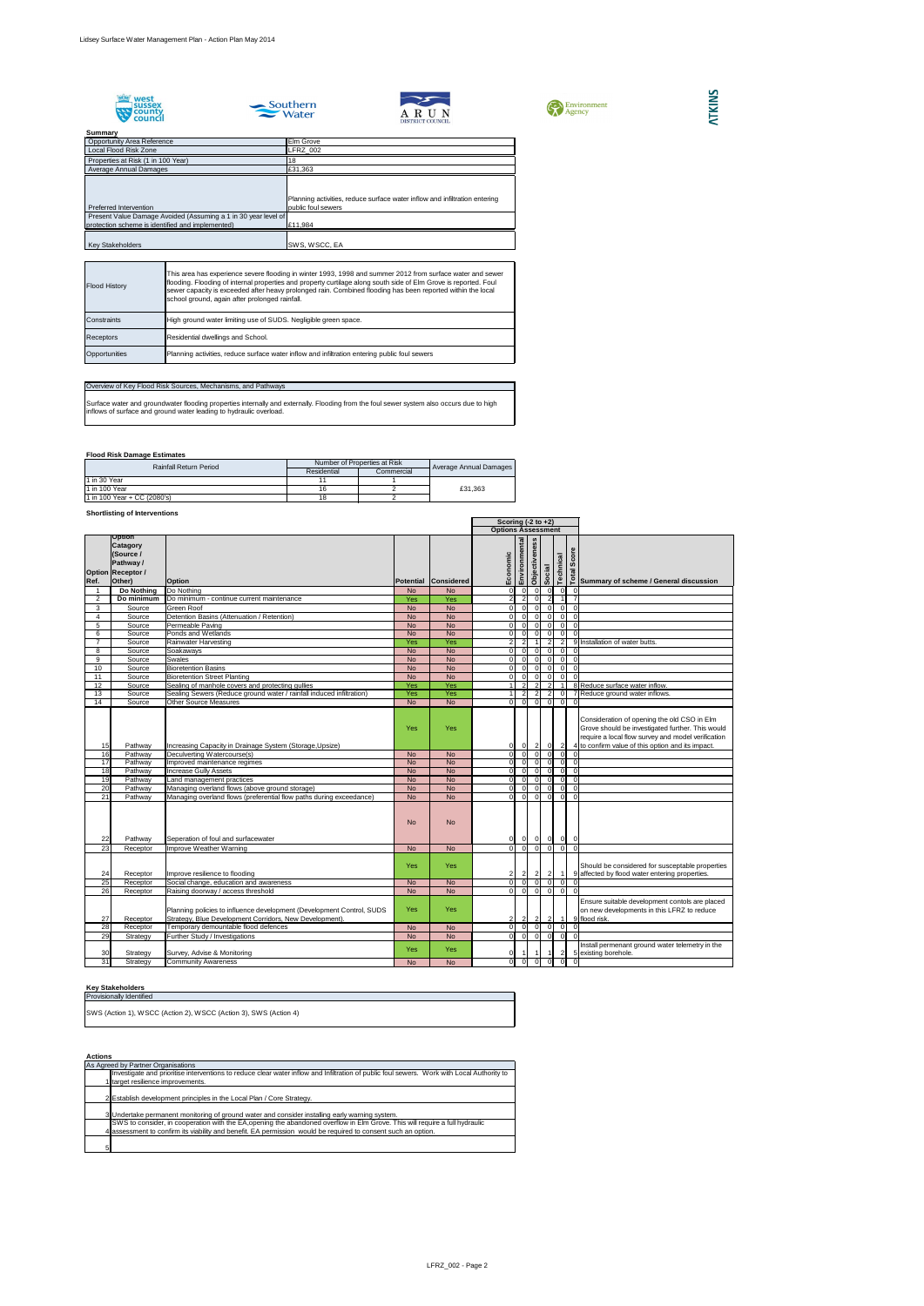









## **Flood Risk Damage Estimates**

## **Shortlisting of Interventions**

## **Key Stakeholders**

**Actions**

| <b>JUILLIMAL</b>                                               |                                                                            |
|----------------------------------------------------------------|----------------------------------------------------------------------------|
| <b>Opportunity Area Reference</b>                              | Elm Grove                                                                  |
| Local Flood Risk Zone                                          | LFRZ 002                                                                   |
| Properties at Risk (1 in 100 Year)                             | 18                                                                         |
| Average Annual Damages                                         | £31,363                                                                    |
|                                                                |                                                                            |
|                                                                |                                                                            |
|                                                                | Planning activities, reduce surface water inflow and infiltration entering |
| Preferred Intervention                                         | public foul sewers                                                         |
| Present Value Damage Avoided (Assuming a 1 in 30 year level of |                                                                            |
| protection scheme is identified and implemented)               | £11,984                                                                    |
|                                                                |                                                                            |
| <b>Key Stakeholders</b>                                        | SWS, WSCC, EA                                                              |

|                |                                                                                           |                                                                                                                                  |            |                             |                           | Scoring $(-2 \text{ to } +2)$    |                          |                                  |                |                            |                                                                                                                                                                                                            |
|----------------|-------------------------------------------------------------------------------------------|----------------------------------------------------------------------------------------------------------------------------------|------------|-----------------------------|---------------------------|----------------------------------|--------------------------|----------------------------------|----------------|----------------------------|------------------------------------------------------------------------------------------------------------------------------------------------------------------------------------------------------------|
|                |                                                                                           |                                                                                                                                  |            |                             | <b>Options Assessment</b> |                                  |                          |                                  |                |                            |                                                                                                                                                                                                            |
| Ref.           | Option<br><b>Catagory</b><br>(Source /<br>Pathway /<br><b>Option Receptor /</b><br>Other) | <b>Option</b>                                                                                                                    |            | <b>Potential Considered</b> | Economic                  | Environmental                    | Objectiveness            | Social                           | Technical      | Score                      | <u>πe</u><br>β<br>β Summary of scheme / General discussion                                                                                                                                                 |
|                | Do Nothing                                                                                | Do Nothing                                                                                                                       | <b>No</b>  | <b>No</b>                   |                           | $\overline{0}$<br>$\overline{0}$ | $\overline{0}$           | .0                               |                | 0I<br>-0                   |                                                                                                                                                                                                            |
| 2              | Do minimum                                                                                | Do minimum - continue current maintenance                                                                                        | Yes        | Yes                         |                           | $\overline{2}$<br>$\overline{2}$ | 0I                       |                                  |                |                            |                                                                                                                                                                                                            |
| 3              | Source                                                                                    | <b>Green Roof</b>                                                                                                                | <b>No</b>  | <b>No</b>                   |                           | $\Omega$<br>$\Omega$             | $\overline{0}$           | $\Omega$                         |                | 0I<br>-0                   |                                                                                                                                                                                                            |
| 4              | Source                                                                                    | Detention Basins (Attenuation / Retention)                                                                                       | <b>No</b>  | <b>No</b>                   |                           | $\overline{0}$                   | $\overline{0}$           | $\mathbf{0}$                     |                | $\overline{0}$<br>-0       |                                                                                                                                                                                                            |
| 5              | Source                                                                                    | Permeable Paving                                                                                                                 | <b>No</b>  | <b>No</b>                   |                           | $\Omega$                         | $\overline{0}$           | $\Omega$                         |                | $\Omega$<br>$\cap$         |                                                                                                                                                                                                            |
| 6              | Source                                                                                    | Ponds and Wetlands                                                                                                               | <b>No</b>  | <b>No</b>                   |                           | $\Omega$<br>$\Omega$             | $\overline{0}$           | $\Omega$                         |                | $\Omega$<br>$\cap$         |                                                                                                                                                                                                            |
| $\overline{7}$ | Source                                                                                    | Rainwater Harvesting                                                                                                             | Yes        | Yes                         |                           | 2                                |                          | 2                                |                | 2 <sup>1</sup>             | 9 Installation of water butts.                                                                                                                                                                             |
| 8              | Source                                                                                    | Soakaways                                                                                                                        | <b>No</b>  | <b>No</b>                   |                           | $\overline{0}$<br>$\Omega$       | $\overline{0}$           | $\Omega$                         |                | 0                          | $\Omega$                                                                                                                                                                                                   |
| 9              | Source                                                                                    | <b>Swales</b>                                                                                                                    | <b>No</b>  | <b>No</b>                   |                           | $\overline{0}$<br>$\overline{0}$ | $\overline{0}$           | $\Omega$                         |                | $\overline{0}$<br>$\Omega$ |                                                                                                                                                                                                            |
| 10             | Source                                                                                    | <b>Bioretention Basins</b>                                                                                                       | <b>No</b>  | <b>No</b>                   |                           | $\Omega$<br>$\overline{0}$       | $\overline{\phantom{0}}$ | $\Omega$                         |                | 0 <br>$\Omega$             |                                                                                                                                                                                                            |
| 11             | Source                                                                                    | <b>Bioretention Street Planting</b>                                                                                              | <b>No</b>  | <b>No</b>                   |                           | -OI<br>$\overline{0}$            | 0                        | $\overline{0}$                   |                | $\overline{0}$<br>$\Omega$ |                                                                                                                                                                                                            |
| 12             | Source                                                                                    | Sealing of manhole covers and protecting gullies                                                                                 | Yes        | Yes                         |                           | $\overline{2}$                   | 2 <sup>1</sup>           | $\overline{2}$                   |                |                            | 8 Reduce surface water inflow.                                                                                                                                                                             |
| 13             | Source                                                                                    | Sealing Sewers (Reduce ground water / rainfall induced infiltration)                                                             | Yes        | Yes                         |                           | 2                                | $\overline{2}$           | $\overline{2}$                   |                | $\Omega$                   | 7 Reduce ground water inflows.                                                                                                                                                                             |
| 14             | Source                                                                                    | <b>Other Source Measures</b>                                                                                                     | <b>No</b>  | <b>No</b>                   |                           | - O I                            | $\Omega$                 | $\Omega$                         |                | $\Omega$                   |                                                                                                                                                                                                            |
| 15             | Pathway                                                                                   | Increasing Capacity in Drainage System (Storage, Upsize)                                                                         | <b>Yes</b> | Yes                         |                           | $\overline{0}$<br>0 I            | $\overline{2}$           | $\overline{0}$                   |                | $\overline{2}$             | Consideration of opening the old CSO in Elm<br>Grove should be investigated further. This would<br>require a local flow survey and model verification<br>4 to confirm value of this option and its impact. |
| 16             | Pathway                                                                                   | Deculverting Watercourse(s)                                                                                                      | <b>No</b>  | <b>No</b>                   |                           | $\overline{0}$<br>$\overline{0}$ | 0                        | $\Omega$                         |                | $\overline{0}$             |                                                                                                                                                                                                            |
| 17             | Pathway                                                                                   | Improved maintenance regimes                                                                                                     | <b>No</b>  | <b>No</b>                   |                           | $\overline{0}$<br>$\overline{0}$ | 0                        | $\Omega$                         |                | $\overline{0}$<br>-0       |                                                                                                                                                                                                            |
| 18             | Pathway                                                                                   | <b>Increase Gully Assets</b>                                                                                                     | <b>No</b>  | <b>No</b>                   |                           | $\Omega$<br>$\Omega$             | - Ol                     | $\Omega$                         |                | $\overline{0}$<br>$\Omega$ |                                                                                                                                                                                                            |
| 19             | Pathway                                                                                   | Land management practices                                                                                                        | <b>No</b>  | <b>No</b>                   |                           | $\Omega$<br>$\Omega$             | $\overline{0}$           | $\Omega$                         |                | $\Omega$<br>-0             |                                                                                                                                                                                                            |
| 20             | Pathway                                                                                   | Managing overland flows (above ground storage)                                                                                   | <b>No</b>  | <b>No</b>                   |                           | $\overline{0}$<br>$\Omega$       | $\overline{0}$           | $\Omega$                         |                | $\Omega$<br>-0             |                                                                                                                                                                                                            |
| 21             | Pathway                                                                                   | Managing overland flows (preferential flow paths during exceedance)                                                              | <b>No</b>  | <b>No</b>                   |                           | $\overline{0}$<br>$\Omega$       | 0                        | $\Omega$                         |                | $\overline{0}$<br>$\Omega$ |                                                                                                                                                                                                            |
| 22             | Pathway                                                                                   | Seperation of foul and surfacewater                                                                                              | <b>No</b>  | <b>No</b>                   |                           | 0 <br> 0                         |                          | $\overline{0}$<br>$\overline{0}$ |                | $ 0 $ 0                    |                                                                                                                                                                                                            |
| 23             | Receptor                                                                                  | Improve Weather Warning                                                                                                          | <b>No</b>  | No                          |                           | $\overline{0}$<br>$\Omega$       | $\overline{0}$           | $\overline{0}$                   |                | $\overline{0}$             | $\Omega$                                                                                                                                                                                                   |
| 24             | Receptor                                                                                  | Improve resilience to flooding                                                                                                   | Yes        | Yes                         |                           | $2\vert$<br>$\mathbf{2}$         | $\overline{2}$           | $\vert$ 2                        | $\overline{1}$ |                            | Should be considered for susceptable properties<br>9 affected by flood water entering properties.                                                                                                          |
| 25             | Receptor                                                                                  | Social change, education and awareness                                                                                           | <b>No</b>  | <b>No</b>                   |                           | $\Omega$<br>$\Omega$             | $\Omega$                 |                                  |                |                            |                                                                                                                                                                                                            |
| 26             | Receptor                                                                                  | Raising doorway / access threshold                                                                                               | <b>No</b>  | <b>No</b>                   |                           | $\overline{0}$<br>$\Omega$       | 0                        | $\Omega$                         |                | $\overline{0}$<br>-0       |                                                                                                                                                                                                            |
| 27             | Receptor                                                                                  | Planning policies to influence development (Development Control, SUDS<br>Strategy, Blue Development Corridors, New Development). | Yes        | Yes                         |                           | $\mathbf{2}$<br>$\overline{2}$   | $\vert$ 2                | $\vert$ 2                        |                | $\vert$ 1                  | Ensure suitable development contols are placed<br>on new developments in this LFRZ to reduce<br>9 flood risk.                                                                                              |
| 28             | Receptor                                                                                  | Temporary demountable flood defences                                                                                             | <b>No</b>  | <b>No</b>                   |                           | $\overline{0}$<br>$\overline{0}$ | $\overline{0}$           | - O I                            |                | -OI                        |                                                                                                                                                                                                            |
| 29             | Strategy                                                                                  | Further Study / Investigations                                                                                                   | <b>No</b>  | <b>No</b>                   |                           | 0 <br>$\overline{0}$             | 0                        | 0                                |                | $\overline{0}$             | $\Omega$                                                                                                                                                                                                   |
| 30             | Strategy                                                                                  | Survey, Advise & Monitoring                                                                                                      | <b>Yes</b> | <b>Yes</b>                  |                           |                                  |                          |                                  |                | $\overline{2}$             | Install permenant ground water telemetry in the<br>5 existing borehole.                                                                                                                                    |
| 31             | Strategy                                                                                  | <b>Community Awareness</b>                                                                                                       | <b>No</b>  | <b>No</b>                   |                           | $\overline{0}$<br>$\overline{0}$ | $\Omega$                 |                                  |                |                            |                                                                                                                                                                                                            |

## **ATKINS**

| <b>Flood History</b> | This area has experience severe flooding in winter 1993, 1998 and summer 2012 from surface water and sewer<br>flooding. Flooding of internal properties and property curtilage along south side of Elm Grove is reported. Foul<br>sewer capacity is exceeded after heavy prolonged rain. Combined flooding has been reported within the local<br>school ground, again after prolonged rainfall. |
|----------------------|-------------------------------------------------------------------------------------------------------------------------------------------------------------------------------------------------------------------------------------------------------------------------------------------------------------------------------------------------------------------------------------------------|
| Constraints          | High ground water limiting use of SUDS. Negligible green space.                                                                                                                                                                                                                                                                                                                                 |
| <b>Receptors</b>     | Residential dwellings and School.                                                                                                                                                                                                                                                                                                                                                               |
| Opportunities        | Planning activities, reduce surface water inflow and infiltration entering public foul sewers                                                                                                                                                                                                                                                                                                   |

## Overview of Key Flood Risk Sources, Mechanisms, and Pathways

Surface water and groundwater flooding properties internally and externally. Flooding from the foul sewer system also occurs due to high inflows of surface and ground water leading to hydraulic overload.

| <b>Rainfall Return Period</b> |                             | Number of Properties at Risk | Average Annual Damages |         |  |
|-------------------------------|-----------------------------|------------------------------|------------------------|---------|--|
|                               |                             | Residential                  | Commercial             |         |  |
|                               | $1$ in 30 Year              |                              |                        |         |  |
|                               | 11 in 100 Year              | 16                           |                        | £31.363 |  |
|                               | 1 in 100 Year + CC (2080's) | 18                           |                        |         |  |

| AGUQIIS |                                                                                                                                            |
|---------|--------------------------------------------------------------------------------------------------------------------------------------------|
|         | As Agreed by Partner Organisations                                                                                                         |
|         | Investigate and prioritise interventions to reduce clear water inflow and Infiltration of public foul sewers. Work with Local Authority to |
|         | target resilience improvements.                                                                                                            |
|         |                                                                                                                                            |
|         | 2 Establish development principles in the Local Plan / Core Strategy.                                                                      |
|         |                                                                                                                                            |
|         | 3 Undertake permanent monitoring of ground water and consider installing early warning system.                                             |
|         | SWS to consider, in cooperation with the EA, opening the abandoned overflow in Elm Grove. This will require a full hydraulic               |
|         | 4 assessment to confirm its viability and benefit. EA permission would be required to consent such an option.                              |
|         |                                                                                                                                            |
|         |                                                                                                                                            |

| <b>Provisionally Identified</b>                                  |
|------------------------------------------------------------------|
| SWS (Action 1), WSCC (Action 2), WSCC (Action 3), SWS (Action 4) |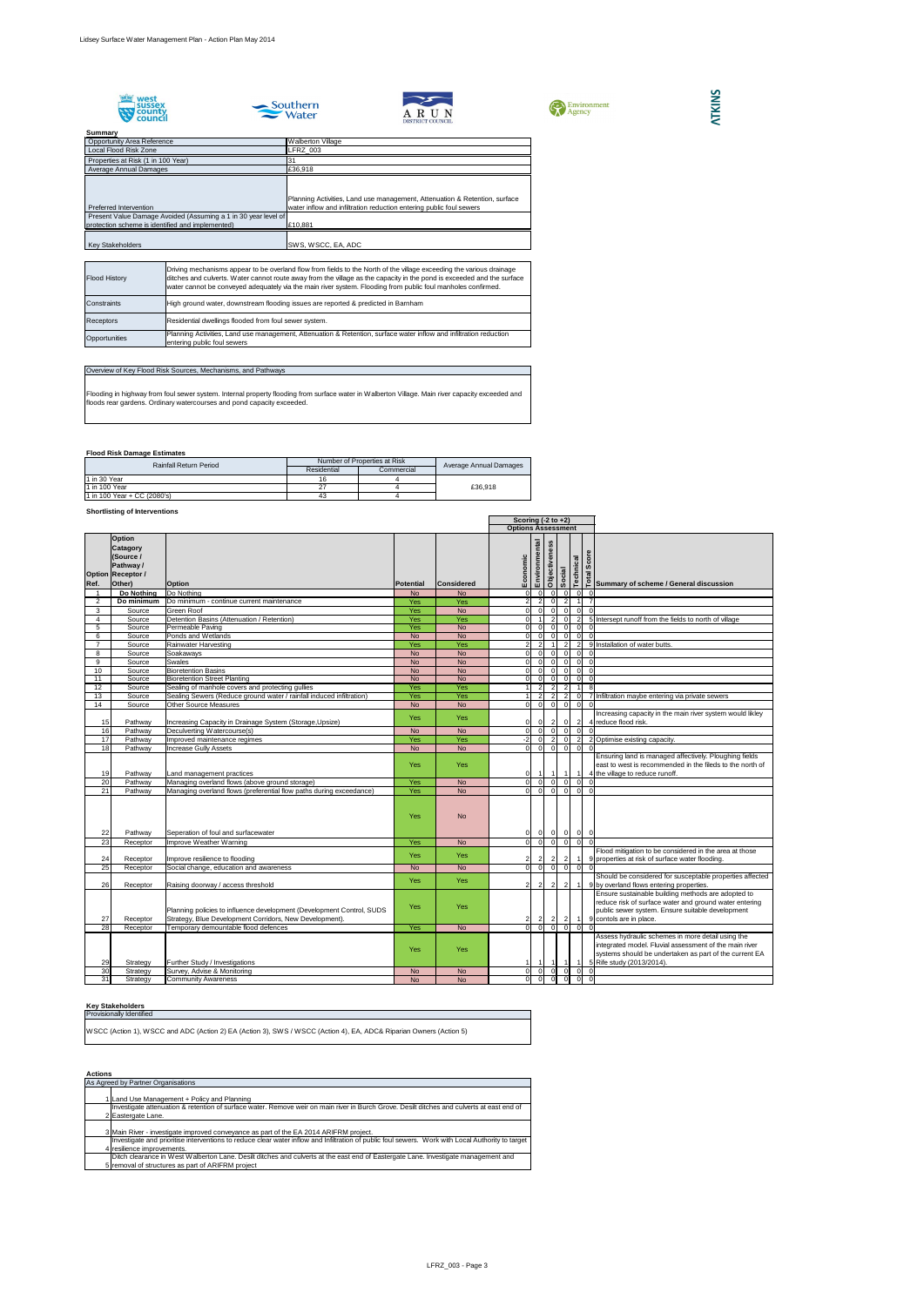









## **Flood Risk Damage Estimates**

## **Shortlisting of Interventions**

#### **Key Stakeholders**

## **Actions**

| <b>JUILLINGLY</b>                                              |                                                                            |
|----------------------------------------------------------------|----------------------------------------------------------------------------|
| <b>Opportunity Area Reference</b>                              | <b>Walberton Village</b>                                                   |
| <b>Local Flood Risk Zone</b>                                   | LFRZ 003                                                                   |
| Properties at Risk (1 in 100 Year)                             |                                                                            |
| <b>Average Annual Damages</b>                                  | £36,918                                                                    |
|                                                                | Planning Activities, Land use management, Attenuation & Retention, surface |
| Preferred Intervention                                         | water inflow and infiltration reduction entering public foul sewers        |
| Present Value Damage Avoided (Assuming a 1 in 30 year level of |                                                                            |
| protection scheme is identified and implemented)               | £10,881                                                                    |
|                                                                |                                                                            |
| <b>Key Stakeholders</b>                                        | SWS, WSCC, EA, ADC                                                         |

|                 |                                                                                                  |                                                                                                                                  |                  | Scoring $(-2 \text{ to } +2)$ |                           |                                |  |                      |                                  |                                  |                                                                                                                                                                                                    |
|-----------------|--------------------------------------------------------------------------------------------------|----------------------------------------------------------------------------------------------------------------------------------|------------------|-------------------------------|---------------------------|--------------------------------|--|----------------------|----------------------------------|----------------------------------|----------------------------------------------------------------------------------------------------------------------------------------------------------------------------------------------------|
|                 |                                                                                                  |                                                                                                                                  |                  |                               | <b>Options Assessment</b> |                                |  |                      |                                  |                                  |                                                                                                                                                                                                    |
| Ref.            | <b>Option</b><br><b>Catagory</b><br>(Source /<br>Pathway /<br><b>Option Receptor /</b><br>Other) | <b>Option</b>                                                                                                                    | <b>Potential</b> | <b>Considered</b>             | Economic                  | Environmental<br>Objectiveness |  | Social               | Technical                        |                                  | solonous<br>solonous<br>Polynmary of scheme / General discussion                                                                                                                                   |
|                 | Do Nothing                                                                                       | Do Nothing                                                                                                                       | <b>No</b>        | <b>No</b>                     | $\overline{0}$            | $\overline{0}$                 |  | $\overline{0}$       | $\overline{0}$                   | $\overline{0}$                   |                                                                                                                                                                                                    |
| $\overline{2}$  | Do minimum                                                                                       | Do minimum - continue current maintenance                                                                                        | Yes              | Yes                           | $\overline{2}$            | $\overline{2}$                 |  | $\overline{0}$       | $\overline{2}$                   | $\overline{7}$                   |                                                                                                                                                                                                    |
| 3               | Source                                                                                           | <b>Green Roof</b>                                                                                                                | Yes              | <b>No</b>                     | 0                         | $\overline{0}$                 |  | $\overline{0}$<br> 0 |                                  | 0 <br>$\overline{0}$             |                                                                                                                                                                                                    |
| $\overline{4}$  | Source                                                                                           | Detention Basins (Attenuation / Retention)                                                                                       | Yes              | Yes                           | $\overline{0}$            |                                |  |                      | $\overline{0}$                   | $\overline{2}$                   | 5 Intersept runoff from the fields to north of village                                                                                                                                             |
| 5               | Source                                                                                           | Permeable Paving                                                                                                                 | Yes              | <b>No</b>                     | $\overline{0}$            | $\Omega$                       |  |                      | $\overline{0}$<br>$\Omega$       |                                  | 0                                                                                                                                                                                                  |
| 6               | Source                                                                                           | Ponds and Wetlands                                                                                                               | <b>No</b>        | <b>No</b>                     | $\overline{0}$            | $\Omega$                       |  | $\Omega$             | $\overline{0}$                   | $\overline{0}$                   | $\overline{0}$                                                                                                                                                                                     |
| $\overline{7}$  | Source                                                                                           | <b>Rainwater Harvesting</b>                                                                                                      | <b>Yes</b>       | <b>Yes</b>                    | $\overline{2}$            | $\overline{2}$                 |  |                      | 2 <sup>1</sup>                   | $\overline{2}$                   | 9 Installation of water butts.                                                                                                                                                                     |
| 8               | Source                                                                                           | Soakaways                                                                                                                        | <b>No</b>        | <b>No</b>                     | $\overline{0}$            | $\Omega$                       |  | $\Omega$             | $\overline{0}$                   | $\overline{0}$<br>$\Omega$       |                                                                                                                                                                                                    |
| 9               | Source                                                                                           | Swales                                                                                                                           | <b>No</b>        | <b>No</b>                     | $\overline{0}$            | $\Omega$                       |  | $\Omega$             | $\overline{0}$                   | $\Omega$                         | $\overline{0}$                                                                                                                                                                                     |
| 10              | Source                                                                                           | <b>Bioretention Basins</b>                                                                                                       | <b>No</b>        | <b>No</b>                     | $\overline{0}$            | $\Omega$                       |  | $\Omega$             | $\overline{0}$                   | $\overline{0}$<br>$\mathbf 0$    |                                                                                                                                                                                                    |
| 11              | Source                                                                                           | <b>Bioretention Street Planting</b>                                                                                              | <b>No</b>        | <b>No</b>                     | $\overline{0}$            | $\mathbf 0$                    |  | $\Omega$             | $\overline{0}$                   | $\overline{0}$<br>$\mathbf 0$    |                                                                                                                                                                                                    |
| 12              | Source                                                                                           | Sealing of manhole covers and protecting gullies                                                                                 | Yes              | Yes                           |                           | $\overline{2}$                 |  | $\overline{2}$       | 2 <sup>1</sup>                   |                                  | 8                                                                                                                                                                                                  |
| 13              | Source                                                                                           | Sealing Sewers (Reduce ground water / rainfall induced infiltration)                                                             | Yes              | <b>Yes</b>                    |                           |                                |  |                      | 2 <sup>1</sup>                   | $\Omega$                         | 7 Infiltration maybe entering via private sewers                                                                                                                                                   |
| 14              | Source                                                                                           | <b>Other Source Measures</b>                                                                                                     | <b>No</b>        | <b>No</b>                     | $\overline{0}$            | $\overline{0}$                 |  | $\overline{0}$       | $\overline{0}$                   | $\overline{0}$<br>$\Omega$       |                                                                                                                                                                                                    |
| 15              | Pathway                                                                                          | Increasing Capacity in Drainage System (Storage, Upsize)                                                                         | <b>Yes</b>       | <b>Yes</b>                    | $\overline{0}$            | 01                             |  | $\overline{2}$       | 0                                | $\overline{2}$                   | Increasing capacity in the main river system would likley<br>4 reduce flood risk.                                                                                                                  |
| 16              | Pathway                                                                                          | Deculverting Watercourse(s)                                                                                                      | <b>No</b>        | <b>No</b>                     | $\overline{0}$            | $\overline{0}$                 |  | $\overline{0}$       | 0                                | $\mathbf 0$                      | $\Omega$                                                                                                                                                                                           |
| 17              | Pathway                                                                                          | Improved maintenance regimes                                                                                                     | Yes              | <b>Yes</b>                    | $-2$                      | $\Omega$                       |  | $\overline{2}$       | $\overline{0}$<br>$\overline{2}$ |                                  | 2 Optimise existing capacity.                                                                                                                                                                      |
| 18              | Pathway                                                                                          | <b>Increase Gully Assets</b>                                                                                                     | <b>No</b>        | <b>No</b>                     | $\overline{0}$            | -OI                            |  | $\overline{0}$       | $\overline{0}$                   | $\overline{0}$<br>$\Omega$       |                                                                                                                                                                                                    |
| 19              | Pathway                                                                                          | Land management practices                                                                                                        | Yes              | <b>Yes</b>                    | $\overline{0}$            |                                |  |                      |                                  |                                  | Ensuring land is managed affectively. Ploughing fields<br>east to west is recommended in the fileds to the north of<br>4 the village to reduce runoff.                                             |
| 20              | Pathway                                                                                          | Managing overland flows (above ground storage)                                                                                   | Yes              | <b>No</b>                     | $\overline{0}$            | $\overline{0}$                 |  | $\overline{0}$       | $\overline{0}$                   | $\overline{0}$<br>$\overline{0}$ |                                                                                                                                                                                                    |
| 21              | Pathway                                                                                          | Managing overland flows (preferential flow paths during exceedance)                                                              | Yes              | <b>No</b>                     | $\overline{0}$            | $\overline{0}$                 |  | $\overline{0}$       | $\overline{0}$                   | $\Omega$                         | $\Omega$                                                                                                                                                                                           |
| 22              | Pathway                                                                                          | Seperation of foul and surfacewater                                                                                              | Yes              | <b>No</b>                     | 0                         | $\overline{0}$                 |  | $\Omega$             | 0                                | 0 <br>$\overline{0}$             |                                                                                                                                                                                                    |
| $\overline{23}$ | Receptor                                                                                         | Improve Weather Warning                                                                                                          | Yes              | <b>No</b>                     | $\overline{0}$            | 0                              |  | $\overline{0}$       | $\overline{0}$                   | $\overline{0}$<br>$\Omega$       |                                                                                                                                                                                                    |
| 24              | Receptor                                                                                         | Improve resilience to flooding                                                                                                   | Yes              | <b>Yes</b>                    | $\overline{2}$            | 2                              |  |                      |                                  |                                  | Flood mitigation to be considered in the area at those<br>9 properties at risk of surface water flooding.                                                                                          |
| 25              | Receptor                                                                                         | Social change, education and awareness                                                                                           | <b>No</b>        | <b>No</b>                     | $\overline{0}$            | $\overline{0}$                 |  | $\overline{0}$       | 0                                | $\overline{0}$                   |                                                                                                                                                                                                    |
| 26              | Receptor                                                                                         | Raising doorway / access threshold                                                                                               | Yes              | <b>Yes</b>                    | $\overline{2}$            | $\mathbf{2}$                   |  | $\mathbf{2}$         | 2 <sup>1</sup>                   |                                  | Should be considered for susceptable properties affected<br>9 by overland flows entering properties.                                                                                               |
| 27              | Receptor                                                                                         | Planning policies to influence development (Development Control, SUDS<br>Strategy, Blue Development Corridors, New Development). | Yes              | <b>Yes</b>                    | $\overline{2}$            | $\mathbf{2}$                   |  | $\mathbf{2}$         | 2                                |                                  | Ensure sustainable building methods are adopted to<br>reduce risk of surface water and ground water entering<br>public sewer system. Ensure suitable development<br>9 contols are in place.        |
| $\overline{28}$ | Receptor                                                                                         | Temporary demountable flood defences                                                                                             | Yes              | <b>No</b>                     | $\overline{0}$            | $\overline{0}$                 |  | $\Omega$             | $\overline{0}$                   | $\overline{0}$                   |                                                                                                                                                                                                    |
| 29              | Strategy                                                                                         | Further Study / Investigations                                                                                                   | Yes              | Yes                           |                           |                                |  |                      |                                  |                                  | Assess hydraulic schemes in more detail using the<br>integrated model. Fluvial assessment of the main river<br>systems should be undertaken as part of the current EA<br>5 Rife study (2013/2014). |
| 30              | Strategy                                                                                         | Survey, Advise & Monitoring                                                                                                      | <b>No</b>        | <b>No</b>                     | 0                         | - O I                          |  |                      | 0I                               | $\Omega$                         | 0                                                                                                                                                                                                  |
| 31              | Strategy                                                                                         | <b>Community Awareness</b>                                                                                                       | <b>No</b>        | <b>No</b>                     | $\overline{0}$            | $\Omega$                       |  |                      |                                  | $\Omega$                         | - Ol                                                                                                                                                                                               |

| <b>Flood History</b> |                  | Driving mechanisms appear to be overland flow from fields to the North of the village exceeding the various drainage<br>ditches and culverts. Water cannot route away from the village as the capacity in the pond is exceeded and the surface<br>water cannot be conveyed adequately via the main river system. Flooding from public foul manholes confirmed. |  |  |  |  |  |  |  |
|----------------------|------------------|----------------------------------------------------------------------------------------------------------------------------------------------------------------------------------------------------------------------------------------------------------------------------------------------------------------------------------------------------------------|--|--|--|--|--|--|--|
| Constraints          |                  | High ground water, downstream flooding issues are reported & predicted in Barnham                                                                                                                                                                                                                                                                              |  |  |  |  |  |  |  |
|                      | <b>Receptors</b> | Residential dwellings flooded from foul sewer system.                                                                                                                                                                                                                                                                                                          |  |  |  |  |  |  |  |
|                      | Opportunities    | Planning Activities, Land use management, Attenuation & Retention, surface water inflow and infiltration reduction<br>entering public foul sewers                                                                                                                                                                                                              |  |  |  |  |  |  |  |

## Overview of Key Flood Risk Sources, Mechanisms, and Pathways

Flooding in highway from foul sewer system. Internal property flooding from surface water in Walberton Village. Main river capacity exceeded and floods rear gardens. Ordinary watercourses and pond capacity exceeded.

| <b>Rainfall Return Period</b> | Number of Properties at Risk | Average Annual Damages |         |  |
|-------------------------------|------------------------------|------------------------|---------|--|
|                               | Residential                  | Commercial             |         |  |
| 11 in 30 Year                 | 16                           |                        |         |  |
| 11 in 100 Year                | 27                           |                        | £36,918 |  |
| 1 in 100 Year + CC $(2080's)$ | 43                           |                        |         |  |

| As Agreed by Partner Organisations                                                                                                                |  |  |  |  |  |  |  |
|---------------------------------------------------------------------------------------------------------------------------------------------------|--|--|--|--|--|--|--|
|                                                                                                                                                   |  |  |  |  |  |  |  |
| 1 Land Use Management + Policy and Planning                                                                                                       |  |  |  |  |  |  |  |
| Investigate attenuation & retention of surface water. Remove weir on main river in Burch Grove. Desilt ditches and culverts at east end of        |  |  |  |  |  |  |  |
| 2 Eastergate Lane.                                                                                                                                |  |  |  |  |  |  |  |
|                                                                                                                                                   |  |  |  |  |  |  |  |
| 3 Main River - investigate improved conveyance as part of the EA 2014 ARIFRM project.                                                             |  |  |  |  |  |  |  |
| Investigate and prioritise interventions to reduce clear water inflow and Infiltration of public foul sewers. Work with Local Authority to target |  |  |  |  |  |  |  |
| 4 resilience improvements.                                                                                                                        |  |  |  |  |  |  |  |
| Ditch clearance in West Walberton Lane. Desilt ditches and culverts at the east end of Eastergate Lane. Investigate management and                |  |  |  |  |  |  |  |
| 5 removal of structures as part of ARIFRM project                                                                                                 |  |  |  |  |  |  |  |

Provisionally Identified WSCC (Action 1), WSCC and ADC (Action 2) EA (Action 3), SWS / WSCC (Action 4), EA, ADC& Riparian Owners (Action 5)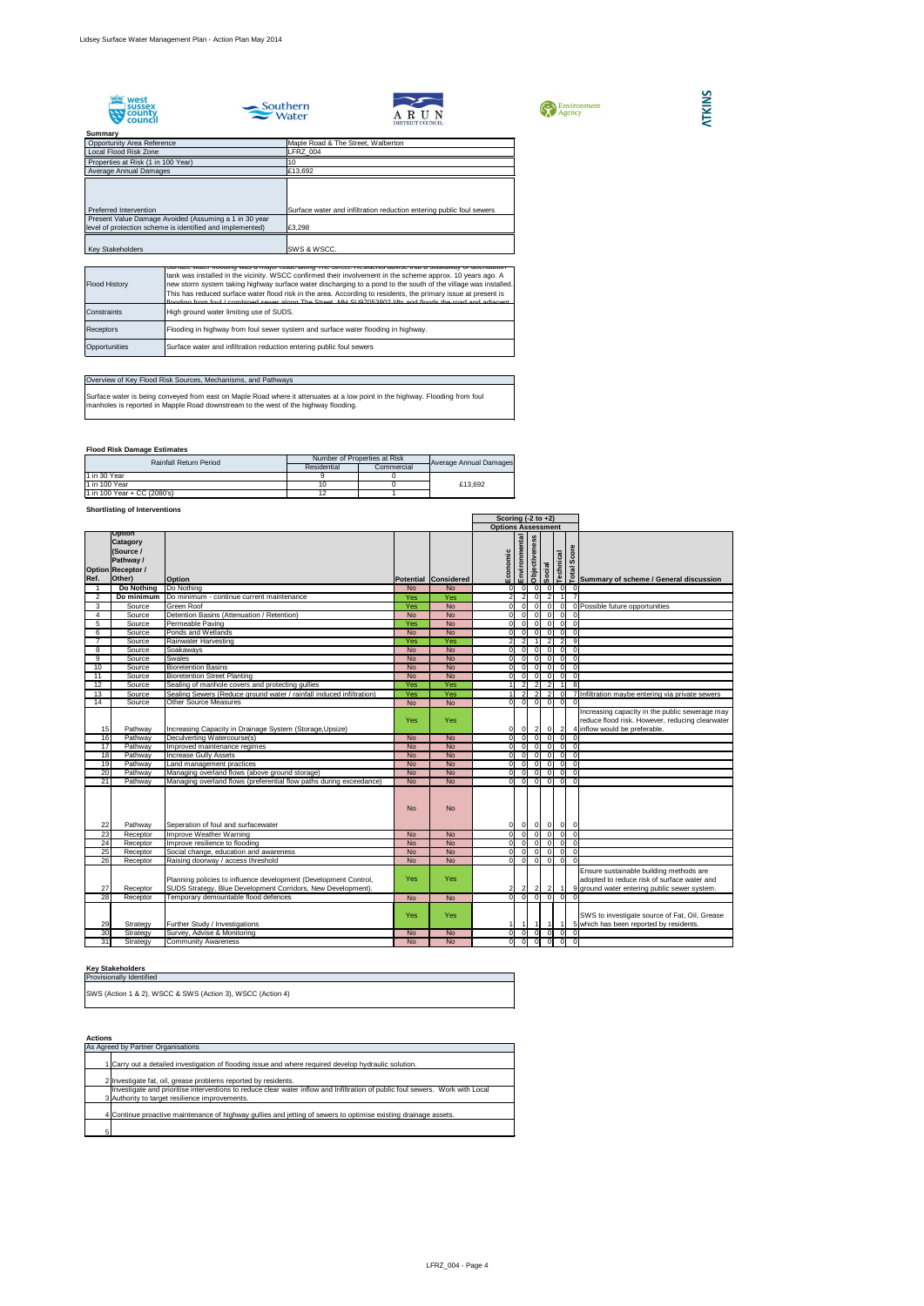







## **Summary**<br> **Opportunity Area Reference** Properties at Risk (1 in 100 Year) 10<br>Average Annual Damages 6.13,692 Maple Road & The Street, Walberton<br>LFRZ\_004 Local Flood Risk Zone Average Annual Damages Preferred Intervention **Surface water and infiltration reduction entering public foul sewers**  Present Value Damage Avoided (Assuming a 1 in 30 year level of protection scheme is identified and implemented)  $\Big|$ £3,298 Key Stakeholders SWS & WSCC.

## **Flood Risk Damage Estimates**

## **Shortlisting of Interventions**

## **Key Stakeholders**

## **Actions**

|                 |                                                                                 |                                                                                                                                                                          |                  |                         | Scoring $(-2 \text{ to } +2)$ |                           |                            |          |                            |                                            |                                                                                                                                                                                                                              |
|-----------------|---------------------------------------------------------------------------------|--------------------------------------------------------------------------------------------------------------------------------------------------------------------------|------------------|-------------------------|-------------------------------|---------------------------|----------------------------|----------|----------------------------|--------------------------------------------|------------------------------------------------------------------------------------------------------------------------------------------------------------------------------------------------------------------------------|
|                 |                                                                                 |                                                                                                                                                                          |                  |                         |                               | <b>Options Assessment</b> |                            |          |                            |                                            |                                                                                                                                                                                                                              |
|                 | <b>Option</b><br><b>Catagory</b><br>(Source /<br>Pathway /<br>Option Receptor / |                                                                                                                                                                          |                  |                         | Economic                      | Environmental             | Objectiveness              | Social   | Technical                  | Score                                      | e and series and series and series and series and series and series and posterior property and series and series and series and series and series and series and series and series and series and series and series and seri |
| Ref.            | Other)                                                                          | <b>Option</b>                                                                                                                                                            |                  | Potential Considered    |                               |                           |                            |          |                            |                                            |                                                                                                                                                                                                                              |
|                 | Do Nothing                                                                      | Do Nothing                                                                                                                                                               | <b>No</b>        | <b>No</b>               | 0                             | $\Omega$                  | $\overline{0}$             |          | $\mathbf 0$                | $\overline{0}$<br>$\overline{ }$           | $\overline{0}$<br>$\overline{7}$                                                                                                                                                                                             |
| 2               | Do minimum                                                                      | Do minimum - continue current maintenance                                                                                                                                | Yes              | Yes                     | 2 <sup>1</sup>                | $\overline{2}$            | $\overline{0}$             |          | $\overline{2}$             |                                            |                                                                                                                                                                                                                              |
| 3               | Source<br>Source                                                                | <b>Green Roof</b><br>Detention Basins (Attenuation / Retention)                                                                                                          | Yes<br><b>No</b> | <b>No</b><br><b>No</b>  | ΟI                            | $\Omega$<br>$\Omega$      | $\overline{0}$<br>$\Omega$ | $\Omega$ | $\Omega$                   | $\overline{0}$<br>$\mathbf 0$              | 0 Possible future opportunities<br>$\Omega$                                                                                                                                                                                  |
| 5               | Source                                                                          | Permeable Paving                                                                                                                                                         | Yes              | <b>No</b>               | ΟI<br>$\overline{0}$          | $\Omega$                  | $\Omega$                   |          | $\Omega$                   | $\overline{0}$<br>$\overline{0}$           |                                                                                                                                                                                                                              |
| 6               | Source                                                                          | Ponds and Wetlands                                                                                                                                                       | <b>No</b>        | <b>No</b>               | $\overline{0}$                | - Ol                      | $\Omega$                   | $\Omega$ |                            | $\overline{0}$                             | $\Omega$                                                                                                                                                                                                                     |
|                 | Source                                                                          | Rainwater Harvesting                                                                                                                                                     | Yes              | Yes                     | $\overline{2}$                | 2                         |                            |          | 2                          | 2                                          | 9                                                                                                                                                                                                                            |
| 8               | Source                                                                          | Soakaways                                                                                                                                                                | <b>No</b>        | <b>No</b>               | $\overline{0}$                | $\Omega$                  | $\Omega$                   | $\Omega$ |                            | $\overline{0}$                             | $\mathbf 0$                                                                                                                                                                                                                  |
| 9               | Source                                                                          | <b>Swales</b>                                                                                                                                                            | <b>No</b>        | <b>No</b>               | $\overline{0}$                | $\Omega$                  | $\Omega$                   | $\Omega$ |                            | $\overline{0}$                             | $\overline{0}$                                                                                                                                                                                                               |
| 10              | Source                                                                          | <b>Bioretention Basins</b>                                                                                                                                               | <b>No</b>        | <b>No</b>               | $\overline{0}$                |                           | $\Omega$                   | $\Omega$ |                            | $\overline{0}$                             | $\overline{0}$                                                                                                                                                                                                               |
| 11              | Source                                                                          | <b>Bioretention Street Planting</b>                                                                                                                                      | <b>No</b>        | <b>No</b>               | οI                            | $\Omega$                  | $\Omega$                   | $\Omega$ |                            | $\overline{0}$                             | $\mathbf 0$                                                                                                                                                                                                                  |
| 12              | Source                                                                          | Sealing of manhole covers and protecting gullies                                                                                                                         | Yes              | Yes                     |                               | 2                         | 2                          |          | $\overline{2}$             |                                            | 8                                                                                                                                                                                                                            |
| 13              | Source                                                                          | Sealing Sewers (Reduce ground water / rainfall induced infiltration)                                                                                                     | Yes              | Yes                     |                               | 2                         | 2                          |          | 2                          | $\overline{0}$                             | 7 Infiltration maybe entering via private sewers                                                                                                                                                                             |
| 14              | Source                                                                          | <b>Other Source Measures</b>                                                                                                                                             | <b>No</b>        | <b>No</b>               | $\overline{0}$                | $\overline{0}$            | $\overline{0}$             |          | 0                          | $\overline{0}$                             | $\Omega$                                                                                                                                                                                                                     |
| 15              | Pathway                                                                         | Increasing Capacity in Drainage System (Storage, Upsize)                                                                                                                 | Yes              | Yes                     | 0                             | $\overline{0}$            | $\vert$ 2                  |          | $\overline{0}$             | $\overline{2}$                             | Increasing capacity in the public sewerage may<br>reduce flood risk. However, reducing clearwater<br>4 inflow would be preferable.                                                                                           |
| 16              | Pathway                                                                         | Deculverting Watercourse(s)                                                                                                                                              | <b>No</b>        | <b>No</b>               | $\overline{0}$                | $\Omega$                  | $\overline{0}$             |          | $\Omega$                   | $\overline{0}$                             | $\Omega$                                                                                                                                                                                                                     |
| 17              | Pathway                                                                         | Improved maintenance regimes                                                                                                                                             | <b>No</b>        | <b>No</b>               | ΟI                            | $\Omega$                  | - 0 I                      | $\Omega$ |                            | $\overline{0}$                             | $\overline{0}$                                                                                                                                                                                                               |
| 18              | Pathway                                                                         | <b>Increase Gully Assets</b>                                                                                                                                             | <b>No</b>        | <b>No</b>               | $\overline{0}$                | $\Omega$                  | $\Omega$                   | $\Omega$ |                            | $\overline{0}$                             | $\mathbf 0$                                                                                                                                                                                                                  |
| $\overline{19}$ | Pathway                                                                         | Land management practices                                                                                                                                                | <b>No</b>        | <b>No</b>               | $\overline{0}$                | $\Omega$                  | $\Omega$                   | $\Omega$ |                            | $\overline{0}$                             | $\mathbf 0$                                                                                                                                                                                                                  |
| 20              | Pathway                                                                         | Managing overland flows (above ground storage)                                                                                                                           | <b>No</b>        | <b>No</b>               | $\overline{0}$                | $\Omega$                  | $\Omega$                   | $\Omega$ |                            | $\overline{0}$                             | $\overline{0}$                                                                                                                                                                                                               |
| $\overline{21}$ | Pathway                                                                         | Managing overland flows (preferential flow paths during exceedance)                                                                                                      | <b>No</b>        | <b>No</b>               | οI                            | $\Omega$                  | $\Omega$                   | $\Omega$ |                            | $\overline{0}$                             | $\overline{0}$                                                                                                                                                                                                               |
| 22              | Pathway                                                                         | Seperation of foul and surfacewater                                                                                                                                      | <b>No</b>        | <b>No</b>               | 0                             | 0                         |                            | $ 0 $ 0  |                            | $\overline{0}$<br>$\overline{\mathbf{0}}$  |                                                                                                                                                                                                                              |
| 23              | Receptor                                                                        | Improve Weather Warning                                                                                                                                                  | No               | No                      | $\overline{0}$                |                           |                            |          |                            |                                            |                                                                                                                                                                                                                              |
| 24              | Receptor                                                                        | Improve resilience to flooding                                                                                                                                           | <b>No</b>        | <b>No</b>               | $\overline{0}$                | $\overline{0}$            | $\overline{0}$             |          | $\mathbf 0$                | $\overline{0}$<br>o                        |                                                                                                                                                                                                                              |
| 25              | Receptor                                                                        | Social change, education and awareness                                                                                                                                   | <b>No</b>        | <b>No</b>               | 0                             | $\overline{0}$            | 0I                         |          | $\overline{0}$             | $\overline{0}$ 0                           |                                                                                                                                                                                                                              |
| 26              | Receptor                                                                        | Raising doorway / access threshold                                                                                                                                       | No               | <b>No</b>               | $\overline{0}$                | $\overline{0}$            | $\Omega$                   |          | $\overline{0}$             | $\overline{0}$<br>$\overline{0}$           |                                                                                                                                                                                                                              |
| 27<br>28        | Receptor<br>Receptor                                                            | Planning policies to influence development (Development Control,<br>SUDS Strategy, Blue Development Corridors, New Development).<br>Temporary demountable flood defences | Yes<br><b>No</b> | <b>Yes</b><br><b>No</b> | 2 <br>$\overline{0}$          | $\mathbf{2}$<br>$\Omega$  | $\vert$ 2                  |          | $\overline{2}$<br>$\Omega$ | $\mathbf{0}$                               | Ensure sustainable building methods are<br>adopted to reduce risk of surface water and<br>9 ground water entering public sewer system.                                                                                       |
|                 |                                                                                 |                                                                                                                                                                          |                  |                         |                               |                           |                            |          |                            |                                            |                                                                                                                                                                                                                              |
| 29              | Strategy                                                                        | Further Study / Investigations                                                                                                                                           | <b>Yes</b>       | Yes                     | 11                            | -1                        |                            |          |                            | $\vert$ 1                                  | SWS to investigate source of Fat, Oil, Grease<br>5 which has been reported by residents.                                                                                                                                     |
| 30              | Strategy                                                                        | Survey, Advise & Monitoring                                                                                                                                              | <b>No</b>        | <b>No</b>               | 0                             | - O I                     | -OI                        |          | 0                          | 0                                          | $\mathbf 0$                                                                                                                                                                                                                  |
| 31              | Strategy                                                                        | <b>Community Awareness</b>                                                                                                                                               | <b>No</b>        | <b>No</b>               | $\overline{0}$                | $\overline{0}$            |                            |          | 0I                         | $\overline{0}$<br>$\overline{\phantom{0}}$ |                                                                                                                                                                                                                              |

| <b>Flood History</b> | Surface water hooding was a major issue along The Street. Residents advise that a soakaway of attenuation<br>tank was installed in the vicinity. WSCC confirmed their involvement in the scheme approx. 10 years ago. A<br>new storm system taking highway surface water discharging to a pond to the south of the village was installed.<br>This has reduced surface water flood risk in the area. According to residents, the primary issue at present is<br>tionding from foul / combined sewer along The Street, MH SLI97053802 lifts and floods the road and adjacent |
|----------------------|----------------------------------------------------------------------------------------------------------------------------------------------------------------------------------------------------------------------------------------------------------------------------------------------------------------------------------------------------------------------------------------------------------------------------------------------------------------------------------------------------------------------------------------------------------------------------|
| <b>Constraints</b>   | High ground water limiting use of SUDS.                                                                                                                                                                                                                                                                                                                                                                                                                                                                                                                                    |
| <b>Receptors</b>     | Flooding in highway from foul sewer system and surface water flooding in highway.                                                                                                                                                                                                                                                                                                                                                                                                                                                                                          |
| Opportunities        | Surface water and infiltration reduction entering public foul sewers                                                                                                                                                                                                                                                                                                                                                                                                                                                                                                       |

## Overview of Key Flood Risk Sources, Mechanisms, and Pathways

Surface water is being conveyed from east on Maple Road where it attenuates at a low point in the highway. Flooding from foul manholes is reported in Mapple Road downstream to the west of the highway flooding.

| <b>Rainfall Return Period</b> | Number of Properties at Risk |            |                        |  |
|-------------------------------|------------------------------|------------|------------------------|--|
|                               | Residential                  | Commercial | Average Annual Damages |  |
| $1$ in 30 Year                |                              |            |                        |  |
| 11 in 100 Year                |                              |            | £13.692                |  |
| 1 in 100 Year + CC (2080's)   |                              |            |                        |  |

|    | As Agreed by Partner Organisations                                                                                            |
|----|-------------------------------------------------------------------------------------------------------------------------------|
|    | 1 Carry out a detailed investigation of flooding issue and where required develop hydraulic solution.                         |
|    | 2 Investigate fat, oil, grease problems reported by residents.                                                                |
|    | Investigate and prioritise interventions to reduce clear water inflow and Infiltration of public foul sewers. Work with Local |
|    | 3 Authority to target resilience improvements.                                                                                |
|    | 4 Continue proactive maintenance of highway gullies and jetting of sewers to optimise existing drainage assets.               |
| 51 |                                                                                                                               |

| Provisionally Identified |  |  |  |
|--------------------------|--|--|--|
|                          |  |  |  |

SWS (Action 1 & 2), WSCC & SWS (Action 3), WSCC (Action 4)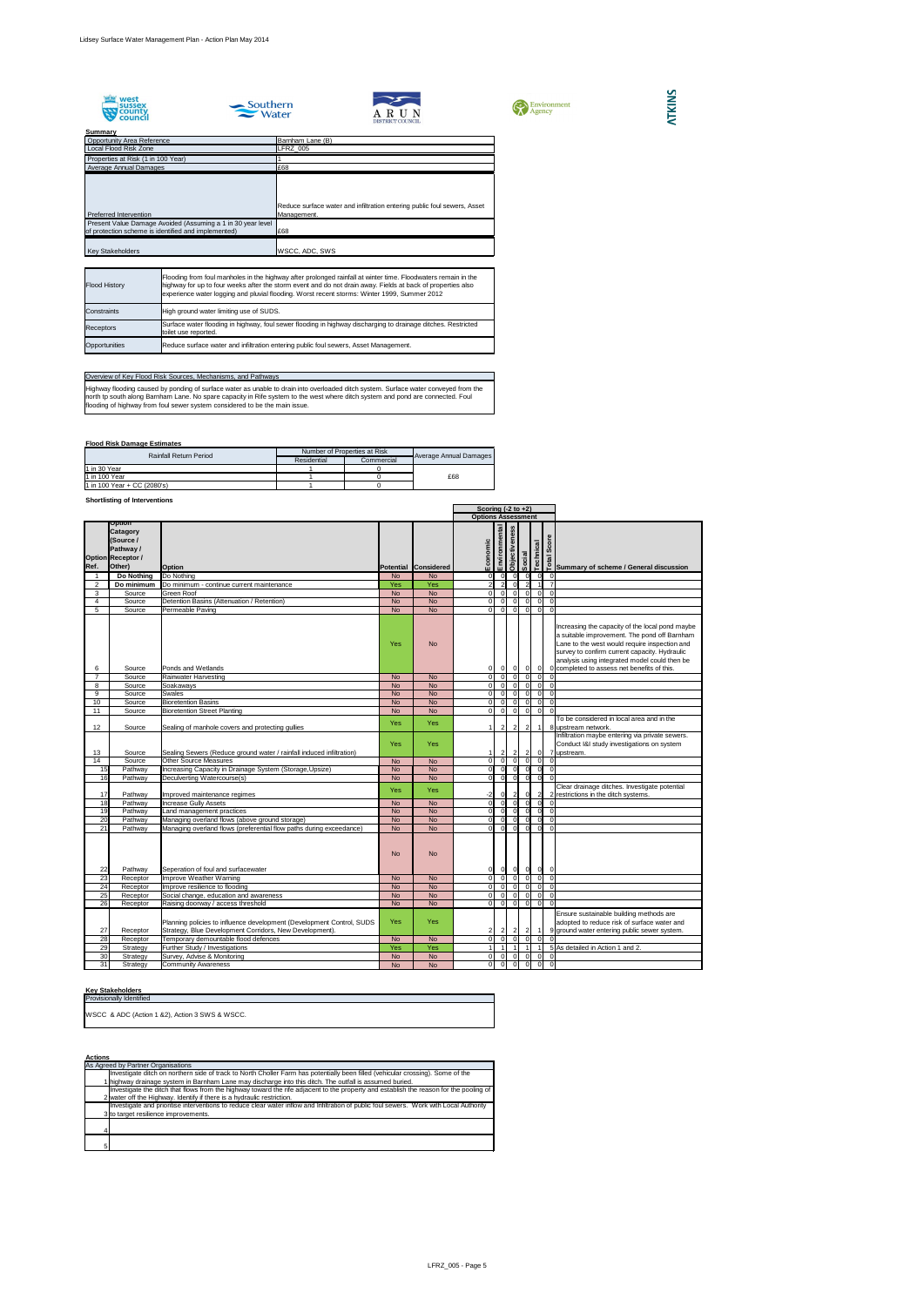









## **Flood Risk Damage Estimates**

## **Shortlisting of Interventions**

## **Key Stakeholders**

|                |                                                                                                        |                                                                                                                                  |           |                      | Scoring $(-2 \text{ to } +2)$ |                |                      |                |                |                  |                                                                                                                                                                                                                                                                                                   |
|----------------|--------------------------------------------------------------------------------------------------------|----------------------------------------------------------------------------------------------------------------------------------|-----------|----------------------|-------------------------------|----------------|----------------------|----------------|----------------|------------------|---------------------------------------------------------------------------------------------------------------------------------------------------------------------------------------------------------------------------------------------------------------------------------------------------|
|                |                                                                                                        |                                                                                                                                  |           |                      | <b>Options Assessment</b>     |                |                      |                |                |                  |                                                                                                                                                                                                                                                                                                   |
| Ref.           | <b>Option</b><br><b>Catagory</b><br>(Source /<br><b>Pathway/</b><br><b>Option Receptor /</b><br>Other) | <b>Option</b>                                                                                                                    |           | Potential Considered | Economic                      | Environmental  | <b>Objectiveness</b> | Social         |                | <b>Technical</b> | Score<br>तुः │<br>□ Summary of scheme / General discussion                                                                                                                                                                                                                                        |
|                | Do Nothing                                                                                             | Do Nothing                                                                                                                       | <b>No</b> | <b>No</b>            | 0I                            | -OI            |                      | ΩI             | <sup>O</sup>   | 0                | 0                                                                                                                                                                                                                                                                                                 |
| $\overline{2}$ | Do minimum                                                                                             | Do minimum - continue current maintenance                                                                                        | Yes       | Yes                  |                               | $\overline{2}$ |                      | $\Omega$       | $\overline{2}$ |                  |                                                                                                                                                                                                                                                                                                   |
| 3              | Source                                                                                                 | <b>Green Roof</b>                                                                                                                | <b>No</b> | <b>No</b>            | $\Omega$                      | $\Omega$       |                      | $\Omega$       | $\Omega$       | $\Omega$         | $\Omega$                                                                                                                                                                                                                                                                                          |
| 4              | Source                                                                                                 | Detention Basins (Attenuation / Retention)                                                                                       | <b>No</b> | <b>No</b>            | $\overline{0}$                | $\Omega$       |                      | $\Omega$       | $\Omega$       | $\overline{0}$   | $\Omega$                                                                                                                                                                                                                                                                                          |
| 5              | Source                                                                                                 | Permeable Paving                                                                                                                 | <b>No</b> | <b>No</b>            | $\Omega$                      | $\overline{0}$ |                      | $\Omega$       | $\Omega$       | $\overline{0}$   | $\Omega$                                                                                                                                                                                                                                                                                          |
| 6              | Source                                                                                                 | Ponds and Wetlands                                                                                                               | Yes       | <b>No</b>            | 01                            | 01             |                      | -01            | 0 I            | $\overline{0}$   | Increasing the capacity of the local pond maybe<br>a suitable improvement. The pond off Barnham<br>Lane to the west would require inspection and<br>survey to confirm current capacity. Hydraulic<br>analysis using integrated model could then be<br>0 completed to assess net benefits of this. |
|                | Source                                                                                                 | <b>Rainwater Harvesting</b>                                                                                                      | <b>No</b> | <b>No</b>            | $\Omega$                      | $\Omega$       |                      | $\Omega$       | $\Omega$       | $\Omega$         |                                                                                                                                                                                                                                                                                                   |
| 8              | Source                                                                                                 | Soakaways                                                                                                                        | <b>No</b> | <b>No</b>            | $\Omega$                      | $\Omega$       |                      | $\Omega$       | $\Omega$       | $\Omega$         | $\Omega$                                                                                                                                                                                                                                                                                          |
| 9              | Source                                                                                                 | <b>Swales</b>                                                                                                                    | <b>No</b> | <b>No</b>            | ΟI                            | $\Omega$       |                      | $\Omega$       | $\Omega$       | $\Omega$         | $\Omega$                                                                                                                                                                                                                                                                                          |
| 10             | Source                                                                                                 | <b>Bioretention Basins</b>                                                                                                       | <b>No</b> | <b>No</b>            | ΩI                            | $\Omega$       |                      |                |                | $\Omega$         | $\Omega$                                                                                                                                                                                                                                                                                          |
| 11             | Source                                                                                                 | <b>Bioretention Street Planting</b>                                                                                              | <b>No</b> | <b>No</b>            | ΩI                            | $\overline{0}$ |                      | $\Omega$       | $\Omega$       | $\Omega$         | $\Omega$                                                                                                                                                                                                                                                                                          |
| 12             | Source                                                                                                 | Sealing of manhole covers and protecting gullies                                                                                 | Yes       | Yes                  |                               | $\overline{2}$ |                      | $\overline{2}$ | $\vert$ 2      | -1 I             | To be considered in local area and in the<br>8 upstream network.                                                                                                                                                                                                                                  |
| 13             | Source                                                                                                 | Sealing Sewers (Reduce ground water / rainfall induced infiltration)                                                             | Yes       | Yes                  |                               | $\overline{2}$ |                      | 2              | $\overline{2}$ | $\overline{0}$   | Infiltration maybe entering via private sewers.<br>Conduct I&I study investigations on system<br>7 upstream.                                                                                                                                                                                      |
| 14             | Source                                                                                                 | <b>Other Source Measures</b>                                                                                                     | <b>No</b> | <b>No</b>            | ΟI                            | $\overline{0}$ |                      | $\Omega$       | $\Omega$       | $\Omega$         |                                                                                                                                                                                                                                                                                                   |
| 15             | Pathway                                                                                                | Increasing Capacity in Drainage System (Storage, Upsize)                                                                         | <b>No</b> | <b>No</b>            | $\overline{0}$                | $\overline{0}$ |                      | 0I             | $\Omega$       | $\overline{0}$   | $\Omega$                                                                                                                                                                                                                                                                                          |
| 16             | Pathway                                                                                                | Deculverting Watercourse(s)                                                                                                      | <b>No</b> | <b>No</b>            | 0I                            | 0              |                      | -01            | 0              | $\overline{0}$   | $\Omega$                                                                                                                                                                                                                                                                                          |
| 17             | Pathway                                                                                                | Improved maintenance regimes                                                                                                     | Yes       | Yes                  | -2                            |                |                      | $\vert$ 2      | 0              | $\mathbf{2}$     | Clear drainage ditches. Investigate potential<br>2 restrictions in the ditch systems.                                                                                                                                                                                                             |
| 18             | Pathway                                                                                                | <b>Increase Gully Assets</b>                                                                                                     | <b>No</b> | <b>No</b>            | $\overline{O}$                | 0              |                      | $\overline{0}$ | 0              | $\overline{0}$   | $\overline{0}$                                                                                                                                                                                                                                                                                    |
| 19             | Pathway                                                                                                | Land management practices                                                                                                        | <b>No</b> | <b>No</b>            | 0I                            | -0I            |                      | $\Omega$       | $\Omega$       | $\Omega$         | $\Omega$                                                                                                                                                                                                                                                                                          |
| 20             | Pathway                                                                                                | Managing overland flows (above ground storage)                                                                                   | <b>No</b> | <b>No</b>            | ΩL                            | - Ol           |                      |                |                | $\Omega$         |                                                                                                                                                                                                                                                                                                   |
| 21             | Pathway                                                                                                | Managing overland flows (preferential flow paths during exceedance)                                                              | <b>No</b> | <b>No</b>            | ΩI                            | -OI            |                      |                | $\Omega$       | $\Omega$         | $\Omega$                                                                                                                                                                                                                                                                                          |
| 22             | Pathway                                                                                                | Seperation of foul and surfacewater                                                                                              | <b>No</b> | <b>No</b>            | 0                             | 0I             |                      | 0              | 0              | $ 0 $ 0          |                                                                                                                                                                                                                                                                                                   |
| 23             | Receptor                                                                                               | Improve Weather Warning                                                                                                          | <b>No</b> | <b>No</b>            | 0I                            | $\overline{0}$ |                      | 0I             | $\Omega$       | $\overline{0}$   | $\overline{0}$                                                                                                                                                                                                                                                                                    |
| 24             | Receptor                                                                                               | Improve resilience to flooding                                                                                                   | <b>No</b> | <b>No</b>            | ΟI                            | $\Omega$       |                      | ി I            | -01            | $\overline{0}$   | $\Omega$                                                                                                                                                                                                                                                                                          |
| 25             | Receptor                                                                                               | Social change, education and awareness                                                                                           | <b>No</b> | <b>No</b>            | οI                            | $\Omega$       |                      |                | $\overline{0}$ | $\overline{0}$   | $\overline{0}$                                                                                                                                                                                                                                                                                    |
| 26             | Receptor                                                                                               | Raising doorway / access threshold                                                                                               | <b>No</b> | <b>No</b>            | ΩI                            | $\overline{0}$ |                      | $\Omega$       | -01            | $\overline{0}$   | $\Omega$                                                                                                                                                                                                                                                                                          |
| 27             | Receptor                                                                                               | Planning policies to influence development (Development Control, SUDS<br>Strategy, Blue Development Corridors, New Development). | Yes       | Yes                  | 2 <sub>l</sub>                |                |                      | $\overline{2}$ | $\overline{2}$ | $\mathbf{1}$     | Ensure sustainable building methods are<br>adopted to reduce risk of surface water and<br>9 ground water entering public sewer system.                                                                                                                                                            |
| 28             | Receptor                                                                                               | Temporary demountable flood defences                                                                                             | <b>No</b> | <b>No</b>            | 0I                            | $\overline{0}$ |                      | $\overline{0}$ | $\overline{0}$ | $\overline{0}$   |                                                                                                                                                                                                                                                                                                   |
| 29             | Strategy                                                                                               | Further Study / Investigations                                                                                                   | Yes       | Yes                  |                               |                |                      |                |                |                  | 5 As detailed in Action 1 and 2.                                                                                                                                                                                                                                                                  |
| 30             | Strategy                                                                                               | Survey, Advise & Monitoring                                                                                                      | <b>No</b> | <b>No</b>            | $\overline{0}$                | <sup>0</sup>   |                      | <sup>0</sup>   | $\overline{0}$ | 0                | 0                                                                                                                                                                                                                                                                                                 |
| 31             | Strategy                                                                                               | <b>Community Awareness</b>                                                                                                       | <b>No</b> | <b>No</b>            | $\overline{0}$                | $\overline{0}$ |                      | - OI           | $\overline{0}$ | $\overline{0}$   | $\overline{0}$                                                                                                                                                                                                                                                                                    |

| <b>Provisionally Identified</b>                                    |  |
|--------------------------------------------------------------------|--|
| <b>IWSCC &amp; ADC (Action 1 &amp;2), Action 3 SWS &amp; WSCC.</b> |  |

Highway flooding caused by ponding of surface water as unable to drain into overloaded ditch system. Surface water conveyed from the north tp south along Barnham Lane. No spare capacity in Rife system to the west where ditch system and pond are connected. Foul flooding of highway from foul sewer system considered to be the main issue.

| <b>Actions</b>                                                                                                                          |
|-----------------------------------------------------------------------------------------------------------------------------------------|
| As Agreed by Partner Organisations                                                                                                      |
| Investigate ditch on northern side of track to North Choller Farm has potentially been filled (vehicular crossing). Some of the         |
| 1 highway drainage system in Barnham Lane may discharge into this ditch. The outfall is assumed buried.                                 |
| Investigate the ditch that flows from the highway toward the rife adjacent to the property and establish the reason for the pooling of  |
| 2 water off the Highway. Identify if there is a hydraulic restriction.                                                                  |
| Investigate and prioritise interventions to reduce clear water inflow and Infiltration of public foul sewers. Work with Local Authority |
| 3 to target resilience improvements.                                                                                                    |
|                                                                                                                                         |
|                                                                                                                                         |
|                                                                                                                                         |
| 5                                                                                                                                       |

| Summary                                                     |                                                                                         |
|-------------------------------------------------------------|-----------------------------------------------------------------------------------------|
| <b>Opportunity Area Reference</b>                           | Barnham Lane (B)                                                                        |
| Local Flood Risk Zone                                       | <b>LFRZ 005</b>                                                                         |
| Properties at Risk (1 in 100 Year)                          |                                                                                         |
| <b>Average Annual Damages</b>                               | £68                                                                                     |
| Preferred Intervention                                      | Reduce surface water and infiltration entering public foul sewers, Asset<br>Management. |
| Present Value Damage Avoided (Assuming a 1 in 30 year level |                                                                                         |
| of protection scheme is identified and implemented)         | £68                                                                                     |
| <b>Key Stakeholders</b>                                     | <b>WSCC, ADC, SWS</b>                                                                   |

## Overview of Key Flood Risk Sources, Mechanisms, and Pathways

| <b>Rainfall Return Period</b> | Number of Properties at Risk |            |                        |
|-------------------------------|------------------------------|------------|------------------------|
|                               | Residential                  | Commercial | Average Annual Damages |
| 11 in 30 Year                 |                              |            |                        |
| 11 in 100 Year                |                              |            | £68                    |
| 1 in 100 Year + CC (2080's)   |                              |            |                        |

| <b>Flood History</b> | Flooding from foul manholes in the highway after prolonged rainfall at winter time. Floodwaters remain in the<br>highway for up to four weeks after the storm event and do not drain away. Fields at back of properties also<br>experience water logging and pluvial flooding. Worst recent storms: Winter 1999, Summer 2012 |
|----------------------|------------------------------------------------------------------------------------------------------------------------------------------------------------------------------------------------------------------------------------------------------------------------------------------------------------------------------|
| Constraints          | High ground water limiting use of SUDS.                                                                                                                                                                                                                                                                                      |
| <b>Receptors</b>     | Surface water flooding in highway, foul sewer flooding in highway discharging to drainage ditches. Restricted<br>toilet use reported.                                                                                                                                                                                        |
| Opportunities        | Reduce surface water and infiltration entering public foul sewers, Asset Management.                                                                                                                                                                                                                                         |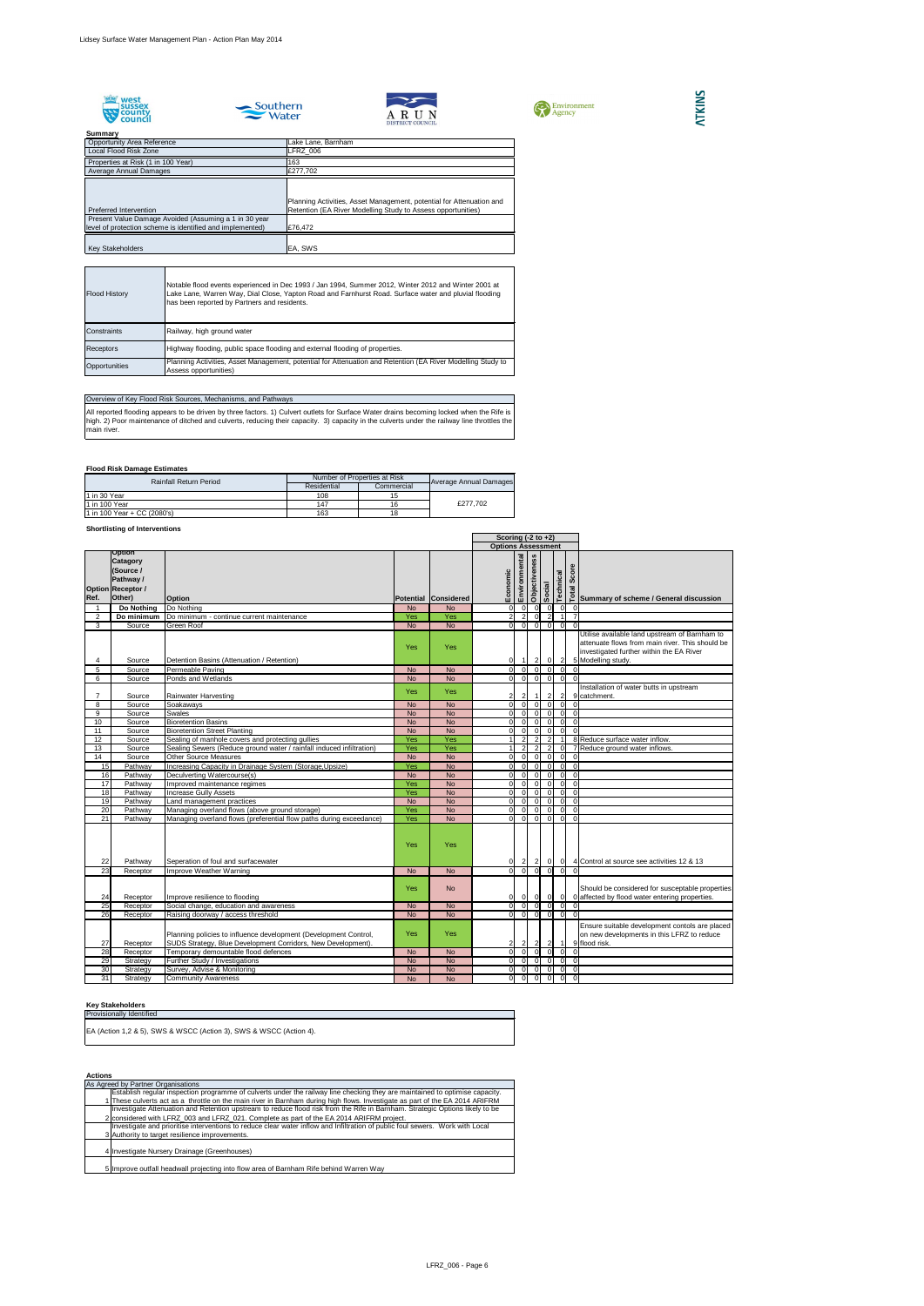









## **Flood Risk Damage Estimates**

## **Shortlisting of Interventions**

All reported flooding appears to be driven by three factors. 1) Culvert outlets for Surface Water drains becoming locked when the Rife is high. 2) Poor maintenance of ditched and culverts, reducing their capacity. 3) capacity in the culverts under the railway line throttles the main river.

#### **Key Stakeholders**

| <b>Opportunity Area Reference</b>                                               | Lake Lane, Barnham                                                                                                                   |
|---------------------------------------------------------------------------------|--------------------------------------------------------------------------------------------------------------------------------------|
| Local Flood Risk Zone                                                           | LFRZ 006                                                                                                                             |
| Properties at Risk (1 in 100 Year)                                              | 163                                                                                                                                  |
| Average Annual Damages                                                          | £277,702                                                                                                                             |
| Preferred Intervention<br>Present Value Damage Avoided (Assuming a 1 in 30 year | Planning Activities, Asset Management, potential for Attenuation and<br>Retention (EA River Modelling Study to Assess opportunities) |
| level of protection scheme is identified and implemented)                       | E76,472                                                                                                                              |
|                                                                                 |                                                                                                                                      |
| <b>Key Stakeholders</b>                                                         | EA, SWS                                                                                                                              |

|                 |                                                                                           |                                                                                                                                  |            |                             |                           | Scoring $(-2 \text{ to } +2)$ |                      |                                  |           |                                        |                                                                                                                                                                    |
|-----------------|-------------------------------------------------------------------------------------------|----------------------------------------------------------------------------------------------------------------------------------|------------|-----------------------------|---------------------------|-------------------------------|----------------------|----------------------------------|-----------|----------------------------------------|--------------------------------------------------------------------------------------------------------------------------------------------------------------------|
|                 |                                                                                           |                                                                                                                                  |            |                             | <b>Options Assessment</b> |                               |                      |                                  |           |                                        |                                                                                                                                                                    |
| Ref.            | Option<br><b>Catagory</b><br>(Source /<br>Pathway /<br><b>Option Receptor /</b><br>Other) | <b>Option</b>                                                                                                                    |            | <b>Potential Considered</b> | Economic                  | Environmental                 | <b>Objectiveness</b> | Social                           | Technical |                                        | os<br>os<br>∞ ∞ ∞ ∞<br>∞ Summary of scheme / General discussion                                                                                                    |
|                 | Do Nothing                                                                                | Do Nothing                                                                                                                       | <b>No</b>  | <b>No</b>                   | $\Omega$                  | -01                           | -01                  | $\Omega$                         |           | 0 <br> 0                               |                                                                                                                                                                    |
| $\overline{2}$  | Do minimum                                                                                | Do minimum - continue current maintenance                                                                                        | Yes        | Yes                         | $\overline{2}$            | $\overline{2}$                | $\Omega$             | $\overline{2}$                   |           |                                        |                                                                                                                                                                    |
| 3 <sup>1</sup>  | Source                                                                                    | Green Roof                                                                                                                       | <b>No</b>  | <b>No</b>                   | ΟI                        | $\overline{0}$                | $\overline{0}$       | $\overline{0}$                   |           | 0 <br>$\overline{0}$                   |                                                                                                                                                                    |
| 4               | Source                                                                                    | Detention Basins (Attenuation / Retention)                                                                                       | Yes        | Yes                         | 0                         | $\overline{1}$                | $\vert$ 2            | $\mathbf 0$                      |           | $\mathbf{2}$                           | Utilise available land upstream of Barnham to<br>attenuate flows from main river. This should be<br>investigated further within the EA River<br>5 Modelling study. |
| 5               | Source                                                                                    | Permeable Paving                                                                                                                 | <b>No</b>  | <b>No</b>                   | $\overline{0}$            | $\Omega$                      | 0                    | $\overline{0}$                   |           | $\overline{0}$<br>$\mathbf 0$          |                                                                                                                                                                    |
| 6               | Source                                                                                    | Ponds and Wetlands                                                                                                               | <b>No</b>  | <b>No</b>                   | ΟI                        | $\overline{0}$                | 0                    | $\overline{0}$                   |           | $\overline{0}$<br>$\overline{0}$       |                                                                                                                                                                    |
|                 | Source                                                                                    | Rainwater Harvesting                                                                                                             | <b>Yes</b> | Yes                         | $\overline{2}$            | $\overline{2}$                |                      | $\overline{2}$                   |           | $\overline{2}$                         | Installation of water butts in upstream<br>9 catchment.                                                                                                            |
| 8               | Source                                                                                    | Soakaways                                                                                                                        | <b>No</b>  | <b>No</b>                   | <sup>0</sup>              | $\Omega$                      | $\Omega$             | $\Omega$                         |           | $\overline{0}$<br>$\Omega$             |                                                                                                                                                                    |
| 9               | Source                                                                                    | Swales                                                                                                                           | <b>No</b>  | <b>No</b>                   | <sup>0</sup>              | $\Omega$                      | $\overline{0}$       | $\Omega$                         |           | 0 <br>$\overline{0}$                   |                                                                                                                                                                    |
| 10              | Source                                                                                    | <b>Bioretention Basins</b>                                                                                                       | <b>No</b>  | <b>No</b>                   | $\Omega$                  | $\Omega$                      | $\Omega$             | $\Omega$                         |           | $\overline{0}$<br>$\overline{0}$       |                                                                                                                                                                    |
| 11              | Source                                                                                    | <b>Bioretention Street Planting</b>                                                                                              | <b>No</b>  | <b>No</b>                   | $\Omega$                  | $\Omega$                      | $\overline{0}$       | $\Omega$                         |           | $\overline{0}$<br>$\Omega$             |                                                                                                                                                                    |
| 12              | Source                                                                                    | Sealing of manhole covers and protecting gullies                                                                                 | Yes        | Yes                         |                           | $\overline{2}$                |                      | $\overline{2}$<br>$\overline{2}$ |           |                                        | 8 Reduce surface water inflow.                                                                                                                                     |
| 13              | Source                                                                                    | Sealing Sewers (Reduce ground water / rainfall induced infiltration)                                                             | Yes        | Yes                         |                           | 2                             | $\overline{2}$       | $\overline{2}$                   |           | 0                                      | 7 Reduce ground water inflows.                                                                                                                                     |
| 14              | Source                                                                                    | <b>Other Source Measures</b>                                                                                                     | <b>No</b>  | <b>No</b>                   | 0l                        | $\Omega$                      | 0                    | $\overline{0}$                   |           | $\overline{0}$<br>$\overline{0}$       |                                                                                                                                                                    |
| 15              | Pathway                                                                                   | Increasing Capacity in Drainage System (Storage, Upsize)                                                                         | Yes        | <b>No</b>                   | $\overline{O}$            | $\Omega$                      | $\overline{0}$       | $\Omega$                         |           | $\overline{0}$<br>$\overline{\bullet}$ |                                                                                                                                                                    |
| 16              | Pathway                                                                                   | Deculverting Watercourse(s)                                                                                                      | <b>No</b>  | <b>No</b>                   | $\Omega$                  | $\Omega$                      | $\Omega$             | $\Omega$                         |           | $\overline{0}$<br>$\overline{0}$       |                                                                                                                                                                    |
| $\overline{17}$ | Pathway                                                                                   | Improved maintenance regimes                                                                                                     | Yes        | <b>No</b>                   | $\overline{0}$            | $\Omega$                      | $\Omega$             | $\Omega$                         |           | $\overline{0}$<br>$\overline{0}$       |                                                                                                                                                                    |
| 18              | Pathway                                                                                   | <b>Increase Gully Assets</b>                                                                                                     | Yes        | <b>No</b>                   | $\overline{0}$            | $\Omega$                      | $\Omega$             | $\Omega$                         |           | $\overline{0}$<br>$\overline{0}$       |                                                                                                                                                                    |
| 19              | Pathway                                                                                   | Land management practices                                                                                                        | <b>No</b>  | <b>No</b>                   | $\Omega$                  | $\Omega$                      | -0 I                 | $\Omega$                         |           | 0 <br>$\overline{0}$                   |                                                                                                                                                                    |
| $\overline{20}$ | Pathway                                                                                   | Managing overland flows (above ground storage)                                                                                   | Yes        | <b>No</b>                   | $\Omega$                  | $\Omega$                      | $\overline{0}$       | $\Omega$                         |           | $\overline{0}$<br>$\overline{0}$       |                                                                                                                                                                    |
| $\overline{21}$ | Pathway                                                                                   | Managing overland flows (preferential flow paths during exceedance)                                                              | Yes        | <b>No</b>                   | $\Omega$                  | $\Omega$                      | $\overline{0}$       | $\Omega$                         |           | $\overline{0}$<br>$\mathbf 0$          |                                                                                                                                                                    |
| 22              | Pathway                                                                                   | Seperation of foul and surfacewater                                                                                              | Yes        | Yes                         | 0                         | $\overline{2}$                | $\overline{2}$       | -01                              |           | 0                                      | 4 Control at source see activities 12 & 13                                                                                                                         |
| $\overline{23}$ | Receptor                                                                                  | Improve Weather Warning                                                                                                          | <b>No</b>  | <b>No</b>                   | ΩL                        | -OI                           |                      |                                  |           | $\overline{0}$<br>$\Omega$             |                                                                                                                                                                    |
| 24              | Receptor                                                                                  | Improve resilience to flooding                                                                                                   | Yes        | <b>No</b>                   | $\overline{0}$            | 0                             |                      | 0 <br> 0                         |           | 0                                      | Should be considered for susceptable properties<br>0 affected by flood water entering properties.                                                                  |
| $\overline{25}$ | Receptor                                                                                  | Social change, education and awareness                                                                                           | <b>No</b>  | <b>No</b>                   | ΟI                        | -OI                           | $\overline{0}$       | $\Omega$                         |           | 0 <br>0                                |                                                                                                                                                                    |
| $\overline{26}$ | Receptor                                                                                  | Raising doorway / access threshold                                                                                               | <b>No</b>  | <b>No</b>                   | $\overline{0}$            | 0I                            | $\overline{0}$       | 0                                |           | 0<br>$\overline{0}$                    |                                                                                                                                                                    |
| 27              | Receptor                                                                                  | Planning policies to influence development (Development Control,<br>SUDS Strategy, Blue Development Corridors, New Development). | Yes        | Yes                         | 2                         | $\vert$ 2                     | $\vert$ 2            | $\mathbf{2}$                     |           | $\vert$ 1                              | Ensure suitable development contols are placed<br>on new developments in this LFRZ to reduce<br>9 flood risk.                                                      |
| 28              | Receptor                                                                                  | Temporary demountable flood defences                                                                                             | <b>No</b>  | <b>No</b>                   | $\overline{0}$            | - 0 I                         | 0                    | $\Omega$                         |           | 0 <br>-01                              |                                                                                                                                                                    |
| 29              | Strategy                                                                                  | <b>Further Study / Investigations</b>                                                                                            | <b>No</b>  | <b>No</b>                   | 0                         | $\overline{0}$                | $\overline{0}$       | $\overline{0}$                   |           | $\overline{0}$<br>$\overline{0}$       |                                                                                                                                                                    |
| 30              | Strategy                                                                                  | Survey, Advise & Monitoring                                                                                                      | <b>No</b>  | <b>No</b>                   | $\overline{0}$            | $\Omega$                      | $\overline{0}$       | $\Omega$                         |           | 0 <br>$\overline{0}$                   |                                                                                                                                                                    |
| 31              | Strategy                                                                                  | <b>Community Awareness</b>                                                                                                       | <b>No</b>  | <b>No</b>                   | 0                         | $\overline{0}$                | $\overline{0}$       | $\overline{0}$                   |           | 0 <br>$\overline{0}$                   |                                                                                                                                                                    |

| <b>Flood History</b> | Notable flood events experienced in Dec 1993 / Jan 1994, Summer 2012, Winter 2012 and Winter 2001 at<br>Lake Lane, Warren Way, Dial Close, Yapton Road and Farnhurst Road. Surface water and pluvial flooding<br>has been reported by Partners and residents. |
|----------------------|---------------------------------------------------------------------------------------------------------------------------------------------------------------------------------------------------------------------------------------------------------------|
| Constraints          | Railway, high ground water                                                                                                                                                                                                                                    |
| <b>Receptors</b>     | Highway flooding, public space flooding and external flooding of properties.                                                                                                                                                                                  |
| Opportunities        | Planning Activities, Asset Management, potential for Attenuation and Retention (EA River Modelling Study to<br>Assess opportunities)                                                                                                                          |

## Overview of Key Flood Risk Sources, Mechanisms, and Pathways

| <b>Rainfall Return Period</b> | Number of Properties at Risk |            |                        |  |
|-------------------------------|------------------------------|------------|------------------------|--|
|                               | Residential                  | Commercial | Average Annual Damages |  |
| 1 in 30 Year                  | 108                          |            |                        |  |
| 11 in 100 Year                | 147                          | 16         | £277.702               |  |
| 1 in 100 Year + CC (2080's)   | 163                          | 18         |                        |  |

#### **Actions** 1 2 3 4 Investigate Nursery Drainage (Greenhouses)5 Improve outfall headwall projecting into flow area of Barnham Rife behind Warren Way As Agreed by Partner Organisations Establish regular inspection programme of culverts under the railway line checking they are maintained to optimise capacity. These culverts act as a throttle on the main river in Barnham during high flows. Investigate as part of the EA 2014 ARIFRM Investigate Attenuation and Retention upstream to reduce flood risk from the Rife in Barnham. Strategic Options likely to be considered with LFRZ\_003 and LFRZ\_021. Complete as part of the EA 2014 ARIFRM project. Investigate and prioritise interventions to reduce clear water inflow and Infiltration of public foul sewers. Work with Local Authority to target resilience improvements.

| <b>Provisionally Identified</b>                                    |  |
|--------------------------------------------------------------------|--|
| EA (Action 1,2 & 5), SWS & WSCC (Action 3), SWS & WSCC (Action 4). |  |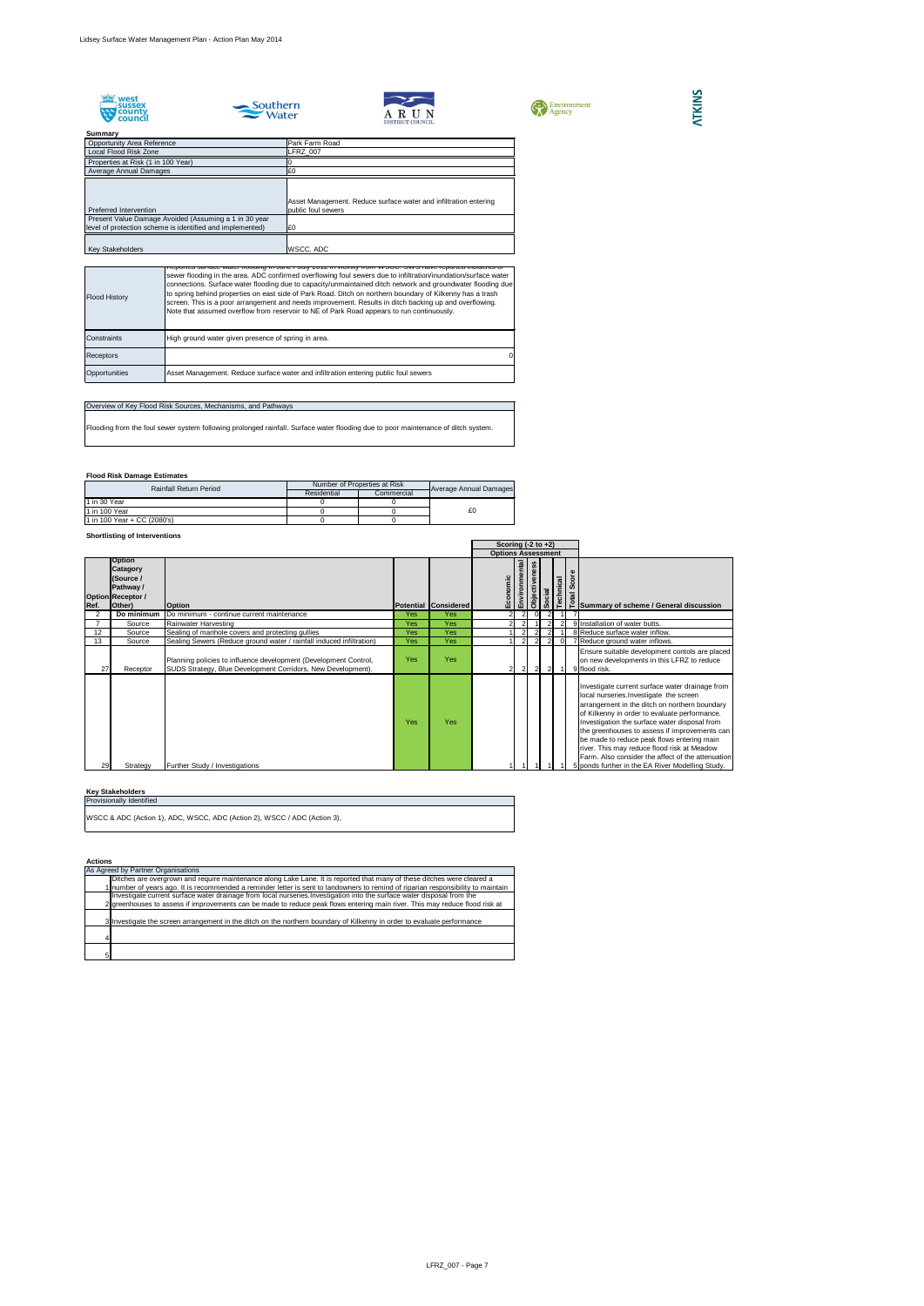







## **Summary** Properties at Risk (1 in 100 Year) 0 Opportunity Area Reference<br>
Local Flood Risk Zone<br>
Local Pood Risk Zone<br>
Park Farm Road<br>
LERZ\_007 Local Flood Risk Zone Average Annual Damages £0 Preferred Intervention Asset Management. Reduce surface water and infiltration entering public foul sewers Present Value Damage Avoided (Assuming a 1 in 30 year level of protection scheme is identified and implemented)  $\begin{bmatrix} 20 \\ 20 \end{bmatrix}$ Key Stakeholders WSCC, ADC

## **Flood Risk Damage Estimates**

## **Shortlisting of Interventions**

## **Key Stakeholders**

#### **Actions**

|      |                                                                                                  |                                                                                                                                  |            |                      | Scoring $(-2 \text{ to } +2)$ |                           |                      |                |                |   |                                                                                                                                                                                                                                                                                                                                                                                                                                                                                                      |
|------|--------------------------------------------------------------------------------------------------|----------------------------------------------------------------------------------------------------------------------------------|------------|----------------------|-------------------------------|---------------------------|----------------------|----------------|----------------|---|------------------------------------------------------------------------------------------------------------------------------------------------------------------------------------------------------------------------------------------------------------------------------------------------------------------------------------------------------------------------------------------------------------------------------------------------------------------------------------------------------|
|      |                                                                                                  |                                                                                                                                  |            |                      |                               | <b>Options Assessment</b> |                      |                |                |   |                                                                                                                                                                                                                                                                                                                                                                                                                                                                                                      |
| Ref. | <b>Option</b><br><b>Catagory</b><br>(Source /<br>Pathway /<br><b>Option Receptor /</b><br>Other) | <b>Option</b>                                                                                                                    |            | Potential Considered | Economic                      | ental<br>Environme        | <b>Objectiveness</b> | Social         | Technical      | ω | os<br>α<br>α<br>α<br>α<br>α<br>α<br>α<br>α<br>Summary of scheme / General discussion                                                                                                                                                                                                                                                                                                                                                                                                                 |
|      | Do minimum                                                                                       | Do minimum - continue current maintenance                                                                                        | Yes        | Yes                  |                               |                           |                      |                |                |   |                                                                                                                                                                                                                                                                                                                                                                                                                                                                                                      |
|      | Source                                                                                           | Rainwater Harvesting                                                                                                             | <b>Yes</b> | Yes                  |                               |                           |                      |                |                |   | 9 Installation of water butts.                                                                                                                                                                                                                                                                                                                                                                                                                                                                       |
| 12   | Source                                                                                           | Sealing of manhole covers and protecting gullies                                                                                 | <b>Yes</b> | Yes                  |                               |                           |                      |                |                |   | 8 Reduce surface water inflow.                                                                                                                                                                                                                                                                                                                                                                                                                                                                       |
| 13   | Source                                                                                           | Sealing Sewers (Reduce ground water / rainfall induced infiltration)                                                             | Yes        | Yes                  |                               | $\overline{2}$            | $\overline{2}$       | 2              | $\Omega$       |   | 7 Reduce ground water inflows.                                                                                                                                                                                                                                                                                                                                                                                                                                                                       |
| 27   | Receptor                                                                                         | Planning policies to influence development (Development Control,<br>SUDS Strategy, Blue Development Corridors, New Development). | Yes        | Yes                  | 21                            | $\vert$ 2                 | $\overline{2}$       | $\overline{2}$ | $\overline{1}$ |   | Ensure suitable development contols are placed<br>on new developments in this LFRZ to reduce<br>9 flood risk.                                                                                                                                                                                                                                                                                                                                                                                        |
| 29   | Strategy                                                                                         | <b>Further Study / Investigations</b>                                                                                            | <b>Yes</b> | Yes                  |                               |                           |                      |                |                |   | Investigate current surface water drainage from<br>local nurseries. Investigate the screen<br>arrangement in the ditch on northern boundary<br>of Kilkenny in order to evaluate performance.<br>Investigation the surface water disposal from<br>the greenhouses to assess if improvements can<br>be made to reduce peak flows entering main<br>river. This may reduce flood risk at Meadow<br>Farm. Also consider the affect of the attenuation<br>5 ponds further in the EA River Modelling Study. |

## **ATKINS**

| <b>Flood History</b> | <u>TReported surface water hooding in June / July 2012 in Vicinity from WSCC. SWS have reported incluents of</u><br>sewer flooding in the area. ADC confirmed overflowing foul sewers due to infiltration/inundation/surface water<br>connections. Surface water flooding due to capacity/unmaintained ditch network and groundwater flooding due<br>to spring behind properties on east side of Park Road. Ditch on northern boundary of Kilkenny has a trash<br>screen. This is a poor arrangement and needs improvement. Results in ditch backing up and overflowing.<br>Note that assumed overflow from reservoir to NE of Park Road appears to run continuously. |
|----------------------|-----------------------------------------------------------------------------------------------------------------------------------------------------------------------------------------------------------------------------------------------------------------------------------------------------------------------------------------------------------------------------------------------------------------------------------------------------------------------------------------------------------------------------------------------------------------------------------------------------------------------------------------------------------------------|
| Constraints          | High ground water given presence of spring in area.                                                                                                                                                                                                                                                                                                                                                                                                                                                                                                                                                                                                                   |
| <b>Receptors</b>     | $\Omega$                                                                                                                                                                                                                                                                                                                                                                                                                                                                                                                                                                                                                                                              |
| Opportunities        | Asset Management. Reduce surface water and infiltration entering public foul sewers                                                                                                                                                                                                                                                                                                                                                                                                                                                                                                                                                                                   |

| As Agreed by Partner Organisations                                                                                               |
|----------------------------------------------------------------------------------------------------------------------------------|
| Ditches are overgrown and require maintenance along Lake Lane. It is reported that many of these ditches were cleared a          |
| Inumber of years ago. It is recommended a reminder letter is sent to landowners to remind of riparian responsibility to maintain |
| Investigate current surface water drainage from local nurseries. Investigation into the surface water disposal from the          |
| 2 greenhouses to assess if improvements can be made to reduce peak flows entering main river. This may reduce flood risk at      |
| 3 Investigate the screen arrangement in the ditch on the northern boundary of Kilkenny in order to evaluate performance          |
|                                                                                                                                  |
|                                                                                                                                  |

## Overview of Key Flood Risk Sources, Mechanisms, and Pathways

Flooding from the foul sewer system following prolonged rainfall. Surface water flooding due to poor maintenance of ditch system.

| <b>Rainfall Return Period</b> | Number of Properties at Risk |            |                               |  |
|-------------------------------|------------------------------|------------|-------------------------------|--|
|                               | Residential                  | Commercial | <b>Average Annual Damages</b> |  |
| 11 in 30 Year                 |                              |            |                               |  |
| 11 in 100 Year                |                              |            | £0                            |  |
| 1 in 100 Year + CC (2080's)   |                              |            |                               |  |

| <b>Provisionally Identified</b>                                          |
|--------------------------------------------------------------------------|
| WSCC & ADC (Action 1), ADC, WSCC, ADC (Action 2), WSCC / ADC (Action 3), |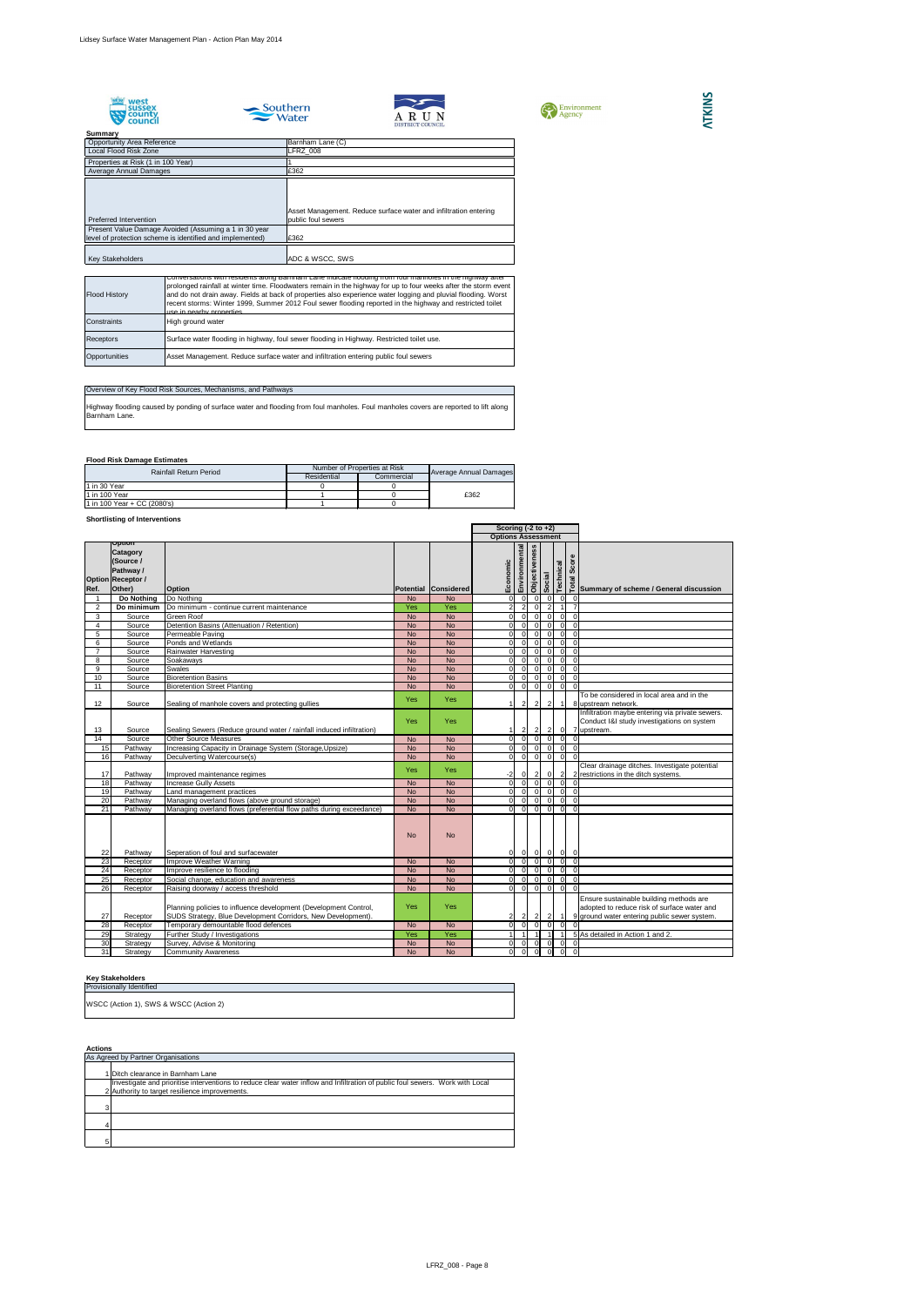









## **Flood Risk Damage Estimates**

## **Shortlisting of Interventions**

|                 |                                                                                                  |                                                                                                                                  |            |                             | Scoring $(-2 \text{ to } +2)$ |                                            |               |                |                |                |                |                                                                                                                                        |
|-----------------|--------------------------------------------------------------------------------------------------|----------------------------------------------------------------------------------------------------------------------------------|------------|-----------------------------|-------------------------------|--------------------------------------------|---------------|----------------|----------------|----------------|----------------|----------------------------------------------------------------------------------------------------------------------------------------|
|                 |                                                                                                  |                                                                                                                                  |            |                             | <b>Options Assessment</b>     |                                            |               |                |                |                |                |                                                                                                                                        |
| Ref.            | Option<br><b>Catagory</b><br>(Source /<br><b>Pathway /</b><br><b>Option Receptor /</b><br>Other) | <b>Option</b>                                                                                                                    |            | <b>Potential Considered</b> | Economic                      | Environmental                              | Objectiveness | Social         | Technical      |                | Score          | तुः  <br>□ Summary of scheme / General discussion                                                                                      |
|                 | Do Nothing                                                                                       | Do Nothing                                                                                                                       | <b>No</b>  | <b>No</b>                   |                               | 0 <br> 0                                   |               | - 0 I          | - O I          | 0              | $\overline{0}$ |                                                                                                                                        |
| 2               | Do minimum                                                                                       | Do minimum - continue current maintenance                                                                                        | Yes        | Yes                         |                               | 2 <br>$\overline{2}$                       |               | $\overline{0}$ | $\overline{2}$ |                |                |                                                                                                                                        |
| $\mathbf{3}$    | Source                                                                                           | <b>Green Roof</b>                                                                                                                | <b>No</b>  | <b>No</b>                   |                               | $\overline{0}$<br> 0                       |               | $\Omega$       | $\Omega$       | 0              | $\Omega$       |                                                                                                                                        |
| $\overline{4}$  | Source                                                                                           | Detention Basins (Attenuation / Retention)                                                                                       | <b>No</b>  | <b>No</b>                   |                               | $\overline{0}$<br>$\overline{0}$           |               | $\Omega$       | $\Omega$       | $\overline{0}$ | $\Omega$       |                                                                                                                                        |
| 5               | Source                                                                                           | Permeable Paving                                                                                                                 | <b>No</b>  | <b>No</b>                   |                               | $\overline{0}$<br>$\overline{0}$           |               | $\Omega$       | ∩              | $\overline{0}$ | $\Omega$       |                                                                                                                                        |
| 6               | Source                                                                                           | Ponds and Wetlands                                                                                                               | <b>No</b>  | <b>No</b>                   |                               | <sub>0</sub><br>$\Omega$                   |               | $\Omega$       | $\Omega$       | $\overline{0}$ | $\Omega$       |                                                                                                                                        |
| $\overline{7}$  | Source                                                                                           | <b>Rainwater Harvesting</b>                                                                                                      | <b>No</b>  | <b>No</b>                   |                               | 0 <br>$\overline{0}$                       |               | $\overline{0}$ | $\Omega$       | $\overline{0}$ | $\Omega$       |                                                                                                                                        |
| 8               | Source                                                                                           | Soakaways                                                                                                                        | <b>No</b>  | <b>No</b>                   |                               | 0 <br> 0                                   |               | $\overline{0}$ | $\Omega$       | $ 0 $ 0        |                |                                                                                                                                        |
| 9               | Source                                                                                           | <b>Swales</b>                                                                                                                    | <b>No</b>  | <b>No</b>                   |                               | $\overline{0}$<br>$\overline{\phantom{a}}$ |               | $\overline{0}$ | $\overline{0}$ | 0              | $\overline{0}$ |                                                                                                                                        |
| 10              | Source                                                                                           | <b>Bioretention Basins</b>                                                                                                       | <b>No</b>  | <b>No</b>                   |                               | 0 <br> 0                                   |               | $\overline{0}$ | $\Omega$       | 0              | $\Omega$       |                                                                                                                                        |
| 11              | Source                                                                                           | <b>Bioretention Street Planting</b>                                                                                              | <b>No</b>  | <b>No</b>                   |                               | $\overline{0}$<br>$\overline{0}$           |               | $\overline{0}$ | $\mathbf 0$    | $\overline{0}$ | $\Omega$       |                                                                                                                                        |
| 12              | Source                                                                                           | Sealing of manhole covers and protecting gullies                                                                                 | <b>Yes</b> | Yes                         |                               | $\overline{2}$                             |               | $\overline{2}$ | $\overline{2}$ | $\overline{1}$ |                | To be considered in local area and in the<br>8 upstream network.                                                                       |
| 13              | Source                                                                                           | Sealing Sewers (Reduce ground water / rainfall induced infiltration)                                                             | Yes        | Yes                         |                               | $2\vert$<br>1 I                            |               | $\vert$ 2      | $\mathbf{2}$   | $\overline{0}$ | 7              | Infiltration maybe entering via private sewers.<br>Conduct I&I study investigations on system<br>upstream.                             |
| $\overline{14}$ | Source                                                                                           | <b>Other Source Measures</b>                                                                                                     | <b>No</b>  | <b>No</b>                   |                               | $\overline{0}$<br> 0                       |               | $\overline{0}$ | $\overline{0}$ | $\overline{0}$ | $\Omega$       |                                                                                                                                        |
| 15              | Pathway                                                                                          | Increasing Capacity in Drainage System (Storage, Upsize)                                                                         | <b>No</b>  | <b>No</b>                   |                               | 0 <br>$\overline{0}$                       |               | $\overline{0}$ | $\Omega$       | 0              | $\overline{0}$ |                                                                                                                                        |
| 16              | Pathway                                                                                          | Deculverting Watercourse(s)                                                                                                      | <b>No</b>  | <b>No</b>                   |                               | $\overline{0}$<br>$\overline{0}$           |               | $\overline{0}$ | $\overline{0}$ | $\overline{0}$ | $\Omega$       |                                                                                                                                        |
| 17              | Pathway                                                                                          | Improved maintenance regimes                                                                                                     | Yes        | Yes                         | $-2$                          | $\overline{0}$                             |               | $\vert$ 2      | $\overline{0}$ | $\overline{2}$ |                | Clear drainage ditches. Investigate potential<br>2 restrictions in the ditch systems.                                                  |
| 18              | Pathway                                                                                          | <b>Increase Gully Assets</b>                                                                                                     | <b>No</b>  | <b>No</b>                   |                               | 0 <br>$\overline{0}$                       |               | - O I          | - O I          | 0              | - 0            |                                                                                                                                        |
| 19              | Pathway                                                                                          | Land management practices                                                                                                        | <b>No</b>  | <b>No</b>                   |                               | 0 <br>$\overline{0}$                       |               | <sup>0</sup>   | $\Omega$       | $\overline{0}$ | $\mathbf 0$    |                                                                                                                                        |
| 20              | Pathway                                                                                          | Managing overland flows (above ground storage)                                                                                   | <b>No</b>  | <b>No</b>                   |                               | 0 <br>$\overline{0}$                       |               | $\overline{0}$ | 0              | $\overline{0}$ | $\mathbf 0$    |                                                                                                                                        |
| $\overline{21}$ | Pathway                                                                                          | Managing overland flows (preferential flow paths during exceedance)                                                              | <b>No</b>  | <b>No</b>                   |                               | $\overline{0}$<br>$\overline{0}$           |               | $\overline{0}$ | $\Omega$       | $\overline{0}$ | $\mathbf 0$    |                                                                                                                                        |
| 22              | Pathway                                                                                          | Seperation of foul and surfacewater                                                                                              | <b>No</b>  | <b>No</b>                   |                               | 0 <br> 0                                   |               | 0              | 0              |                | $ 0 $ 0        |                                                                                                                                        |
| $\overline{23}$ | Receptor                                                                                         | Improve Weather Warning                                                                                                          | <b>No</b>  | <b>No</b>                   |                               | $\overline{0}$<br> 0                       |               | - Ol           | $\overline{0}$ |                | $0$ 0          |                                                                                                                                        |
| 24              | Receptor                                                                                         | Improve resilience to flooding                                                                                                   | <b>No</b>  | <b>No</b>                   |                               | 0 <br>$\overline{0}$                       |               | 0I             |                | 0              | - 0            |                                                                                                                                        |
| 25              | Receptor                                                                                         | Social change, education and awareness                                                                                           | <b>No</b>  | <b>No</b>                   |                               | <sub>0</sub><br>$\Omega$                   |               | $\Omega$       |                | $\overline{0}$ | $\Omega$       |                                                                                                                                        |
| $\overline{26}$ | Receptor                                                                                         | Raising doorway / access threshold                                                                                               | <b>No</b>  | <b>No</b>                   |                               | 0I<br>$\overline{0}$                       |               | $\Omega$       | $\Omega$       | $\overline{0}$ | 0              |                                                                                                                                        |
| 27              | Receptor                                                                                         | Planning policies to influence development (Development Control,<br>SUDS Strategy, Blue Development Corridors, New Development). | Yes        | Yes                         |                               | 2 <br>$\overline{2}$                       |               | $\vert$ 2      | $\mathbf{2}$   | $\mathbf 1$    |                | Ensure sustainable building methods are<br>adopted to reduce risk of surface water and<br>9 ground water entering public sewer system. |
| 28              | Receptor                                                                                         | Temporary demountable flood defences                                                                                             | <b>No</b>  | <b>No</b>                   |                               | <sub>0</sub><br>$\overline{0}$             |               | $\Omega$       |                |                |                |                                                                                                                                        |
| 29              | Strategy                                                                                         | Further Study / Investigations                                                                                                   | Yes        | Yes                         |                               |                                            |               |                | -1             |                |                | 5 As detailed in Action 1 and 2.                                                                                                       |
| 30 <sub>2</sub> | Strategy                                                                                         | Survey, Advise & Monitoring                                                                                                      | <b>No</b>  | <b>No</b>                   |                               | 0 <br> 0                                   |               | -01            | -01            | 0              | $\overline{0}$ |                                                                                                                                        |
| 31              | Strategy                                                                                         | <b>Community Awareness</b>                                                                                                       | <b>No</b>  | <b>No</b>                   |                               | $\overline{0}$<br>$\overline{0}$           |               | $\overline{0}$ | $\overline{0}$ | 0              | $\overline{0}$ |                                                                                                                                        |

## **ATKINS**

## **Key Stakeholders**

## **Actions**

Highway flooding caused by ponding of surface water and flooding from foul manholes. Foul manholes covers are reported to lift along Barnham Lane.

|   | As Agreed by Partner Organisations                                                                                            |  |  |  |  |  |  |  |  |
|---|-------------------------------------------------------------------------------------------------------------------------------|--|--|--|--|--|--|--|--|
|   |                                                                                                                               |  |  |  |  |  |  |  |  |
|   | 1 Ditch clearance in Barnham Lane                                                                                             |  |  |  |  |  |  |  |  |
|   | Investigate and prioritise interventions to reduce clear water inflow and Infiltration of public foul sewers. Work with Local |  |  |  |  |  |  |  |  |
|   | 2 Authority to target resilience improvements.                                                                                |  |  |  |  |  |  |  |  |
|   |                                                                                                                               |  |  |  |  |  |  |  |  |
| 3 |                                                                                                                               |  |  |  |  |  |  |  |  |
|   |                                                                                                                               |  |  |  |  |  |  |  |  |
| 4 |                                                                                                                               |  |  |  |  |  |  |  |  |
|   |                                                                                                                               |  |  |  |  |  |  |  |  |
| 5 |                                                                                                                               |  |  |  |  |  |  |  |  |

| <b>Rainfall Return Period</b> | Number of Properties at Risk |            |                        |  |
|-------------------------------|------------------------------|------------|------------------------|--|
|                               | Residential                  | Commercial | Average Annual Damages |  |
| 11 in 30 Year                 |                              |            |                        |  |
| 11 in 100 Year                |                              |            | £362                   |  |
| 1 in 100 Year + CC (2080's)   |                              |            |                        |  |

## Overview of Key Flood Risk Sources, Mechanisms, and Pathways

| <b>Flood History</b> | Conversations with residents along Barmiam Lane indicate hooding from four manholes in the nighway after<br>prolonged rainfall at winter time. Floodwaters remain in the highway for up to four weeks after the storm event<br>and do not drain away. Fields at back of properties also experience water logging and pluvial flooding. Worst<br>recent storms: Winter 1999, Summer 2012 Foul sewer flooding reported in the highway and restricted toilet<br>use in nearby properties |
|----------------------|---------------------------------------------------------------------------------------------------------------------------------------------------------------------------------------------------------------------------------------------------------------------------------------------------------------------------------------------------------------------------------------------------------------------------------------------------------------------------------------|
| Constraints          | High ground water                                                                                                                                                                                                                                                                                                                                                                                                                                                                     |
| <b>Receptors</b>     | Surface water flooding in highway, foul sewer flooding in Highway. Restricted toilet use.                                                                                                                                                                                                                                                                                                                                                                                             |
| Opportunities        | Asset Management. Reduce surface water and infiltration entering public foul sewers                                                                                                                                                                                                                                                                                                                                                                                                   |

| <b>Opportunity Area Reference</b>                                                                                  | Barnham Lane (C)                                                                       |
|--------------------------------------------------------------------------------------------------------------------|----------------------------------------------------------------------------------------|
| Local Flood Risk Zone                                                                                              | <b>LFRZ_008</b>                                                                        |
| Properties at Risk (1 in 100 Year)                                                                                 |                                                                                        |
| Average Annual Damages                                                                                             | £362                                                                                   |
| Preferred Intervention                                                                                             | Asset Management. Reduce surface water and infiltration entering<br>public foul sewers |
| Present Value Damage Avoided (Assuming a 1 in 30 year<br>level of protection scheme is identified and implemented) | £362                                                                                   |
|                                                                                                                    |                                                                                        |
| <b>Key Stakeholders</b>                                                                                            | ADC & WSCC, SWS                                                                        |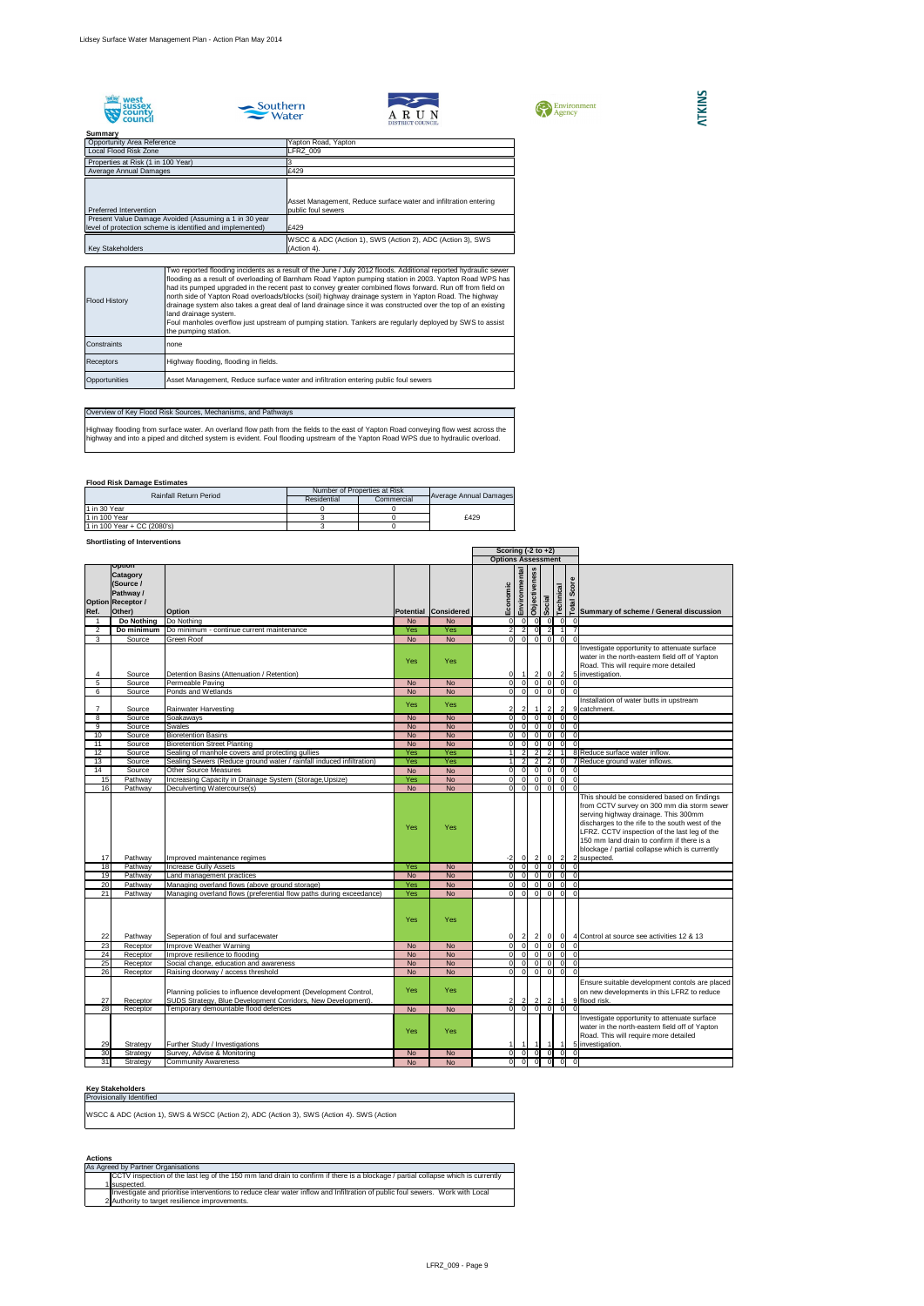









## **Flood Risk Damage Estimates**

## **Shortlisting of Interventions**

## **Key Stakeholders**

#### **Actions**

| Opportunity Area Reference<br>Local Flood Risk Zone                                                                | Yapton Road, Yapton<br><b>LFRZ_009</b>                                    |
|--------------------------------------------------------------------------------------------------------------------|---------------------------------------------------------------------------|
| Properties at Risk (1 in 100 Year)<br>Average Annual Damages                                                       | £429                                                                      |
|                                                                                                                    | Asset Management, Reduce surface water and infiltration entering          |
| Preferred Intervention                                                                                             | public foul sewers                                                        |
| Present Value Damage Avoided (Assuming a 1 in 30 year<br>level of protection scheme is identified and implemented) | £429                                                                      |
| <b>Key Stakeholders</b>                                                                                            | WSCC & ADC (Action 1), SWS (Action 2), ADC (Action 3), SWS<br>(Action 4). |

|                 |                                                                                    |                                                                                                                                  |            |                      | Scoring $(-2 \text{ to } +2)$ |                      |                                  |                                  |                                  |                       |                                                                                                                                                                                                                                                                                                       |
|-----------------|------------------------------------------------------------------------------------|----------------------------------------------------------------------------------------------------------------------------------|------------|----------------------|-------------------------------|----------------------|----------------------------------|----------------------------------|----------------------------------|-----------------------|-------------------------------------------------------------------------------------------------------------------------------------------------------------------------------------------------------------------------------------------------------------------------------------------------------|
|                 |                                                                                    |                                                                                                                                  |            |                      | <b>Options Assessment</b>     |                      |                                  |                                  |                                  |                       |                                                                                                                                                                                                                                                                                                       |
| Ref.            | Option<br><b>Catagory</b><br>(Source /<br>Pathway /<br>Option Receptor /<br>Other) | <b>Option</b>                                                                                                                    |            | Potential Considered | Environmental<br>Economic     | <b>Objectiveness</b> | Social                           |                                  | Technical                        | Score<br><b>Total</b> | Summary of scheme / General discussion                                                                                                                                                                                                                                                                |
|                 | Do Nothing                                                                         | Do Nothing                                                                                                                       | <b>No</b>  | <b>No</b>            |                               | -OI                  | 0                                | 0                                | -01                              |                       |                                                                                                                                                                                                                                                                                                       |
| $\overline{2}$  | Do minimum                                                                         | Do minimum - continue current maintenance                                                                                        | Yes        | Yes                  |                               | $\overline{2}$       | 0                                | <sup>2</sup>                     |                                  |                       |                                                                                                                                                                                                                                                                                                       |
| 3               | Source                                                                             | <b>Green Roof</b>                                                                                                                | <b>No</b>  | <b>No</b>            | ΩI                            | $\Omega$             | $\overline{0}$                   | $\overline{0}$                   | $\Omega$                         | $\Omega$              |                                                                                                                                                                                                                                                                                                       |
| 4               | Source                                                                             | Detention Basins (Attenuation / Retention)                                                                                       | Yes        | Yes                  |                               |                      | $\left  \right $                 | $\overline{0}$                   | $\vert$ 2                        |                       | Investigate opportunity to attenuate surface<br>water in the north-eastern field off of Yapton<br>Road. This will require more detailed<br>5 investigation.                                                                                                                                           |
| 5               | Source                                                                             | Permeable Paving                                                                                                                 | <b>No</b>  | <b>No</b>            | $\Omega$                      | $\overline{0}$       | $\overline{0}$                   | $\overline{0}$                   | 0                                |                       |                                                                                                                                                                                                                                                                                                       |
| 6               | Source                                                                             | Ponds and Wetlands                                                                                                               | <b>No</b>  | <b>No</b>            |                               | $\overline{0}$       | -ol                              | 0                                | $\overline{0}$                   |                       |                                                                                                                                                                                                                                                                                                       |
|                 | Source                                                                             | Rainwater Harvesting                                                                                                             | Yes        | Yes                  |                               |                      |                                  | $\overline{2}$                   | $\vert$ 2                        |                       | Installation of water butts in upstream<br>9 catchment.                                                                                                                                                                                                                                               |
| 8               | Source                                                                             | Soakaways                                                                                                                        | <b>No</b>  | <b>No</b>            |                               | $\Omega$             | $\overline{0}$                   | $\overline{0}$                   | -01                              |                       |                                                                                                                                                                                                                                                                                                       |
| 9               | Source                                                                             | <b>Swales</b>                                                                                                                    | <b>No</b>  | <b>No</b>            |                               | $\Omega$             | $\overline{0}$                   | $\overline{0}$                   | $\overline{0}$                   |                       |                                                                                                                                                                                                                                                                                                       |
| 10              | Source                                                                             | <b>Bioretention Basins</b>                                                                                                       | <b>No</b>  | <b>No</b>            |                               | $\Omega$             | $\overline{0}$                   | $\overline{0}$                   | $\overline{0}$                   | $\Omega$              |                                                                                                                                                                                                                                                                                                       |
| 11              | Source                                                                             | <b>Bioretention Street Planting</b>                                                                                              | <b>No</b>  | <b>No</b>            |                               | $\Omega$             | $\overline{0}$                   | $\Omega$                         | $\Omega$                         |                       |                                                                                                                                                                                                                                                                                                       |
| 12              | Source                                                                             | Sealing of manhole covers and protecting gullies                                                                                 | Yes<br>Yes | Yes<br>Yes           |                               | $\mathfrak{p}$       | 2 <sup>1</sup>                   | <sup>2</sup>                     |                                  |                       | 8 Reduce surface water inflow.                                                                                                                                                                                                                                                                        |
| 13<br>14        | Source<br>Source                                                                   | Sealing Sewers (Reduce ground water / rainfall induced infiltration)<br><b>Other Source Measures</b>                             | <b>No</b>  | <b>No</b>            | ΩI                            | $\Omega$             | $\overline{2}$<br>$\overline{0}$ | $\overline{2}$<br>$\overline{0}$ | $\overline{0}$<br>$\overline{0}$ |                       | 7 Reduce ground water inflows.                                                                                                                                                                                                                                                                        |
| 15              | Pathway                                                                            |                                                                                                                                  | Yes        | <b>No</b>            | $\Omega$                      | $\Omega$             | $\overline{0}$                   | -OI                              | 0                                |                       |                                                                                                                                                                                                                                                                                                       |
| 16              | Pathway                                                                            | Increasing Capacity in Drainage System (Storage, Upsize)<br>Deculverting Watercourse(s)                                          | <b>No</b>  | <b>No</b>            |                               | $\Omega$             | $\Omega$                         | $\overline{0}$                   | $\overline{0}$                   |                       |                                                                                                                                                                                                                                                                                                       |
| 17              | Pathway                                                                            | Improved maintenance regimes                                                                                                     | Yes        | Yes                  | -2                            | 0                    | $\vert$ 2                        | $0 \quad 2$                      |                                  |                       | from CCTV survey on 300 mm dia storm sewer<br>serving highway drainage. This 300mm<br>discharges to the rife to the south west of the<br>LFRZ. CCTV inspection of the last leg of the<br>150 mm land drain to confirm if there is a<br>blockage / partial collapse which is currently<br>2 suspected. |
| 18              | Pathway                                                                            | Increase Gully Assets                                                                                                            | Yes        | <b>No</b>            |                               | $\overline{0}$       | $\overline{0}$                   | 0                                | 0                                | $\Omega$              |                                                                                                                                                                                                                                                                                                       |
| 19              | Pathway                                                                            | Land management practices                                                                                                        | <b>No</b>  | <b>No</b>            | $\Omega$                      | $\Omega$             | 0                                | $\overline{0}$                   | 0                                |                       |                                                                                                                                                                                                                                                                                                       |
| 20              | Pathway                                                                            | Managing overland flows (above ground storage)                                                                                   | Yes        | <b>No</b>            | ΩI                            | $\Omega$             | -ol                              | $\overline{0}$                   | 0                                | $\Omega$              |                                                                                                                                                                                                                                                                                                       |
| $\overline{21}$ | Pathway                                                                            | Managing overland flows (preferential flow paths during exceedance)                                                              | Yes        | <b>No</b>            |                               | $\Omega$             | $\Omega$                         | -OI                              | 0I                               |                       |                                                                                                                                                                                                                                                                                                       |
| 22              | Pathway                                                                            | Seperation of foul and surfacewater                                                                                              | Yes        | Yes                  |                               | $\mathbf{2}$         | 2 <sub>l</sub>                   | 0                                | 0                                |                       | 4 Control at source see activities 12 & 13                                                                                                                                                                                                                                                            |
| 23              | Receptor                                                                           | Improve Weather Warning                                                                                                          | <b>No</b>  | <b>No</b>            | ΟI                            | $\overline{0}$       | 0                                | $\overline{0}$                   | 0                                |                       |                                                                                                                                                                                                                                                                                                       |
| 24              | Receptor                                                                           | Improve resilience to flooding                                                                                                   | <b>No</b>  | <b>No</b>            | ΟI                            | $\overline{0}$       | $\overline{0}$                   | 0                                | $\overline{0}$                   |                       |                                                                                                                                                                                                                                                                                                       |
| 25              | Receptor                                                                           | Social change, education and awareness                                                                                           | <b>No</b>  | <b>No</b>            | $\Omega$                      | $\Omega$             | $\overline{0}$                   | $\overline{0}$                   | 0                                |                       |                                                                                                                                                                                                                                                                                                       |
| 26              | Receptor                                                                           | Raising doorway / access threshold                                                                                               | <b>No</b>  | <b>No</b>            | $\Omega$                      | $\overline{0}$       | $\overline{0}$                   | $\overline{0}$                   | $\overline{0}$                   | $\Omega$              |                                                                                                                                                                                                                                                                                                       |
| 27              | Receptor                                                                           | Planning policies to influence development (Development Control,<br>SUDS Strategy, Blue Development Corridors, New Development). | Yes        | Yes                  |                               | $\overline{2}$       | $\overline{2}$                   | $\overline{2}$                   | $\vert$ 1                        |                       | Ensure suitable development contols are placed<br>on new developments in this LFRZ to reduce<br>9 flood risk.                                                                                                                                                                                         |
| 28              | Receptor                                                                           | Temporary demountable flood defences                                                                                             | <b>No</b>  | <b>No</b>            |                               | $\overline{0}$       | $\overline{0}$                   | $\overline{0}$                   | $\overline{0}$                   |                       |                                                                                                                                                                                                                                                                                                       |
| 29              | Strategy                                                                           | <b>Further Study / Investigations</b>                                                                                            | Yes        | Yes                  |                               |                      |                                  |                                  |                                  |                       | Investigate opportunity to attenuate surface<br>water in the north-eastern field off of Yapton<br>Road. This will require more detailed<br>5 investigation.                                                                                                                                           |
| 30              | Strategy                                                                           | Survey, Advise & Monitoring                                                                                                      | <b>No</b>  | <b>No</b>            |                               | 0                    | 0                                | 0                                | 0                                |                       |                                                                                                                                                                                                                                                                                                       |
| 31              | Strategy                                                                           | <b>Community Awareness</b>                                                                                                       | <b>No</b>  | <b>No</b>            | ΩI                            | 0                    | $\overline{\phantom{a}}$         | 0                                | -ol                              | $\overline{0}$        |                                                                                                                                                                                                                                                                                                       |

## **ATKINS**

| <b>Flood History</b> | Two reported flooding incidents as a result of the June / July 2012 floods. Additional reported hydraulic sewer<br>flooding as a result of overloading of Barnham Road Yapton pumping station in 2003. Yapton Road WPS has<br>had its pumped upgraded in the recent past to convey greater combined flows forward. Run off from field on<br>north side of Yapton Road overloads/blocks (soil) highway drainage system in Yapton Road. The highway<br>drainage system also takes a great deal of land drainage since it was constructed over the top of an existing<br>land drainage system.<br>Foul manholes overflow just upstream of pumping station. Tankers are regularly deployed by SWS to assist<br>the pumping station. |
|----------------------|---------------------------------------------------------------------------------------------------------------------------------------------------------------------------------------------------------------------------------------------------------------------------------------------------------------------------------------------------------------------------------------------------------------------------------------------------------------------------------------------------------------------------------------------------------------------------------------------------------------------------------------------------------------------------------------------------------------------------------|
| Constraints          | none                                                                                                                                                                                                                                                                                                                                                                                                                                                                                                                                                                                                                                                                                                                            |
| <b>Receptors</b>     | Highway flooding, flooding in fields.                                                                                                                                                                                                                                                                                                                                                                                                                                                                                                                                                                                                                                                                                           |
| Opportunities        | Asset Management, Reduce surface water and infiltration entering public foul sewers                                                                                                                                                                                                                                                                                                                                                                                                                                                                                                                                                                                                                                             |

## Overview of Key Flood Risk Sources, Mechanisms, and Pathways

Highway flooding from surface water. An overland flow path from the fields to the east of Yapton Road conveying flow west across the highway and into a piped and ditched system is evident. Foul flooding upstream of the Yapton Road WPS due to hydraulic overload.

| As Agreed by Partner Organisations                                                                                               |  |  |  |  |  |  |  |  |
|----------------------------------------------------------------------------------------------------------------------------------|--|--|--|--|--|--|--|--|
| CCTV inspection of the last leg of the 150 mm land drain to confirm if there is a blockage / partial collapse which is currently |  |  |  |  |  |  |  |  |
| 1 Isuspected.                                                                                                                    |  |  |  |  |  |  |  |  |
| Investigate and prioritise interventions to reduce clear water inflow and Infiltration of public foul sewers. Work with Local    |  |  |  |  |  |  |  |  |
| 2 Authority to target resilience improvements.                                                                                   |  |  |  |  |  |  |  |  |

| <b>Rainfall Return Period</b> | Number of Properties at Risk | <b>Average Annual Damages</b> |      |
|-------------------------------|------------------------------|-------------------------------|------|
|                               | Residential                  | Commercial                    |      |
| 11 in 30 Year                 |                              |                               |      |
| 11 in 100 Year                |                              |                               | £429 |
| 1 in 100 Year + CC (2080's)   |                              |                               |      |

| <b>Provisionally Identified</b>                                                           |
|-------------------------------------------------------------------------------------------|
| WSCC & ADC (Action 1), SWS & WSCC (Action 2), ADC (Action 3), SWS (Action 4). SWS (Action |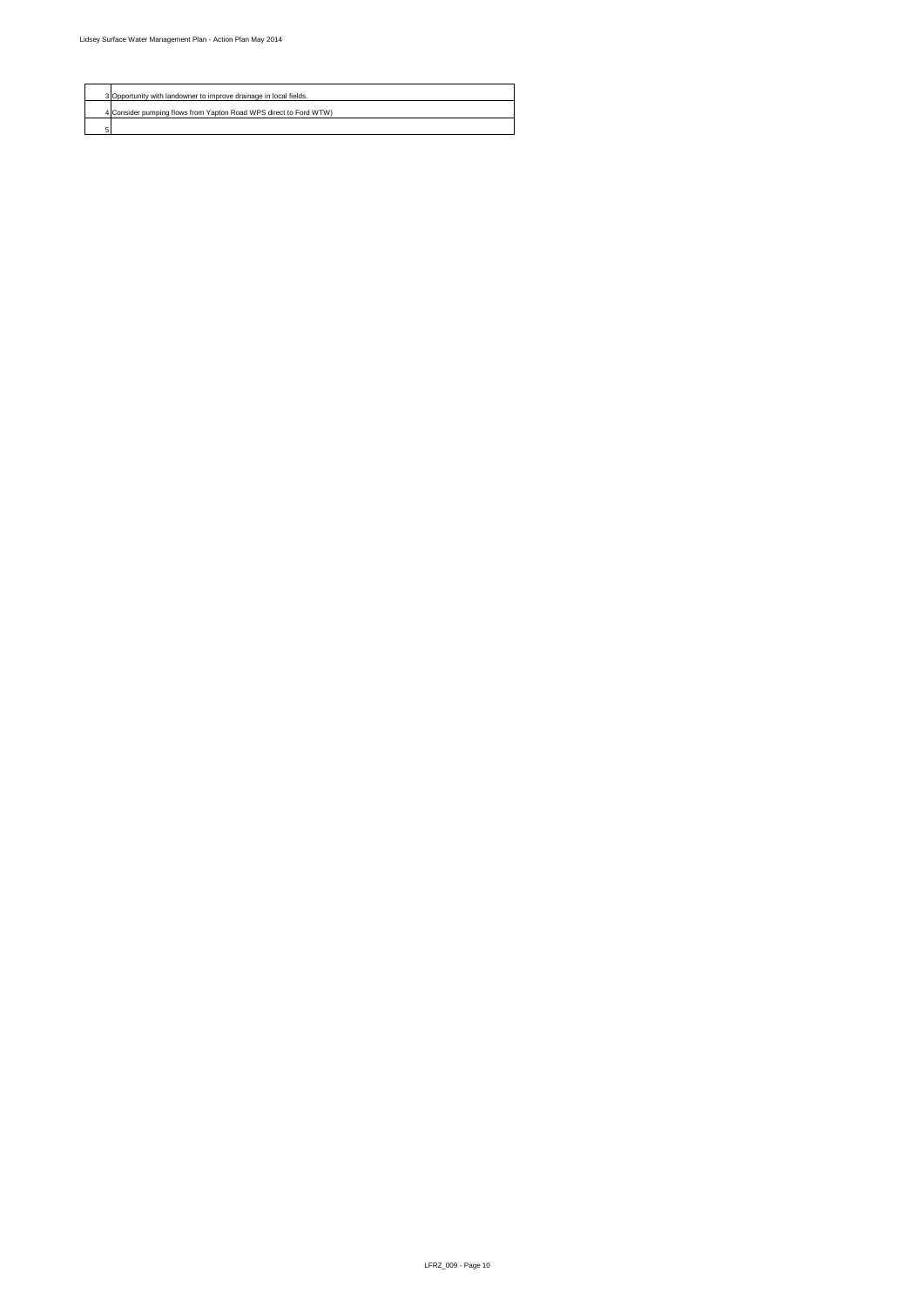

| 3 Opportunity with landowner to improve drainage in local fields. |
|-------------------------------------------------------------------|
| 4 Consider pumping flows from Yapton Road WPS direct to Ford WTW) |
|                                                                   |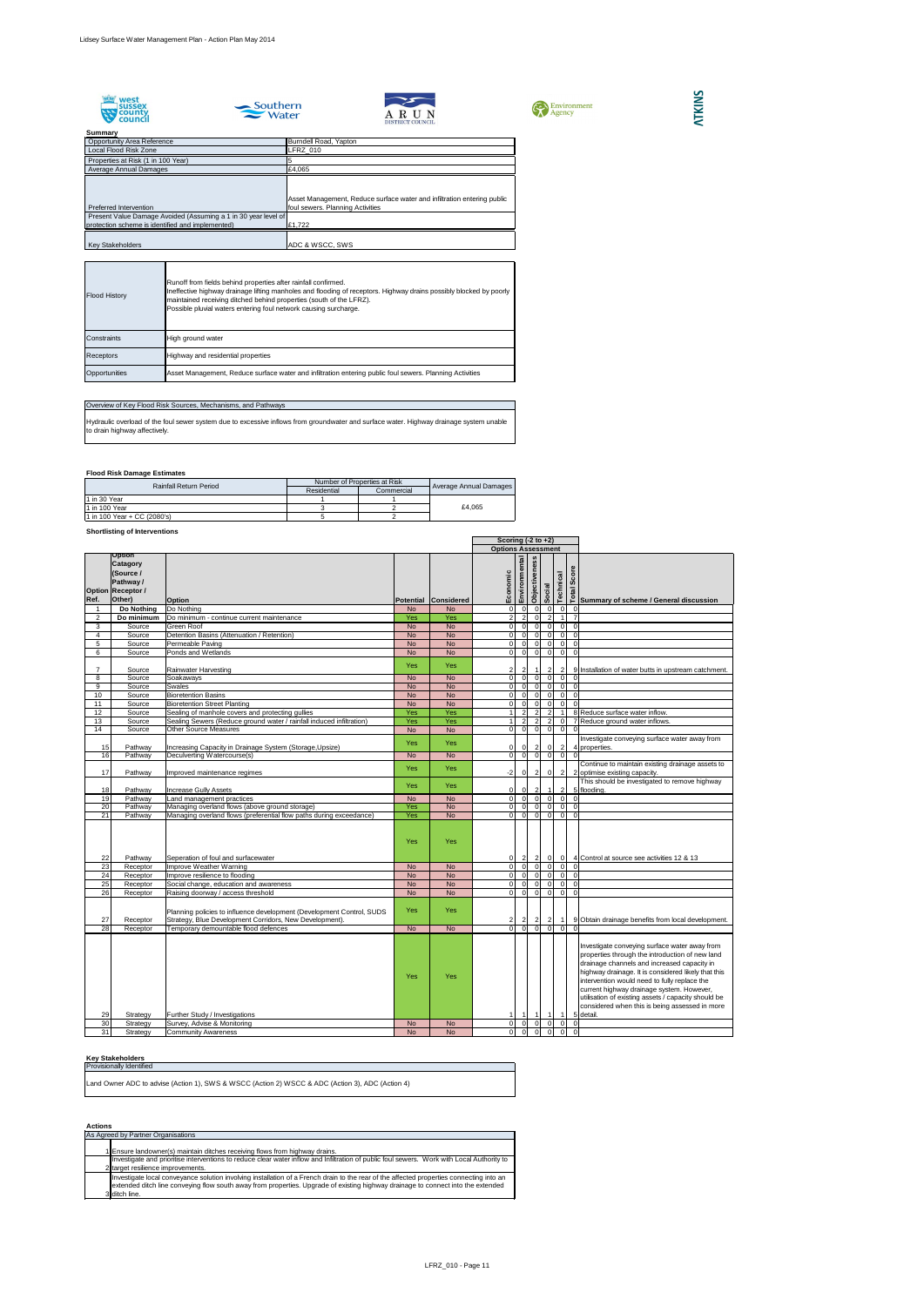





| <b>CON</b> Environment<br><b>Agency</b> |
|-----------------------------------------|
|-----------------------------------------|



#### **Summary**

## **Flood Risk Damage Estimates**

## **Shortlisting of Interventions**

Hydraulic overload of the foul sewer system due to excessive inflows from groundwater and surface water. Highway drainage system unable to drain highway affectively.

#### **Key Stakeholders**

## **Actions**

| ounnnar y                                                      |                                                                         |
|----------------------------------------------------------------|-------------------------------------------------------------------------|
| <b>Opportunity Area Reference</b>                              | Burndell Road, Yapton                                                   |
| Local Flood Risk Zone                                          | LFRZ_010                                                                |
| Properties at Risk (1 in 100 Year)                             |                                                                         |
| Average Annual Damages                                         | £4,065                                                                  |
|                                                                |                                                                         |
|                                                                |                                                                         |
|                                                                | Asset Management, Reduce surface water and infiltration entering public |
| Preferred Intervention                                         | foul sewers. Planning Activities                                        |
| Present Value Damage Avoided (Assuming a 1 in 30 year level of |                                                                         |
| protection scheme is identified and implemented)               | £1,722                                                                  |
|                                                                |                                                                         |
| <b>Key Stakeholders</b>                                        | ADC & WSCC, SWS                                                         |

|                 |                                                                                 |                                                                                                                                                                        |                        |                        | Scoring $(-2 \text{ to } +2)$ |                                                     |                      |                                  |                |                      |                                                                                                                                                                                                                                                                                                                                                                                                                           |
|-----------------|---------------------------------------------------------------------------------|------------------------------------------------------------------------------------------------------------------------------------------------------------------------|------------------------|------------------------|-------------------------------|-----------------------------------------------------|----------------------|----------------------------------|----------------|----------------------|---------------------------------------------------------------------------------------------------------------------------------------------------------------------------------------------------------------------------------------------------------------------------------------------------------------------------------------------------------------------------------------------------------------------------|
|                 | <b>Option</b>                                                                   |                                                                                                                                                                        |                        |                        | <b>Options Assessment</b>     |                                                     |                      |                                  |                |                      |                                                                                                                                                                                                                                                                                                                                                                                                                           |
| Ref.            | <b>Catagory</b><br>(Source /<br>Pathway /<br><b>Option Receptor /</b><br>Other) | <b>Option</b>                                                                                                                                                          |                        | Potential Considered   | Economic                      | Environmental                                       | <b>Objectiveness</b> | Social                           | Technical      | Score<br>Total       | Summary of scheme / General discussion                                                                                                                                                                                                                                                                                                                                                                                    |
|                 | Do Nothing                                                                      | Do Nothing                                                                                                                                                             | <b>No</b>              | <b>No</b>              |                               | $\overline{0}$<br>$\Omega$                          | $\Omega$             |                                  |                | $\overline{0}$       | - 0 I                                                                                                                                                                                                                                                                                                                                                                                                                     |
| 2               | Do minimum                                                                      | Do minimum - continue current maintenance                                                                                                                              | Yes                    | Yes                    |                               | 2 <sup>1</sup><br>$\overline{2}$                    | $\Omega$             |                                  |                |                      |                                                                                                                                                                                                                                                                                                                                                                                                                           |
| 3               | Source                                                                          | <b>Green Roof</b>                                                                                                                                                      | <b>No</b>              | <b>No</b>              |                               | $\overline{0}$<br>$\Omega$                          |                      | $\Omega$<br>$\Omega$             |                | $\overline{0}$       | $\Omega$                                                                                                                                                                                                                                                                                                                                                                                                                  |
| 4               | Source                                                                          | Detention Basins (Attenuation / Retention)                                                                                                                             | <b>No</b>              | <b>No</b>              |                               | $\overline{0}$<br>$\Omega$                          |                      | $\Omega$                         |                | 0                    | $\Omega$                                                                                                                                                                                                                                                                                                                                                                                                                  |
| 5               | Source                                                                          | Permeable Paving                                                                                                                                                       | <b>No</b>              | <b>No</b>              |                               | $\overline{0}$<br>$\Omega$                          | $\overline{0}$       |                                  |                | $\overline{0}$       | $\overline{0}$                                                                                                                                                                                                                                                                                                                                                                                                            |
| 6               | Source                                                                          | Ponds and Wetlands                                                                                                                                                     | <b>No</b>              | <b>No</b>              |                               | $\overline{0}$<br>$\overline{0}$                    | $\overline{0}$       | $\Omega$                         |                | 0                    | $\Omega$                                                                                                                                                                                                                                                                                                                                                                                                                  |
|                 | Source                                                                          | <b>Rainwater Harvesting</b>                                                                                                                                            | Yes                    | <b>Yes</b>             |                               | $2\vert$                                            |                      |                                  |                | $\overline{2}$       | 9 Installation of water butts in upstream catchment.                                                                                                                                                                                                                                                                                                                                                                      |
| 8               | Source                                                                          | Soakaways                                                                                                                                                              | <b>No</b>              | <b>No</b>              |                               | $\overline{0}$<br>$\overline{0}$                    |                      | $\overline{0}$<br>$\Omega$       |                | $\overline{0}$       | . O                                                                                                                                                                                                                                                                                                                                                                                                                       |
| 9               | Source                                                                          | <b>Swales</b>                                                                                                                                                          | <b>No</b>              | <b>No</b>              |                               | $\overline{0}$<br>$\Omega$                          | $\Omega$             |                                  | $\Omega$       | $\overline{0}$       | $\Omega$                                                                                                                                                                                                                                                                                                                                                                                                                  |
| 10              | Source                                                                          | <b>Bioretention Basins</b>                                                                                                                                             | <b>No</b>              | <b>No</b>              |                               | $\overline{0}$<br>$\Omega$                          |                      |                                  |                | 0                    | $\Omega$                                                                                                                                                                                                                                                                                                                                                                                                                  |
| 11              | Source                                                                          | <b>Bioretention Street Planting</b>                                                                                                                                    | <b>No</b>              | <b>No</b>              |                               | $\Omega$<br>$\Omega$                                | $\Omega$             |                                  |                | $\overline{0}$       | $\Omega$                                                                                                                                                                                                                                                                                                                                                                                                                  |
| 12              | Source                                                                          | Sealing of manhole covers and protecting gullies                                                                                                                       | Yes                    | Yes                    |                               | $\overline{2}$                                      |                      |                                  | 2              |                      | 8 Reduce surface water inflow.                                                                                                                                                                                                                                                                                                                                                                                            |
| 13              | Source                                                                          | Sealing Sewers (Reduce ground water / rainfall induced infiltration)                                                                                                   | Yes                    | Yes                    |                               | $\overline{2}$                                      |                      | $\overline{2}$                   |                | 0                    | 7 Reduce ground water inflows.                                                                                                                                                                                                                                                                                                                                                                                            |
| 14              | Source                                                                          | <b>Other Source Measures</b>                                                                                                                                           | <b>No</b>              | <b>No</b>              |                               | $\overline{0}$<br>-OI                               | $\Omega$             | $\Omega$                         |                | $\overline{0}$       | $\Omega$                                                                                                                                                                                                                                                                                                                                                                                                                  |
| 15              | Pathway                                                                         | Increasing Capacity in Drainage System (Storage, Upsize)                                                                                                               | Yes                    | <b>Yes</b>             |                               | $\overline{0}$<br> 0                                |                      | $\mathbf{2}$                     |                | $\overline{2}$       | Investigate conveying surface water away from<br>4 properties.                                                                                                                                                                                                                                                                                                                                                            |
| 16              | Pathway                                                                         | Deculverting Watercourse(s)                                                                                                                                            | <b>No</b>              | <b>No</b>              |                               | $\overline{0}$<br>$\overline{0}$                    |                      | $\overline{0}$                   | $\mathbf{0}$   | $\overline{0}$       | $\Omega$                                                                                                                                                                                                                                                                                                                                                                                                                  |
| 17              | Pathway                                                                         | Improved maintenance regimes                                                                                                                                           | Yes                    | <b>Yes</b>             |                               | $-2$<br>$\overline{0}$                              |                      | $\overline{2}$<br>$\overline{0}$ |                | $\overline{2}$       | Continue to maintain existing drainage assets to<br>2 optimise existing capacity.                                                                                                                                                                                                                                                                                                                                         |
| 18              | Pathway                                                                         | <b>Increase Gully Assets</b>                                                                                                                                           | <b>Yes</b>             | Yes                    |                               | $\overline{0}$<br>0 I                               | $\overline{2}$       |                                  |                | $\overline{2}$       | This should be investigated to remove highway<br>5 flooding.                                                                                                                                                                                                                                                                                                                                                              |
| 19              | Pathway                                                                         | Land management practices                                                                                                                                              | <b>No</b>              | <b>No</b>              |                               | 0 <br>$\overline{0}$                                |                      | $\overline{0}$                   |                | 0                    | $\Omega$                                                                                                                                                                                                                                                                                                                                                                                                                  |
| 20              | Pathway                                                                         | Managing overland flows (above ground storage)                                                                                                                         | Yes                    | <b>No</b>              |                               | $\overline{0}$<br>$\Omega$                          | $\overline{0}$       |                                  |                | $\overline{0}$       | $\Omega$                                                                                                                                                                                                                                                                                                                                                                                                                  |
| $\overline{21}$ | Pathway                                                                         | Managing overland flows (preferential flow paths during exceedance)                                                                                                    | <b>Yes</b>             | <b>No</b>              |                               | $\overline{0}$<br>$\overline{0}$                    |                      | $\overline{0}$                   | $\Omega$       | $\overline{0}$       | $\Omega$                                                                                                                                                                                                                                                                                                                                                                                                                  |
| 22              | Pathway                                                                         | Seperation of foul and surfacewater                                                                                                                                    | Yes                    | Yes                    |                               | $\overline{0}$<br>$\overline{2}$                    |                      |                                  |                | 0                    | 4 Control at source see activities 12 & 13                                                                                                                                                                                                                                                                                                                                                                                |
| 23              | Receptor                                                                        | Improve Weather Warning                                                                                                                                                | <b>No</b>              | No                     |                               | $\overline{0}$<br>$\Omega$                          |                      |                                  |                | $\overline{0}$       | . O I                                                                                                                                                                                                                                                                                                                                                                                                                     |
| $\overline{24}$ | Receptor                                                                        | Improve resilience to flooding                                                                                                                                         | <b>No</b>              | <b>No</b>              |                               | $\overline{0}$<br>$\Omega$                          |                      |                                  |                | 0                    | $\Omega$                                                                                                                                                                                                                                                                                                                                                                                                                  |
| 25<br>26        | Receptor                                                                        | Social change, education and awareness                                                                                                                                 | <b>No</b><br><b>No</b> | <b>No</b><br><b>No</b> |                               | $\overline{0}$<br>$\Omega$<br>$\overline{0}$<br>-OI | $\Omega$<br>$\Omega$ |                                  |                | $\overline{0}$<br> 0 | $\Omega$<br>$\overline{0}$                                                                                                                                                                                                                                                                                                                                                                                                |
| 27              | Receptor<br>Receptor                                                            | Raising doorway / access threshold<br>Planning policies to influence development (Development Control, SUDS<br>Strategy, Blue Development Corridors, New Development). | <b>Yes</b>             | <b>Yes</b>             |                               | $2\vert$<br>2                                       |                      | $\mathbf{2}$                     | $\overline{2}$ | $-11$                | 9 Obtain drainage benefits from local development.                                                                                                                                                                                                                                                                                                                                                                        |
| 28              | Receptor                                                                        | Temporary demountable flood defences                                                                                                                                   | <b>No</b>              | <b>No</b>              |                               | $\overline{0}$<br>$\Omega$                          |                      |                                  |                | $\Omega$             |                                                                                                                                                                                                                                                                                                                                                                                                                           |
| 29              | Strategy                                                                        | Further Study / Investigations                                                                                                                                         | <b>Yes</b>             | Yes                    |                               |                                                     |                      |                                  |                |                      | Investigate conveying surface water away from<br>properties through the introduction of new land<br>drainage channels and increased capacity in<br>highway drainage. It is considered likely that this<br>intervention would need to fully replace the<br>current highway drainage system. However,<br>utilisation of existing assets / capacity should be<br>considered when this is being assessed in more<br>5 detail. |
| 30              | Strategy                                                                        | Survey, Advise & Monitoring                                                                                                                                            | <b>No</b>              | <b>No</b>              |                               | 0 <br>$\Omega$                                      |                      |                                  |                | $\overline{0}$       | $\Omega$                                                                                                                                                                                                                                                                                                                                                                                                                  |
| 31              | Strategy                                                                        | <b>Community Awareness</b>                                                                                                                                             | <b>No</b>              | <b>No</b>              |                               | $\overline{0}$<br>$\Omega$                          |                      |                                  |                | $\overline{0}$       | $\Omega$                                                                                                                                                                                                                                                                                                                                                                                                                  |
|                 |                                                                                 |                                                                                                                                                                        |                        |                        |                               |                                                     |                      |                                  |                |                      |                                                                                                                                                                                                                                                                                                                                                                                                                           |

| <b>Flood History</b> | Runoff from fields behind properties after rainfall confirmed.<br>Ineffective highway drainage lifting manholes and flooding of receptors. Highway drains possibly blocked by poorly<br>maintained receiving ditched behind properties (south of the LFRZ).<br>Possible pluvial waters entering foul network causing surcharge. |
|----------------------|---------------------------------------------------------------------------------------------------------------------------------------------------------------------------------------------------------------------------------------------------------------------------------------------------------------------------------|
| <b>Constraints</b>   | High ground water                                                                                                                                                                                                                                                                                                               |
| <b>Receptors</b>     | Highway and residential properties                                                                                                                                                                                                                                                                                              |
| Opportunities        | Asset Management, Reduce surface water and infiltration entering public foul sewers. Planning Activities                                                                                                                                                                                                                        |

## Overview of Key Flood Risk Sources, Mechanisms, and Pathways

| <b>Rainfall Return Period</b> | Number of Properties at Risk |            |                               |  |
|-------------------------------|------------------------------|------------|-------------------------------|--|
|                               | Residential                  | Commercial | <b>Average Annual Damages</b> |  |
| 11 in 30 Year                 |                              |            |                               |  |
| 11 in 100 Year                |                              |            | £4,065                        |  |
| 1 in 100 Year + CC (2080's)   |                              |            |                               |  |

| <b>Provisionally Identified</b>                                                                  |
|--------------------------------------------------------------------------------------------------|
|                                                                                                  |
| Land Owner ADC to advise (Action 1), SWS & WSCC (Action 2) WSCC & ADC (Action 3), ADC (Action 4) |

| As Agreed by Partner Organisations                                                                                                                                                                                                                                                            |  |  |  |  |  |  |
|-----------------------------------------------------------------------------------------------------------------------------------------------------------------------------------------------------------------------------------------------------------------------------------------------|--|--|--|--|--|--|
| 1 Ensure landowner(s) maintain ditches receiving flows from highway drains.                                                                                                                                                                                                                   |  |  |  |  |  |  |
| Investigate and prioritise interventions to reduce clear water inflow and Infiltration of public foul sewers. Work with Local Authority to<br>2 target resilience improvements.                                                                                                               |  |  |  |  |  |  |
| Investigate local conveyance solution involving installation of a French drain to the rear of the affected properties connecting into an<br>extended ditch line conveying flow south away from properties. Upgrade of existing highway drainage to connect into the extended<br>3 ditch line. |  |  |  |  |  |  |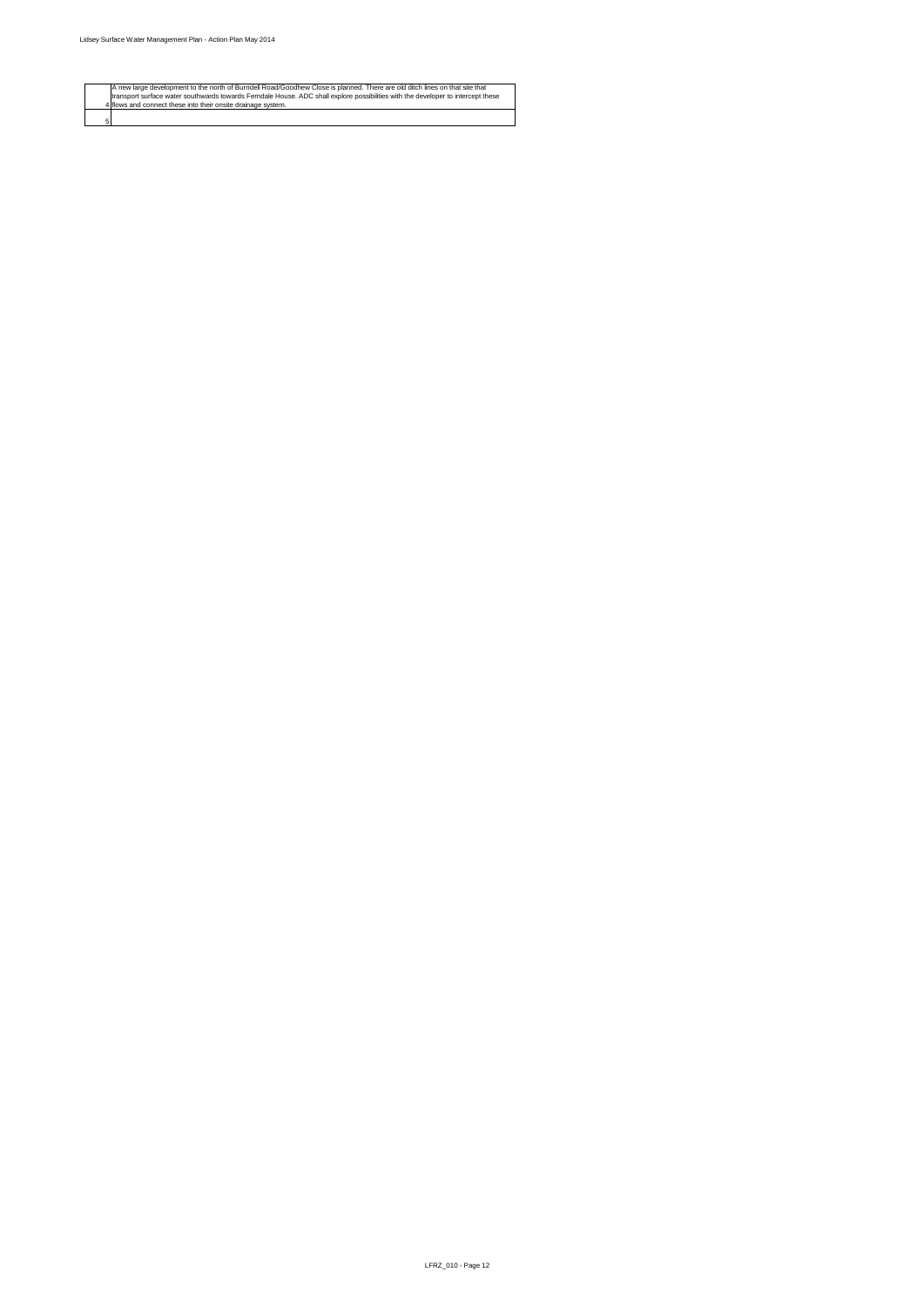

4

5

A new large development to the north of Burndell Road/Goodhew Close is planned. There are old ditch lines on that site that transport surface water southwards towards Ferndale House. ADC shall explore possibilities with the developer to intercept these flows and connect these into their onsite drainage system.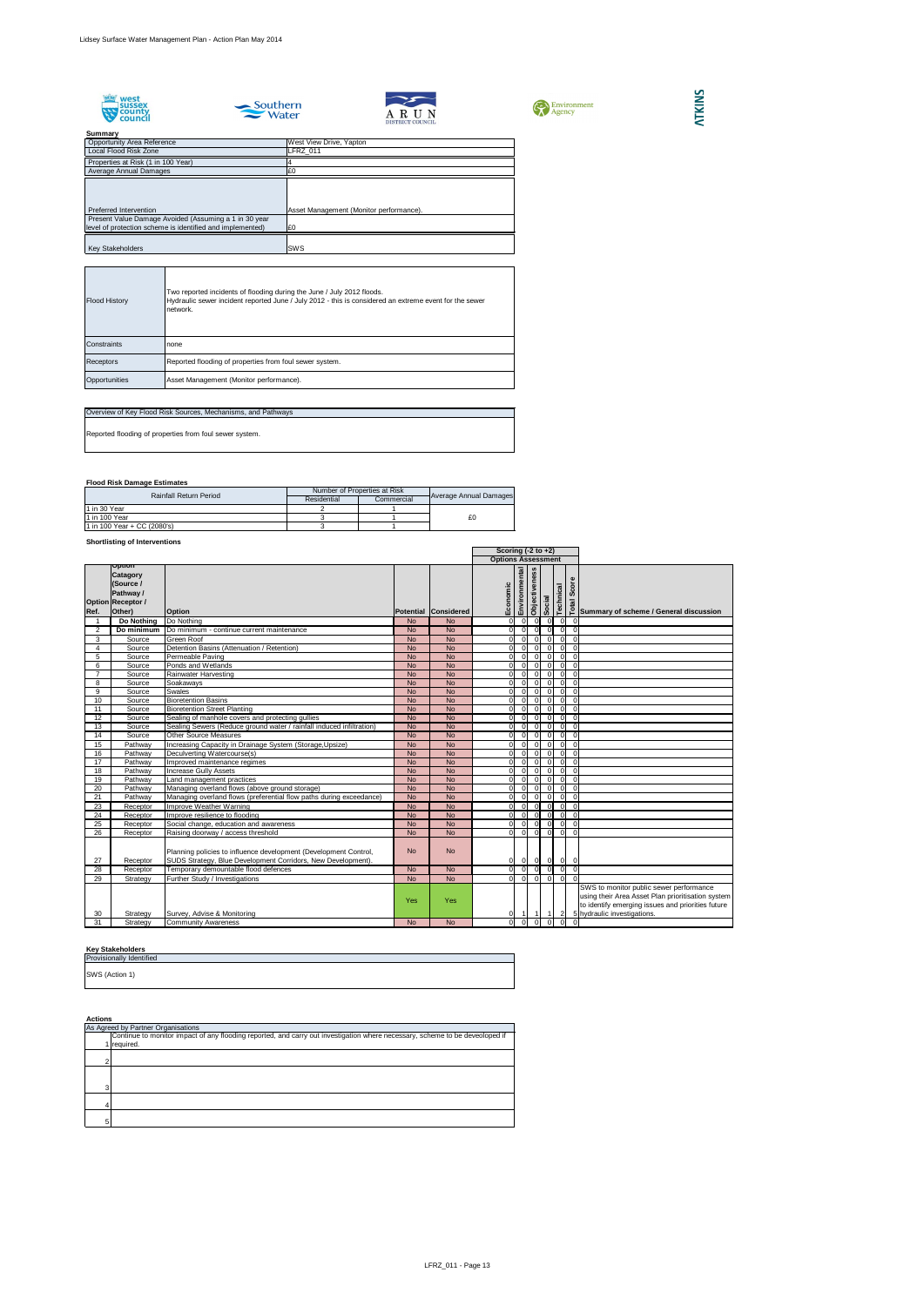









#### **Summary**

## **Flood Risk Damage Estimates**

## **Shortlisting of Interventions**

## **Key Stakeholders**

|                 |                                                                                                  |                                                                                                                                  |           | Scoring $(-2 \text{ to } +2)$ |                           |                |                      |                          |                |                |                                                                                                                                                                                  |
|-----------------|--------------------------------------------------------------------------------------------------|----------------------------------------------------------------------------------------------------------------------------------|-----------|-------------------------------|---------------------------|----------------|----------------------|--------------------------|----------------|----------------|----------------------------------------------------------------------------------------------------------------------------------------------------------------------------------|
|                 |                                                                                                  |                                                                                                                                  |           |                               | <b>Options Assessment</b> |                |                      |                          |                |                |                                                                                                                                                                                  |
| Ref.            | <b>Option</b><br><b>Catagory</b><br>(Source /<br>Pathway /<br><b>Option Receptor /</b><br>Other) | <b>Option</b>                                                                                                                    |           | Potential Considered          | nomic<br>Eco              | Environmental  | <b>Objectiveness</b> | <b>I<sup>e</sup>loos</b> | Technical      | Score<br>Total | Summary of scheme / General discussion                                                                                                                                           |
|                 | Do Nothing                                                                                       | Do Nothing                                                                                                                       | <b>No</b> | <b>No</b>                     | ΩI                        | -OI            | 0                    | $\overline{0}$           | 0I             | 0              |                                                                                                                                                                                  |
| 2               | Do minimum                                                                                       | Do minimum - continue current maintenance                                                                                        | <b>No</b> | <b>No</b>                     |                           | $\Omega$       | -01                  | 0                        | -OI            | -0             |                                                                                                                                                                                  |
| 3               | Source                                                                                           | <b>Green Roof</b>                                                                                                                | <b>No</b> | <b>No</b>                     | $\Omega$                  | $\Omega$       | $\overline{0}$       | $\overline{0}$           | $\overline{0}$ |                |                                                                                                                                                                                  |
| 4               | Source                                                                                           | Detention Basins (Attenuation / Retention)                                                                                       | <b>No</b> | <b>No</b>                     | O                         | $\Omega$       | $\Omega$             | $\overline{0}$           | $\overline{0}$ | $\Omega$       |                                                                                                                                                                                  |
| 5               | Source                                                                                           | Permeable Paving                                                                                                                 | <b>No</b> | <b>No</b>                     |                           | $\Omega$       | $\overline{0}$       | $\overline{0}$           | $\overline{0}$ | $\Omega$       |                                                                                                                                                                                  |
| 6               | Source                                                                                           | Ponds and Wetlands                                                                                                               | <b>No</b> | <b>No</b>                     | $\Omega$                  | $\Omega$       | $\Omega$             | 0                        | $\overline{0}$ | $\Omega$       |                                                                                                                                                                                  |
|                 | Source                                                                                           | Rainwater Harvesting                                                                                                             | <b>No</b> | <b>No</b>                     |                           | $\Omega$       | $\overline{0}$       | $\overline{0}$           | 0              | $\overline{0}$ |                                                                                                                                                                                  |
| 8               | Source                                                                                           | Soakaways                                                                                                                        | <b>No</b> | <b>No</b>                     | $\Omega$                  | $\Omega$       | $\overline{0}$       | $\overline{0}$           | 0              | $\overline{0}$ |                                                                                                                                                                                  |
| 9               | Source                                                                                           | Swales                                                                                                                           | <b>No</b> | <b>No</b>                     | ΩI                        | $\Omega$       | $\overline{0}$       | $\overline{0}$           | 0              |                |                                                                                                                                                                                  |
| 10              | Source                                                                                           | <b>Bioretention Basins</b>                                                                                                       | <b>No</b> | <b>No</b>                     |                           | $\Omega$       | -OI                  | $\overline{0}$           | $\overline{0}$ | $\Omega$       |                                                                                                                                                                                  |
| 11              | Source                                                                                           | <b>Bioretention Street Planting</b>                                                                                              | <b>No</b> | <b>No</b>                     |                           | $\Omega$       | -OI                  | $\overline{0}$           | 0              | $\Omega$       |                                                                                                                                                                                  |
| 12              | Source                                                                                           | Sealing of manhole covers and protecting gullies                                                                                 | <b>No</b> | <b>No</b>                     |                           | $\Omega$       | $\Omega$             | $\overline{0}$           | $\overline{0}$ | 0              |                                                                                                                                                                                  |
| 13              | Source                                                                                           | Sealing Sewers (Reduce ground water / rainfall induced infiltration)                                                             | <b>No</b> | <b>No</b>                     |                           | $\Omega$       | $\Omega$             | $\overline{0}$           | $\overline{0}$ | $\Omega$       |                                                                                                                                                                                  |
| $\overline{14}$ | Source                                                                                           | <b>Other Source Measures</b>                                                                                                     | <b>No</b> | <b>No</b>                     |                           | $\Omega$       | $\Omega$             | $\overline{0}$           | $\overline{0}$ | $\Omega$       |                                                                                                                                                                                  |
| 15              | Pathway                                                                                          | Increasing Capacity in Drainage System (Storage, Upsize)                                                                         | <b>No</b> | <b>No</b>                     |                           | $\Omega$       | $\overline{0}$       | $\overline{0}$           | $\overline{0}$ | $\Omega$       |                                                                                                                                                                                  |
| 16              | Pathway                                                                                          | Deculverting Watercourse(s)                                                                                                      | <b>No</b> | <b>No</b>                     |                           |                | $\overline{0}$       | $\overline{0}$           | $\overline{0}$ | $\Omega$       |                                                                                                                                                                                  |
| 17              | Pathway                                                                                          | Improved maintenance regimes                                                                                                     | <b>No</b> | <b>No</b>                     | $\Omega$                  | $\Omega$       | $\overline{0}$       | $\overline{0}$           | 0              | $\overline{0}$ |                                                                                                                                                                                  |
| 18              | Pathway                                                                                          | <b>Increase Gully Assets</b>                                                                                                     | <b>No</b> | <b>No</b>                     | ΩI                        | $\Omega$       | -OI                  | $\overline{0}$           | 0              | $\Omega$       |                                                                                                                                                                                  |
| 19              | Pathway                                                                                          | Land management practices                                                                                                        | <b>No</b> | <b>No</b>                     |                           |                | $\Omega$             | $\overline{0}$           | $\overline{0}$ |                |                                                                                                                                                                                  |
| 20              | Pathway                                                                                          | Managing overland flows (above ground storage)                                                                                   | <b>No</b> | <b>No</b>                     |                           | $\Omega$       | $\Omega$             | $\overline{0}$           | $\overline{0}$ |                |                                                                                                                                                                                  |
| 21              | Pathway                                                                                          | Managing overland flows (preferential flow paths during exceedance)                                                              | <b>No</b> | <b>No</b>                     |                           | $\Omega$       | $\Omega$             | $\overline{0}$           | $\overline{0}$ | $\Omega$       |                                                                                                                                                                                  |
| 23              | Receptor                                                                                         | Improve Weather Warning                                                                                                          | <b>No</b> | <b>No</b>                     |                           | $\overline{0}$ | 0                    | 0                        | 0              | $\overline{0}$ |                                                                                                                                                                                  |
| 24              | Receptor                                                                                         | Improve resilience to flooding                                                                                                   | <b>No</b> | <b>No</b>                     |                           | $\Omega$       | 0                    | 0                        | 0              |                |                                                                                                                                                                                  |
| 25              | Receptor                                                                                         | Social change, education and awareness                                                                                           | <b>No</b> | <b>No</b>                     | ΩI                        | $\Omega$       | 0                    | 0                        | $\overline{0}$ | $\Omega$       |                                                                                                                                                                                  |
| $\overline{26}$ | Receptor                                                                                         | Raising doorway / access threshold                                                                                               | <b>No</b> | <b>No</b>                     | $\Omega$                  | 0I             | $\overline{0}$       | $\overline{0}$           | $\overline{0}$ | $\Omega$       |                                                                                                                                                                                  |
| 27              | Receptor                                                                                         | Planning policies to influence development (Development Control,<br>SUDS Strategy, Blue Development Corridors, New Development). | <b>No</b> | <b>No</b>                     | $\overline{0}$            | 0              | 0                    | 0                        | 0              | - O I          |                                                                                                                                                                                  |
| $\overline{28}$ | Receptor                                                                                         | Temporary demountable flood defences                                                                                             | <b>No</b> | <b>No</b>                     | ΩI                        | $\Omega$       | ा                    | $\overline{\phantom{a}}$ | 0              | $\Omega$       |                                                                                                                                                                                  |
| 29              | Strategy                                                                                         | Further Study / Investigations                                                                                                   | <b>No</b> | <b>No</b>                     | $\Omega$                  | 0              | 0                    | 0                        | 0              | $\Omega$       |                                                                                                                                                                                  |
| 30 <sup>°</sup> | Strategy                                                                                         | Survey, Advise & Monitoring                                                                                                      | Yes       | Yes                           | 01                        |                |                      |                          | $\vert$ 2      |                | SWS to monitor public sewer performance<br>using their Area Asset Plan prioritisation system<br>to identify emerging issues and priorities future<br>5 hydraulic investigations. |
| 31              | Strategy                                                                                         | <b>Community Awareness</b>                                                                                                       | No        | No                            | Οl                        |                |                      |                          |                |                |                                                                                                                                                                                  |

| <b>Provisionally Identified</b> |  |  |
|---------------------------------|--|--|
|                                 |  |  |
|                                 |  |  |
| SWS (Action 1)                  |  |  |

|               | As Agreed by Partner Organisations                                                                                           |  |  |  |  |  |  |  |  |
|---------------|------------------------------------------------------------------------------------------------------------------------------|--|--|--|--|--|--|--|--|
|               | Continue to monitor impact of any flooding reported, and carry out investigation where necessary, scheme to be deveoloped if |  |  |  |  |  |  |  |  |
|               | 1 required.                                                                                                                  |  |  |  |  |  |  |  |  |
|               |                                                                                                                              |  |  |  |  |  |  |  |  |
| റ             |                                                                                                                              |  |  |  |  |  |  |  |  |
|               |                                                                                                                              |  |  |  |  |  |  |  |  |
|               |                                                                                                                              |  |  |  |  |  |  |  |  |
| $\mathcal{R}$ |                                                                                                                              |  |  |  |  |  |  |  |  |
|               |                                                                                                                              |  |  |  |  |  |  |  |  |
|               |                                                                                                                              |  |  |  |  |  |  |  |  |
|               |                                                                                                                              |  |  |  |  |  |  |  |  |
| г,            |                                                                                                                              |  |  |  |  |  |  |  |  |

| <b>Rainfall Return Period</b> | Number of Properties at Risk | <b>Average Annual Damages</b> |    |
|-------------------------------|------------------------------|-------------------------------|----|
|                               | Residential                  | Commercial                    |    |
| 11 in 30 Year                 |                              |                               |    |
| 11 in 100 Year                |                              |                               | £0 |
| 1 in 100 Year + CC (2080's)   |                              |                               |    |

| Overview of Key Flood Risk Sources, Mechanisms, and Pathways |
|--------------------------------------------------------------|
| Reported flooding of properties from foul sewer system.      |
|                                                              |

| <b>Flood History</b> | Two reported incidents of flooding during the June / July 2012 floods.<br>Hydraulic sewer incident reported June / July 2012 - this is considered an extreme event for the sewer<br>network. |
|----------------------|----------------------------------------------------------------------------------------------------------------------------------------------------------------------------------------------|
| Constraints          | none                                                                                                                                                                                         |
| <b>Receptors</b>     | Reported flooding of properties from foul sewer system.                                                                                                                                      |
| Opportunities        | Asset Management (Monitor performance).                                                                                                                                                      |

| <b>Opportunity Area Reference</b>                         | West View Drive, Yapton                 |
|-----------------------------------------------------------|-----------------------------------------|
| Local Flood Risk Zone                                     | LFRZ_011                                |
| Properties at Risk (1 in 100 Year)                        |                                         |
| Average Annual Damages                                    | £0                                      |
|                                                           |                                         |
|                                                           |                                         |
|                                                           |                                         |
| Preferred Intervention                                    | Asset Management (Monitor performance). |
| Present Value Damage Avoided (Assuming a 1 in 30 year     |                                         |
| level of protection scheme is identified and implemented) | £0                                      |
|                                                           |                                         |
| <b>Key Stakeholders</b>                                   | SWS                                     |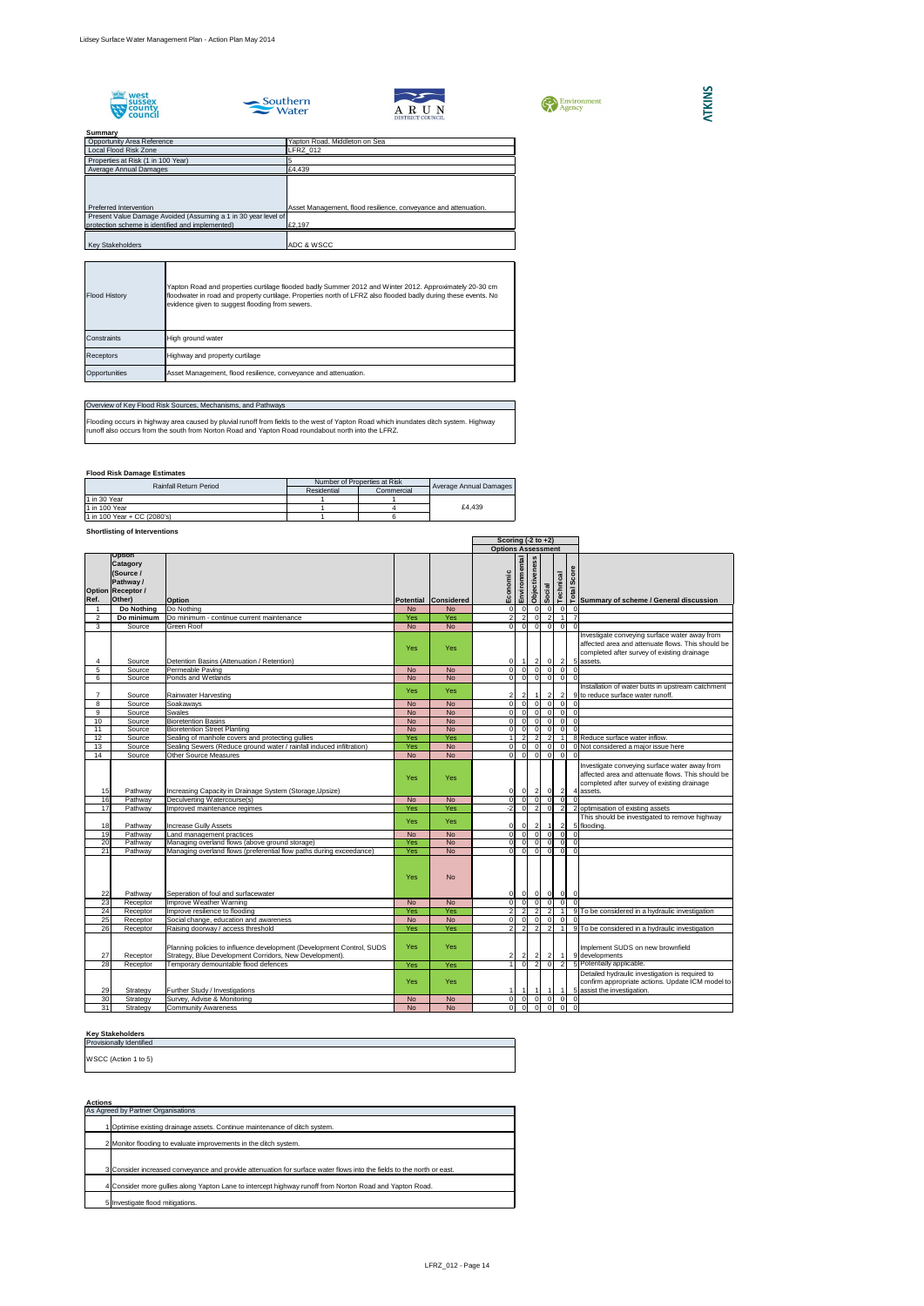









## **Flood Risk Damage Estimates**

## **Shortlisting of Interventions**

|                 |                                                                                                  |                                                                                                                                  |            |                      |  | Scoring $(-2 \text{ to } +2)$ |                |                      |                          |                         |                            |                                                                                                                                                                |
|-----------------|--------------------------------------------------------------------------------------------------|----------------------------------------------------------------------------------------------------------------------------------|------------|----------------------|--|-------------------------------|----------------|----------------------|--------------------------|-------------------------|----------------------------|----------------------------------------------------------------------------------------------------------------------------------------------------------------|
|                 |                                                                                                  |                                                                                                                                  |            |                      |  | <b>Options Assessment</b>     |                |                      |                          |                         |                            |                                                                                                                                                                |
| Ref.            | <b>Option</b><br><b>Catagory</b><br>(Source /<br>Pathway /<br><b>Option Receptor /</b><br>Other) | <b>Option</b>                                                                                                                    |            | Potential Considered |  | Economic                      | Environmental  | <b>Objectiveness</b> | Social                   | Technical               | <b>Total Score</b>         | Summary of scheme / General discussion                                                                                                                         |
|                 | Do Nothing                                                                                       | Do Nothing                                                                                                                       | <b>No</b>  | <b>No</b>            |  | $\Omega$                      | $\Omega$       | $\Omega$             | $\overline{0}$           |                         |                            |                                                                                                                                                                |
| $\overline{2}$  | Do minimum                                                                                       | Do minimum - continue current maintenance                                                                                        | Yes        | Yes                  |  |                               | $\overline{2}$ | $\overline{0}$       | 2                        | -1                      |                            |                                                                                                                                                                |
| 3               | Source                                                                                           | <b>Green Roof</b>                                                                                                                | <b>No</b>  | <b>No</b>            |  | $\cap$                        | $\Omega$       | -ol                  | 0                        |                         | -OI<br>$\Omega$            |                                                                                                                                                                |
|                 | Source                                                                                           | Detention Basins (Attenuation / Retention)                                                                                       | <b>Yes</b> | <b>Yes</b>           |  | $\overline{0}$                |                | $\overline{2}$       | $\overline{0}$           |                         | $\vert$ 2                  | Investigate conveying surface water away from<br>affected area and attenuate flows. This should be<br>completed after survey of existing drainage<br>5 assets. |
| 5               | Source                                                                                           | Permeable Paving                                                                                                                 | <b>No</b>  | <b>No</b>            |  | $\overline{0}$                | $\overline{0}$ | 0                    | -01                      |                         | 0 I                        |                                                                                                                                                                |
| 6               | Source                                                                                           | Ponds and Wetlands                                                                                                               | <b>No</b>  | <b>No</b>            |  | $\Omega$                      | $\overline{0}$ | -OI                  | $\overline{0}$           |                         | $\Omega$                   |                                                                                                                                                                |
|                 | Source                                                                                           | Rainwater Harvesting                                                                                                             | <b>Yes</b> | <b>Yes</b>           |  |                               |                |                      | $\mathbf{2}$             |                         | $\overline{2}$             | Installation of water butts in upstream catchment<br>9 to reduce surface water runoff.                                                                         |
| 8               | Source                                                                                           | Soakaways                                                                                                                        | <b>No</b>  | <b>No</b>            |  | $\Omega$                      | $\Omega$       | $\overline{0}$       | 0                        |                         | 0 I                        |                                                                                                                                                                |
| 9               | Source                                                                                           | <b>Swales</b>                                                                                                                    | <b>No</b>  | <b>No</b>            |  | $\Omega$                      | $\Omega$       | $\overline{0}$       | $\overline{0}$           |                         | $\overline{0}$<br>$\Omega$ |                                                                                                                                                                |
| 10              | Source                                                                                           | <b>Bioretention Basins</b>                                                                                                       | <b>No</b>  | <b>No</b>            |  | $\Omega$                      | $\Omega$       | $\overline{0}$       | $\overline{0}$           |                         | $\overline{0}$<br>$\Omega$ |                                                                                                                                                                |
| 11              | Source                                                                                           | <b>Bioretention Street Planting</b>                                                                                              | <b>No</b>  | <b>No</b>            |  | $\Omega$                      | $\Omega$       | $\overline{0}$       | $\Omega$                 |                         | $\Omega$                   |                                                                                                                                                                |
| 12              | Source                                                                                           | Sealing of manhole covers and protecting gullies                                                                                 | Yes        | Yes                  |  |                               |                | $\overline{2}$       | $\overline{2}$           |                         |                            | 8 Reduce surface water inflow.                                                                                                                                 |
| 13              | Source                                                                                           | Sealing Sewers (Reduce ground water / rainfall induced infiltration)                                                             | Yes        | <b>No</b>            |  | $\Omega$                      | $\Omega$       | $\overline{0}$       | 0                        |                         | 0                          | 0 Not considered a major issue here                                                                                                                            |
| 14              | Source                                                                                           | <b>Other Source Measures</b>                                                                                                     | <b>No</b>  | <b>No</b>            |  | $\overline{0}$                | 0              | $\overline{0}$       | $\overline{0}$           | $\overline{\mathbf{0}}$ |                            |                                                                                                                                                                |
| 15              | Pathway                                                                                          | Increasing Capacity in Drainage System (Storage, Upsize)                                                                         | Yes        | <b>Yes</b>           |  | 0                             | 0              | $\mathbf{2}$         | 0                        |                         | $\overline{2}$             | Investigate conveying surface water away from<br>affected area and attenuate flows. This should be<br>completed after survey of existing drainage<br>4 assets. |
| 16              | Pathway                                                                                          | Deculverting Watercourse(s)                                                                                                      | <b>No</b>  | <b>No</b>            |  | $\overline{0}$                | $\overline{0}$ | $\overline{0}$       | $\overline{0}$           |                         | $\overline{0}$             |                                                                                                                                                                |
| 17              | Pathway                                                                                          | Improved maintenance regimes                                                                                                     | Yes        | Yes                  |  | $-2$                          | $\overline{0}$ | $\overline{2}$       | $\overline{0}$           |                         | $\overline{2}$             | 2 optimisation of existing assets                                                                                                                              |
| 18              | Pathway                                                                                          | <b>Increase Gully Assets</b>                                                                                                     | <b>Yes</b> | <b>Yes</b>           |  | $\overline{0}$                |                | $\overline{2}$       | $\overline{1}$           |                         | $\vert$ 2                  | This should be investigated to remove highway<br>5 flooding.                                                                                                   |
| 19              | Pathway                                                                                          | Land management practices                                                                                                        | <b>No</b>  | <b>No</b>            |  | $\overline{0}$                | $\Omega$       | $\overline{0}$       | $\overline{0}$           |                         | - 0 I                      |                                                                                                                                                                |
| 20              | Pathway                                                                                          | Managing overland flows (above ground storage)                                                                                   | Yes        | <b>No</b>            |  | υI                            |                | $\overline{0}$       | 0                        |                         | υI                         |                                                                                                                                                                |
| $\overline{21}$ | Pathway                                                                                          | Managing overland flows (preferential flow paths during exceedance)                                                              | Yes        | <b>No</b>            |  | ΩI                            | - ol           | $\overline{0}$       | $\overline{0}$           |                         | $\overline{0}$             |                                                                                                                                                                |
| 22              | Pathway                                                                                          | Seperation of foul and surfacewater                                                                                              | <b>Yes</b> | <b>No</b>            |  | 0                             | 0              | $\overline{0}$       | $\overline{0}$           |                         | $\overline{0}$<br> 0       |                                                                                                                                                                |
| 23              | Receptor                                                                                         | Improve Weather Warning                                                                                                          | <b>No</b>  | <b>No</b>            |  | $\overline{0}$                | $\overline{0}$ | 0                    | $\overline{\phantom{a}}$ |                         | $\overline{0}$             |                                                                                                                                                                |
| 24              | Receptor                                                                                         | Improve resilience to flooding                                                                                                   | Yes        | Yes                  |  |                               |                |                      |                          |                         |                            | 9 To be considered in a hydraulic investigation                                                                                                                |
| 25              | Receptor                                                                                         | Social change, education and awareness                                                                                           | <b>No</b>  | <b>No</b>            |  | $\Omega$                      |                | $\overline{0}$       | $\overline{0}$           |                         | $\overline{0}$             |                                                                                                                                                                |
| 26              | Receptor                                                                                         | Raising doorway / access threshold                                                                                               | Yes        | Yes                  |  |                               | 2              | $\overline{2}$       | $\overline{2}$           |                         |                            | 9 To be considered in a hydraulic investigation                                                                                                                |
| 27              | Receptor                                                                                         | Planning policies to influence development (Development Control, SUDS<br>Strategy, Blue Development Corridors, New Development). | <b>Yes</b> | <b>Yes</b>           |  |                               |                |                      | $\overline{2}$           | $\overline{1}$          |                            | Implement SUDS on new brownfield<br>9 developments                                                                                                             |
| 28              | Receptor                                                                                         | Temporary demountable flood defences                                                                                             | Yes        | Yes                  |  |                               |                |                      | $\overline{0}$           |                         | $\overline{2}$             | 5 Potentially applicable.                                                                                                                                      |
| 29              | Strategy                                                                                         | Further Study / Investigations                                                                                                   | <b>Yes</b> | <b>Yes</b>           |  |                               |                |                      | $\overline{1}$           | -1                      |                            | Detailed hydraulic investigation is required to<br>confirm appropriate actions. Update ICM model to<br>5 assist the investigation.                             |
| 30              | Strategy                                                                                         | Survey, Advise & Monitoring                                                                                                      | <b>No</b>  | <b>No</b>            |  | 0                             | 0I             | 0                    | 0                        |                         | $\overline{0}$             |                                                                                                                                                                |
| 31              | Strategy                                                                                         | <b>Community Awareness</b>                                                                                                       | <b>No</b>  | <b>No</b>            |  | $\overline{0}$                | 0              | $\overline{0}$       | 0                        |                         | $\overline{0}$             | $\Omega$                                                                                                                                                       |

# **ATKINS**

Flooding occurs in highway area caused by pluvial runoff from fields to the west of Yapton Road which inundates ditch system. Highway runoff also occurs from the south from Norton Road and Yapton Road roundabout north into the LFRZ.

## **Key Stakeholders**

| <b>Provisionally Identified</b> |
|---------------------------------|
|                                 |
| WSCC (Action 1 to 5)            |
|                                 |

| <b>Actions</b> |                                                                                                                       |
|----------------|-----------------------------------------------------------------------------------------------------------------------|
|                | As Agreed by Partner Organisations                                                                                    |
|                | Optimise existing drainage assets. Continue maintenance of ditch system.                                              |
|                | 2 Monitor flooding to evaluate improvements in the ditch system.                                                      |
|                |                                                                                                                       |
|                | 3 Consider increased conveyance and provide attenuation for surface water flows into the fields to the north or east. |
|                | 4 Consider more gullies along Yapton Lane to intercept highway runoff from Norton Road and Yapton Road.               |
|                | 5 Investigate flood mitigations.                                                                                      |

## Overview of Key Flood Risk Sources, Mechanisms, and Pathways

| <b>Rainfall Return Period</b> | Number of Properties at Risk |            |                               |
|-------------------------------|------------------------------|------------|-------------------------------|
|                               | Residential                  | Commercial | <b>Average Annual Damages</b> |
| 11 in 30 Year                 |                              |            |                               |
| 11 in 100 Year                |                              |            | £4.439                        |
| 1 in 100 Year + CC (2080's)   |                              |            |                               |

| <b>Flood History</b> | Yapton Road and properties curtilage flooded badly Summer 2012 and Winter 2012. Approximately 20-30 cm<br>floodwater in road and property curtilage. Properties north of LFRZ also flooded badly during these events. No<br>evidence given to suggest flooding from sewers. |
|----------------------|-----------------------------------------------------------------------------------------------------------------------------------------------------------------------------------------------------------------------------------------------------------------------------|
| <b>I</b> Constraints | High ground water                                                                                                                                                                                                                                                           |
| <b>Receptors</b>     | Highway and property curtilage                                                                                                                                                                                                                                              |
| Opportunities        | Asset Management, flood resilience, conveyance and attenuation.                                                                                                                                                                                                             |

| <b>JUILLING V</b>                                              |                                                                 |
|----------------------------------------------------------------|-----------------------------------------------------------------|
| <b>Opportunity Area Reference</b>                              | Yapton Road, Middleton on Sea                                   |
| Local Flood Risk Zone                                          | LFRZ 012                                                        |
| Properties at Risk (1 in 100 Year)                             |                                                                 |
| Average Annual Damages                                         | £4,439                                                          |
|                                                                |                                                                 |
|                                                                |                                                                 |
|                                                                |                                                                 |
| Preferred Intervention                                         | Asset Management, flood resilience, conveyance and attenuation. |
| Present Value Damage Avoided (Assuming a 1 in 30 year level of |                                                                 |
| protection scheme is identified and implemented)               | £2,197                                                          |
|                                                                |                                                                 |
| <b>Key Stakeholders</b>                                        | <b>ADC &amp; WSCC</b>                                           |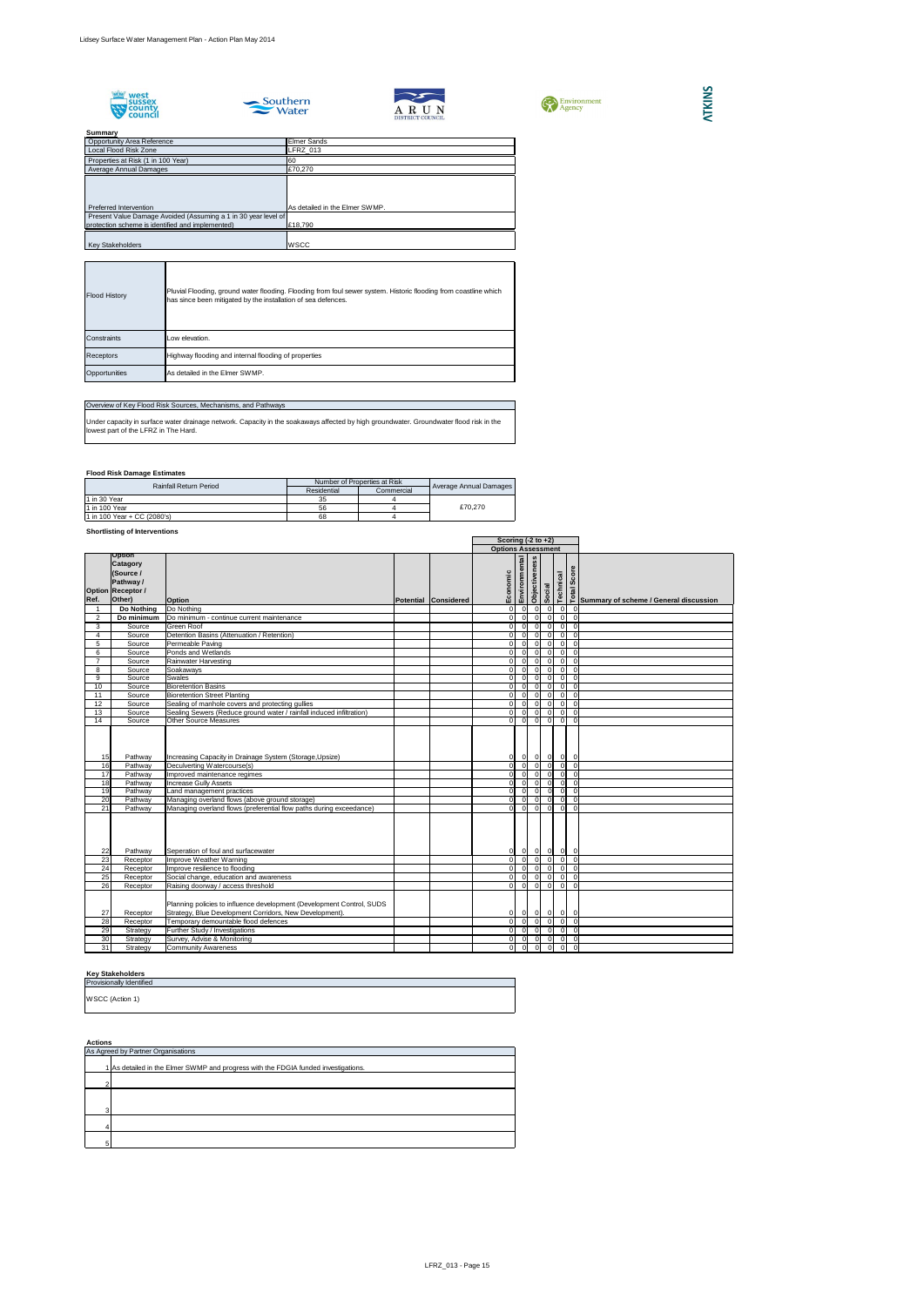









## **Flood Risk Damage Estimates**

## **Shortlisting of Interventions**

## **Key Stakeholders**

**Actions**

| Summary                                                        |                                |
|----------------------------------------------------------------|--------------------------------|
| <b>Opportunity Area Reference</b>                              | <b>Elmer Sands</b>             |
| Local Flood Risk Zone                                          | LFRZ_013                       |
| Properties at Risk (1 in 100 Year)                             | 60                             |
| Average Annual Damages                                         | £70,270                        |
|                                                                |                                |
|                                                                |                                |
|                                                                |                                |
| Preferred Intervention                                         | As detailed in the Elmer SWMP. |
| Present Value Damage Avoided (Assuming a 1 in 30 year level of |                                |
| protection scheme is identified and implemented)               | £18,790                        |
|                                                                |                                |
| <b>Key Stakeholders</b>                                        | <b>WSCC</b>                    |

| <b>Flood History</b> | Pluvial Flooding, ground water flooding. Flooding from foul sewer system. Historic flooding from coastline which<br>has since been mitigated by the installation of sea defences. |
|----------------------|-----------------------------------------------------------------------------------------------------------------------------------------------------------------------------------|
| <b>IConstraints</b>  | Low elevation.                                                                                                                                                                    |
| <b>Receptors</b>     | Highway flooding and internal flooding of properties                                                                                                                              |
| Opportunities        | As detailed in the Elmer SWMP.                                                                                                                                                    |

| <b>Options Assessment</b><br><b>Option</b><br>Environmental<br>ess<br><b>Catagory</b><br>Score<br>Objectiven<br>(Source /<br>Economic<br>Technical<br>Pathway /<br><b>Social</b><br>Total<br><b>Option Receptor /</b><br>Other)<br>Ref.<br>Potential Considered<br><b>Option</b><br>Summary of scheme / General discussion<br>Do Nothing<br>Do Nothing<br> 0 <br>$\overline{0}$<br>0<br>0 I<br>$\overline{0}$<br>0 I<br>$\overline{0}$<br>$\overline{0}$<br>$\overline{0}$<br>$\overline{2}$<br>Do minimum<br>Do minimum - continue current maintenance<br>$\Omega$<br>$\overline{0}$<br>$\overline{0}$<br> 0 <br>$\overline{0}$<br><b>Green Roof</b><br>$\overline{0}$<br>3<br>Source<br>0<br>$\Omega$<br>$\overline{0}$<br>Detention Basins (Attenuation / Retention)<br>$\overline{0}$<br>$\overline{0}$<br>Source<br>0<br>$\Omega$<br>$\overline{0}$<br>$\overline{0}$<br>4<br>$\overline{0}$<br>Permeable Paving<br>$\overline{0}$<br>5<br>Source<br>$\overline{0}$<br>$\overline{0}$<br>0<br>$\Omega$<br>$\overline{0}$<br>$\overline{0}$<br>Ponds and Wetlands<br>$\overline{0}$<br>$\overline{0}$<br>Source<br>$\Omega$<br>$\overline{0}$<br>6<br>$\overline{0}$<br>$\overline{0}$<br> 0 <br>$\overline{0}$<br>$\overline{0}$<br>$\overline{0}$<br>Source<br>Rainwater Harvesting<br>$\overline{0}$<br>$\overline{0}$<br>$\overline{0}$<br>$\overline{0}$<br>Soakaways<br>$\overline{0}$<br>$\overline{0}$<br>8<br>Source<br>$\overline{0}$<br>$\overline{0}$<br>9<br><b>Swales</b><br>$\overline{0}$<br>$\overline{0}$<br>$\overline{0}$<br>$\overline{0}$<br>Source<br>$\overline{0}$<br><b>Bioretention Basins</b><br>$\overline{0}$<br>$\overline{0}$<br>10<br>Source<br>$\overline{0}$<br>01<br>$\overline{0}$<br>$\overline{0}$<br><b>Bioretention Street Planting</b><br>$\overline{0}$<br>Source<br>$\overline{0}$<br>11<br>01<br>$\Omega$<br>- O I<br>Sealing of manhole covers and protecting gullies<br>$\overline{0}$<br>$\overline{0}$<br>12<br>Source<br> 0 <br>$\overline{0}$<br>$\overline{0}$<br>$\overline{0}$<br>13<br>Sealing Sewers (Reduce ground water / rainfall induced infiltration)<br> 0 <br>$\overline{0}$<br>$\overline{0}$<br>Source<br>$\overline{0}$<br>$\overline{0}$<br>$\overline{0}$<br><b>Other Source Measures</b><br>14<br>$\overline{0}$<br>$\overline{0}$<br>$\overline{0}$<br>Source<br>$\Omega$<br>$\overline{0}$<br>$\overline{0}$<br>Increasing Capacity in Drainage System (Storage, Upsize)<br>Pathway<br>$0\quad 0$<br>$\overline{0}$<br>15<br>01<br> 0 <br>$\overline{0}$<br>Deculverting Watercourse(s)<br> 0 <br>16<br> 0 <br> 0 <br>Pathway<br>01<br>$\overline{0}$<br>$\overline{0}$<br>17<br>$\overline{0}$<br>Pathway<br>Improved maintenance regimes<br>$\overline{0}$<br>$\overline{0}$<br>01<br>$\overline{0}$<br>$\overline{0}$<br>18<br>$\overline{0}$<br> 0 <br>Pathway<br><b>Increase Gully Assets</b><br>0<br>$\overline{0}$<br>$\overline{0}$<br>$\overline{0}$<br>$\overline{0}$<br> 0 <br>19<br>Land management practices<br>$\overline{0}$<br>$\overline{0}$<br>Pathway<br>$\overline{0}$<br> 0 <br>$\overline{0}$<br> 0 <br>Managing overland flows (above ground storage)<br>$\overline{0}$<br>$\overline{0}$<br>20<br> 0 <br>0<br>Pathway<br>$\overline{0}$<br> 0 <br>$\overline{\phantom{0}}$<br>$\overline{0}$<br>$\overline{0}$<br>21<br>οI<br>Managing overland flows (preferential flow paths during exceedance)<br>Pathway<br>$\overline{0}$<br>22<br>Seperation of foul and surfacewater<br>0<br>$\overline{0}$<br> 0 <br>$\overline{0}$<br>Pathway<br>$\overline{0}$<br>$\overline{0}$<br>23<br>Improve Weather Warning<br> 0 <br>$\overline{0}$<br>Receptor<br>$\Omega$<br>$\overline{0}$<br> 0 <br>24<br> 0 <br>$\overline{0}$<br>Improve resilience to flooding<br>$\overline{0}$<br>Receptor<br>$\overline{0}$<br>$\overline{0}$<br>$\overline{0}$<br>25<br>$\overline{\phantom{0}}$<br>$\overline{0}$<br>$\overline{0}$<br>Social change, education and awareness<br>$\overline{0}$<br>$\Omega$<br>$\overline{0}$<br>Receptor<br> 0 <br>$\overline{0}$<br>26<br>$\overline{0}$<br>Raising doorway / access threshold<br>ΟI<br>$\overline{0}$<br>$\overline{\mathbf{0}}$<br>Receptor<br>Planning policies to influence development (Development Control, SUDS<br>Receptor<br>Strategy, Blue Development Corridors, New Development).<br>27<br>$\overline{0}$<br>$\overline{0}$<br>$\overline{0}$<br>$\overline{0}$<br>$\overline{\mathbf{0}}$<br> 0 <br>28<br>Temporary demountable flood defences<br>$\overline{0}$<br>$\overline{0}$<br>$\overline{0}$<br>Receptor<br>$\Omega$<br>$\overline{0}$<br>$\overline{0}$<br>$\overline{\phantom{0}}$<br>$\overline{0}$<br>29<br>Further Study / Investigations<br>$\overline{\mathbf{0}}$<br>$\overline{0}$<br>$\overline{0}$<br>$\overline{0}$<br>Strategy<br>$\overline{\phantom{0}}$<br>$\overline{\phantom{0}}$<br>Survey, Advise & Monitoring<br>$\overline{0}$<br>$\overline{0}$<br>30<br>$\overline{0}$<br> 0 <br>Strategy<br>$\overline{\circ}$<br>$\overline{0}$<br>$\overline{0}$<br>31<br>$\overline{0}$<br>$\overline{0}$<br>$\overline{0}$<br><b>Community Awareness</b><br>Strategy |  |  | Scoring $(-2 \text{ to } +2)$ |  |  |  |
|------------------------------------------------------------------------------------------------------------------------------------------------------------------------------------------------------------------------------------------------------------------------------------------------------------------------------------------------------------------------------------------------------------------------------------------------------------------------------------------------------------------------------------------------------------------------------------------------------------------------------------------------------------------------------------------------------------------------------------------------------------------------------------------------------------------------------------------------------------------------------------------------------------------------------------------------------------------------------------------------------------------------------------------------------------------------------------------------------------------------------------------------------------------------------------------------------------------------------------------------------------------------------------------------------------------------------------------------------------------------------------------------------------------------------------------------------------------------------------------------------------------------------------------------------------------------------------------------------------------------------------------------------------------------------------------------------------------------------------------------------------------------------------------------------------------------------------------------------------------------------------------------------------------------------------------------------------------------------------------------------------------------------------------------------------------------------------------------------------------------------------------------------------------------------------------------------------------------------------------------------------------------------------------------------------------------------------------------------------------------------------------------------------------------------------------------------------------------------------------------------------------------------------------------------------------------------------------------------------------------------------------------------------------------------------------------------------------------------------------------------------------------------------------------------------------------------------------------------------------------------------------------------------------------------------------------------------------------------------------------------------------------------------------------------------------------------------------------------------------------------------------------------------------------------------------------------------------------------------------------------------------------------------------------------------------------------------------------------------------------------------------------------------------------------------------------------------------------------------------------------------------------------------------------------------------------------------------------------------------------------------------------------------------------------------------------------------------------------------------------------------------------------------------------------------------------------------------------------------------------------------------------------------------------------------------------------------------------------------------------------------------------------------------------------------------------------------------------------------------------------------------------------------------------------------------------------------------------------------------------------------------------------------------------------------------------------------------------------------------------------------------------------------------------------------------------------------------------------------------------------------------------------------------------------------------------------------------------------------------------------------------------------------------------------------------------------------------------------------------------------------------------------------------------------------------------------------------------------------------------------------------------------------------------------------------------------------------------------------------------------------------------------------------------------------------------------------------------------------------------------------------|--|--|-------------------------------|--|--|--|
|                                                                                                                                                                                                                                                                                                                                                                                                                                                                                                                                                                                                                                                                                                                                                                                                                                                                                                                                                                                                                                                                                                                                                                                                                                                                                                                                                                                                                                                                                                                                                                                                                                                                                                                                                                                                                                                                                                                                                                                                                                                                                                                                                                                                                                                                                                                                                                                                                                                                                                                                                                                                                                                                                                                                                                                                                                                                                                                                                                                                                                                                                                                                                                                                                                                                                                                                                                                                                                                                                                                                                                                                                                                                                                                                                                                                                                                                                                                                                                                                                                                                                                                                                                                                                                                                                                                                                                                                                                                                                                                                                                                                                                                                                                                                                                                                                                                                                                                                                                                                                                                                                                                                          |  |  |                               |  |  |  |
|                                                                                                                                                                                                                                                                                                                                                                                                                                                                                                                                                                                                                                                                                                                                                                                                                                                                                                                                                                                                                                                                                                                                                                                                                                                                                                                                                                                                                                                                                                                                                                                                                                                                                                                                                                                                                                                                                                                                                                                                                                                                                                                                                                                                                                                                                                                                                                                                                                                                                                                                                                                                                                                                                                                                                                                                                                                                                                                                                                                                                                                                                                                                                                                                                                                                                                                                                                                                                                                                                                                                                                                                                                                                                                                                                                                                                                                                                                                                                                                                                                                                                                                                                                                                                                                                                                                                                                                                                                                                                                                                                                                                                                                                                                                                                                                                                                                                                                                                                                                                                                                                                                                                          |  |  |                               |  |  |  |
|                                                                                                                                                                                                                                                                                                                                                                                                                                                                                                                                                                                                                                                                                                                                                                                                                                                                                                                                                                                                                                                                                                                                                                                                                                                                                                                                                                                                                                                                                                                                                                                                                                                                                                                                                                                                                                                                                                                                                                                                                                                                                                                                                                                                                                                                                                                                                                                                                                                                                                                                                                                                                                                                                                                                                                                                                                                                                                                                                                                                                                                                                                                                                                                                                                                                                                                                                                                                                                                                                                                                                                                                                                                                                                                                                                                                                                                                                                                                                                                                                                                                                                                                                                                                                                                                                                                                                                                                                                                                                                                                                                                                                                                                                                                                                                                                                                                                                                                                                                                                                                                                                                                                          |  |  |                               |  |  |  |
|                                                                                                                                                                                                                                                                                                                                                                                                                                                                                                                                                                                                                                                                                                                                                                                                                                                                                                                                                                                                                                                                                                                                                                                                                                                                                                                                                                                                                                                                                                                                                                                                                                                                                                                                                                                                                                                                                                                                                                                                                                                                                                                                                                                                                                                                                                                                                                                                                                                                                                                                                                                                                                                                                                                                                                                                                                                                                                                                                                                                                                                                                                                                                                                                                                                                                                                                                                                                                                                                                                                                                                                                                                                                                                                                                                                                                                                                                                                                                                                                                                                                                                                                                                                                                                                                                                                                                                                                                                                                                                                                                                                                                                                                                                                                                                                                                                                                                                                                                                                                                                                                                                                                          |  |  |                               |  |  |  |
|                                                                                                                                                                                                                                                                                                                                                                                                                                                                                                                                                                                                                                                                                                                                                                                                                                                                                                                                                                                                                                                                                                                                                                                                                                                                                                                                                                                                                                                                                                                                                                                                                                                                                                                                                                                                                                                                                                                                                                                                                                                                                                                                                                                                                                                                                                                                                                                                                                                                                                                                                                                                                                                                                                                                                                                                                                                                                                                                                                                                                                                                                                                                                                                                                                                                                                                                                                                                                                                                                                                                                                                                                                                                                                                                                                                                                                                                                                                                                                                                                                                                                                                                                                                                                                                                                                                                                                                                                                                                                                                                                                                                                                                                                                                                                                                                                                                                                                                                                                                                                                                                                                                                          |  |  |                               |  |  |  |
|                                                                                                                                                                                                                                                                                                                                                                                                                                                                                                                                                                                                                                                                                                                                                                                                                                                                                                                                                                                                                                                                                                                                                                                                                                                                                                                                                                                                                                                                                                                                                                                                                                                                                                                                                                                                                                                                                                                                                                                                                                                                                                                                                                                                                                                                                                                                                                                                                                                                                                                                                                                                                                                                                                                                                                                                                                                                                                                                                                                                                                                                                                                                                                                                                                                                                                                                                                                                                                                                                                                                                                                                                                                                                                                                                                                                                                                                                                                                                                                                                                                                                                                                                                                                                                                                                                                                                                                                                                                                                                                                                                                                                                                                                                                                                                                                                                                                                                                                                                                                                                                                                                                                          |  |  |                               |  |  |  |
|                                                                                                                                                                                                                                                                                                                                                                                                                                                                                                                                                                                                                                                                                                                                                                                                                                                                                                                                                                                                                                                                                                                                                                                                                                                                                                                                                                                                                                                                                                                                                                                                                                                                                                                                                                                                                                                                                                                                                                                                                                                                                                                                                                                                                                                                                                                                                                                                                                                                                                                                                                                                                                                                                                                                                                                                                                                                                                                                                                                                                                                                                                                                                                                                                                                                                                                                                                                                                                                                                                                                                                                                                                                                                                                                                                                                                                                                                                                                                                                                                                                                                                                                                                                                                                                                                                                                                                                                                                                                                                                                                                                                                                                                                                                                                                                                                                                                                                                                                                                                                                                                                                                                          |  |  |                               |  |  |  |
|                                                                                                                                                                                                                                                                                                                                                                                                                                                                                                                                                                                                                                                                                                                                                                                                                                                                                                                                                                                                                                                                                                                                                                                                                                                                                                                                                                                                                                                                                                                                                                                                                                                                                                                                                                                                                                                                                                                                                                                                                                                                                                                                                                                                                                                                                                                                                                                                                                                                                                                                                                                                                                                                                                                                                                                                                                                                                                                                                                                                                                                                                                                                                                                                                                                                                                                                                                                                                                                                                                                                                                                                                                                                                                                                                                                                                                                                                                                                                                                                                                                                                                                                                                                                                                                                                                                                                                                                                                                                                                                                                                                                                                                                                                                                                                                                                                                                                                                                                                                                                                                                                                                                          |  |  |                               |  |  |  |
|                                                                                                                                                                                                                                                                                                                                                                                                                                                                                                                                                                                                                                                                                                                                                                                                                                                                                                                                                                                                                                                                                                                                                                                                                                                                                                                                                                                                                                                                                                                                                                                                                                                                                                                                                                                                                                                                                                                                                                                                                                                                                                                                                                                                                                                                                                                                                                                                                                                                                                                                                                                                                                                                                                                                                                                                                                                                                                                                                                                                                                                                                                                                                                                                                                                                                                                                                                                                                                                                                                                                                                                                                                                                                                                                                                                                                                                                                                                                                                                                                                                                                                                                                                                                                                                                                                                                                                                                                                                                                                                                                                                                                                                                                                                                                                                                                                                                                                                                                                                                                                                                                                                                          |  |  |                               |  |  |  |
|                                                                                                                                                                                                                                                                                                                                                                                                                                                                                                                                                                                                                                                                                                                                                                                                                                                                                                                                                                                                                                                                                                                                                                                                                                                                                                                                                                                                                                                                                                                                                                                                                                                                                                                                                                                                                                                                                                                                                                                                                                                                                                                                                                                                                                                                                                                                                                                                                                                                                                                                                                                                                                                                                                                                                                                                                                                                                                                                                                                                                                                                                                                                                                                                                                                                                                                                                                                                                                                                                                                                                                                                                                                                                                                                                                                                                                                                                                                                                                                                                                                                                                                                                                                                                                                                                                                                                                                                                                                                                                                                                                                                                                                                                                                                                                                                                                                                                                                                                                                                                                                                                                                                          |  |  |                               |  |  |  |
|                                                                                                                                                                                                                                                                                                                                                                                                                                                                                                                                                                                                                                                                                                                                                                                                                                                                                                                                                                                                                                                                                                                                                                                                                                                                                                                                                                                                                                                                                                                                                                                                                                                                                                                                                                                                                                                                                                                                                                                                                                                                                                                                                                                                                                                                                                                                                                                                                                                                                                                                                                                                                                                                                                                                                                                                                                                                                                                                                                                                                                                                                                                                                                                                                                                                                                                                                                                                                                                                                                                                                                                                                                                                                                                                                                                                                                                                                                                                                                                                                                                                                                                                                                                                                                                                                                                                                                                                                                                                                                                                                                                                                                                                                                                                                                                                                                                                                                                                                                                                                                                                                                                                          |  |  |                               |  |  |  |
|                                                                                                                                                                                                                                                                                                                                                                                                                                                                                                                                                                                                                                                                                                                                                                                                                                                                                                                                                                                                                                                                                                                                                                                                                                                                                                                                                                                                                                                                                                                                                                                                                                                                                                                                                                                                                                                                                                                                                                                                                                                                                                                                                                                                                                                                                                                                                                                                                                                                                                                                                                                                                                                                                                                                                                                                                                                                                                                                                                                                                                                                                                                                                                                                                                                                                                                                                                                                                                                                                                                                                                                                                                                                                                                                                                                                                                                                                                                                                                                                                                                                                                                                                                                                                                                                                                                                                                                                                                                                                                                                                                                                                                                                                                                                                                                                                                                                                                                                                                                                                                                                                                                                          |  |  |                               |  |  |  |
|                                                                                                                                                                                                                                                                                                                                                                                                                                                                                                                                                                                                                                                                                                                                                                                                                                                                                                                                                                                                                                                                                                                                                                                                                                                                                                                                                                                                                                                                                                                                                                                                                                                                                                                                                                                                                                                                                                                                                                                                                                                                                                                                                                                                                                                                                                                                                                                                                                                                                                                                                                                                                                                                                                                                                                                                                                                                                                                                                                                                                                                                                                                                                                                                                                                                                                                                                                                                                                                                                                                                                                                                                                                                                                                                                                                                                                                                                                                                                                                                                                                                                                                                                                                                                                                                                                                                                                                                                                                                                                                                                                                                                                                                                                                                                                                                                                                                                                                                                                                                                                                                                                                                          |  |  |                               |  |  |  |
|                                                                                                                                                                                                                                                                                                                                                                                                                                                                                                                                                                                                                                                                                                                                                                                                                                                                                                                                                                                                                                                                                                                                                                                                                                                                                                                                                                                                                                                                                                                                                                                                                                                                                                                                                                                                                                                                                                                                                                                                                                                                                                                                                                                                                                                                                                                                                                                                                                                                                                                                                                                                                                                                                                                                                                                                                                                                                                                                                                                                                                                                                                                                                                                                                                                                                                                                                                                                                                                                                                                                                                                                                                                                                                                                                                                                                                                                                                                                                                                                                                                                                                                                                                                                                                                                                                                                                                                                                                                                                                                                                                                                                                                                                                                                                                                                                                                                                                                                                                                                                                                                                                                                          |  |  |                               |  |  |  |
|                                                                                                                                                                                                                                                                                                                                                                                                                                                                                                                                                                                                                                                                                                                                                                                                                                                                                                                                                                                                                                                                                                                                                                                                                                                                                                                                                                                                                                                                                                                                                                                                                                                                                                                                                                                                                                                                                                                                                                                                                                                                                                                                                                                                                                                                                                                                                                                                                                                                                                                                                                                                                                                                                                                                                                                                                                                                                                                                                                                                                                                                                                                                                                                                                                                                                                                                                                                                                                                                                                                                                                                                                                                                                                                                                                                                                                                                                                                                                                                                                                                                                                                                                                                                                                                                                                                                                                                                                                                                                                                                                                                                                                                                                                                                                                                                                                                                                                                                                                                                                                                                                                                                          |  |  |                               |  |  |  |
|                                                                                                                                                                                                                                                                                                                                                                                                                                                                                                                                                                                                                                                                                                                                                                                                                                                                                                                                                                                                                                                                                                                                                                                                                                                                                                                                                                                                                                                                                                                                                                                                                                                                                                                                                                                                                                                                                                                                                                                                                                                                                                                                                                                                                                                                                                                                                                                                                                                                                                                                                                                                                                                                                                                                                                                                                                                                                                                                                                                                                                                                                                                                                                                                                                                                                                                                                                                                                                                                                                                                                                                                                                                                                                                                                                                                                                                                                                                                                                                                                                                                                                                                                                                                                                                                                                                                                                                                                                                                                                                                                                                                                                                                                                                                                                                                                                                                                                                                                                                                                                                                                                                                          |  |  |                               |  |  |  |
|                                                                                                                                                                                                                                                                                                                                                                                                                                                                                                                                                                                                                                                                                                                                                                                                                                                                                                                                                                                                                                                                                                                                                                                                                                                                                                                                                                                                                                                                                                                                                                                                                                                                                                                                                                                                                                                                                                                                                                                                                                                                                                                                                                                                                                                                                                                                                                                                                                                                                                                                                                                                                                                                                                                                                                                                                                                                                                                                                                                                                                                                                                                                                                                                                                                                                                                                                                                                                                                                                                                                                                                                                                                                                                                                                                                                                                                                                                                                                                                                                                                                                                                                                                                                                                                                                                                                                                                                                                                                                                                                                                                                                                                                                                                                                                                                                                                                                                                                                                                                                                                                                                                                          |  |  |                               |  |  |  |
|                                                                                                                                                                                                                                                                                                                                                                                                                                                                                                                                                                                                                                                                                                                                                                                                                                                                                                                                                                                                                                                                                                                                                                                                                                                                                                                                                                                                                                                                                                                                                                                                                                                                                                                                                                                                                                                                                                                                                                                                                                                                                                                                                                                                                                                                                                                                                                                                                                                                                                                                                                                                                                                                                                                                                                                                                                                                                                                                                                                                                                                                                                                                                                                                                                                                                                                                                                                                                                                                                                                                                                                                                                                                                                                                                                                                                                                                                                                                                                                                                                                                                                                                                                                                                                                                                                                                                                                                                                                                                                                                                                                                                                                                                                                                                                                                                                                                                                                                                                                                                                                                                                                                          |  |  |                               |  |  |  |
|                                                                                                                                                                                                                                                                                                                                                                                                                                                                                                                                                                                                                                                                                                                                                                                                                                                                                                                                                                                                                                                                                                                                                                                                                                                                                                                                                                                                                                                                                                                                                                                                                                                                                                                                                                                                                                                                                                                                                                                                                                                                                                                                                                                                                                                                                                                                                                                                                                                                                                                                                                                                                                                                                                                                                                                                                                                                                                                                                                                                                                                                                                                                                                                                                                                                                                                                                                                                                                                                                                                                                                                                                                                                                                                                                                                                                                                                                                                                                                                                                                                                                                                                                                                                                                                                                                                                                                                                                                                                                                                                                                                                                                                                                                                                                                                                                                                                                                                                                                                                                                                                                                                                          |  |  |                               |  |  |  |
|                                                                                                                                                                                                                                                                                                                                                                                                                                                                                                                                                                                                                                                                                                                                                                                                                                                                                                                                                                                                                                                                                                                                                                                                                                                                                                                                                                                                                                                                                                                                                                                                                                                                                                                                                                                                                                                                                                                                                                                                                                                                                                                                                                                                                                                                                                                                                                                                                                                                                                                                                                                                                                                                                                                                                                                                                                                                                                                                                                                                                                                                                                                                                                                                                                                                                                                                                                                                                                                                                                                                                                                                                                                                                                                                                                                                                                                                                                                                                                                                                                                                                                                                                                                                                                                                                                                                                                                                                                                                                                                                                                                                                                                                                                                                                                                                                                                                                                                                                                                                                                                                                                                                          |  |  |                               |  |  |  |
|                                                                                                                                                                                                                                                                                                                                                                                                                                                                                                                                                                                                                                                                                                                                                                                                                                                                                                                                                                                                                                                                                                                                                                                                                                                                                                                                                                                                                                                                                                                                                                                                                                                                                                                                                                                                                                                                                                                                                                                                                                                                                                                                                                                                                                                                                                                                                                                                                                                                                                                                                                                                                                                                                                                                                                                                                                                                                                                                                                                                                                                                                                                                                                                                                                                                                                                                                                                                                                                                                                                                                                                                                                                                                                                                                                                                                                                                                                                                                                                                                                                                                                                                                                                                                                                                                                                                                                                                                                                                                                                                                                                                                                                                                                                                                                                                                                                                                                                                                                                                                                                                                                                                          |  |  |                               |  |  |  |
|                                                                                                                                                                                                                                                                                                                                                                                                                                                                                                                                                                                                                                                                                                                                                                                                                                                                                                                                                                                                                                                                                                                                                                                                                                                                                                                                                                                                                                                                                                                                                                                                                                                                                                                                                                                                                                                                                                                                                                                                                                                                                                                                                                                                                                                                                                                                                                                                                                                                                                                                                                                                                                                                                                                                                                                                                                                                                                                                                                                                                                                                                                                                                                                                                                                                                                                                                                                                                                                                                                                                                                                                                                                                                                                                                                                                                                                                                                                                                                                                                                                                                                                                                                                                                                                                                                                                                                                                                                                                                                                                                                                                                                                                                                                                                                                                                                                                                                                                                                                                                                                                                                                                          |  |  |                               |  |  |  |
|                                                                                                                                                                                                                                                                                                                                                                                                                                                                                                                                                                                                                                                                                                                                                                                                                                                                                                                                                                                                                                                                                                                                                                                                                                                                                                                                                                                                                                                                                                                                                                                                                                                                                                                                                                                                                                                                                                                                                                                                                                                                                                                                                                                                                                                                                                                                                                                                                                                                                                                                                                                                                                                                                                                                                                                                                                                                                                                                                                                                                                                                                                                                                                                                                                                                                                                                                                                                                                                                                                                                                                                                                                                                                                                                                                                                                                                                                                                                                                                                                                                                                                                                                                                                                                                                                                                                                                                                                                                                                                                                                                                                                                                                                                                                                                                                                                                                                                                                                                                                                                                                                                                                          |  |  |                               |  |  |  |
|                                                                                                                                                                                                                                                                                                                                                                                                                                                                                                                                                                                                                                                                                                                                                                                                                                                                                                                                                                                                                                                                                                                                                                                                                                                                                                                                                                                                                                                                                                                                                                                                                                                                                                                                                                                                                                                                                                                                                                                                                                                                                                                                                                                                                                                                                                                                                                                                                                                                                                                                                                                                                                                                                                                                                                                                                                                                                                                                                                                                                                                                                                                                                                                                                                                                                                                                                                                                                                                                                                                                                                                                                                                                                                                                                                                                                                                                                                                                                                                                                                                                                                                                                                                                                                                                                                                                                                                                                                                                                                                                                                                                                                                                                                                                                                                                                                                                                                                                                                                                                                                                                                                                          |  |  |                               |  |  |  |
|                                                                                                                                                                                                                                                                                                                                                                                                                                                                                                                                                                                                                                                                                                                                                                                                                                                                                                                                                                                                                                                                                                                                                                                                                                                                                                                                                                                                                                                                                                                                                                                                                                                                                                                                                                                                                                                                                                                                                                                                                                                                                                                                                                                                                                                                                                                                                                                                                                                                                                                                                                                                                                                                                                                                                                                                                                                                                                                                                                                                                                                                                                                                                                                                                                                                                                                                                                                                                                                                                                                                                                                                                                                                                                                                                                                                                                                                                                                                                                                                                                                                                                                                                                                                                                                                                                                                                                                                                                                                                                                                                                                                                                                                                                                                                                                                                                                                                                                                                                                                                                                                                                                                          |  |  |                               |  |  |  |
|                                                                                                                                                                                                                                                                                                                                                                                                                                                                                                                                                                                                                                                                                                                                                                                                                                                                                                                                                                                                                                                                                                                                                                                                                                                                                                                                                                                                                                                                                                                                                                                                                                                                                                                                                                                                                                                                                                                                                                                                                                                                                                                                                                                                                                                                                                                                                                                                                                                                                                                                                                                                                                                                                                                                                                                                                                                                                                                                                                                                                                                                                                                                                                                                                                                                                                                                                                                                                                                                                                                                                                                                                                                                                                                                                                                                                                                                                                                                                                                                                                                                                                                                                                                                                                                                                                                                                                                                                                                                                                                                                                                                                                                                                                                                                                                                                                                                                                                                                                                                                                                                                                                                          |  |  |                               |  |  |  |
|                                                                                                                                                                                                                                                                                                                                                                                                                                                                                                                                                                                                                                                                                                                                                                                                                                                                                                                                                                                                                                                                                                                                                                                                                                                                                                                                                                                                                                                                                                                                                                                                                                                                                                                                                                                                                                                                                                                                                                                                                                                                                                                                                                                                                                                                                                                                                                                                                                                                                                                                                                                                                                                                                                                                                                                                                                                                                                                                                                                                                                                                                                                                                                                                                                                                                                                                                                                                                                                                                                                                                                                                                                                                                                                                                                                                                                                                                                                                                                                                                                                                                                                                                                                                                                                                                                                                                                                                                                                                                                                                                                                                                                                                                                                                                                                                                                                                                                                                                                                                                                                                                                                                          |  |  |                               |  |  |  |
|                                                                                                                                                                                                                                                                                                                                                                                                                                                                                                                                                                                                                                                                                                                                                                                                                                                                                                                                                                                                                                                                                                                                                                                                                                                                                                                                                                                                                                                                                                                                                                                                                                                                                                                                                                                                                                                                                                                                                                                                                                                                                                                                                                                                                                                                                                                                                                                                                                                                                                                                                                                                                                                                                                                                                                                                                                                                                                                                                                                                                                                                                                                                                                                                                                                                                                                                                                                                                                                                                                                                                                                                                                                                                                                                                                                                                                                                                                                                                                                                                                                                                                                                                                                                                                                                                                                                                                                                                                                                                                                                                                                                                                                                                                                                                                                                                                                                                                                                                                                                                                                                                                                                          |  |  |                               |  |  |  |
|                                                                                                                                                                                                                                                                                                                                                                                                                                                                                                                                                                                                                                                                                                                                                                                                                                                                                                                                                                                                                                                                                                                                                                                                                                                                                                                                                                                                                                                                                                                                                                                                                                                                                                                                                                                                                                                                                                                                                                                                                                                                                                                                                                                                                                                                                                                                                                                                                                                                                                                                                                                                                                                                                                                                                                                                                                                                                                                                                                                                                                                                                                                                                                                                                                                                                                                                                                                                                                                                                                                                                                                                                                                                                                                                                                                                                                                                                                                                                                                                                                                                                                                                                                                                                                                                                                                                                                                                                                                                                                                                                                                                                                                                                                                                                                                                                                                                                                                                                                                                                                                                                                                                          |  |  |                               |  |  |  |
|                                                                                                                                                                                                                                                                                                                                                                                                                                                                                                                                                                                                                                                                                                                                                                                                                                                                                                                                                                                                                                                                                                                                                                                                                                                                                                                                                                                                                                                                                                                                                                                                                                                                                                                                                                                                                                                                                                                                                                                                                                                                                                                                                                                                                                                                                                                                                                                                                                                                                                                                                                                                                                                                                                                                                                                                                                                                                                                                                                                                                                                                                                                                                                                                                                                                                                                                                                                                                                                                                                                                                                                                                                                                                                                                                                                                                                                                                                                                                                                                                                                                                                                                                                                                                                                                                                                                                                                                                                                                                                                                                                                                                                                                                                                                                                                                                                                                                                                                                                                                                                                                                                                                          |  |  |                               |  |  |  |
|                                                                                                                                                                                                                                                                                                                                                                                                                                                                                                                                                                                                                                                                                                                                                                                                                                                                                                                                                                                                                                                                                                                                                                                                                                                                                                                                                                                                                                                                                                                                                                                                                                                                                                                                                                                                                                                                                                                                                                                                                                                                                                                                                                                                                                                                                                                                                                                                                                                                                                                                                                                                                                                                                                                                                                                                                                                                                                                                                                                                                                                                                                                                                                                                                                                                                                                                                                                                                                                                                                                                                                                                                                                                                                                                                                                                                                                                                                                                                                                                                                                                                                                                                                                                                                                                                                                                                                                                                                                                                                                                                                                                                                                                                                                                                                                                                                                                                                                                                                                                                                                                                                                                          |  |  |                               |  |  |  |
|                                                                                                                                                                                                                                                                                                                                                                                                                                                                                                                                                                                                                                                                                                                                                                                                                                                                                                                                                                                                                                                                                                                                                                                                                                                                                                                                                                                                                                                                                                                                                                                                                                                                                                                                                                                                                                                                                                                                                                                                                                                                                                                                                                                                                                                                                                                                                                                                                                                                                                                                                                                                                                                                                                                                                                                                                                                                                                                                                                                                                                                                                                                                                                                                                                                                                                                                                                                                                                                                                                                                                                                                                                                                                                                                                                                                                                                                                                                                                                                                                                                                                                                                                                                                                                                                                                                                                                                                                                                                                                                                                                                                                                                                                                                                                                                                                                                                                                                                                                                                                                                                                                                                          |  |  |                               |  |  |  |
|                                                                                                                                                                                                                                                                                                                                                                                                                                                                                                                                                                                                                                                                                                                                                                                                                                                                                                                                                                                                                                                                                                                                                                                                                                                                                                                                                                                                                                                                                                                                                                                                                                                                                                                                                                                                                                                                                                                                                                                                                                                                                                                                                                                                                                                                                                                                                                                                                                                                                                                                                                                                                                                                                                                                                                                                                                                                                                                                                                                                                                                                                                                                                                                                                                                                                                                                                                                                                                                                                                                                                                                                                                                                                                                                                                                                                                                                                                                                                                                                                                                                                                                                                                                                                                                                                                                                                                                                                                                                                                                                                                                                                                                                                                                                                                                                                                                                                                                                                                                                                                                                                                                                          |  |  |                               |  |  |  |

# **ATKINS**

## Overview of Key Flood Risk Sources, Mechanisms, and Pathways

Under capacity in surface water drainage network. Capacity in the soakaways affected by high groundwater. Groundwater flood risk in the lowest part of the LFRZ in The Hard.

| <b>Rainfall Return Period</b> | Number of Properties at Risk | <b>Average Annual Damages</b> |         |  |
|-------------------------------|------------------------------|-------------------------------|---------|--|
|                               | Residential                  | Commercial                    |         |  |
| $1$ in 30 Year                | 35                           |                               |         |  |
| 11 in 100 Year                | 56                           |                               | £70.270 |  |
| 1 in 100 Year + CC (2080's)   | 68                           |                               |         |  |

| Avuvus |                                                                                    |  |  |  |  |  |  |
|--------|------------------------------------------------------------------------------------|--|--|--|--|--|--|
|        | As Agreed by Partner Organisations                                                 |  |  |  |  |  |  |
|        | 1 As detailed in the Elmer SWMP and progress with the FDGIA funded investigations. |  |  |  |  |  |  |
| റ      |                                                                                    |  |  |  |  |  |  |
|        |                                                                                    |  |  |  |  |  |  |
| ົ      |                                                                                    |  |  |  |  |  |  |
|        |                                                                                    |  |  |  |  |  |  |
| 5      |                                                                                    |  |  |  |  |  |  |

| , <i></i>                       |
|---------------------------------|
| <b>Provisionally Identified</b> |
|                                 |
| WSCC (Action 1)                 |
|                                 |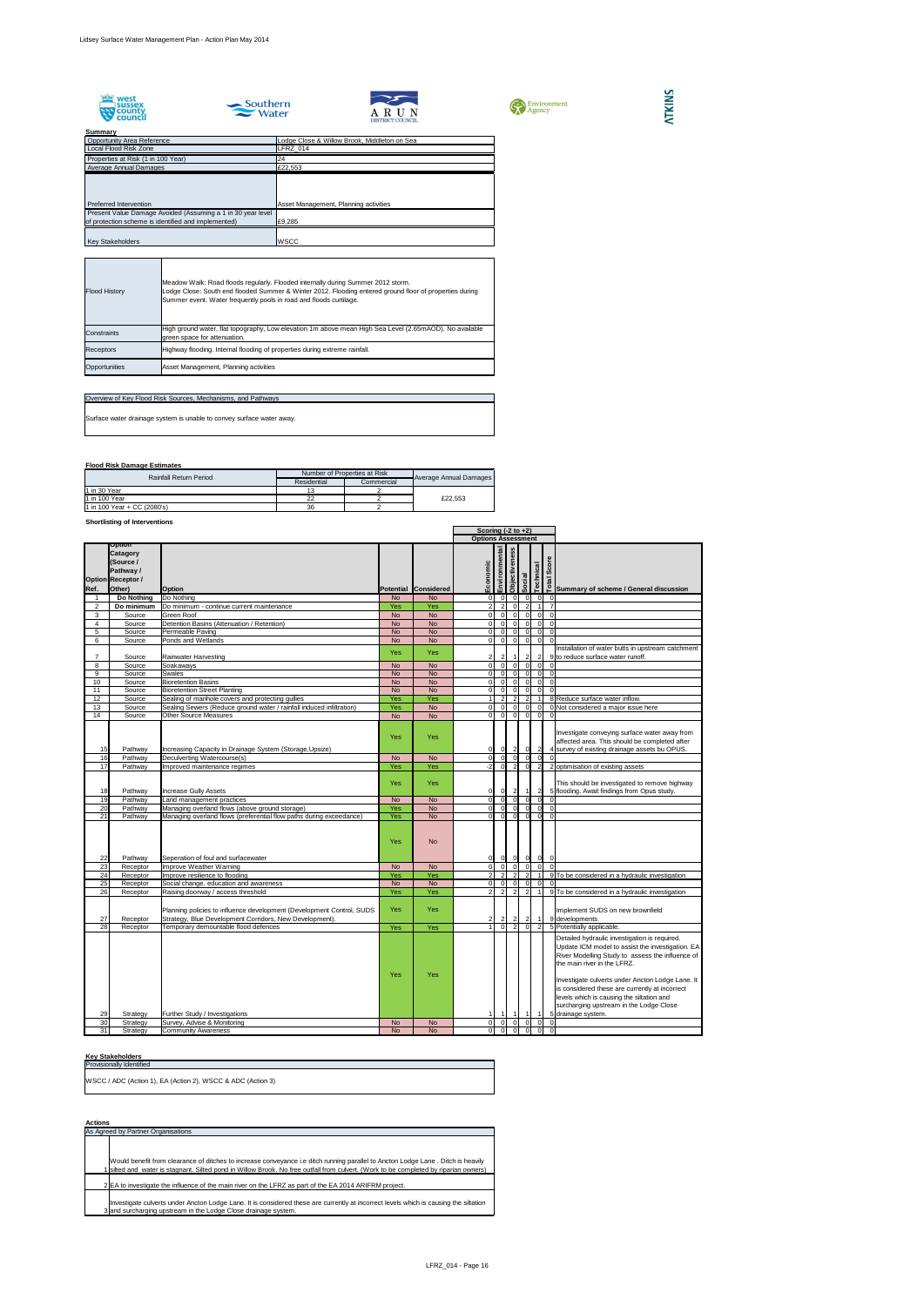









## **Summary**

## **Flood Risk Damage Estimates**

#### **Shortlisting of Interventions**

|                |                                                                                                  |                                                                                                                                                                        |                   |                        |                                  | Scoring $(-2 \text{ to } +2)$             |                      |                                  |                                |                      |                                                                                                                                                                                                                                                                                                                                                                                    |
|----------------|--------------------------------------------------------------------------------------------------|------------------------------------------------------------------------------------------------------------------------------------------------------------------------|-------------------|------------------------|----------------------------------|-------------------------------------------|----------------------|----------------------------------|--------------------------------|----------------------|------------------------------------------------------------------------------------------------------------------------------------------------------------------------------------------------------------------------------------------------------------------------------------------------------------------------------------------------------------------------------------|
|                |                                                                                                  |                                                                                                                                                                        |                   |                        | <b>Options Assessment</b>        |                                           |                      |                                  |                                |                      |                                                                                                                                                                                                                                                                                                                                                                                    |
| Ref.           | <b>Option</b><br><b>Catagory</b><br>(Source /<br>Pathway /<br><b>Option Receptor /</b><br>Other) | <b>Option</b>                                                                                                                                                          |                   | Potential Considered   | Economic                         | Environmental                             | <b>Objectiveness</b> | Social                           | <b>Technical</b>               | Score<br>Total       | Summary of scheme / General discussion                                                                                                                                                                                                                                                                                                                                             |
|                | <b>Do Nothing</b>                                                                                | Do Nothing                                                                                                                                                             | <b>No</b>         | <b>No</b>              | $\overline{0}$                   | $\overline{0}$                            |                      | $\overline{0}$                   | $\Omega$                       |                      |                                                                                                                                                                                                                                                                                                                                                                                    |
| $\overline{2}$ | Do minimum                                                                                       | Do minimum - continue current maintenance                                                                                                                              | Yes               | Yes                    | $\overline{2}$                   | $\overline{2}$                            |                      | $\Omega$                         | $\overline{2}$                 |                      |                                                                                                                                                                                                                                                                                                                                                                                    |
| 3              | Source                                                                                           | <b>Green Roof</b>                                                                                                                                                      | <b>No</b>         | <b>No</b>              | ΟI                               | $\overline{0}$                            |                      | $\overline{0}$                   | $\Omega$                       | $\Omega$             |                                                                                                                                                                                                                                                                                                                                                                                    |
| 4              | Source                                                                                           | Detention Basins (Attenuation / Retention)                                                                                                                             | <b>No</b>         | <b>No</b>              | $\overline{O}$                   | $\overline{0}$                            |                      | $\overline{0}$                   | $\Omega$                       | $\Omega$             |                                                                                                                                                                                                                                                                                                                                                                                    |
| 5              | Source                                                                                           | Permeable Paving                                                                                                                                                       | <b>No</b>         | <b>No</b>              | $\overline{0}$                   | $\overline{0}$                            |                      | $\overline{0}$                   | $\Omega$                       | $\overline{0}$       |                                                                                                                                                                                                                                                                                                                                                                                    |
| 6              | Source                                                                                           | Ponds and Wetlands                                                                                                                                                     | <b>No</b>         | <b>No</b>              | οI                               | $\overline{0}$                            |                      | $\overline{0}$                   | $\Omega$                       | $\Omega$             |                                                                                                                                                                                                                                                                                                                                                                                    |
| $\overline{7}$ | Source                                                                                           | <b>Rainwater Harvesting</b>                                                                                                                                            | <b>Yes</b>        | <b>Yes</b>             | $\mathbf{2}$                     | $\mathbf{2}$                              |                      |                                  | $\mathbf{2}$                   |                      | Installation of water butts in upstream catchment<br>9 to reduce surface water runoff.                                                                                                                                                                                                                                                                                             |
| 8              | Source                                                                                           | Soakaways                                                                                                                                                              | <b>No</b>         | <b>No</b>              | $\overline{O}$                   | $\overline{0}$                            |                      | $\overline{0}$                   | $\Omega$                       |                      |                                                                                                                                                                                                                                                                                                                                                                                    |
| 9              | Source                                                                                           | <b>Swales</b>                                                                                                                                                          | <b>No</b>         | <b>No</b>              | $\overline{0}$                   | $\Omega$                                  |                      | $\overline{0}$                   | n.                             | $\Omega$             |                                                                                                                                                                                                                                                                                                                                                                                    |
| 10             | Source                                                                                           | <b>Bioretention Basins</b>                                                                                                                                             | <b>No</b>         | <b>No</b>              | $\overline{0}$                   | $\overline{0}$                            |                      | $\overline{0}$                   | $\Omega$                       | $\Omega$             |                                                                                                                                                                                                                                                                                                                                                                                    |
| 11             | Source                                                                                           | <b>Bioretention Street Planting</b>                                                                                                                                    | <b>No</b>         | <b>No</b>              | 0I                               | $\overline{0}$                            |                      | $\overline{0}$                   | $\overline{0}$                 | $\Omega$             |                                                                                                                                                                                                                                                                                                                                                                                    |
| 12             | Source                                                                                           | Sealing of manhole covers and protecting gullies                                                                                                                       | Yes               | Yes                    |                                  | 2 <sup>1</sup>                            |                      | $\overline{2}$                   | $\overline{2}$                 |                      | 8 Reduce surface water inflow.                                                                                                                                                                                                                                                                                                                                                     |
| 13             | Source                                                                                           | Sealing Sewers (Reduce ground water / rainfall induced infiltration)                                                                                                   | Yes               | <b>No</b>              | $\overline{0}$                   | $\overline{0}$                            |                      | $\overline{0}$                   | $\Omega$                       |                      | 0 Not considered a major issue here                                                                                                                                                                                                                                                                                                                                                |
| 14             | Source                                                                                           | <b>Other Source Measures</b>                                                                                                                                           | <b>No</b>         | <b>No</b>              | 0I                               | $\overline{0}$                            |                      | $\overline{0}$                   | $\overline{0}$                 | $\Omega$             |                                                                                                                                                                                                                                                                                                                                                                                    |
| 15             | Pathway                                                                                          | Increasing Capacity in Drainage System (Storage, Upsize)                                                                                                               | Yes               | Yes                    | $\overline{0}$                   | 0                                         |                      | $\vert$ 2                        | $\overline{0}$                 | $\overline{2}$       | Investigate conveying surface water away from<br>affected area. This should be completed after<br>4 survey of existing drainage assets bu OPUS.                                                                                                                                                                                                                                    |
| 16             | Pathway                                                                                          | <b>Deculverting Watercourse(s)</b>                                                                                                                                     | <b>No</b>         | <b>No</b>              | $\overline{0}$                   | 0I                                        |                      | -ol                              | $\Omega$                       | $\Omega$             |                                                                                                                                                                                                                                                                                                                                                                                    |
| 17             | Pathway                                                                                          | Improved maintenance regimes                                                                                                                                           | Yes               | Yes                    | -21                              | -ol                                       |                      | 2                                | $\Omega$                       |                      | 2 optimisation of existing assets                                                                                                                                                                                                                                                                                                                                                  |
| 18             | Pathway                                                                                          | <b>Increase Gully Assets</b>                                                                                                                                           | Yes               | <b>Yes</b>             | $\overline{0}$                   | 0                                         |                      | $\vert$ 2                        |                                | $\mathbf{2}$         | This should be investigated to remove highway<br>5 flooding. Await findings from Opus study.                                                                                                                                                                                                                                                                                       |
| 19             | Pathway                                                                                          | Land management practices                                                                                                                                              | <b>No</b>         | <b>No</b>              | $\overline{O}$                   | -ol                                       |                      | 0                                | 0l                             | 0l                   |                                                                                                                                                                                                                                                                                                                                                                                    |
| 20             | Pathway                                                                                          | Managing overland flows (above ground storage)                                                                                                                         | Yes               | <b>No</b>              | $\overline{0}$                   | -ol                                       |                      | 0                                | 0l                             | <sup>0</sup>         |                                                                                                                                                                                                                                                                                                                                                                                    |
| 21<br>22       | Pathway<br>Pathway                                                                               | Managing overland flows (preferential flow paths during exceedance)<br>Seperation of foul and surfacewater                                                             | Yes<br><b>Yes</b> | <b>No</b><br><b>No</b> | $\overline{0}$<br>$\overline{0}$ | $\overline{0}$<br> 0                      |                      | 0 <br> 0                         | 0 <br> 0                       | $\overline{0}$<br> 0 | $\Omega$                                                                                                                                                                                                                                                                                                                                                                           |
| 23             | Receptor                                                                                         | Improve Weather Warning                                                                                                                                                | <b>No</b>         | <b>No</b>              | $\overline{0}$                   | $\overline{0}$                            |                      | $\overline{\phantom{0}}$         | $\overline{0}$                 | $\Omega$             |                                                                                                                                                                                                                                                                                                                                                                                    |
| 24             | Receptor                                                                                         | Improve resilience to flooding                                                                                                                                         | Yes               | <b>Yes</b>             | $\overline{2}$                   | $\overline{2}$                            |                      | $\overline{2}$                   | $\overline{2}$                 |                      | 9 To be considered in a hydraulic investigation                                                                                                                                                                                                                                                                                                                                    |
| 25             | Receptor                                                                                         | Social change, education and awareness                                                                                                                                 | <b>No</b>         | <b>No</b>              | $\overline{0}$                   | 0                                         |                      | $\overline{0}$                   | $\overline{0}$                 | $\Omega$             |                                                                                                                                                                                                                                                                                                                                                                                    |
| 26<br>27       | Receptor<br>Receptor                                                                             | Raising doorway / access threshold<br>Planning policies to influence development (Development Control, SUDS<br>Strategy, Blue Development Corridors, New Development). | Yes<br><b>Yes</b> | Yes<br><b>Yes</b>      | $\overline{2}$<br>$\overline{2}$ | $\overline{2}$<br>$\mathbf{2}$            |                      | $\overline{2}$<br>$2\vert$       | $\overline{2}$<br>$\mathbf{2}$ |                      | 9 To be considered in a hydraulic investigation<br>Implement SUDS on new brownfield<br>9 developments                                                                                                                                                                                                                                                                              |
| 28             | Receptor                                                                                         | Temporary demountable flood defences                                                                                                                                   | Yes               | Yes                    |                                  | $\overline{0}$                            |                      | $\overline{2}$                   | $\overline{0}$                 |                      | 5 Potentially applicable.                                                                                                                                                                                                                                                                                                                                                          |
|                |                                                                                                  |                                                                                                                                                                        | Yes               | <b>Yes</b>             |                                  |                                           |                      |                                  |                                |                      | Detailed hydraulic investigation is required.<br>Update ICM model to assist the investigation. EA<br>River Modelling Study to assess the influence of<br>the main river in the LFRZ.<br>Investigate culverts under Ancton Lodge Lane. It<br>is considered these are currently at incorrect<br>levels which is causing the siltation and<br>surcharging upstream in the Lodge Close |
| 29             | Strategy                                                                                         | Further Study / Investigations                                                                                                                                         |                   |                        |                                  |                                           |                      |                                  |                                |                      | 5 drainage system.                                                                                                                                                                                                                                                                                                                                                                 |
| 30<br>31       | Strategy                                                                                         | Survey, Advise & Monitoring                                                                                                                                            | <b>No</b>         | <b>No</b>              | $\overline{O}$                   | $\overline{0}$<br>$\overline{\mathbf{0}}$ |                      | $\overline{0}$<br>$\overline{0}$ | $\overline{0}$<br>$\Omega$     | 0l<br>$\Omega$       |                                                                                                                                                                                                                                                                                                                                                                                    |
|                | Strategy                                                                                         | <b>Community Awareness</b>                                                                                                                                             | <b>No</b>         | <b>No</b>              | $\overline{0}$                   |                                           |                      |                                  |                                |                      | -0                                                                                                                                                                                                                                                                                                                                                                                 |

#### **Key Stakeholders**

## **Actions**

| <b>Provisionally Identified</b>                             |  |
|-------------------------------------------------------------|--|
| WSCC / ADC (Action 1), EA (Action 2), WSCC & ADC (Action 3) |  |

As Agreed by Partner Organisations

1 Would benefit from clearance of ditches to increase conveyance i.e ditch running parallel to Ancton Lodge Lane . Ditch is heavily silted and water is stagnant. Silted pond in Willow Brook. No free outfall from culvert. (Work to be completed by riparian owners)

2 EA to investigate the influence of the main river on the LFRZ as part of the EA 2014 ARIFRM project.

3 Investigate culverts under Ancton Lodge Lane. It is considered these are currently at incorrect levels which is causing the siltation and surcharging upstream in the Lodge Close drainage system.

| <b>Rainfall Return Period</b> | Number of Properties at Risk |            |                        |  |
|-------------------------------|------------------------------|------------|------------------------|--|
|                               | Residential                  | Commercial | Average Annual Damages |  |
| 11 in 30 Year                 |                              |            |                        |  |
| 11 in 100 Year                |                              |            | £22.553                |  |
| 1 in 100 Year + CC $(2080's)$ | 36                           |            |                        |  |

| Overview of Key Flood Risk Sources, Mechanisms, and Pathways          |
|-----------------------------------------------------------------------|
| Surface water drainage system is unable to convey surface water away. |
|                                                                       |

| <b>Flood History</b> | Meadow Walk: Road floods regularly. Flooded internally during Summer 2012 storm.<br>Lodge Close: South end flooded Summer & Winter 2012. Flooding entered ground floor of properties during<br>Summer event. Water frequently pools in road and floods curtilage. |
|----------------------|-------------------------------------------------------------------------------------------------------------------------------------------------------------------------------------------------------------------------------------------------------------------|
| Constraints          | High ground water, flat topography, Low elevation 1m above mean High Sea Level (2.65mAOD). No available<br>green space for attenuation.                                                                                                                           |
| Receptors            | Highway flooding. Internal flooding of properties during extreme rainfall.                                                                                                                                                                                        |
| Opportunities        | Asset Management, Planning activities                                                                                                                                                                                                                             |

| vunnuar,                                                    |                                              |
|-------------------------------------------------------------|----------------------------------------------|
| <b>Opportunity Area Reference</b>                           | Lodge Close & Willow Brook, Middleton on Sea |
| Local Flood Risk Zone                                       | FRZ_014                                      |
| Properties at Risk (1 in 100 Year)                          | 24                                           |
| Average Annual Damages                                      | £22,553                                      |
|                                                             |                                              |
|                                                             |                                              |
|                                                             |                                              |
| Preferred Intervention                                      | Asset Management, Planning activities        |
| Present Value Damage Avoided (Assuming a 1 in 30 year level |                                              |
| of protection scheme is identified and implemented)         | £9,285                                       |
|                                                             |                                              |
| <b>Key Stakeholders</b>                                     | <b>WSCC</b>                                  |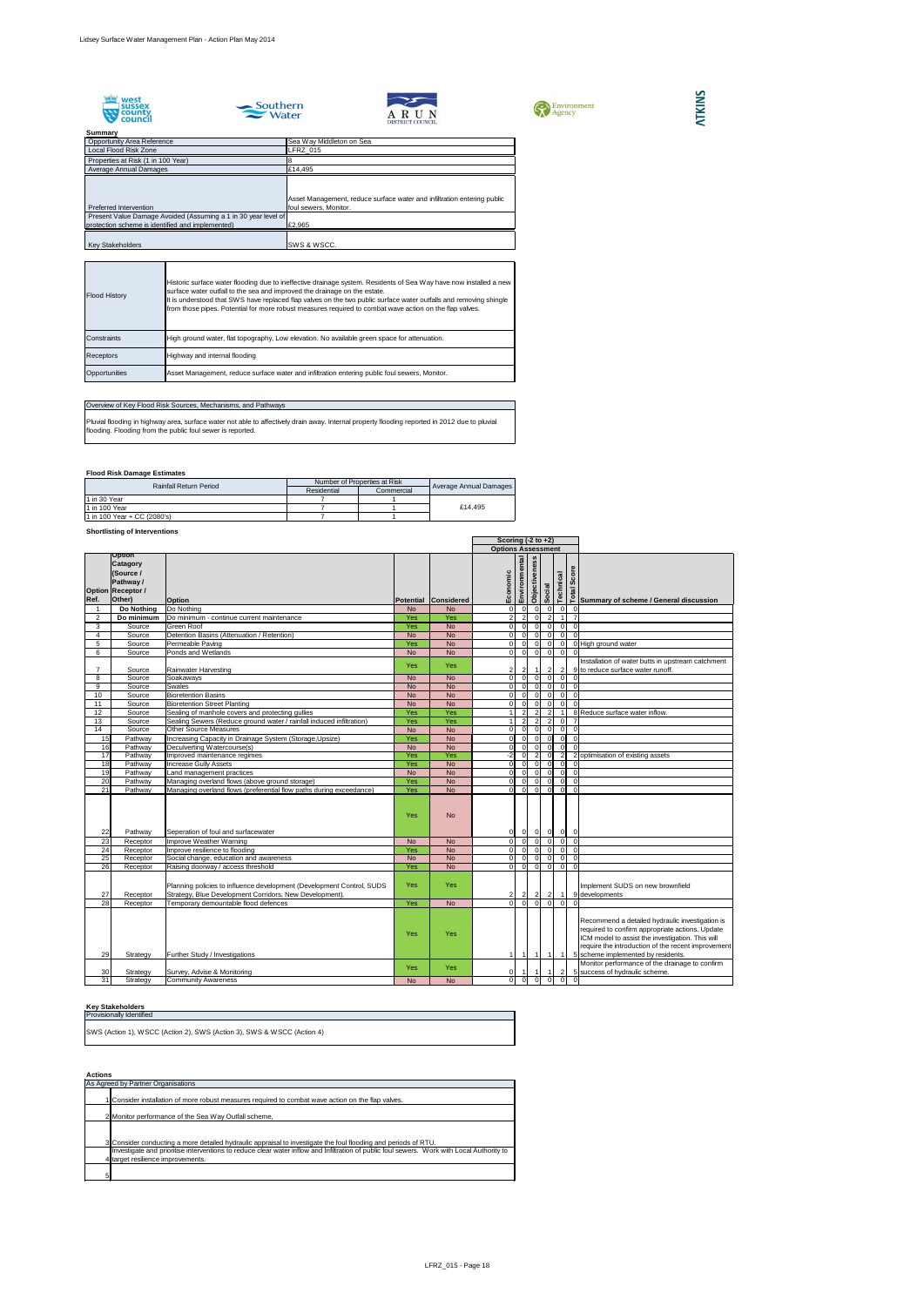









## **Summary**

## **Flood Risk Damage Estimates**

## **Shortlisting of Interventions**

#### **Key Stakeholders**

#### **Actions**

|                |                                                                                                  |                                                                                                                                  |            |                        |                           | Scoring $(-2 \text{ to } +2)$ |                      |                |                |                                                                   |                                                                                                                                                                                                                                                    |
|----------------|--------------------------------------------------------------------------------------------------|----------------------------------------------------------------------------------------------------------------------------------|------------|------------------------|---------------------------|-------------------------------|----------------------|----------------|----------------|-------------------------------------------------------------------|----------------------------------------------------------------------------------------------------------------------------------------------------------------------------------------------------------------------------------------------------|
|                |                                                                                                  |                                                                                                                                  |            |                        | <b>Options Assessment</b> |                               |                      |                |                |                                                                   |                                                                                                                                                                                                                                                    |
| Ref.           | <b>Option</b><br><b>Catagory</b><br>(Source /<br>Pathway /<br><b>Option Receptor /</b><br>Other) | <b>Option</b>                                                                                                                    |            | Potential Considered   | omic<br>Econ              | Environmental                 | <b>Objectiveness</b> | Social         | Technical      | core<br>Ø                                                         | <u>na</u><br>□ Summary of scheme / General discussion                                                                                                                                                                                              |
|                | Do Nothing                                                                                       | Do Nothing                                                                                                                       | <b>No</b>  | <b>No</b>              |                           | $\overline{0}$                | $\overline{0}$       | $\Omega$       | <sup>0</sup>   | -0                                                                |                                                                                                                                                                                                                                                    |
| $\overline{2}$ | Do minimum                                                                                       | Do minimum - continue current maintenance                                                                                        | Yes        | Yes                    | $\mathcal{D}$             | 2 <sub>l</sub>                | $\overline{0}$       | 2              |                |                                                                   |                                                                                                                                                                                                                                                    |
| 3              | Source                                                                                           | <b>Green Roof</b>                                                                                                                | Yes        | <b>No</b>              | $\Omega$                  | $\overline{0}$                | 0                    | $\overline{0}$ | $\overline{0}$ | $\overline{0}$                                                    |                                                                                                                                                                                                                                                    |
|                | Source                                                                                           | Detention Basins (Attenuation / Retention)                                                                                       | <b>No</b>  | <b>No</b>              | $\Omega$                  | $\overline{0}$                | $\overline{0}$       | $\Omega$       | 0              | $\Omega$                                                          |                                                                                                                                                                                                                                                    |
| 5              | Source                                                                                           | Permeable Paving                                                                                                                 | Yes        | <b>No</b>              | $\overline{0}$            | $\overline{0}$                | $\overline{0}$       | $\overline{0}$ | 0              |                                                                   | 0 High ground water                                                                                                                                                                                                                                |
| 6              | Source                                                                                           | Ponds and Wetlands                                                                                                               | <b>No</b>  | <b>No</b>              | $\overline{0}$            | 0                             | $\overline{\circ}$   | $\overline{0}$ | 0              | $\Omega$                                                          |                                                                                                                                                                                                                                                    |
|                | Source                                                                                           | <b>Rainwater Harvesting</b>                                                                                                      | Yes        | <b>Yes</b>             |                           |                               | -1 I                 | $\overline{2}$ | $\vert$ 2      |                                                                   | Installation of water butts in upstream catchment<br>9 to reduce surface water runoff.                                                                                                                                                             |
| 8              | Source                                                                                           | Soakaways                                                                                                                        | <b>No</b>  | <b>No</b>              | $\Omega$                  | $\overline{0}$                | $\overline{0}$       | $\Omega$       | <sup>0</sup>   |                                                                   |                                                                                                                                                                                                                                                    |
| 9              | Source                                                                                           | <b>Swales</b>                                                                                                                    | <b>No</b>  | <b>No</b>              | $\Omega$                  | -OI                           | $\overline{0}$       | $\Omega$       | $\overline{0}$ | - 0                                                               |                                                                                                                                                                                                                                                    |
| 10             | Source                                                                                           | <b>Bioretention Basins</b>                                                                                                       | <b>No</b>  | <b>No</b>              |                           | $\Omega$                      | $\overline{0}$       | $\Omega$       | $\overline{0}$ | 0                                                                 |                                                                                                                                                                                                                                                    |
| 11             | Source                                                                                           | <b>Bioretention Street Planting</b>                                                                                              | <b>No</b>  | <b>No</b>              | $\Omega$                  | $\Omega$                      | $\overline{0}$       | $\Omega$       | $\overline{0}$ | $\Omega$                                                          |                                                                                                                                                                                                                                                    |
| 12             | Source                                                                                           | Sealing of manhole covers and protecting gullies                                                                                 | Yes        | Yes                    |                           | 2                             | $\overline{2}$       | 2              |                |                                                                   | 8 Reduce surface water inflow.                                                                                                                                                                                                                     |
| 13             | Source                                                                                           | Sealing Sewers (Reduce ground water / rainfall induced infiltration)                                                             | Yes        | Yes                    |                           | 2                             | $\overline{2}$       | $\overline{2}$ | 0              |                                                                   |                                                                                                                                                                                                                                                    |
| 14             | Source                                                                                           | <b>Other Source Measures</b>                                                                                                     | <b>No</b>  | <b>No</b>              |                           | $\overline{0}$                | $\overline{0}$       | $\Omega$       | $\overline{0}$ | $\overline{0}$                                                    |                                                                                                                                                                                                                                                    |
| 15             | Pathway                                                                                          | Increasing Capacity in Drainage System (Storage, Upsize)                                                                         | Yes        | <b>No</b>              | $\overline{0}$            | $\overline{0}$                | 0                    | $\overline{0}$ | $\overline{0}$ | $\mathbf 0$                                                       |                                                                                                                                                                                                                                                    |
| 16             | Pathway                                                                                          | Deculverting Watercourse(s)                                                                                                      | <b>No</b>  | <b>No</b>              | $\Omega$                  | $\overline{0}$                | 0I                   | $\Omega$       | $\overline{0}$ |                                                                   |                                                                                                                                                                                                                                                    |
| 17             | Pathway                                                                                          | Improved maintenance regimes                                                                                                     | Yes        | Yes                    | $-2$                      | $\Omega$                      | $\overline{2}$       | $\Omega$       | $\overline{2}$ | $\overline{2}$                                                    | optimisation of existing assets                                                                                                                                                                                                                    |
| 18             | Pathway                                                                                          | <b>Increase Gully Assets</b>                                                                                                     | Yes        | <b>No</b>              |                           | $\overline{0}$                | $\overline{0}$       | $\Omega$       | $\overline{0}$ | $\Omega$                                                          |                                                                                                                                                                                                                                                    |
| 19             | Pathway                                                                                          | Land management practices                                                                                                        | <b>No</b>  | <b>No</b>              |                           | $\overline{0}$                | $\overline{0}$       | $\Omega$       | <sup>0</sup>   | - 0                                                               |                                                                                                                                                                                                                                                    |
| 20             | Pathway                                                                                          | Managing overland flows (above ground storage)                                                                                   | Yes        | <b>No</b>              |                           | $\Omega$                      | $\overline{0}$       |                | $\overline{0}$ | $\Omega$                                                          |                                                                                                                                                                                                                                                    |
| 21             | Pathway                                                                                          | Managing overland flows (preferential flow paths during exceedance)                                                              | Yes<br>Yes | <b>No</b><br><b>No</b> | $\Omega$                  | -OI                           | $\overline{0}$       | $\Omega$       | $\mathbf 0$    | $\Omega$                                                          |                                                                                                                                                                                                                                                    |
| 22             | Pathway                                                                                          | Seperation of foul and surfacewater                                                                                              |            |                        |                           | 0                             |                      |                |                | $\begin{array}{c c c c c c c c} \hline 0 & 0 & 0 & 0 \end{array}$ |                                                                                                                                                                                                                                                    |
| 23             | Receptor                                                                                         | Improve Weather Warning                                                                                                          | <b>No</b>  | <b>No</b>              | 0                         | $\overline{0}$                |                      | $0 \quad 0$    |                | $ 0 $ 0                                                           |                                                                                                                                                                                                                                                    |
| 24             | Receptor                                                                                         | Improve resilience to flooding                                                                                                   | Yes        | <b>No</b>              |                           | $\overline{0}$                | -ol                  | $\Omega$       | $\Omega$       |                                                                   |                                                                                                                                                                                                                                                    |
| 25             | Receptor                                                                                         | Social change, education and awareness                                                                                           | <b>No</b>  | <b>No</b>              |                           | $\overline{0}$                | $\overline{0}$       | $\Omega$       | 0              | - 0                                                               |                                                                                                                                                                                                                                                    |
| 26             | Receptor                                                                                         | Raising doorway / access threshold                                                                                               | Yes        | <b>No</b>              | $\Omega$                  | $\overline{0}$                | $\overline{0}$       | $\Omega$       | $\overline{0}$ | - 0                                                               |                                                                                                                                                                                                                                                    |
| 27             | Receptor                                                                                         | Planning policies to influence development (Development Control, SUDS<br>Strategy, Blue Development Corridors, New Development). | <b>Yes</b> | <b>Yes</b>             | $\mathbf{2}$              | $\overline{2}$                | $\vert$ 2            | $\vert$ 2      | $\overline{1}$ |                                                                   | Implement SUDS on new brownfield<br>9 developments                                                                                                                                                                                                 |
| 28             | Receptor                                                                                         | Temporary demountable flood defences                                                                                             | Yes        | <b>No</b>              |                           | $\Omega$                      | 0I                   |                |                |                                                                   |                                                                                                                                                                                                                                                    |
| 29             | Strategy                                                                                         | Further Study / Investigations                                                                                                   | Yes        | <b>Yes</b>             |                           |                               |                      |                |                |                                                                   | Recommend a detailed hydraulic investigation is<br>required to confirm appropriate actions. Update<br>ICM model to assist the investigation. This will<br>require the introduction of the recent improvement<br>5 scheme implemented by residents. |
| 30             | Strategy                                                                                         | Survey, Advise & Monitoring                                                                                                      | <b>Yes</b> | <b>Yes</b>             | $\overline{0}$            |                               |                      |                | $\mathbf{2}$   |                                                                   | Monitor performance of the drainage to confirm<br>5 success of hydraulic scheme.                                                                                                                                                                   |
| 31             | Strategy                                                                                         | <b>Community Awareness</b>                                                                                                       | <b>No</b>  | <b>No</b>              | $\overline{0}$            | $\overline{0}$                | 0 I                  | $\Omega$       | <sup>0</sup>   | $\overline{0}$                                                    |                                                                                                                                                                                                                                                    |

Pluvial flooding in highway area, surface water not able to affectively drain away. Internal property flooding reported in 2012 due to pluvial flooding. Flooding from the public foul sewer is reported.

Provisionally Identified SWS (Action 1), WSCC (Action 2), SWS (Action 3), SWS & WSCC (Action 4)

|   | As Agreed by Partner Organisations                                                                                                         |
|---|--------------------------------------------------------------------------------------------------------------------------------------------|
|   |                                                                                                                                            |
|   | 1 Consider installation of more robust measures required to combat wave action on the flap valves.                                         |
|   | 2 Monitor performance of the Sea Way Outfall scheme,                                                                                       |
|   |                                                                                                                                            |
|   |                                                                                                                                            |
|   | 3 Consider conducting a more detailed hydraulic appraisal to investigate the foul flooding and periods of RTU.                             |
|   | Investigate and prioritise interventions to reduce clear water inflow and Infiltration of public foul sewers. Work with Local Authority to |
|   | 4 target resilience improvements.                                                                                                          |
|   |                                                                                                                                            |
| 5 |                                                                                                                                            |

## Overview of Key Flood Risk Sources, Mechanisms, and Pathways

| <b>Rainfall Return Period</b> | Number of Properties at Risk | Average Annual Damages |         |  |
|-------------------------------|------------------------------|------------------------|---------|--|
|                               | Residential                  | Commercial             |         |  |
| 11 in 30 Year                 |                              |                        |         |  |
| 11 in 100 Year                |                              |                        | £14.495 |  |
| 1 in 100 Year + CC (2080's)   |                              |                        |         |  |

| <b>Flood History</b> | Historic surface water flooding due to ineffective drainage system. Residents of Sea Way have now installed a new<br>surface water outfall to the sea and improved the drainage on the estate.<br>It is understood that SWS have replaced flap valves on the two public surface water outfalls and removing shingle<br>from those pipes. Potential for more robust measures required to combat wave action on the flap valves. |
|----------------------|--------------------------------------------------------------------------------------------------------------------------------------------------------------------------------------------------------------------------------------------------------------------------------------------------------------------------------------------------------------------------------------------------------------------------------|
| <b>I</b> Constraints | High ground water, flat topography, Low elevation. No available green space for attenuation.                                                                                                                                                                                                                                                                                                                                   |
| <b>Receptors</b>     | Highway and internal flooding                                                                                                                                                                                                                                                                                                                                                                                                  |
| Opportunities        | Asset Management, reduce surface water and infiltration entering public foul sewers, Monitor.                                                                                                                                                                                                                                                                                                                                  |

| ounnuu 1                                                       |                                                                         |
|----------------------------------------------------------------|-------------------------------------------------------------------------|
| <b>Opportunity Area Reference</b>                              | Sea Way Middleton on Sea                                                |
| Local Flood Risk Zone                                          | <b>LFRZ 015</b>                                                         |
| Properties at Risk (1 in 100 Year)                             |                                                                         |
| Average Annual Damages                                         | £14,495                                                                 |
|                                                                |                                                                         |
|                                                                |                                                                         |
|                                                                | Asset Management, reduce surface water and infiltration entering public |
| Preferred Intervention                                         | foul sewers, Monitor.                                                   |
| Present Value Damage Avoided (Assuming a 1 in 30 year level of |                                                                         |
| protection scheme is identified and implemented)               | £2,965                                                                  |
|                                                                |                                                                         |
| <b>Key Stakeholders</b>                                        | SWS & WSCC.                                                             |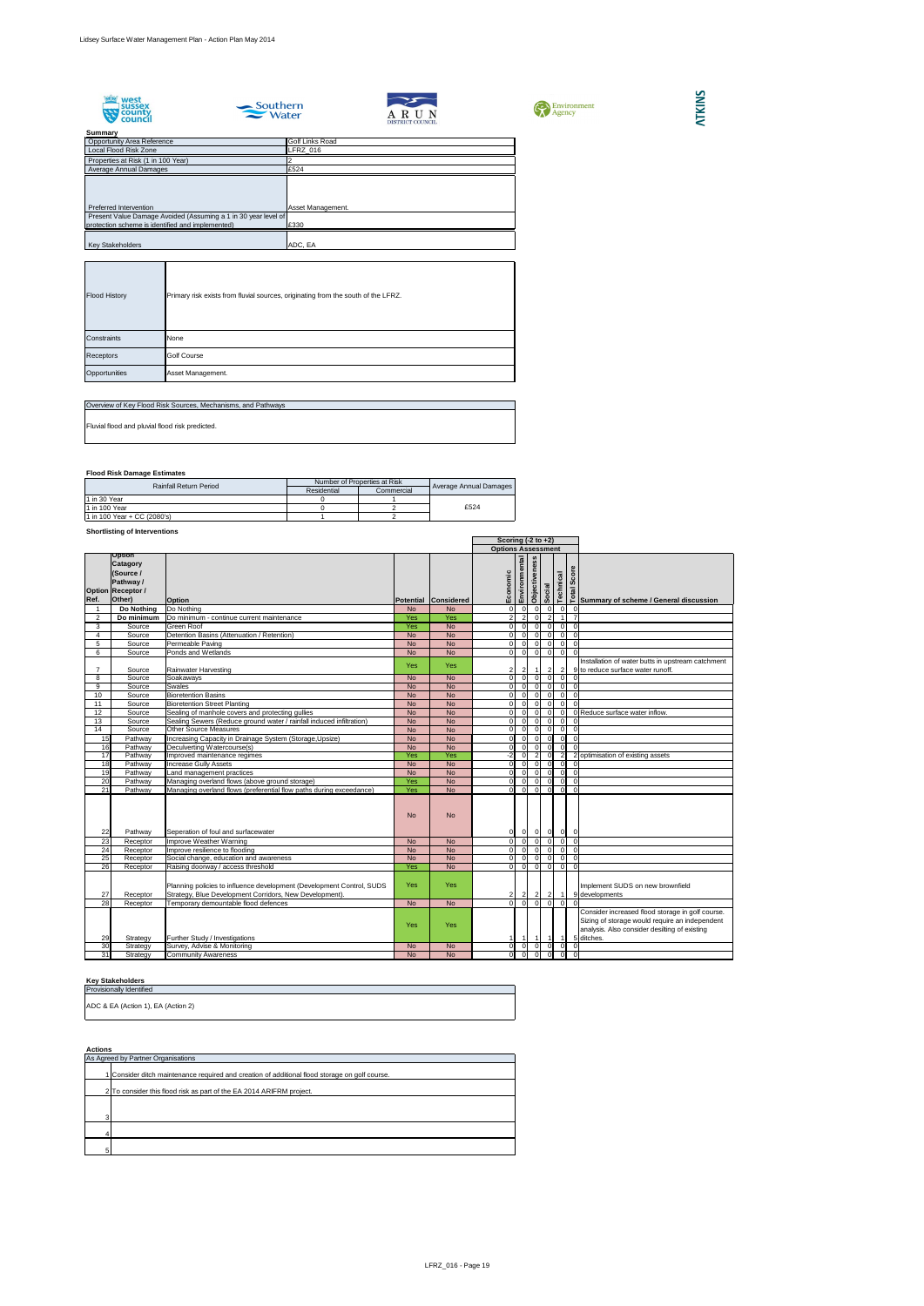









**Summary**

## **Flood Risk Damage Estimates**

## **Shortlisting of Interventions**

## **Key Stakeholders**

| <b>Opportunity Area Reference</b>                              | <b>Golf Links Road</b> |
|----------------------------------------------------------------|------------------------|
| <b>Local Flood Risk Zone</b>                                   | LFRZ_016               |
| Properties at Risk (1 in 100 Year)                             |                        |
| Average Annual Damages                                         | £524                   |
|                                                                |                        |
|                                                                |                        |
|                                                                |                        |
| Preferred Intervention                                         | Asset Management.      |
| Present Value Damage Avoided (Assuming a 1 in 30 year level of |                        |
| protection scheme is identified and implemented)               | £330                   |
|                                                                |                        |
| <b>Key Stakeholders</b>                                        | ADC, EA                |

|                 |                                                                                                  |                                                                                                                                  |                       |                      | Scoring $(-2 \text{ to } +2)$   |                                                  |                    |                |                                  |                          |                                                                                                                                                                   |
|-----------------|--------------------------------------------------------------------------------------------------|----------------------------------------------------------------------------------------------------------------------------------|-----------------------|----------------------|---------------------------------|--------------------------------------------------|--------------------|----------------|----------------------------------|--------------------------|-------------------------------------------------------------------------------------------------------------------------------------------------------------------|
|                 |                                                                                                  | <b>Options Assessment</b>                                                                                                        |                       |                      |                                 |                                                  |                    |                |                                  |                          |                                                                                                                                                                   |
| Ref.            | <b>Option</b><br><b>Catagory</b><br>(Source /<br>Pathway /<br><b>Option Receptor /</b><br>Other) | <b>Option</b>                                                                                                                    |                       | Potential Considered | Environmental<br>omic<br>Ŭ<br>⊞ |                                                  | ess<br>Objectivene | Social         | Technical                        | ທ                        | Summary of scheme / General discussion                                                                                                                            |
|                 |                                                                                                  | Do Nothing                                                                                                                       |                       |                      | $\Omega$                        | $\Omega$                                         | $\overline{0}$     | $\overline{0}$ |                                  |                          |                                                                                                                                                                   |
| $\overline{2}$  | Do Nothing<br>Do minimum                                                                         | Do minimum - continue current maintenance                                                                                        | N <sub>o</sub><br>Yes | <b>No</b><br>Yes     | $\overline{2}$                  | 2 <sub>l</sub>                                   | $\Omega$           | 2 <sup>1</sup> | $\overline{0}$<br>$\overline{1}$ | 0                        |                                                                                                                                                                   |
| 3               | Source                                                                                           | <b>Green Roof</b>                                                                                                                | Yes                   | <b>No</b>            | 0I                              | $\overline{0}$                                   | $\overline{0}$     | $\overline{0}$ | $\overline{0}$                   | $\Omega$                 |                                                                                                                                                                   |
| 4               | Source                                                                                           | Detention Basins (Attenuation / Retention)                                                                                       | <b>No</b>             | <b>No</b>            | 0I                              | $\overline{0}$                                   | $\Omega$           | 0              | $\overline{0}$                   | $\Omega$                 |                                                                                                                                                                   |
| 5               | Source                                                                                           | Permeable Paving                                                                                                                 | <b>No</b>             | <b>No</b>            | $\Omega$                        | $\Omega$                                         | $\overline{0}$     | $\overline{0}$ | $\overline{0}$                   | $\Omega$                 |                                                                                                                                                                   |
| 6               | Source                                                                                           | Ponds and Wetlands                                                                                                               | <b>No</b>             | <b>No</b>            | $\Omega$                        | 0                                                | $\overline{0}$     | $\overline{0}$ | $\overline{0}$                   | $\Omega$                 |                                                                                                                                                                   |
|                 | Source                                                                                           | Rainwater Harvesting                                                                                                             | <b>Yes</b>            | <b>Yes</b>           |                                 |                                                  |                    | $\overline{2}$ | $\overline{2}$                   |                          | Installation of water butts in upstream catchment<br>9 to reduce surface water runoff.                                                                            |
| 8               | Source                                                                                           | Soakaways                                                                                                                        | <b>No</b>             | <b>No</b>            | οI                              | $\Omega$                                         | $\Omega$           | $\overline{0}$ | $\overline{0}$                   |                          |                                                                                                                                                                   |
| 9               | Source                                                                                           | <b>Swales</b>                                                                                                                    | <b>No</b>             | <b>No</b>            | $\Omega$                        | $\Omega$                                         | $\Omega$           | $\overline{0}$ | $\overline{0}$                   |                          |                                                                                                                                                                   |
| 10              | Source                                                                                           | <b>Bioretention Basins</b>                                                                                                       | <b>No</b>             | <b>No</b>            |                                 | $\Omega$                                         | $\Omega$           | $\overline{0}$ | $\overline{0}$                   | 0                        |                                                                                                                                                                   |
| 11              | Source                                                                                           | <b>Bioretention Street Planting</b>                                                                                              | <b>No</b>             | <b>No</b>            |                                 | $\Omega$                                         | $\Omega$           | $\overline{0}$ | $\overline{0}$                   |                          |                                                                                                                                                                   |
| 12              | Source                                                                                           | Sealing of manhole covers and protecting gullies                                                                                 | <b>No</b>             | <b>No</b>            |                                 | $\Omega$                                         | $\Omega$           | $\Omega$       | $\overline{0}$                   |                          | 0 Reduce surface water inflow.                                                                                                                                    |
| 13              | Source                                                                                           | Sealing Sewers (Reduce ground water / rainfall induced infiltration)                                                             | <b>No</b>             | <b>No</b>            | ΩI                              | $\Omega$                                         | $\Omega$           | $\overline{0}$ | $\overline{0}$                   |                          |                                                                                                                                                                   |
| 14              | Source                                                                                           | <b>Other Source Measures</b>                                                                                                     | <b>No</b>             | <b>No</b>            | $\Omega$                        |                                                  | $\Omega$           | -OI            | $\overline{0}$                   | $\Omega$                 |                                                                                                                                                                   |
| 15              | Pathway                                                                                          | Increasing Capacity in Drainage System (Storage, Upsize)                                                                         | <b>No</b>             | <b>No</b>            | $\Omega$                        | $\Omega$                                         | $\Omega$           | $\overline{0}$ | $\overline{0}$                   | $\overline{0}$           |                                                                                                                                                                   |
| 16              | Pathway                                                                                          | Deculverting Watercourse(s)                                                                                                      | <b>No</b>             | <b>No</b>            | $\overline{0}$                  | $\Omega$                                         | $\Omega$           | -OI            | $\overline{0}$                   |                          |                                                                                                                                                                   |
| 17              | Pathway                                                                                          | Improved maintenance regimes                                                                                                     | Yes                   | Yes                  | $-2$                            |                                                  |                    | -OI            | $\overline{2}$                   |                          | 2 optimisation of existing assets                                                                                                                                 |
| 18              | Pathway                                                                                          | <b>Increase Gully Assets</b>                                                                                                     | <b>No</b>             | <b>No</b>            | $\overline{0}$                  | $\Omega$                                         | $\Omega$           | -OI            | 0                                |                          |                                                                                                                                                                   |
| 19              | Pathway                                                                                          | Land management practices                                                                                                        | <b>No</b>             | <b>No</b>            | $\Omega$                        | $\Omega$                                         |                    | $\overline{0}$ | $\overline{0}$                   |                          |                                                                                                                                                                   |
| 20              | Pathway                                                                                          | Managing overland flows (above ground storage)                                                                                   | Yes                   | <b>No</b>            |                                 | $\Omega$                                         | $\Omega$           | $\overline{0}$ | $\overline{0}$                   |                          |                                                                                                                                                                   |
| $\overline{21}$ | Pathway                                                                                          | Managing overland flows (preferential flow paths during exceedance)                                                              | Yes                   | <b>No</b>            | $\Omega$                        | $\Omega$                                         | $\Omega$           | $\Omega$       | $\overline{0}$                   | $\Omega$                 |                                                                                                                                                                   |
| 22              | Pathway                                                                                          | Seperation of foul and surfacewater                                                                                              | <b>No</b>             | <b>No</b>            | 0                               | $\begin{array}{ccc c} 0 & 0 & 0 & 0 \end{array}$ |                    |                |                                  | 0                        |                                                                                                                                                                   |
| 23              |                                                                                                  | Receptor   Improve Weather Warning                                                                                               | <b>No</b>             | No                   | 0                               |                                                  |                    |                |                                  | $\overline{\phantom{0}}$ |                                                                                                                                                                   |
| 24              | Receptor                                                                                         | Improve resilience to flooding                                                                                                   | <b>No</b>             | <b>No</b>            | 0I                              | $\Omega$                                         | $\overline{0}$     | $\overline{0}$ | - Ol                             |                          |                                                                                                                                                                   |
| 25              | Receptor                                                                                         | Social change, education and awareness                                                                                           | <b>No</b>             | <b>No</b>            | $\Omega$                        |                                                  | $\Omega$           | -OI            | 0                                |                          |                                                                                                                                                                   |
| 26              | Receptor                                                                                         | Raising doorway / access threshold                                                                                               | Yes                   | <b>No</b>            | $\overline{0}$                  | $\Omega$                                         |                    | $\overline{0}$ | $\overline{0}$                   |                          |                                                                                                                                                                   |
| 27              | Receptor                                                                                         | Planning policies to influence development (Development Control, SUDS<br>Strategy, Blue Development Corridors, New Development). | <b>Yes</b>            | <b>Yes</b>           | $\mathbf{2}$                    |                                                  | $\mathbf{2}$       | $\overline{2}$ | $\vert$ 1                        |                          | Implement SUDS on new brownfield<br>9 developments                                                                                                                |
| 28              | Receptor                                                                                         | Temporary demountable flood defences                                                                                             | <b>No</b>             | <b>No</b>            | ΟI                              | $\overline{0}$                                   | 0I                 | $\overline{0}$ | $\Omega$                         |                          |                                                                                                                                                                   |
| 29              | Strategy                                                                                         | Further Study / Investigations                                                                                                   | <b>Yes</b>            | <b>Yes</b>           |                                 |                                                  |                    | $\overline{1}$ | $\overline{1}$                   |                          | Consider increased flood storage in golf course.<br>Sizing of storage would require an independent<br>analysis. Also consider desilting of existing<br>5 ditches. |
| 30 <sup>°</sup> | Strategy                                                                                         | Survey, Advise & Monitoring                                                                                                      | <b>No</b>             | <b>No</b>            | 0                               | $\overline{0}$                                   | $\overline{0}$     | $\overline{0}$ | $\overline{0}$                   | $\Omega$                 |                                                                                                                                                                   |
| 31              | Strategy                                                                                         | <b>Community Awareness</b>                                                                                                       | <b>No</b>             | No                   | 0I                              | 0                                                |                    | $\overline{0}$ | 0                                | 0                        |                                                                                                                                                                   |

| <b>Flood History</b> | Primary risk exists from fluvial sources, originating from the south of the LFRZ. |
|----------------------|-----------------------------------------------------------------------------------|
| Constraints          | None                                                                              |
| Receptors            | <b>Golf Course</b>                                                                |
| Opportunities        | Asset Management.                                                                 |

| Overview of Key Flood Risk Sources, Mechanisms, and Pathways |
|--------------------------------------------------------------|
| Fluvial flood and pluvial flood risk predicted.              |
|                                                              |

| <b>Rainfall Return Period</b> | Number of Properties at Risk |            |                        |  |
|-------------------------------|------------------------------|------------|------------------------|--|
|                               | Residential                  | Commercial | Average Annual Damages |  |
| $1$ in 30 Year                |                              |            |                        |  |
| 11 in 100 Year                |                              |            | £524                   |  |
| 1 in 100 Year + CC (2080's)   |                              |            |                        |  |

| AULIUIIJ                                                                                       |  |  |  |  |  |  |  |
|------------------------------------------------------------------------------------------------|--|--|--|--|--|--|--|
| As Agreed by Partner Organisations                                                             |  |  |  |  |  |  |  |
| 1 Consider ditch maintenance required and creation of additional flood storage on golf course. |  |  |  |  |  |  |  |
| 2 To consider this flood risk as part of the EA 2014 ARIFRM project.                           |  |  |  |  |  |  |  |
|                                                                                                |  |  |  |  |  |  |  |
|                                                                                                |  |  |  |  |  |  |  |
|                                                                                                |  |  |  |  |  |  |  |
|                                                                                                |  |  |  |  |  |  |  |
|                                                                                                |  |  |  |  |  |  |  |

| <b>Provisionally Identified</b>    |
|------------------------------------|
| ADC & EA (Action 1), EA (Action 2) |
|                                    |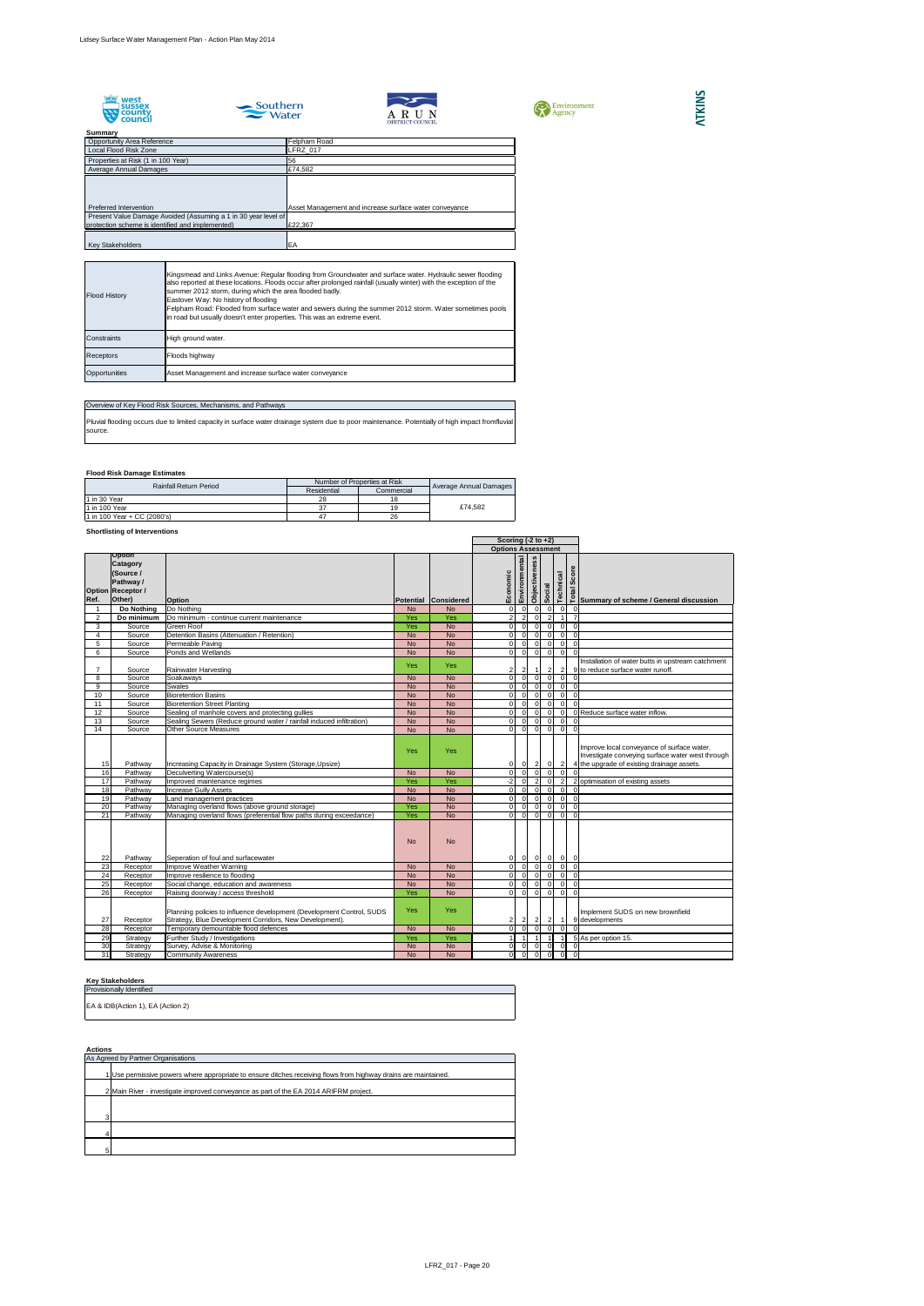







## **Summary** Properties at Risk (1 in 100 Year) 56 Opportunity Area Reference<br>
Local Flood Risk Zone<br>
Local Flood Risk Zone<br>
LERZ\_017 Local Flood Risk Zone Average Annual Damages Preferred Intervention **Asset Management and increase surface water conveyance**  Present Value Damage Avoided (Assuming a 1 in 30 year level of protection scheme is identified and implemented) £22,367 Key Stakeholders **EA**



## **Flood Risk Damage Estimates**

## **Shortlisting of Interventions**

## Overview of Key Flood Risk Sources, Mechanisms, and Pathways Pluvial flooding occurs due to limited capacity in surface water drainage system due to poor maintenance. Potentially of high impact fromfluvial source.

## **Key Stakeholders**

|                |                                                                                        |                                                                                                                                  |            |                           |                | Scoring $(-2 \text{ to } +2)$ |                           |                |                |                  |                                                                                                                                              |
|----------------|----------------------------------------------------------------------------------------|----------------------------------------------------------------------------------------------------------------------------------|------------|---------------------------|----------------|-------------------------------|---------------------------|----------------|----------------|------------------|----------------------------------------------------------------------------------------------------------------------------------------------|
|                |                                                                                        |                                                                                                                                  |            | <b>Options Assessment</b> |                |                               |                           |                |                |                  |                                                                                                                                              |
|                | <b>Option</b><br><b>Catagory</b><br>(Source /<br>Pathway /<br><b>Option Receptor /</b> |                                                                                                                                  |            |                           | Economic       | Environmental                 | ess<br><b>Objectivene</b> | Social         | Technical      | ore<br>Ø<br>Tota |                                                                                                                                              |
| Ref.           | Other)                                                                                 | <b>Option</b>                                                                                                                    |            | Potential Considered      |                |                               |                           |                |                |                  | Summary of scheme / General discussion                                                                                                       |
|                | <b>Do Nothing</b>                                                                      | Do Nothing                                                                                                                       | <b>No</b>  | <b>No</b>                 | $\Omega$       | $\Omega$                      | $\Omega$                  | $\overline{0}$ |                | 0 I              |                                                                                                                                              |
| $\overline{2}$ | Do minimum                                                                             | Do minimum - continue current maintenance                                                                                        | Yes        | Yes                       | $\overline{2}$ | 2                             | $\Omega$                  | 2              |                |                  |                                                                                                                                              |
| 3              | Source                                                                                 | <b>Green Roof</b>                                                                                                                | Yes        | <b>No</b>                 | $\Omega$       | $\Omega$                      | $\Omega$                  | $\overline{0}$ |                | $\overline{0}$   | $\Omega$                                                                                                                                     |
| 4              | Source                                                                                 | Detention Basins (Attenuation / Retention)                                                                                       | <b>No</b>  | <b>No</b>                 | $\Omega$       | $\Omega$                      | $\Omega$                  | $\overline{0}$ | $\overline{0}$ |                  |                                                                                                                                              |
| 5              | Source                                                                                 | Permeable Paving                                                                                                                 | <b>No</b>  | <b>No</b>                 | $\overline{0}$ | $\overline{0}$                | $\overline{0}$            | 0              |                | $\overline{0}$   | $\Omega$                                                                                                                                     |
| 6              | Source                                                                                 | Ponds and Wetlands                                                                                                               | <b>No</b>  | <b>No</b>                 | ΟI             | $\overline{0}$                | $\overline{0}$            | $\overline{0}$ | $\overline{0}$ |                  | $\Omega$                                                                                                                                     |
|                | Source                                                                                 | <b>Rainwater Harvesting</b>                                                                                                      | Yes        | <b>Yes</b>                | $\overline{c}$ |                               |                           | $\overline{2}$ |                | $\overline{2}$   | Installation of water butts in upstream catchment<br>9 to reduce surface water runoff.                                                       |
| 8              | Source                                                                                 | Soakaways                                                                                                                        | <b>No</b>  | <b>No</b>                 | $\overline{0}$ | $\Omega$                      | $\Omega$                  | $\overline{0}$ |                | 0 I              |                                                                                                                                              |
| 9              | Source                                                                                 | <b>Swales</b>                                                                                                                    | <b>No</b>  | <b>No</b>                 | $\Omega$       | $\Omega$                      | $\Omega$                  | -OI            |                | $\overline{0}$   | $\Omega$                                                                                                                                     |
| 10             | Source                                                                                 | <b>Bioretention Basins</b>                                                                                                       | <b>No</b>  | <b>No</b>                 | $\Omega$       | $\Omega$                      | $\Omega$                  | $\overline{0}$ |                | 0                | $\Omega$                                                                                                                                     |
| 11             | Source                                                                                 | <b>Bioretention Street Planting</b>                                                                                              | <b>No</b>  | <b>No</b>                 | $\Omega$       | $\Omega$                      | $\Omega$                  | -OI            | $\Omega$       |                  | $\Omega$                                                                                                                                     |
| 12             | Source                                                                                 | Sealing of manhole covers and protecting gullies                                                                                 | <b>No</b>  | <b>No</b>                 | $\Omega$       | $\Omega$                      | $\Omega$                  | -OI            | $\overline{0}$ |                  | 0 Reduce surface water inflow.                                                                                                               |
| 13             | Source                                                                                 | Sealing Sewers (Reduce ground water / rainfall induced infiltration)                                                             | <b>No</b>  | <b>No</b>                 | $\Omega$       | $\Omega$                      | $\Omega$                  | -OI            | $\overline{0}$ |                  |                                                                                                                                              |
| 14             | Source                                                                                 | <b>Other Source Measures</b>                                                                                                     | <b>No</b>  | <b>No</b>                 | $\Omega$       | $\overline{0}$                | $\Omega$                  | $\overline{0}$ |                | $\overline{0}$   | $\Omega$                                                                                                                                     |
| 15             | Pathway                                                                                | Increasing Capacity in Drainage System (Storage, Upsize)                                                                         | Yes        | <b>Yes</b>                | 01             | 0                             | $\vert$ 2                 | 0              |                | $\vert$ 2        | Improve local conveyance of surface water.<br>Investigate conveying surface water west through<br>4 the upgrade of existing drainage assets. |
| 16             | Pathway                                                                                | Deculverting Watercourse(s)                                                                                                      | <b>No</b>  | <b>No</b>                 | $\Omega$       | $\Omega$                      | $\Omega$                  | $\overline{0}$ | $\overline{0}$ |                  |                                                                                                                                              |
| 17             | Pathway                                                                                | Improved maintenance regimes                                                                                                     | Yes        | Yes                       | $-2$           | $\Omega$                      |                           | $\overline{0}$ | $\overline{2}$ |                  | 2 optimisation of existing assets                                                                                                            |
| 18             | Pathway                                                                                | <b>Increase Gully Assets</b>                                                                                                     | <b>No</b>  | <b>No</b>                 | $\Omega$       | $\Omega$                      | $\mathbf{0}$              | -OI            | $\overline{0}$ |                  | $\Omega$                                                                                                                                     |
| 19             | Pathway                                                                                | Land management practices                                                                                                        | <b>No</b>  | <b>No</b>                 | $\Omega$       | $\Omega$                      | $\Omega$                  | $\overline{0}$ | $\overline{0}$ |                  | $\Omega$                                                                                                                                     |
| 20             | Pathway                                                                                | Managing overland flows (above ground storage)                                                                                   | Yes        | <b>No</b>                 | $\Omega$       | $\Omega$                      | $\Omega$                  | $\overline{0}$ |                | $\overline{0}$   | $\Omega$                                                                                                                                     |
| 21             | Pathway                                                                                | Managing overland flows (preferential flow paths during exceedance)                                                              | Yes        | <b>No</b>                 | $\Omega$       | $\overline{0}$                | $\Omega$                  | $\overline{0}$ |                | $\overline{0}$   | $\Omega$                                                                                                                                     |
| 22             | Pathway                                                                                | Seperation of foul and surfacewater                                                                                              | <b>No</b>  | <b>No</b>                 | 01             | $\overline{0}$                | -OI                       | $\overline{0}$ |                | $ 0 $ 0          |                                                                                                                                              |
| 23             | Receptor                                                                               | Improve Weather Warning                                                                                                          | <b>No</b>  | <b>No</b>                 | ΩI             | $\Omega$                      | n I                       | $\overline{0}$ |                | $\overline{0}$   | $\Omega$                                                                                                                                     |
| 24             | Receptor                                                                               | Improve resilience to flooding                                                                                                   | <b>No</b>  | <b>No</b>                 | $\Omega$       | $\Omega$                      |                           | -OI            |                | $\overline{0}$   | $\Omega$                                                                                                                                     |
| 25             | Receptor                                                                               | Social change, education and awareness                                                                                           | <b>No</b>  | <b>No</b>                 | $\Omega$       | $\Omega$                      | $\Omega$                  | $\overline{0}$ |                | 0                | $\Omega$                                                                                                                                     |
| 26             | Receptor                                                                               | Raising doorway / access threshold                                                                                               | Yes        | <b>No</b>                 | $\Omega$       | $\Omega$                      | $\Omega$                  | $\overline{0}$ |                | $\overline{0}$   | $\Omega$                                                                                                                                     |
| 27             | Receptor                                                                               | Planning policies to influence development (Development Control, SUDS<br>Strategy, Blue Development Corridors, New Development). | <b>Yes</b> | <b>Yes</b>                | 2              |                               | $\mathbf{2}$              | $\overline{2}$ | -1             |                  | Implement SUDS on new brownfield<br>9 developments                                                                                           |
| 28             | Receptor                                                                               | Temporary demountable flood defences                                                                                             | <b>No</b>  | <b>No</b>                 | $\Omega$       | $\Omega$                      | $\Omega$                  | $\overline{0}$ | $\Omega$       |                  |                                                                                                                                              |
| 29             | Strategy                                                                               | Further Study / Investigations                                                                                                   | Yes        | Yes                       |                |                               | $\vert$ 1                 | $\vert$ 1      |                |                  | 5 As per option 15.                                                                                                                          |
| 30             | Strategy                                                                               | Survey, Advise & Monitoring                                                                                                      | <b>No</b>  | <b>No</b>                 | $\overline{0}$ | $\overline{0}$                | $\overline{0}$            | $\overline{0}$ |                | $\overline{0}$   | $\Omega$                                                                                                                                     |
| 31             | Strategy                                                                               | <b>Community Awareness</b>                                                                                                       | <b>No</b>  | <b>No</b>                 | $\overline{0}$ | 0                             | $\Omega$                  | $\overline{0}$ |                | $\overline{0}$   | 0                                                                                                                                            |

| <b>Flood History</b> | Kingsmead and Links Avenue: Regular flooding from Groundwater and surface water. Hydraulic sewer flooding<br>also reported at these locations. Floods occur after prolonged rainfall (usually winter) with the exception of the<br>summer 2012 storm, during which the area flooded badly.<br>Eastover Way: No history of flooding<br>Felpham Road: Flooded from surface water and sewers during the summer 2012 storm. Water sometimes pools<br>in road but usually doesn't enter properties. This was an extreme event. |
|----------------------|---------------------------------------------------------------------------------------------------------------------------------------------------------------------------------------------------------------------------------------------------------------------------------------------------------------------------------------------------------------------------------------------------------------------------------------------------------------------------------------------------------------------------|
| <b>I</b> Constraints | High ground water.                                                                                                                                                                                                                                                                                                                                                                                                                                                                                                        |
| <b>Receptors</b>     | Floods highway                                                                                                                                                                                                                                                                                                                                                                                                                                                                                                            |
| Opportunities        | Asset Management and increase surface water conveyance                                                                                                                                                                                                                                                                                                                                                                                                                                                                    |

| <b>Rainfall Return Period</b> | Number of Properties at Risk | <b>Average Annual Damages</b> |         |  |
|-------------------------------|------------------------------|-------------------------------|---------|--|
|                               | Residential                  | Commercial                    |         |  |
| 1 in 30 Year                  |                              | 18                            |         |  |
| 1 in 100 Year                 |                              | 19                            | £74.582 |  |
| 1 in 100 Year + CC (2080's)   | 47                           | 26                            |         |  |

| , , , , , , , , , |                                                                                                               |  |  |  |  |  |
|-------------------|---------------------------------------------------------------------------------------------------------------|--|--|--|--|--|
|                   | As Agreed by Partner Organisations                                                                            |  |  |  |  |  |
|                   | Use permissive powers where appropriate to ensure ditches receiving flows from highway drains are maintained. |  |  |  |  |  |
|                   | 2 Main River - investigate improved conveyance as part of the EA 2014 ARIFRM project.                         |  |  |  |  |  |
|                   |                                                                                                               |  |  |  |  |  |
| r                 |                                                                                                               |  |  |  |  |  |
|                   |                                                                                                               |  |  |  |  |  |
|                   |                                                                                                               |  |  |  |  |  |

| <b>Provisionally Identified</b>   |  |  |  |
|-----------------------------------|--|--|--|
|                                   |  |  |  |
| EA & IDB(Action 1), EA (Action 2) |  |  |  |
|                                   |  |  |  |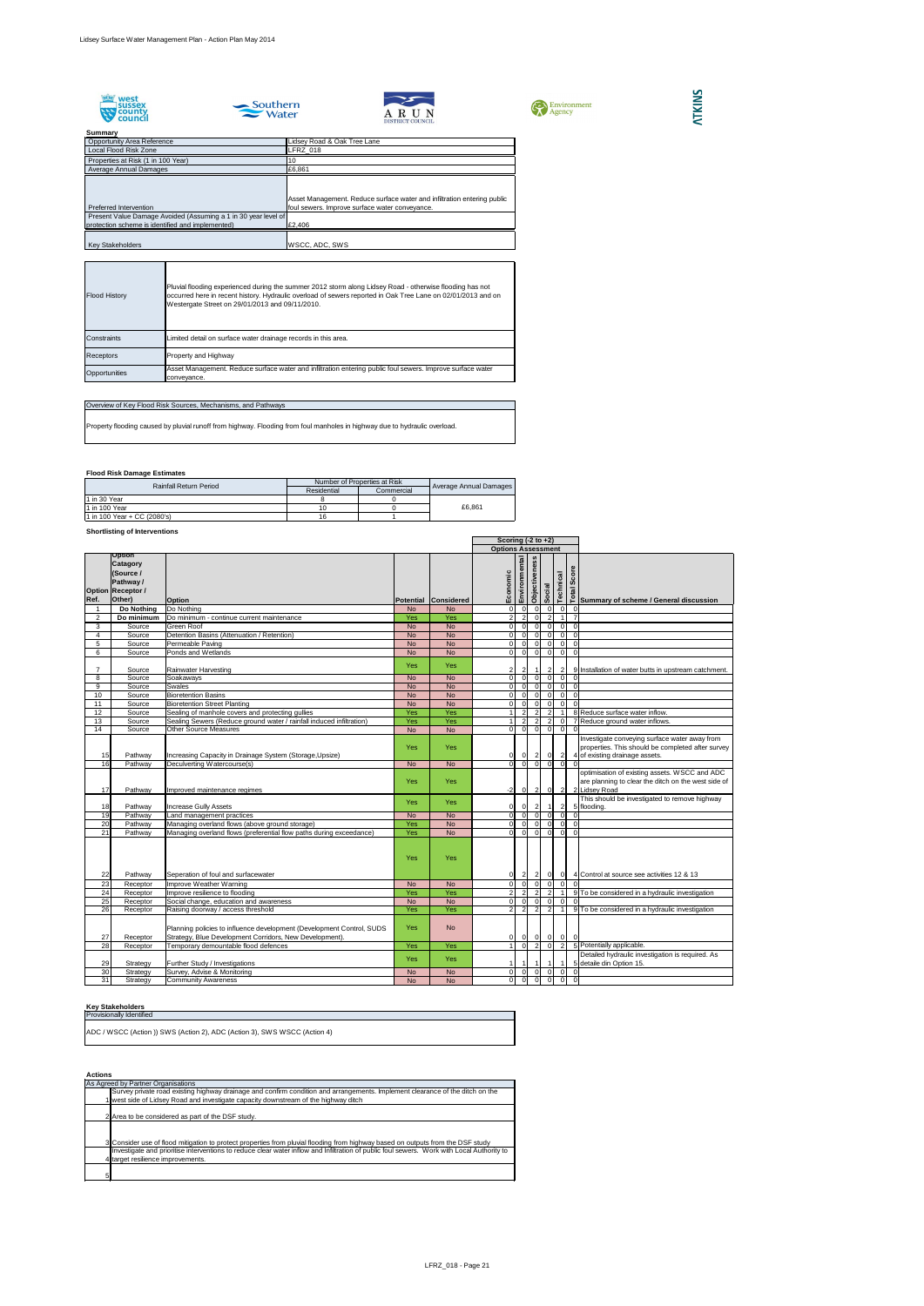









**Summary**

## **Flood Risk Damage Estimates**

## **Shortlisting of Interventions**

## **Key Stakeholders**

|                |                                                                                                          |                                                                                                                                  |            |                      |                | Scoring $(-2 \text{ to } +2)$    |                      |                |                |                                  |                                                                                                                                      |
|----------------|----------------------------------------------------------------------------------------------------------|----------------------------------------------------------------------------------------------------------------------------------|------------|----------------------|----------------|----------------------------------|----------------------|----------------|----------------|----------------------------------|--------------------------------------------------------------------------------------------------------------------------------------|
|                |                                                                                                          | <b>Options Assessment</b>                                                                                                        |            |                      |                |                                  |                      |                |                |                                  |                                                                                                                                      |
| Ref.           | <b>Option</b><br><b>Catagory</b><br>(Source /<br>Pathway /<br><b>Option Receptor /</b><br><b>Other</b> ) | <b>Option</b>                                                                                                                    |            | Potential Considered | Economic       | Environmental                    | <b>Objectiveness</b> | Social         | Technical      | Score<br>Tota                    | Summary of scheme / General discussion                                                                                               |
|                | <b>Do Nothing</b>                                                                                        | Do Nothing                                                                                                                       | <b>No</b>  | <b>No</b>            | $\Omega$       | $\Omega$                         | $\Omega$             | $\overline{0}$ | 0 I            |                                  |                                                                                                                                      |
| $\overline{2}$ | Do minimum                                                                                               | Do minimum - continue current maintenance                                                                                        | Yes        | Yes                  | 2              | $\overline{2}$                   | $\Omega$             | $\overline{2}$ |                |                                  |                                                                                                                                      |
| 3              | Source                                                                                                   | <b>Green Roof</b>                                                                                                                | <b>No</b>  | <b>No</b>            |                | $\Omega$<br>$\Omega$             | $\Omega$             | $\overline{0}$ |                | $\overline{0}$<br>$\Omega$       |                                                                                                                                      |
| 4              | Source                                                                                                   | Detention Basins (Attenuation / Retention)                                                                                       | <b>No</b>  | <b>No</b>            |                | $\Omega$<br>$\Omega$             | $\Omega$             | $\overline{0}$ | $\overline{0}$ |                                  |                                                                                                                                      |
| 5              | Source                                                                                                   | Permeable Paving                                                                                                                 | <b>No</b>  | <b>No</b>            |                | $\overline{0}$<br>$\overline{0}$ | $\overline{0}$       | $\circ$        | $\overline{0}$ | $\Omega$                         |                                                                                                                                      |
| 6              | Source                                                                                                   | Ponds and Wetlands                                                                                                               | <b>No</b>  | <b>No</b>            |                | ΟI<br>$\overline{0}$             | $\overline{0}$       | $\overline{0}$ | $\overline{0}$ | $\Omega$                         |                                                                                                                                      |
|                | Source                                                                                                   | <b>Rainwater Harvesting</b>                                                                                                      | <b>Yes</b> | <b>Yes</b>           |                |                                  |                      | $\overline{2}$ |                | $\overline{2}$                   | 9 Installation of water butts in upstream catchment.                                                                                 |
| 8              | Source                                                                                                   | Soakaways                                                                                                                        | <b>No</b>  | <b>No</b>            |                | $\overline{0}$<br>$\Omega$       | $\Omega$             | $\overline{0}$ | - O I          |                                  |                                                                                                                                      |
| 9              | Source                                                                                                   | <b>Swales</b>                                                                                                                    | <b>No</b>  | <b>No</b>            |                | $\Omega$<br>$\Omega$             | $\Omega$             | -OI            | 0 I            |                                  |                                                                                                                                      |
| 10             | Source                                                                                                   | <b>Bioretention Basins</b>                                                                                                       | <b>No</b>  | <b>No</b>            |                | $\Omega$<br>$\Omega$             | $\Omega$             | $\overline{0}$ | $\overline{0}$ | $\Omega$                         |                                                                                                                                      |
| 11             | Source                                                                                                   | <b>Bioretention Street Planting</b>                                                                                              | <b>No</b>  | <b>No</b>            |                | ΩI<br>$\Omega$                   | $\Omega$             | -OI            | $\Omega$       |                                  |                                                                                                                                      |
| 12             | Source                                                                                                   | Sealing of manhole covers and protecting gullies                                                                                 | Yes        | Yes                  |                | $\overline{2}$                   | $\overline{2}$       | $\overline{2}$ |                |                                  | 8 Reduce surface water inflow.                                                                                                       |
| 13             | Source                                                                                                   | Sealing Sewers (Reduce ground water / rainfall induced infiltration)                                                             | Yes        | Yes                  |                | $\mathcal{P}$<br>$\Omega$        | 2                    | $\overline{2}$ | $\overline{0}$ |                                  | 7 Reduce ground water inflows.                                                                                                       |
| 14             | Source                                                                                                   | <b>Other Source Measures</b>                                                                                                     | <b>No</b>  | <b>No</b>            |                | $\overline{0}$                   | $\Omega$             | $\overline{0}$ | $\Omega$       |                                  |                                                                                                                                      |
| 15             | Pathway                                                                                                  | Increasing Capacity in Drainage System (Storage, Upsize)                                                                         | <b>Yes</b> | <b>Yes</b>           |                | 0 <br>$\overline{0}$             | $\vert$ 2            | $\overline{0}$ | $\vert$ 2      |                                  | Investigate conveying surface water away from<br>properties. This should be completed after survey<br>4 of existing drainage assets. |
| 16             | Pathway                                                                                                  | Deculverting Watercourse(s)                                                                                                      | <b>No</b>  | <b>No</b>            |                | $\Omega$<br>$\overline{0}$       |                      | -OI            | $\Omega$       |                                  |                                                                                                                                      |
| 17             | Pathway                                                                                                  | Improved maintenance regimes                                                                                                     | Yes        | <b>Yes</b>           | $-2$           | 0                                | $\overline{2}$       | $\overline{0}$ |                | $\vert$ 2                        | optimisation of existing assets. WSCC and ADC<br>are planning to clear the ditch on the west side of<br>2 Lidsey Road                |
| 18             | Pathway                                                                                                  | <b>Increase Gully Assets</b>                                                                                                     | <b>Yes</b> | <b>Yes</b>           | $\overline{0}$ | $\overline{0}$                   | $\overline{2}$       | $\overline{1}$ | $\vert$ 2      |                                  | This should be investigated to remove highway<br>5 flooding.                                                                         |
| 19             | Pathway                                                                                                  | Land management practices                                                                                                        | <b>No</b>  | <b>No</b>            | $\overline{0}$ | 0                                | $\overline{0}$       | $\overline{0}$ | 0              |                                  |                                                                                                                                      |
| 20             | Pathway                                                                                                  | Managing overland flows (above ground storage)                                                                                   | Yes        | <b>No</b>            |                | 0I<br>-0 l                       | $\overline{0}$       | $\overline{0}$ | $\overline{0}$ | $\vert$ 0                        |                                                                                                                                      |
| 21             | Pathway                                                                                                  | Managing overland flows (preferential flow paths during exceedance)                                                              | Yes        | <b>No</b>            |                | 0 <br>$\overline{0}$             | $\overline{0}$       | $\overline{0}$ | $\overline{0}$ | $\vert 0 \vert$                  |                                                                                                                                      |
| 22             | Pathway                                                                                                  | Seperation of foul and surfacewater                                                                                              | <b>Yes</b> | <b>Yes</b>           |                | $\overline{0}$<br>$\mathbf{2}$   | <sup>2</sup>         | 0              | -01            |                                  | 4 Control at source see activities 12 & 13                                                                                           |
| 23             | Receptor                                                                                                 | Improve Weather Warning                                                                                                          | <b>No</b>  | <b>No</b>            |                | $\overline{0}$<br>$\overline{0}$ | $\overline{0}$       | $\overline{0}$ | $\overline{0}$ |                                  |                                                                                                                                      |
| 24             | Receptor                                                                                                 | Improve resilience to flooding                                                                                                   | Yes        | Yes                  |                | 2 <sub>l</sub><br>2 <sub>l</sub> | $\overline{2}$       | $\overline{2}$ |                |                                  | 9 To be considered in a hydraulic investigation                                                                                      |
| 25             | Receptor                                                                                                 | Social change, education and awareness                                                                                           | <b>No</b>  | <b>No</b>            |                | $\Omega$<br>$\overline{0}$       | $\overline{0}$       | $\overline{0}$ | $\overline{0}$ |                                  |                                                                                                                                      |
| 26             | Receptor                                                                                                 | Raising doorway / access threshold                                                                                               | <b>Yes</b> | <b>Yes</b>           | $\overline{2}$ | $\overline{2}$                   | $\overline{2}$       | <sup>2</sup>   |                |                                  | 9 To be considered in a hydraulic investigation                                                                                      |
| 27             | Receptor                                                                                                 | Planning policies to influence development (Development Control, SUDS<br>Strategy, Blue Development Corridors, New Development). | <b>Yes</b> | <b>No</b>            |                | 01<br> 0                         | 0                    | $\overline{0}$ |                | $\overline{0}$<br>$\overline{0}$ |                                                                                                                                      |
| 28             | Receptor                                                                                                 | Temporary demountable flood defences                                                                                             | Yes        | Yes                  |                | $\overline{0}$                   | $\mathcal{P}$        | $\Omega$       |                | $\overline{2}$                   | 5 Potentially applicable.                                                                                                            |
| 29             | Strategy                                                                                                 | Further Study / Investigations                                                                                                   | <b>Yes</b> | <b>Yes</b>           |                |                                  |                      |                |                |                                  | Detailed hydraulic investigation is required. As<br>5 detaile din Option 15.                                                         |
| 30             | Strategy                                                                                                 | Survey, Advise & Monitoring                                                                                                      | <b>No</b>  | <b>No</b>            |                | $\overline{0}$<br>$\overline{0}$ | $\overline{0}$       | $\overline{0}$ | 0              | $\overline{0}$                   |                                                                                                                                      |
| 31             | Strategy                                                                                                 | <b>Community Awareness</b>                                                                                                       | <b>No</b>  | <b>No</b>            |                | $\overline{0}$<br>$\overline{0}$ | $\Omega$             | $\overline{0}$ |                | $\overline{0}$<br>$\Omega$       |                                                                                                                                      |

| <b>Provisionally Identified</b>                                           |
|---------------------------------------------------------------------------|
|                                                                           |
| ADC / WSCC (Action )) SWS (Action 2), ADC (Action 3), SWS WSCC (Action 4) |

| As Agreed by Partner Organisations                                                                                                         |
|--------------------------------------------------------------------------------------------------------------------------------------------|
| Survey private road existing highway drainage and confirm condition and arrangements. Implement clearance of the ditch on the              |
| I west side of Lidsey Road and investigate capacity downstream of the highway ditch                                                        |
|                                                                                                                                            |
| 2 Area to be considered as part of the DSF study.                                                                                          |
|                                                                                                                                            |
|                                                                                                                                            |
| 3 Consider use of flood mitigation to protect properties from pluvial flooding from highway based on outputs from the DSF study            |
| Investigate and prioritise interventions to reduce clear water inflow and Infiltration of public foul sewers. Work with Local Authority to |
| 4 target resilience improvements.                                                                                                          |
|                                                                                                                                            |
|                                                                                                                                            |

| <b>Rainfall Return Period</b> | Number of Properties at Risk | <b>Average Annual Damages</b> |        |
|-------------------------------|------------------------------|-------------------------------|--------|
|                               | Residential                  | Commercial                    |        |
| 1 in 30 Year                  |                              |                               |        |
| 11 in 100 Year                |                              |                               | £6,861 |
| 1 in 100 Year + CC (2080's)   | 16                           |                               |        |

| Overview of Key Flood Risk Sources, Mechanisms, and Pathways                                                               |
|----------------------------------------------------------------------------------------------------------------------------|
| Property flooding caused by pluvial runoff from highway. Flooding from foul manholes in highway due to hydraulic overload. |

| <b>Flood History</b> | Pluvial flooding experienced during the summer 2012 storm along Lidsey Road - otherwise flooding has not<br>occurred here in recent history. Hydraulic overload of sewers reported in Oak Tree Lane on 02/01/2013 and on<br>Westergate Street on 29/01/2013 and 09/11/2010. |
|----------------------|-----------------------------------------------------------------------------------------------------------------------------------------------------------------------------------------------------------------------------------------------------------------------------|
| Constraints          | Limited detail on surface water drainage records in this area.                                                                                                                                                                                                              |
| <b>Receptors</b>     | Property and Highway                                                                                                                                                                                                                                                        |
| Opportunities        | Asset Management. Reduce surface water and infiltration entering public foul sewers. Improve surface water<br>conveyance.                                                                                                                                                   |

| <b>Opportunity Area Reference</b>                              | Lidsey Road & Oak Tree Lane                                             |
|----------------------------------------------------------------|-------------------------------------------------------------------------|
| Local Flood Risk Zone                                          | LFRZ_018                                                                |
| Properties at Risk (1 in 100 Year)                             | 10                                                                      |
| Average Annual Damages                                         | £6,861                                                                  |
|                                                                |                                                                         |
|                                                                |                                                                         |
|                                                                | Asset Management. Reduce surface water and infiltration entering public |
| Preferred Intervention                                         | foul sewers. Improve surface water conveyance.                          |
| Present Value Damage Avoided (Assuming a 1 in 30 year level of |                                                                         |
| protection scheme is identified and implemented)               | £2,406                                                                  |
|                                                                |                                                                         |
| <b>Key Stakeholders</b>                                        | <b>WSCC, ADC, SWS</b>                                                   |
|                                                                | Summary                                                                 |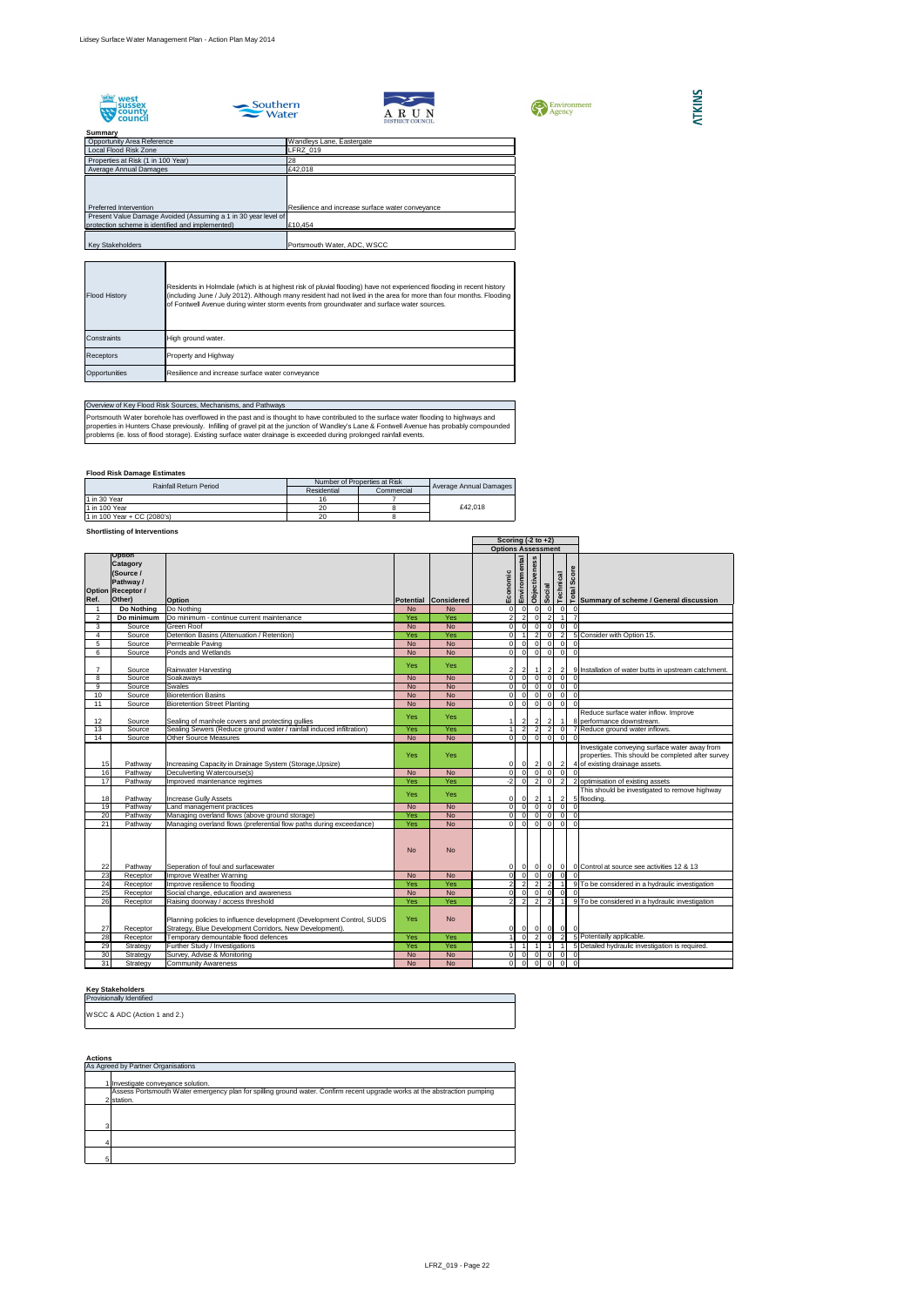









## **Summary**

## **Flood Risk Damage Estimates**

## **Shortlisting of Interventions**

|                 |                                                                                           |                                                                                                                                  |            |                      | Scoring $(-2 \text{ to } +2)$ |                |                |                |                                  |                                  |                                                                                                                                      |
|-----------------|-------------------------------------------------------------------------------------------|----------------------------------------------------------------------------------------------------------------------------------|------------|----------------------|-------------------------------|----------------|----------------|----------------|----------------------------------|----------------------------------|--------------------------------------------------------------------------------------------------------------------------------------|
|                 |                                                                                           |                                                                                                                                  |            |                      | <b>Options Assessment</b>     |                |                |                |                                  |                                  |                                                                                                                                      |
| Ref.            | Option<br><b>Catagory</b><br>(Source /<br>Pathway /<br><b>Option Receptor /</b><br>Other) | <b>Option</b>                                                                                                                    |            | Potential Considered | Economic                      | Environmental  | Objectiveness  | Social         | Technical                        | ore<br>$\tilde{\mathbf{o}}$<br>Ø | Summary of scheme / General discussion                                                                                               |
|                 | Do Nothing                                                                                | Do Nothing                                                                                                                       | <b>No</b>  | <b>No</b>            | $\Omega$                      | $\Omega$       | -OI            | $\overline{0}$ | $\overline{0}$                   |                                  |                                                                                                                                      |
| 2               | Do minimum                                                                                | Do minimum - continue current maintenance                                                                                        | Yes        | Yes                  | 2                             | $\mathcal{P}$  | $\overline{0}$ |                | $\overline{2}$                   |                                  |                                                                                                                                      |
| 3               | Source                                                                                    | <b>Green Roof</b>                                                                                                                | <b>No</b>  | <b>No</b>            | $\overline{0}$                | $\Omega$       | $\overline{0}$ | -ol            | $\overline{0}$                   | $\Omega$                         |                                                                                                                                      |
| 4               | Source                                                                                    | Detention Basins (Attenuation / Retention)                                                                                       | Yes        | Yes                  | $\Omega$                      |                | 2              |                | $\overline{2}$<br>$\overline{0}$ |                                  | 5 Consider with Option 15.                                                                                                           |
| 5               | Source                                                                                    | Permeable Paving                                                                                                                 | <b>No</b>  | <b>No</b>            | $\Omega$                      | $\Omega$       | $\overline{0}$ | $\overline{0}$ | $\overline{0}$                   |                                  |                                                                                                                                      |
| 6               | Source                                                                                    | Ponds and Wetlands                                                                                                               | <b>No</b>  | <b>No</b>            | $\Omega$                      | $\overline{0}$ | $\overline{0}$ | $\overline{0}$ | $\overline{0}$                   | $\Omega$                         |                                                                                                                                      |
|                 | Source                                                                                    | Rainwater Harvesting                                                                                                             | <b>Yes</b> | <b>Yes</b>           | $\overline{2}$                |                |                |                | $\overline{2}$<br>$\overline{2}$ |                                  | 9 Installation of water butts in upstream catchment.                                                                                 |
| 8               | Source                                                                                    | Soakaways                                                                                                                        | <b>No</b>  | <b>No</b>            | $\overline{0}$                |                | $\Omega$       | $\Omega$       | $\Omega$                         |                                  |                                                                                                                                      |
| 9               | Source                                                                                    | <b>Swales</b>                                                                                                                    | <b>No</b>  | <b>No</b>            | $\overline{0}$                | $\Omega$       | $\overline{0}$ | 0              | $\overline{0}$                   |                                  |                                                                                                                                      |
| 10              | Source                                                                                    | <b>Bioretention Basins</b>                                                                                                       | <b>No</b>  | <b>No</b>            | $\Omega$                      | $\Omega$       | $\overline{0}$ | 0              | $\overline{0}$                   |                                  |                                                                                                                                      |
| 11              | Source                                                                                    | <b>Bioretention Street Planting</b>                                                                                              | <b>No</b>  | <b>No</b>            | $\Omega$                      | $\Omega$       | $\Omega$       | $\overline{0}$ | $\overline{0}$                   |                                  |                                                                                                                                      |
|                 |                                                                                           |                                                                                                                                  | <b>Yes</b> | <b>Yes</b>           |                               |                |                |                |                                  |                                  | Reduce surface water inflow. Improve                                                                                                 |
| 12              | Source                                                                                    | Sealing of manhole covers and protecting gullies                                                                                 |            |                      |                               | $\overline{2}$ | $\overline{2}$ |                | $\overline{2}$<br>$\vert$ 1      |                                  | 8 performance downstream.                                                                                                            |
| 13              | Source                                                                                    | Sealing Sewers (Reduce ground water / rainfall induced infiltration)                                                             | Yes        | Yes                  |                               | $\overline{2}$ | $\overline{2}$ | $\overline{2}$ | $\overline{0}$                   |                                  | 7 Reduce ground water inflows.                                                                                                       |
| 14              | Source                                                                                    | <b>Other Source Measures</b>                                                                                                     | <b>No</b>  | <b>No</b>            | $\Omega$                      | 0              | $\overline{0}$ | $\overline{0}$ | .0                               |                                  |                                                                                                                                      |
| 15              | Pathway                                                                                   | Increasing Capacity in Drainage System (Storage, Upsize)                                                                         | Yes        | <b>Yes</b>           | 0                             | $\overline{0}$ | $\overline{2}$ | $\overline{0}$ | $\overline{2}$                   |                                  | Investigate conveying surface water away from<br>properties. This should be completed after survey<br>4 of existing drainage assets. |
| 16              | Pathway                                                                                   | Deculverting Watercourse(s)                                                                                                      | <b>No</b>  | <b>No</b>            | $\Omega$                      | $\Omega$       | $\Omega$       | $\overline{0}$ | .0                               |                                  |                                                                                                                                      |
| 17              | Pathway                                                                                   | Improved maintenance regimes                                                                                                     | Yes        | Yes                  | $-2$                          | $\overline{0}$ | $\overline{2}$ |                | $\overline{0}$<br>$\overline{2}$ |                                  | 2 optimisation of existing assets                                                                                                    |
| 18              | Pathway                                                                                   | <b>Increase Gully Assets</b>                                                                                                     | <b>Yes</b> | <b>Yes</b>           | $\overline{0}$                |                | 2 <sub>l</sub> | -1             |                                  | 2                                | This should be investigated to remove highway<br>5 flooding.                                                                         |
| 19              | Pathway                                                                                   | Land management practices                                                                                                        | <b>No</b>  | <b>No</b>            | $\overline{0}$                | $\Omega$       | $\overline{0}$ | $\overline{0}$ | $\overline{0}$                   |                                  |                                                                                                                                      |
| 20              | Pathway                                                                                   | Managing overland flows (above ground storage)                                                                                   | Yes        | <b>No</b>            | $\overline{0}$                | $\Omega$       | $\overline{0}$ |                | 0 <br>$\overline{0}$             | $\Omega$                         |                                                                                                                                      |
| 21              | Pathway                                                                                   | Managing overland flows (preferential flow paths during exceedance)                                                              | Yes        | <b>No</b>            | $\Omega$                      | $\Omega$       | $\overline{0}$ | $\overline{0}$ | $\overline{0}$                   | $\Omega$                         |                                                                                                                                      |
| 22              | Pathway                                                                                   | Seperation of foul and surfacewater                                                                                              | <b>No</b>  | <b>No</b>            | $\overline{0}$                |                | -01            | $\overline{0}$ | $\overline{0}$                   |                                  | 0 Control at source see activities 12 & 13                                                                                           |
| 23              | Receptor                                                                                  | Improve Weather Warning                                                                                                          | <b>No</b>  | <b>No</b>            | ΩI                            | $\overline{0}$ | $\overline{0}$ | $\overline{0}$ | 0                                |                                  |                                                                                                                                      |
| $\overline{24}$ | Receptor                                                                                  | Improve resilience to flooding                                                                                                   | Yes        | Yes                  |                               | 2              |                |                | $\mathcal{D}$                    |                                  | 9 To be considered in a hydraulic investigation                                                                                      |
| 25              | Receptor                                                                                  | Social change, education and awareness                                                                                           | <b>No</b>  | <b>No</b>            | 0                             | $\Omega$       | 0I             | . O I          | .0                               |                                  |                                                                                                                                      |
| 26              | Receptor                                                                                  | Raising doorway / access threshold                                                                                               | Yes        | Yes                  |                               | $\vert$ 2      | $\overline{2}$ | $\overline{2}$ | -1                               |                                  | 9 To be considered in a hydraulic investigation                                                                                      |
| 27              | Receptor                                                                                  | Planning policies to influence development (Development Control, SUDS<br>Strategy, Blue Development Corridors, New Development). | Yes        | <b>No</b>            | 01                            | 0I             | $\overline{0}$ | $\overline{0}$ | 0                                | 0                                |                                                                                                                                      |
| 28              | Receptor                                                                                  | Temporary demountable flood defences                                                                                             | Yes        | Yes                  |                               | $\overline{0}$ | $\overline{2}$ |                | $\overline{0}$                   | $\overline{2}$                   | 5 Potentially applicable.                                                                                                            |
| 29              | Strategy                                                                                  | Further Study / Investigations                                                                                                   | Yes        | Yes                  |                               | $\vert$ 1      | $\vert$ 1      | $\overline{1}$ |                                  |                                  | 5 Detailed hydraulic investigation is required.                                                                                      |
| 30              | Strategy                                                                                  | Survey, Advise & Monitoring                                                                                                      | <b>No</b>  | <b>No</b>            | 0                             | $\overline{0}$ | $\overline{0}$ | 0              | $\overline{0}$                   | $\overline{0}$                   |                                                                                                                                      |
| 31              | Strategy                                                                                  | <b>Community Awareness</b>                                                                                                       | <b>No</b>  | <b>No</b>            | $\overline{0}$                | $\overline{0}$ | $\overline{0}$ | $\overline{0}$ | $\overline{0}$                   | - 01                             |                                                                                                                                      |

#### **Key Stakeholders**

**Actions**

| 10112110110101010               |
|---------------------------------|
| <b>Provisionally Identified</b> |
| WSCC & ADC (Action 1 and 2.)    |

| <b>AVUVIIV</b> |                                                                                                                           |  |  |  |  |  |
|----------------|---------------------------------------------------------------------------------------------------------------------------|--|--|--|--|--|
|                | As Agreed by Partner Organisations                                                                                        |  |  |  |  |  |
|                |                                                                                                                           |  |  |  |  |  |
|                | Investigate conveyance solution.                                                                                          |  |  |  |  |  |
|                | Assess Portsmouth Water emergency plan for spilling ground water. Confirm recent upgrade works at the abstraction pumping |  |  |  |  |  |
|                | lstation.                                                                                                                 |  |  |  |  |  |
|                |                                                                                                                           |  |  |  |  |  |
|                |                                                                                                                           |  |  |  |  |  |
|                |                                                                                                                           |  |  |  |  |  |
|                |                                                                                                                           |  |  |  |  |  |
|                |                                                                                                                           |  |  |  |  |  |
|                |                                                                                                                           |  |  |  |  |  |
|                |                                                                                                                           |  |  |  |  |  |

## Overview of Key Flood Risk Sources, Mechanisms, and Pathways

|  | <b>Rainfall Return Period</b> | Number of Properties at Risk |            |                               |
|--|-------------------------------|------------------------------|------------|-------------------------------|
|  |                               | Residential                  | Commercial | <b>Average Annual Damages</b> |
|  | 11 in 30 Year                 | 16                           |            |                               |
|  | 11 in 100 Year                |                              |            | £42.018                       |
|  | 1 in 100 Year + CC (2080's)   |                              |            |                               |

Portsmouth Water borehole has overflowed in the past and is thought to have contributed to the surface water flooding to highways and properties in Hunters Chase previously. Infilling of gravel pit at the junction of Wandley's Lane & Fontwell Avenue has probably compounded problems (ie. loss of flood storage). Existing surface water drainage is exceeded during prolonged rainfall events.

| <b>Flood History</b> | Residents in Holmdale (which is at highest risk of pluvial flooding) have not experienced flooding in recent history<br>(including June / July 2012). Although many resident had not lived in the area for more than four months. Flooding<br>of Fontwell Avenue during winter storm events from groundwater and surface water sources. |
|----------------------|-----------------------------------------------------------------------------------------------------------------------------------------------------------------------------------------------------------------------------------------------------------------------------------------------------------------------------------------|
| <b>IConstraints</b>  | High ground water.                                                                                                                                                                                                                                                                                                                      |
| <b>Receptors</b>     | <b>Property and Highway</b>                                                                                                                                                                                                                                                                                                             |
| Opportunities        | Resilience and increase surface water conveyance                                                                                                                                                                                                                                                                                        |

| <b>JUILLINGLY</b>                                              |                                                  |
|----------------------------------------------------------------|--------------------------------------------------|
| <b>Opportunity Area Reference</b>                              | Wandleys Lane, Eastergate                        |
| Local Flood Risk Zone                                          | LFRZ_019                                         |
| Properties at Risk (1 in 100 Year)                             | 28                                               |
| Average Annual Damages                                         | £42,018                                          |
|                                                                |                                                  |
|                                                                |                                                  |
|                                                                |                                                  |
| Preferred Intervention                                         | Resilience and increase surface water conveyance |
| Present Value Damage Avoided (Assuming a 1 in 30 year level of |                                                  |
| protection scheme is identified and implemented)               | £10,454                                          |
|                                                                |                                                  |
| <b>Key Stakeholders</b>                                        | Portsmouth Water, ADC, WSCC                      |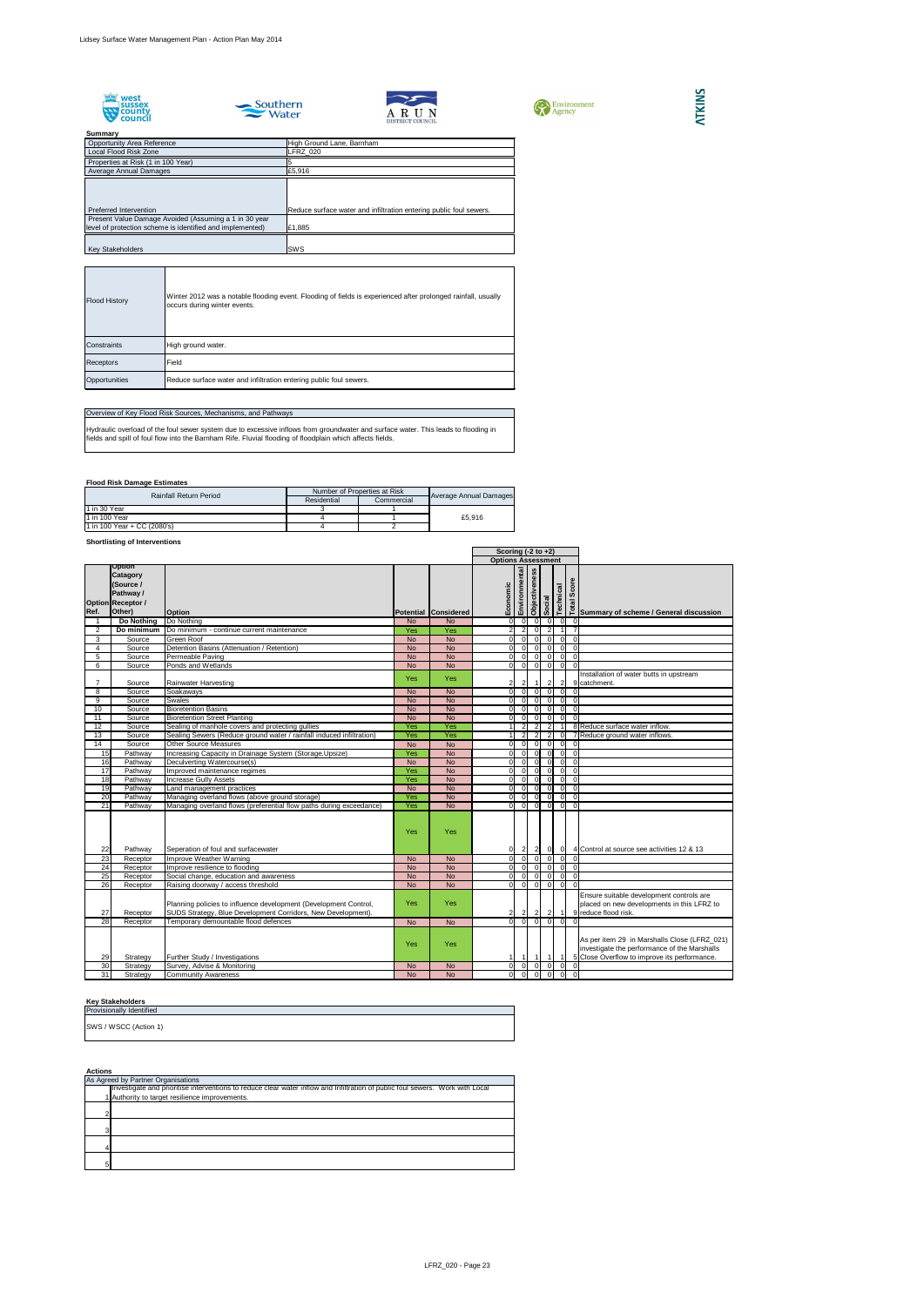





| Environment<br>Agency |
|-----------------------|
|-----------------------|

## **Summary** Properties at Risk (1 in 100 Year) 5 Opportunity Area Reference<br>
Local Flood Risk Zone<br>
Local Flood Risk Zone<br>
High Ground Lane, Barnham Local Flood Risk Zone Average Annual Damages **2008** 25,916

## **Flood Risk Damage Estimates**

## **Shortlisting of Interventions**

## **Key Stakeholders**

| <b>Preferred Intervention</b>                             | Reduce surface water and infiltration entering public foul sewers. |  |
|-----------------------------------------------------------|--------------------------------------------------------------------|--|
| Present Value Damage Avoided (Assuming a 1 in 30 year     |                                                                    |  |
| level of protection scheme is identified and implemented) | E1,885                                                             |  |
|                                                           |                                                                    |  |
| Kev Stakeholders                                          | ISWS                                                               |  |

|                 |                                                                                           |                                                                                                                                  |           | Scoring $(-2 \text{ to } +2)$ |                           |                          |                      |                |                |                                                  |                                                                                                                                                                                                                                                                                                         |
|-----------------|-------------------------------------------------------------------------------------------|----------------------------------------------------------------------------------------------------------------------------------|-----------|-------------------------------|---------------------------|--------------------------|----------------------|----------------|----------------|--------------------------------------------------|---------------------------------------------------------------------------------------------------------------------------------------------------------------------------------------------------------------------------------------------------------------------------------------------------------|
|                 |                                                                                           |                                                                                                                                  |           |                               | <b>Options Assessment</b> |                          |                      |                |                |                                                  |                                                                                                                                                                                                                                                                                                         |
| Ref.            | Option<br><b>Catagory</b><br>(Source /<br>Pathway /<br><b>Option Receptor /</b><br>Other) | <b>Option</b>                                                                                                                    |           | Potential Considered          | Economic                  | Environmental            | <b>Objectiveness</b> | lejoos         | Technical      |                                                  | economics<br>απολ<br>απολ<br>απολ<br>απολ<br>απολ<br>απολ<br>απολ<br>απολ<br>απολ<br>απολ<br>απολ<br>απολ<br>απολ<br>απολ<br>απολ<br>απολ<br>απολ<br>απολ<br>απολ<br>απολ<br>απολ<br>απολ<br>απολ<br>απολ<br>απολ<br>απολ<br>απολ<br>απολ<br>απολ<br>απολ<br>απολ<br>α<br>απολ<br>α<br>α<br>α<br>α<br>α |
|                 | Do Nothing                                                                                | Do Nothing                                                                                                                       | <b>No</b> | <b>No</b>                     | $\overline{0}$            | $\overline{0}$           | $\overline{0}$       | $\overline{0}$ | 0              | $\mathbf 0$                                      |                                                                                                                                                                                                                                                                                                         |
| 2               | Do minimum                                                                                | Do minimum - continue current maintenance                                                                                        | Yes       | Yes                           | $\overline{2}$            | $\overline{2}$           | $\Omega$             | $\overline{2}$ |                | $\overline{7}$                                   |                                                                                                                                                                                                                                                                                                         |
| 3               | Source                                                                                    | <b>Green Roof</b>                                                                                                                | <b>No</b> | <b>No</b>                     | $\overline{0}$            | $\overline{\phantom{0}}$ | $\overline{0}$       | $\Omega$       | 0              | $\overline{0}$                                   |                                                                                                                                                                                                                                                                                                         |
| 4               | Source                                                                                    | Detention Basins (Attenuation / Retention)                                                                                       | <b>No</b> | <b>No</b>                     | $\overline{0}$            | $\overline{0}$           | $\Omega$             | $\Omega$       | $\overline{0}$ | $\Omega$                                         |                                                                                                                                                                                                                                                                                                         |
| 5               | Source                                                                                    | Permeable Paving                                                                                                                 | <b>No</b> | <b>No</b>                     | $\overline{0}$            | $\overline{0}$           | $\Omega$             | $\Omega$       | $\overline{0}$ | $\Omega$                                         |                                                                                                                                                                                                                                                                                                         |
| 6               | Source                                                                                    | Ponds and Wetlands                                                                                                               | <b>No</b> | <b>No</b>                     | $\overline{0}$            | 0                        | $\Omega$             | $\mathbf 0$    | $\overline{0}$ | $\Omega$                                         |                                                                                                                                                                                                                                                                                                         |
|                 | Source                                                                                    | <b>Rainwater Harvesting</b>                                                                                                      | Yes       | Yes                           | $\mathbf{2}$              | $\overline{2}$           | $\overline{1}$       | $\overline{2}$ | $\vert$ 2      |                                                  | Installation of water butts in upstream<br>9 catchment.                                                                                                                                                                                                                                                 |
| 8               | Source                                                                                    | Soakaways                                                                                                                        | <b>No</b> | <b>No</b>                     | $\Omega$                  | 0                        | $\overline{0}$       | $\Omega$       | 0I             | $\Omega$                                         |                                                                                                                                                                                                                                                                                                         |
| 9               | Source                                                                                    | <b>Swales</b>                                                                                                                    | <b>No</b> | <b>No</b>                     | $\overline{0}$            | $\overline{0}$           | $\Omega$             | $\Omega$       | $\overline{0}$ | $\Omega$                                         |                                                                                                                                                                                                                                                                                                         |
| 10              | Source                                                                                    | <b>Bioretention Basins</b>                                                                                                       | <b>No</b> | <b>No</b>                     | $\overline{0}$            | $\overline{0}$           | . O I                | $\Omega$       | $\overline{0}$ | $\overline{0}$                                   |                                                                                                                                                                                                                                                                                                         |
| 11              | Source                                                                                    | <b>Bioretention Street Planting</b>                                                                                              | <b>No</b> | <b>No</b>                     | $\Omega$                  | $\overline{0}$           | - O I                | $\Omega$       | $\overline{0}$ | $\overline{0}$                                   |                                                                                                                                                                                                                                                                                                         |
| 12              | Source                                                                                    | Sealing of manhole covers and protecting gullies                                                                                 | Yes       | Yes                           |                           | 2                        | $\overline{2}$       | $\overline{2}$ |                |                                                  | 8 Reduce surface water inflow.                                                                                                                                                                                                                                                                          |
| 13              | Source                                                                                    | Sealing Sewers (Reduce ground water / rainfall induced infiltration)                                                             | Yes       | Yes                           |                           | 2                        | $\overline{2}$       | $\overline{2}$ | 0              |                                                  | 7 Reduce ground water inflows.                                                                                                                                                                                                                                                                          |
| 14              | Source                                                                                    | <b>Other Source Measures</b>                                                                                                     | <b>No</b> | <b>No</b>                     | Οl                        | 0                        | $\Omega$             | $\Omega$       | $\overline{0}$ | $\Omega$                                         |                                                                                                                                                                                                                                                                                                         |
| $\overline{15}$ | Pathway                                                                                   | Increasing Capacity in Drainage System (Storage, Upsize)                                                                         | Yes       | <b>No</b>                     | $\overline{0}$            | 0                        | 0I                   | $\Omega$       | 0I             | $\overline{0}$                                   |                                                                                                                                                                                                                                                                                                         |
| 16              | Pathway                                                                                   | Deculverting Watercourse(s)                                                                                                      | <b>No</b> | <b>No</b>                     | οI                        | 0I                       | - Ol                 | $\Omega$       | 0              | $\Omega$                                         |                                                                                                                                                                                                                                                                                                         |
| 17              | Pathway                                                                                   | Improved maintenance regimes                                                                                                     | Yes       | <b>No</b>                     | $\overline{0}$            | 0I                       | -0I                  | $\Omega$       | 0              | $\Omega$                                         |                                                                                                                                                                                                                                                                                                         |
| 18              | Pathway                                                                                   | <b>Increase Gully Assets</b>                                                                                                     | Yes       | <b>No</b>                     | $\overline{0}$            | 0l                       | 0I                   | $\Omega$       | 0              | $\overline{0}$                                   |                                                                                                                                                                                                                                                                                                         |
| 19              | Pathway                                                                                   | Land management practices                                                                                                        | <b>No</b> | <b>No</b>                     | $\overline{0}$            | 0                        | - Ol                 | $\Omega$       | 0l             | $\overline{0}$                                   |                                                                                                                                                                                                                                                                                                         |
| 20              | Pathway                                                                                   | Managing overland flows (above ground storage)                                                                                   | Yes       | <b>No</b>                     | $\overline{0}$            | 0                        | 0I                   | $\Omega$       | 0              | $\overline{0}$                                   |                                                                                                                                                                                                                                                                                                         |
| $\overline{21}$ | Pathway                                                                                   | Managing overland flows (preferential flow paths during exceedance)                                                              | Yes       | <b>No</b>                     | οI                        | $\overline{0}$           | $\Omega$             | n l            | 0              | $\Omega$                                         |                                                                                                                                                                                                                                                                                                         |
| 22              | Pathway                                                                                   | Seperation of foul and surfacewater                                                                                              | Yes       | Yes                           |                           | 0 <br>$\vert$ 2          |                      | 2 0            | 0              |                                                  | 4 Control at source see activities 12 & 13                                                                                                                                                                                                                                                              |
| $\overline{23}$ | Receptor                                                                                  | Improve Weather Warning                                                                                                          | <b>No</b> | <b>No</b>                     | 0                         | 0                        | $\overline{0}$       | $\overline{0}$ |                | $ 0 $ 0                                          |                                                                                                                                                                                                                                                                                                         |
| 24              | Receptor                                                                                  | Improve resilience to flooding                                                                                                   | <b>No</b> | <b>No</b>                     |                           | 0                        |                      | $0$ 0 0        |                | 0 <sub>0</sub>                                   |                                                                                                                                                                                                                                                                                                         |
| 25              | Receptor                                                                                  | Social change, education and awareness                                                                                           | <b>No</b> | <b>No</b>                     | 0I                        | 0                        | $\Omega$             | $\Omega$       |                | $0\begin{array}{ccc} 0 & 0 \\ 0 & 0 \end{array}$ |                                                                                                                                                                                                                                                                                                         |
| 26              | Receptor                                                                                  | Raising doorway / access threshold                                                                                               | <b>No</b> | <b>No</b>                     | 01                        | $\overline{0}$           | $\Omega$             | $\overline{0}$ | 0              | - 0                                              |                                                                                                                                                                                                                                                                                                         |
| 27              | Receptor                                                                                  | Planning policies to influence development (Development Control,<br>SUDS Strategy, Blue Development Corridors, New Development). | Yes       | <b>Yes</b>                    | 2                         | 2                        | $\sqrt{2}$           | $\vert$ 2      | $\overline{1}$ |                                                  | Ensure suitable development controls are<br>placed on new developments in this LFRZ to<br>9 reduce flood risk.                                                                                                                                                                                          |
| 28              | Receptor                                                                                  | Temporary demountable flood defences                                                                                             | <b>No</b> | <b>No</b>                     | $\overline{0}$            | $\overline{\phantom{0}}$ | $\overline{0}$       | $\overline{0}$ | 0I             | $\Omega$                                         |                                                                                                                                                                                                                                                                                                         |
| 29              | Strategy                                                                                  | Further Study / Investigations                                                                                                   | Yes       | Yes                           |                           |                          | $\overline{1}$       |                |                |                                                  | As per item 29 in Marshalls Close (LFRZ_021)<br>investigate the performance of the Marshalls<br>5 Close Overflow to improve its performance.                                                                                                                                                            |
| 30              | Strategy                                                                                  | Survey, Advise & Monitoring                                                                                                      | No        | No                            | 0                         | 0                        | . O I                | - O I          | 0              | $\mathbf 0$                                      |                                                                                                                                                                                                                                                                                                         |
| 31              | Strategy                                                                                  | <b>Community Awareness</b>                                                                                                       | <b>No</b> | <b>No</b>                     | $\overline{0}$            | $\overline{0}$           | -01                  | $\Omega$       | 0              | $\overline{\mathbf{0}}$                          |                                                                                                                                                                                                                                                                                                         |

**ATKINS** 

| <b>Flood History</b> | Winter 2012 was a notable flooding event. Flooding of fields is experienced after prolonged rainfall, usually<br>occurs during winter events. |
|----------------------|-----------------------------------------------------------------------------------------------------------------------------------------------|
| Constraints          | High ground water.                                                                                                                            |
| <b>Receptors</b>     | Field                                                                                                                                         |
| Opportunities        | Reduce surface water and infiltration entering public foul sewers.                                                                            |

## Overview of Key Flood Risk Sources, Mechanisms, and Pathways

Hydraulic overload of the foul sewer system due to excessive inflows from groundwater and surface water. This leads to flooding in fields and spill of foul flow into the Barnham Rife. Fluvial flooding of floodplain which affects fields.

| <b>Rainfall Return Period</b> | Number of Properties at Risk |            |                        |  |
|-------------------------------|------------------------------|------------|------------------------|--|
|                               | Residential                  | Commercial | Average Annual Damages |  |
| 1 in 30 Year                  |                              |            |                        |  |
| 11 in 100 Year                |                              |            | £5.916                 |  |
| 1 in 100 Year + CC (2080's)   |                              |            |                        |  |

| <b>Actions</b> |                                                                                                                               |
|----------------|-------------------------------------------------------------------------------------------------------------------------------|
|                | As Agreed by Partner Organisations                                                                                            |
|                | Investigate and prioritise interventions to reduce clear water inflow and Infiltration of public foul sewers. Work with Local |
|                | 1 Authority to target resilience improvements.                                                                                |
|                |                                                                                                                               |
| ⌒              |                                                                                                                               |
|                |                                                                                                                               |
| 2              |                                                                                                                               |
|                |                                                                                                                               |
|                |                                                                                                                               |
|                |                                                                                                                               |
| 5              |                                                                                                                               |

| <b>Provisionally Identified</b> |
|---------------------------------|
| SWS / WSCC (Action 1)           |
|                                 |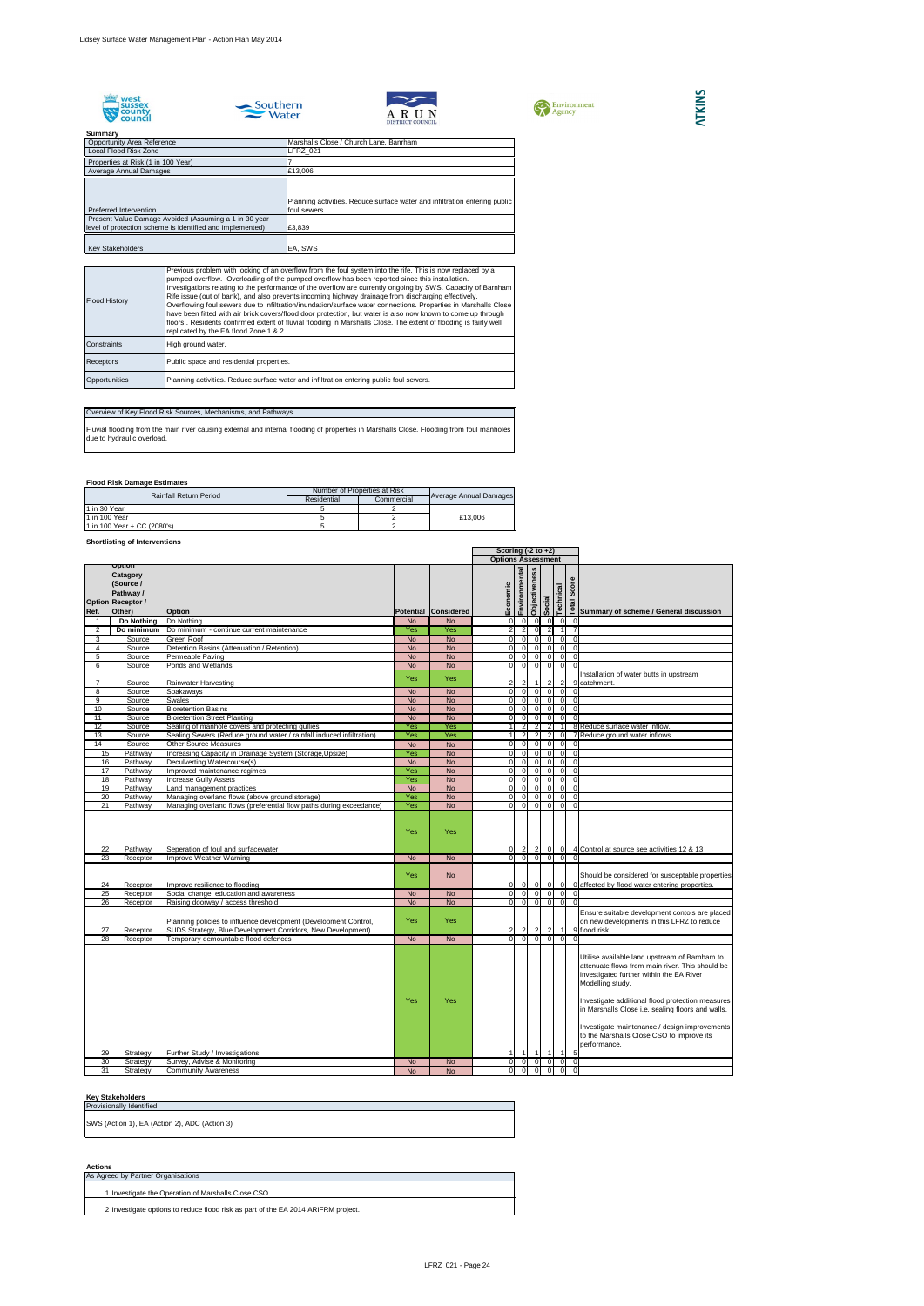









## **Summary**

## **Flood Risk Damage Estimates**

## **Shortlisting of Interventions**

## **Key Stakeholders**

## **Actions**

| <b>Opportunity Area Reference</b><br>Local Flood Risk Zone                                                         | Marshalls Close / Church Lane, Banrham                                                     |
|--------------------------------------------------------------------------------------------------------------------|--------------------------------------------------------------------------------------------|
| Properties at Risk (1 in 100 Year)                                                                                 | <b>LFRZ 021</b>                                                                            |
| Average Annual Damages                                                                                             | £13,006                                                                                    |
| <b>Preferred Intervention</b>                                                                                      | Planning activities. Reduce surface water and infiltration entering public<br>foul sewers. |
| Present Value Damage Avoided (Assuming a 1 in 30 year<br>level of protection scheme is identified and implemented) | £3,839                                                                                     |
| <b>Key Stakeholders</b>                                                                                            | EA, SWS                                                                                    |

|                 |                                                                                                  |                                                                                                                                  |            |                        | Scoring $(-2 \text{ to } +2)$ |                                  |                      |                                  |           |                                                  |                                                                                                                                                                                                                                                                           |
|-----------------|--------------------------------------------------------------------------------------------------|----------------------------------------------------------------------------------------------------------------------------------|------------|------------------------|-------------------------------|----------------------------------|----------------------|----------------------------------|-----------|--------------------------------------------------|---------------------------------------------------------------------------------------------------------------------------------------------------------------------------------------------------------------------------------------------------------------------------|
|                 |                                                                                                  |                                                                                                                                  |            |                        | <b>Options Assessment</b>     |                                  |                      |                                  |           |                                                  |                                                                                                                                                                                                                                                                           |
| Ref.            | <b>Option</b><br><b>Catagory</b><br>(Source /<br>Pathway /<br><b>Option Receptor /</b><br>Other) | <b>Option</b>                                                                                                                    |            | Potential Considered   | nomic<br>Ecor                 | Environmental                    | <b>Objectiveness</b> | Social                           | Technical | Score                                            | as<br>b⊂Summary of scheme / General discussion                                                                                                                                                                                                                            |
|                 | Do Nothing                                                                                       | Do Nothing                                                                                                                       | <b>No</b>  | <b>No</b>              | 0                             | 0                                | -01                  | - O I                            |           | - 0 I<br>$\overline{0}$                          |                                                                                                                                                                                                                                                                           |
| 2               | Do minimum                                                                                       | Do minimum - continue current maintenance                                                                                        | Yes        | Yes                    | $2\vert$                      | $\mathbf{2}$                     | $\Omega$             | -2                               |           |                                                  |                                                                                                                                                                                                                                                                           |
| 3               | Source                                                                                           | <b>Green Roof</b>                                                                                                                | <b>No</b>  | <b>No</b>              | $\overline{0}$                | $\overline{0}$                   | $\Omega$             | $\Omega$                         |           | <sup>0</sup><br>$\Omega$                         |                                                                                                                                                                                                                                                                           |
| 4               | Source                                                                                           | Detention Basins (Attenuation / Retention)                                                                                       | <b>No</b>  | <b>No</b>              | $\overline{0}$                | $\overline{0}$                   | $\Omega$             | $\Omega$                         |           | $\overline{0}$<br>$\overline{0}$                 |                                                                                                                                                                                                                                                                           |
| 5               | Source                                                                                           | Permeable Paving                                                                                                                 | <b>No</b>  | <b>No</b>              | 0                             | $\overline{0}$                   | $\overline{0}$       | $\overline{0}$                   |           | $\overline{0}$<br>$\overline{0}$                 |                                                                                                                                                                                                                                                                           |
| 6               | Source                                                                                           | Ponds and Wetlands                                                                                                               | <b>No</b>  | <b>No</b>              | $\overline{0}$                | -ol                              | $\Omega$             | $\overline{0}$                   |           | $\overline{0}$<br>$\Omega$                       |                                                                                                                                                                                                                                                                           |
|                 |                                                                                                  |                                                                                                                                  | Yes        | Yes                    |                               |                                  | $\overline{1}$       |                                  |           |                                                  | Installation of water butts in upstream<br>9 catchment.                                                                                                                                                                                                                   |
| 8               | Source<br>Source                                                                                 | Rainwater Harvesting<br>Soakaways                                                                                                | <b>No</b>  | <b>No</b>              | $2\vert$<br> 0                | $\overline{2}$<br>-ol            | $\overline{0}$       | $\overline{2}$<br>$\overline{0}$ |           | $\mathbf{2}$<br>$\overline{0}$<br>$\overline{0}$ |                                                                                                                                                                                                                                                                           |
| 9               | Source                                                                                           | <b>Swales</b>                                                                                                                    | <b>No</b>  | <b>No</b>              | 0                             | -ol                              | $\overline{0}$       | $\overline{0}$                   |           | $\overline{0}$<br>$\overline{0}$                 |                                                                                                                                                                                                                                                                           |
| 10              | Source                                                                                           | <b>Bioretention Basins</b>                                                                                                       | <b>No</b>  | <b>No</b>              | 0                             | $\overline{0}$                   | $\overline{0}$       | $\overline{0}$                   |           | $\overline{0}$<br>$\overline{0}$                 |                                                                                                                                                                                                                                                                           |
| 11              | Source                                                                                           | <b>Bioretention Street Planting</b>                                                                                              | <b>No</b>  | <b>No</b>              | 0I                            | $\overline{0}$                   | - O I                | $\overline{0}$                   |           | $\mathbf 0$<br><sup>0</sup>                      |                                                                                                                                                                                                                                                                           |
| 12              | Source                                                                                           | Sealing of manhole covers and protecting gullies                                                                                 | Yes        | Yes                    |                               | $\overline{2}$                   | $\overline{2}$       | $\overline{2}$                   |           |                                                  | 8 Reduce surface water inflow.                                                                                                                                                                                                                                            |
| 13              | Source                                                                                           | Sealing Sewers (Reduce ground water / rainfall induced infiltration)                                                             | Yes        | Yes                    |                               | $\overline{2}$                   | $\overline{2}$       | $\overline{2}$                   |           | $\overline{0}$                                   | 7 Reduce ground water inflows.                                                                                                                                                                                                                                            |
| 14              | Source                                                                                           | <b>Other Source Measures</b>                                                                                                     | <b>No</b>  | <b>No</b>              | $\overline{0}$                | -01                              | $\Omega$             | $\Omega$                         |           | $\Omega$<br>$\Omega$                             |                                                                                                                                                                                                                                                                           |
| 15              | Pathway                                                                                          | Increasing Capacity in Drainage System (Storage, Upsize)                                                                         | Yes        | <b>No</b>              | 0                             | $\overline{0}$                   | $\overline{0}$       | $\Omega$                         |           | $\overline{0}$<br>$\overline{0}$                 |                                                                                                                                                                                                                                                                           |
| 16              | Pathway                                                                                          | Deculverting Watercourse(s)                                                                                                      | <b>No</b>  | <b>No</b>              | 0                             | $\overline{0}$                   | $\Omega$             | $\mathbf 0$                      |           | 0 <br>$\overline{0}$                             |                                                                                                                                                                                                                                                                           |
| 17              | Pathway                                                                                          | Improved maintenance regimes                                                                                                     | Yes        | <b>No</b>              | $\overline{0}$                | $\overline{0}$                   | $\overline{0}$       | $\overline{0}$                   |           | $\overline{0}$<br>$\overline{0}$                 |                                                                                                                                                                                                                                                                           |
| 18              | Pathway                                                                                          | <b>Increase Gully Assets</b>                                                                                                     | Yes        | <b>No</b>              | $\overline{0}$                | $\overline{0}$                   |                      |                                  |           | $\overline{0}$<br>$\Omega$                       |                                                                                                                                                                                                                                                                           |
| 19              | Pathway                                                                                          | Land management practices                                                                                                        | <b>No</b>  | <b>No</b>              | $\overline{0}$                | $\overline{0}$                   | $\Omega$             | $\Omega$                         |           | $\overline{0}$<br>$\overline{0}$                 |                                                                                                                                                                                                                                                                           |
| 20<br>21        | Pathway<br>Pathway                                                                               | Managing overland flows (above ground storage)<br>Managing overland flows (preferential flow paths during exceedance)            | Yes<br>Yes | <b>No</b><br><b>No</b> | $\overline{0}$<br>0I          | $\overline{0}$<br>$\overline{0}$ | -01<br>$\Omega$      | $\Omega$<br>$\Omega$             | $\Omega$  | $\Omega$<br>$\overline{0}$<br>$\Omega$           |                                                                                                                                                                                                                                                                           |
|                 |                                                                                                  |                                                                                                                                  | Yes        | Yes                    |                               |                                  |                      |                                  |           |                                                  |                                                                                                                                                                                                                                                                           |
| 22              | Pathway                                                                                          | Seperation of foul and surfacewater                                                                                              |            |                        |                               | 0 <br>0 0 0 0 0 0                |                      |                                  |           |                                                  | 2 2 0 0 4 Control at source see activities 12 & 13                                                                                                                                                                                                                        |
| 23<br>24        | Receptor<br>Receptor                                                                             | Improve Weather Warning<br>Improve resilience to flooding                                                                        | No<br>Yes  | No<br><b>No</b>        |                               | $ 0 $ $ 0 $ $ 0 $ $ 0 $          |                      |                                  |           |                                                  | Should be considered for susceptable properties<br>0 affected by flood water entering properties.                                                                                                                                                                         |
| $\overline{25}$ | Receptor                                                                                         | Social change, education and awareness                                                                                           | <b>No</b>  | <b>No</b>              | $\overline{O}$                | $\overline{0}$                   | -01                  | - O I                            |           |                                                  |                                                                                                                                                                                                                                                                           |
| 26              | Receptor                                                                                         | Raising doorway / access threshold                                                                                               | <b>No</b>  | <b>No</b>              | 0                             | $\overline{0}$                   | $\Omega$             | $\overline{0}$                   |           | $\overline{0}$<br>$\Omega$                       |                                                                                                                                                                                                                                                                           |
| 27              | Receptor                                                                                         | Planning policies to influence development (Development Control,<br>SUDS Strategy, Blue Development Corridors, New Development). | Yes        | Yes                    | $\overline{2}$                | $\overline{2}$                   | $\overline{2}$       | $\vert$ 2                        |           | $\overline{1}$                                   | Ensure suitable development contols are placed<br>on new developments in this LFRZ to reduce<br>9 flood risk.                                                                                                                                                             |
| 28              | Receptor                                                                                         | Temporary demountable flood defences                                                                                             | <b>No</b>  | <b>No</b>              | $\overline{0}$                | -OI                              |                      |                                  |           |                                                  |                                                                                                                                                                                                                                                                           |
|                 |                                                                                                  |                                                                                                                                  | Yes        | Yes                    |                               |                                  |                      |                                  |           |                                                  | Utilise available land upstream of Barnham to<br>attenuate flows from main river. This should be<br>investigated further within the EA River<br>Modelling study.<br>Investigate additional flood protection measures<br>in Marshalls Close i.e. sealing floors and walls. |
| 29<br>30        | Strategy<br>Strategy                                                                             | Further Study / Investigations<br>Survey, Advise & Monitoring                                                                    | <b>No</b>  | <b>No</b>              | 0                             | $\overline{1}$<br> 0             | $\mathbf 1$          | -1                               |           | 5<br>$\Omega$<br>$\overline{0}$                  | Investigate maintenance / design improvements<br>to the Marshalls Close CSO to improve its<br>performance.                                                                                                                                                                |
| 31              | Strategy                                                                                         | <b>Community Awareness</b>                                                                                                       | <b>No</b>  | <b>No</b>              | $\overline{0}$                | -ol                              |                      |                                  |           | $\overline{0}$<br>$\Omega$                       |                                                                                                                                                                                                                                                                           |
|                 |                                                                                                  |                                                                                                                                  |            |                        |                               |                                  |                      |                                  |           |                                                  |                                                                                                                                                                                                                                                                           |

| <b>Flood History</b> | Previous problem with locking of an overflow from the foul system into the rife. This is now replaced by a<br>pumped overflow. Overloading of the pumped overflow has been reported since this installation.<br>Investigations relating to the performance of the overflow are currently ongoing by SWS. Capacity of Barnham<br>Rife issue (out of bank), and also prevents incoming highway drainage from discharging effectively.<br>Overflowing foul sewers due to infiltration/inundation/surface water connections. Properties in Marshalls Close<br>have been fitted with air brick covers/flood door protection, but water is also now known to come up through<br>floors Residents confirmed extent of fluvial flooding in Marshalls Close. The extent of flooding is fairly well<br>replicated by the EA flood Zone 1 & 2. |
|----------------------|-------------------------------------------------------------------------------------------------------------------------------------------------------------------------------------------------------------------------------------------------------------------------------------------------------------------------------------------------------------------------------------------------------------------------------------------------------------------------------------------------------------------------------------------------------------------------------------------------------------------------------------------------------------------------------------------------------------------------------------------------------------------------------------------------------------------------------------|
| Constraints          | High ground water.                                                                                                                                                                                                                                                                                                                                                                                                                                                                                                                                                                                                                                                                                                                                                                                                                  |
| <b>Receptors</b>     | Public space and residential properties.                                                                                                                                                                                                                                                                                                                                                                                                                                                                                                                                                                                                                                                                                                                                                                                            |
| Opportunities        | Planning activities. Reduce surface water and infiltration entering public foul sewers.                                                                                                                                                                                                                                                                                                                                                                                                                                                                                                                                                                                                                                                                                                                                             |

## Overview of Key Flood Risk Sources, Mechanisms, and Pathways

Fluvial flooding from the main river causing external and internal flooding of properties in Marshalls Close. Flooding from foul manholes due to hydraulic overload.

| As Agreed by Partner Organisations                                                |  |
|-----------------------------------------------------------------------------------|--|
|                                                                                   |  |
| 1 Investigate the Operation of Marshalls Close CSO                                |  |
|                                                                                   |  |
| 2 Investigate options to reduce flood risk as part of the EA 2014 ARIFRM project. |  |

| <b>Rainfall Return Period</b> |                             | Number of Properties at Risk | <b>Average Annual Damages</b> |         |  |
|-------------------------------|-----------------------------|------------------------------|-------------------------------|---------|--|
|                               |                             | Residential                  | Commercial                    |         |  |
|                               | 1 in 30 Year                |                              |                               |         |  |
|                               | 1 in 100 Year               |                              |                               | £13,006 |  |
|                               | 1 in 100 Year + CC (2080's) |                              |                               |         |  |

| TWY URINGITURGI U                             |
|-----------------------------------------------|
| <b>Provisionally Identified</b>               |
| SWS (Action 1), EA (Action 2), ADC (Action 3) |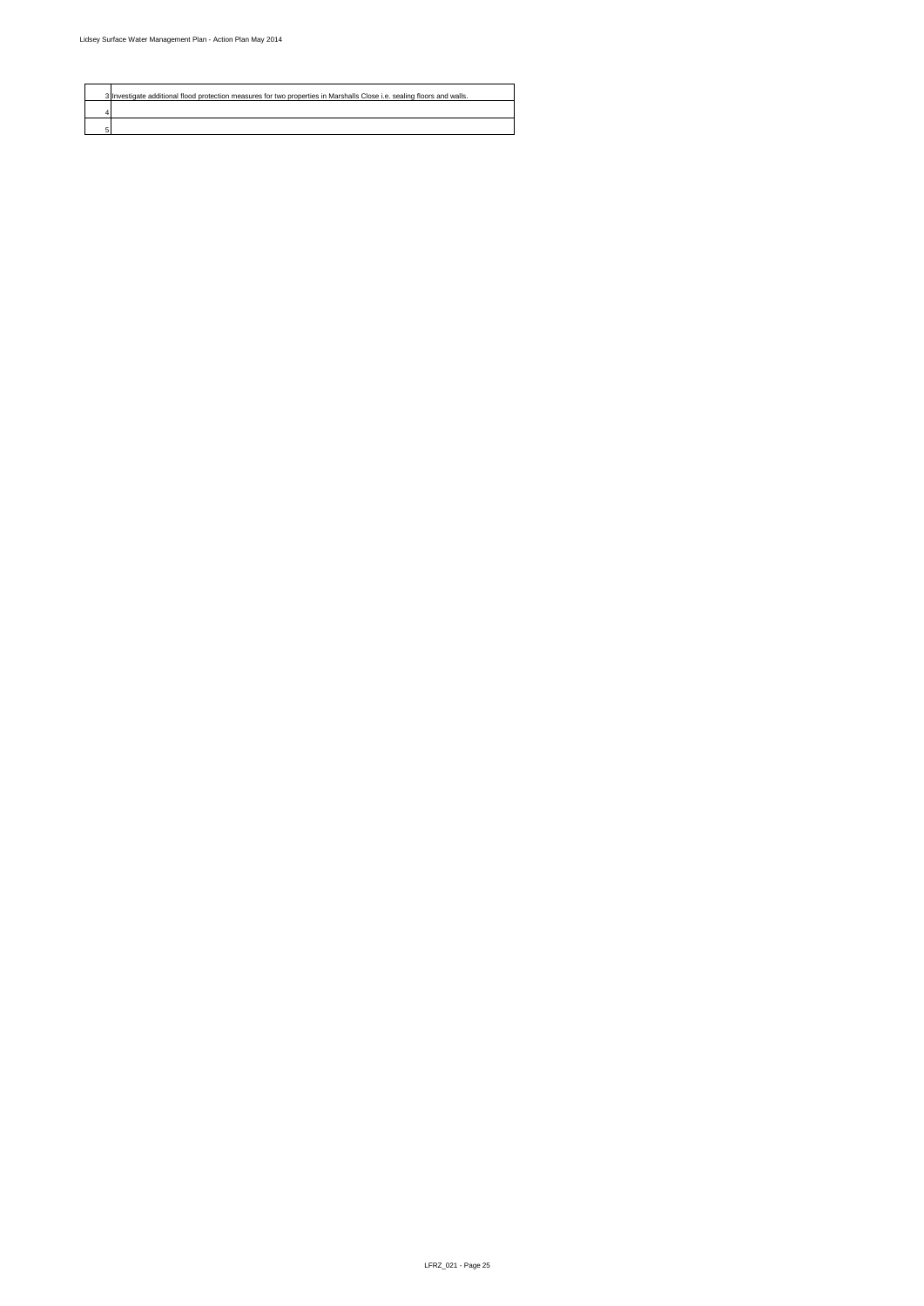

| 3 Investigate additional flood protection measures for two properties in Marshalls Close i.e. sealing floors and walls. |
|-------------------------------------------------------------------------------------------------------------------------|
|                                                                                                                         |
|                                                                                                                         |
|                                                                                                                         |
|                                                                                                                         |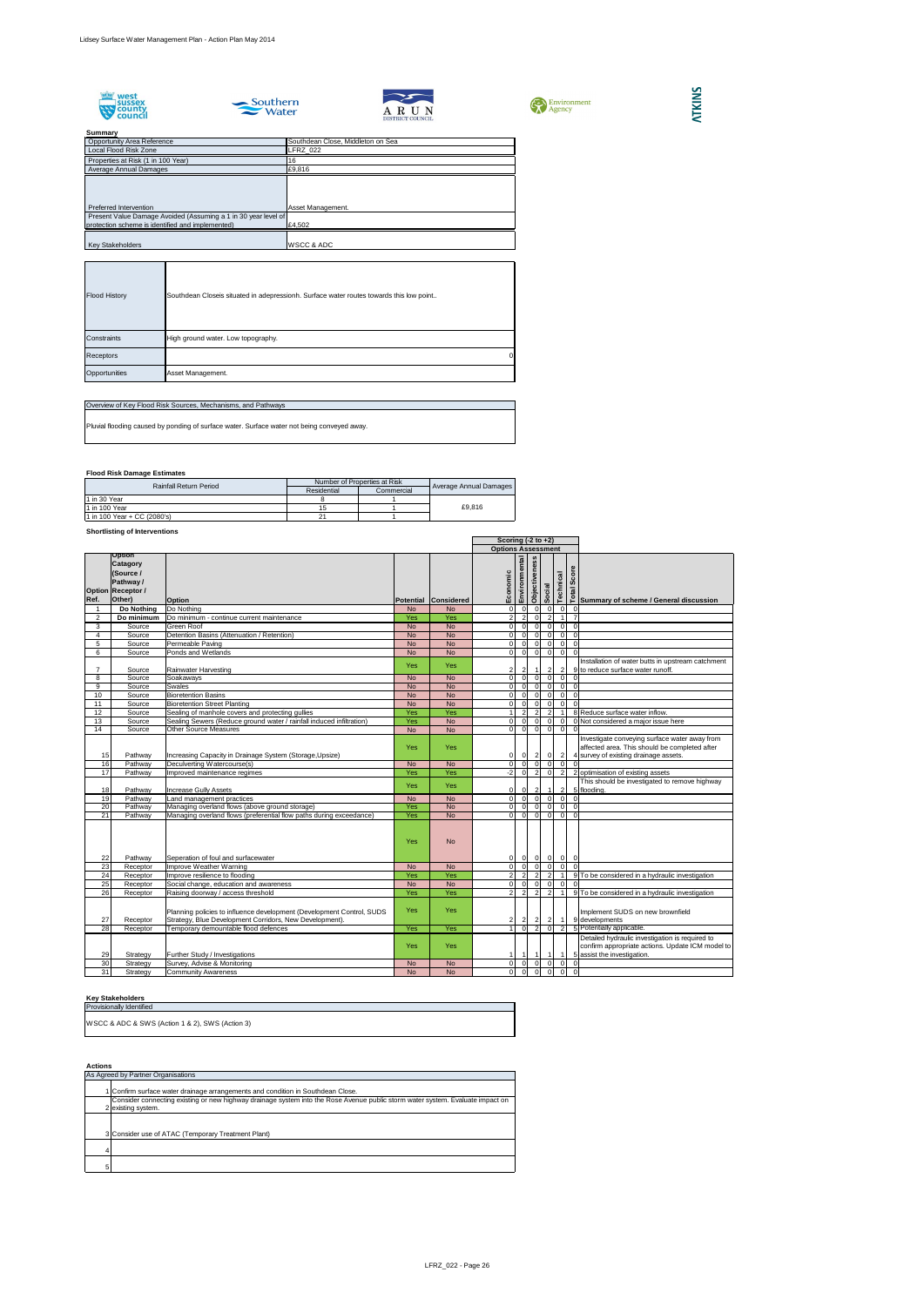









## **Flood Risk Damage Estimates**

## **Shortlisting of Interventions**

|                 |                                                                                           |                                                                                                                                  |            |                   | Scoring $(-2 \text{ to } +2)$ |                |                      |                             |                      |                         |                                                                                                                                         |
|-----------------|-------------------------------------------------------------------------------------------|----------------------------------------------------------------------------------------------------------------------------------|------------|-------------------|-------------------------------|----------------|----------------------|-----------------------------|----------------------|-------------------------|-----------------------------------------------------------------------------------------------------------------------------------------|
|                 |                                                                                           |                                                                                                                                  |            |                   | <b>Options Assessment</b>     |                |                      |                             |                      |                         |                                                                                                                                         |
| Ref.            | Option<br><b>Catagory</b><br>(Source /<br>Pathway /<br><b>Option Receptor /</b><br>Other) | <b>Option</b>                                                                                                                    | Potential  | <b>Considered</b> | omic<br>Econ                  | Environmental  | <b>Objectiveness</b> | Social                      | Technical            | Score                   | <b>EVALUATE:</b><br>Summary of scheme / General discussion                                                                              |
|                 | Do Nothing                                                                                | Do Nothing                                                                                                                       | <b>No</b>  | <b>No</b>         | 0                             | -01            | 0                    | $\overline{0}$              | 0                    |                         |                                                                                                                                         |
| 2               | Do minimum                                                                                | Do minimum - continue current maintenance                                                                                        | Yes        | Yes               | 2                             | $\overline{2}$ | $\overline{0}$       | $\overline{2}$              | $\blacktriangleleft$ |                         |                                                                                                                                         |
| 3               | Source                                                                                    | <b>Green Roof</b>                                                                                                                | <b>No</b>  | <b>No</b>         | $\overline{0}$                | $\Omega$       | 0                    | $\overline{0}$              | 0                    | $\overline{0}$          |                                                                                                                                         |
| 4               | Source                                                                                    | Detention Basins (Attenuation / Retention)                                                                                       | <b>No</b>  | <b>No</b>         | 0                             | $\Omega$       | $\overline{0}$       | $\Omega$                    | 0                    | $\overline{0}$          |                                                                                                                                         |
| 5               | Source                                                                                    | Permeable Paving                                                                                                                 | <b>No</b>  | <b>No</b>         | 0                             | $\Omega$       | $\overline{0}$       | $\overline{0}$              | $\overline{0}$       | $\overline{0}$          |                                                                                                                                         |
| 6               | Source                                                                                    | Ponds and Wetlands                                                                                                               | <b>No</b>  | <b>No</b>         | $\overline{0}$                | $\overline{0}$ | 0                    | $\overline{0}$              | $\overline{0}$       | $\Omega$                |                                                                                                                                         |
|                 | Source                                                                                    | <b>Rainwater Harvesting</b>                                                                                                      | <b>Yes</b> | <b>Yes</b>        | 2                             | $\mathbf{2}$   |                      | $\overline{2}$              | $\overline{2}$       |                         | Installation of water butts in upstream catchment<br>9 to reduce surface water runoff.                                                  |
| 8               | Source                                                                                    | Soakaways                                                                                                                        | <b>No</b>  | <b>No</b>         | $\overline{0}$                | $\Omega$       | $\Omega$             | $\Omega$                    | $\overline{0}$       | $\Omega$                |                                                                                                                                         |
| 9               | Source                                                                                    | Swales                                                                                                                           | <b>No</b>  | <b>No</b>         | $\overline{0}$                | $\Omega$       | $\Omega$             | $\Omega$                    | $\overline{0}$       | $\overline{0}$          |                                                                                                                                         |
| 10              | Source                                                                                    | <b>Bioretention Basins</b>                                                                                                       | <b>No</b>  | <b>No</b>         | $\overline{0}$                | $\Omega$       | $\overline{0}$       | $\mathbf 0$                 | $\overline{0}$       | $\overline{0}$          |                                                                                                                                         |
| 11              | Source                                                                                    | <b>Bioretention Street Planting</b>                                                                                              | <b>No</b>  | <b>No</b>         | $\overline{0}$                | $\Omega$       | $\Omega$             | $\Omega$                    | $\Omega$             | $\Omega$                |                                                                                                                                         |
| 12              | Source                                                                                    | Sealing of manhole covers and protecting gullies                                                                                 | Yes        | Yes               |                               | $\overline{2}$ | $\overline{2}$       | $\overline{2}$              |                      |                         | 8 Reduce surface water inflow.                                                                                                          |
| 13              | Source                                                                                    | Sealing Sewers (Reduce ground water / rainfall induced infiltration)                                                             | Yes        | <b>No</b>         | $\overline{0}$                | $\Omega$       | 0I                   | $\Omega$                    | $\overline{0}$       |                         | 0 Not considered a major issue here                                                                                                     |
| 14              | Source                                                                                    | <b>Other Source Measures</b>                                                                                                     | <b>No</b>  | <b>No</b>         | $\overline{O}$                | $\overline{0}$ | 0l                   | $\Omega$                    | $\Omega$             | $\Omega$                |                                                                                                                                         |
| 15              | Pathway                                                                                   | Increasing Capacity in Drainage System (Storage, Upsize)                                                                         | Yes        | <b>Yes</b>        | 0                             | 0              |                      | $\vert$ 2<br>$\overline{0}$ | $\overline{2}$       |                         | Investigate conveying surface water away from<br>affected area. This should be completed after<br>4 survey of existing drainage assets. |
| 16              | Pathway                                                                                   | Deculverting Watercourse(s)                                                                                                      | <b>No</b>  | <b>No</b>         | $\overline{0}$                | $\Omega$       | $\Omega$             | $\Omega$                    | $\overline{0}$       | $\Omega$                |                                                                                                                                         |
| 17              | Pathway                                                                                   | Improved maintenance regimes                                                                                                     | Yes        | Yes               | $-2$                          | $\Omega$       | $\overline{2}$       | $\overline{0}$              | $\overline{2}$       |                         | 2 optimisation of existing assets                                                                                                       |
| 18              | Pathway                                                                                   | <b>Increase Gully Assets</b>                                                                                                     | <b>Yes</b> | Yes               | 0                             | 0              | $\mathbf{2}$         |                             | 2                    |                         | This should be investigated to remove highway<br>5 flooding.                                                                            |
| 19              | Pathway                                                                                   | Land management practices                                                                                                        | <b>No</b>  | <b>No</b>         | 0                             | $\Omega$       | -OI                  | $\mathsf{C}$                | $\overline{0}$       | $\Omega$                |                                                                                                                                         |
| $\overline{20}$ | Pathway                                                                                   | Managing overland flows (above ground storage)                                                                                   | Yes        | <b>No</b>         | 0                             | $\Omega$       | 0l                   | $\Omega$                    | 0                    | $\overline{0}$          |                                                                                                                                         |
| 21              | Pathway                                                                                   | Managing overland flows (preferential flow paths during exceedance)                                                              | Yes        | <b>No</b>         | $\overline{0}$                | $\overline{0}$ | 0                    | $\overline{0}$              | $\overline{0}$       | $\overline{0}$          |                                                                                                                                         |
| 22              | Pathway                                                                                   | Seperation of foul and surfacewater                                                                                              | Yes        | <b>No</b>         | 0                             | $\overline{0}$ |                      | $0 \mid 0$                  | 0                    | $\overline{\mathbf{0}}$ |                                                                                                                                         |
| 23              | Receptor                                                                                  | Improve Weather Warning                                                                                                          | <b>No</b>  | <b>No</b>         | 0                             | $\overline{0}$ | 0                    | $\overline{0}$              | $\overline{0}$       | $\Omega$                |                                                                                                                                         |
| 24              | Receptor                                                                                  | Improve resilience to flooding                                                                                                   | Yes        | Yes               | 2                             | $\overline{2}$ | $\overline{2}$       | $\overline{2}$              |                      |                         | 9 To be considered in a hydraulic investigation                                                                                         |
| $\overline{25}$ | Receptor                                                                                  | Social change, education and awareness                                                                                           | <b>No</b>  | <b>No</b>         | $\overline{0}$                | $\Omega$       | $\overline{0}$       | $\Omega$                    | $\overline{0}$       | $\Omega$                |                                                                                                                                         |
| 26              | Receptor                                                                                  | Raising doorway / access threshold                                                                                               | Yes        | Yes               | 2 <sup>1</sup>                | $\overline{2}$ | $\overline{2}$       | $\overline{2}$              |                      |                         | 9 To be considered in a hydraulic investigation                                                                                         |
| 27              | Receptor                                                                                  | Planning policies to influence development (Development Control, SUDS<br>Strategy, Blue Development Corridors, New Development). | Yes        | Yes               | 2                             | $\overline{2}$ | $\vert$ 2            | $\vert$ 2                   | $\vert$ 1            |                         | Implement SUDS on new brownfield<br>9 developments                                                                                      |
| 28              | Receptor                                                                                  | Temporary demountable flood defences                                                                                             | Yes        | Yes               |                               | $\Omega$       | 2 <sup>1</sup>       | $\Omega$                    | $\overline{2}$       |                         | 5 Potentially applicable.                                                                                                               |
| 29              | Strategy                                                                                  | <b>Further Study / Investigations</b>                                                                                            | <b>Yes</b> | Yes               | $\mathbf{1}$                  | -1             |                      |                             | $\blacktriangleleft$ |                         | Detailed hydraulic investigation is required to<br>confirm appropriate actions. Update ICM model to<br>5 assist the investigation.      |
| 30              | Strategy                                                                                  | Survey, Advise & Monitoring                                                                                                      | <b>No</b>  | <b>No</b>         | 0                             | - O I          | $\overline{0}$       | $\Omega$                    | 0                    | $\overline{0}$          |                                                                                                                                         |
| 31              | Strategy                                                                                  | <b>Community Awareness</b>                                                                                                       | <b>No</b>  | No                | $\overline{0}$                | $\overline{0}$ | - 0 I                | $\overline{0}$              | $\overline{0}$       | $\overline{0}$          |                                                                                                                                         |

## **Key Stakeholders**

| <b>Provisionally Identified</b>                 |  |
|-------------------------------------------------|--|
| WSCC & ADC & SWS (Action 1 & 2), SWS (Action 3) |  |

| <b>Summary</b>                                                 |                                   |
|----------------------------------------------------------------|-----------------------------------|
| <b>Opportunity Area Reference</b>                              | Southdean Close, Middleton on Sea |
| Local Flood Risk Zone                                          | LFRZ_022                          |
| Properties at Risk (1 in 100 Year)                             | 16                                |
| Average Annual Damages                                         | £9,816                            |
|                                                                |                                   |
|                                                                |                                   |
| Preferred Intervention                                         | Asset Management.                 |
| Present Value Damage Avoided (Assuming a 1 in 30 year level of |                                   |
| protection scheme is identified and implemented)               | £4,502                            |
|                                                                |                                   |
| <b>Key Stakeholders</b>                                        | WSCC & ADC                        |

| As Agreed by Partner Organisations                                                                                             |
|--------------------------------------------------------------------------------------------------------------------------------|
| Confirm surface water drainage arrangements and condition in Southdean Close.                                                  |
| Consider connecting existing or new highway drainage system into the Rose Avenue public storm water system. Evaluate impact on |
| existing system.                                                                                                               |
| 3 Consider use of ATAC (Temporary Treatment Plant)                                                                             |
|                                                                                                                                |
|                                                                                                                                |

| <b>Rainfall Return Period</b> | Number of Properties at Risk |            |                        |
|-------------------------------|------------------------------|------------|------------------------|
|                               | Residential                  | Commercial | Average Annual Damages |
| 1 in 30 Year                  |                              |            |                        |
| 11 in 100 Year                |                              |            | £9.816                 |
| 1 in 100 Year + CC (2080's)   |                              |            |                        |

| Overview of Key Flood Risk Sources, Mechanisms, and Pathways                                |
|---------------------------------------------------------------------------------------------|
| Pluvial flooding caused by ponding of surface water. Surface water not being conveyed away. |
|                                                                                             |

| <b>Flood History</b> | Southdean Closeis situated in adepressionh. Surface water routes towards this low point |   |
|----------------------|-----------------------------------------------------------------------------------------|---|
| Constraints          | High ground water. Low topography.                                                      |   |
| Receptors            |                                                                                         | 0 |
| Opportunities        | Asset Management.                                                                       |   |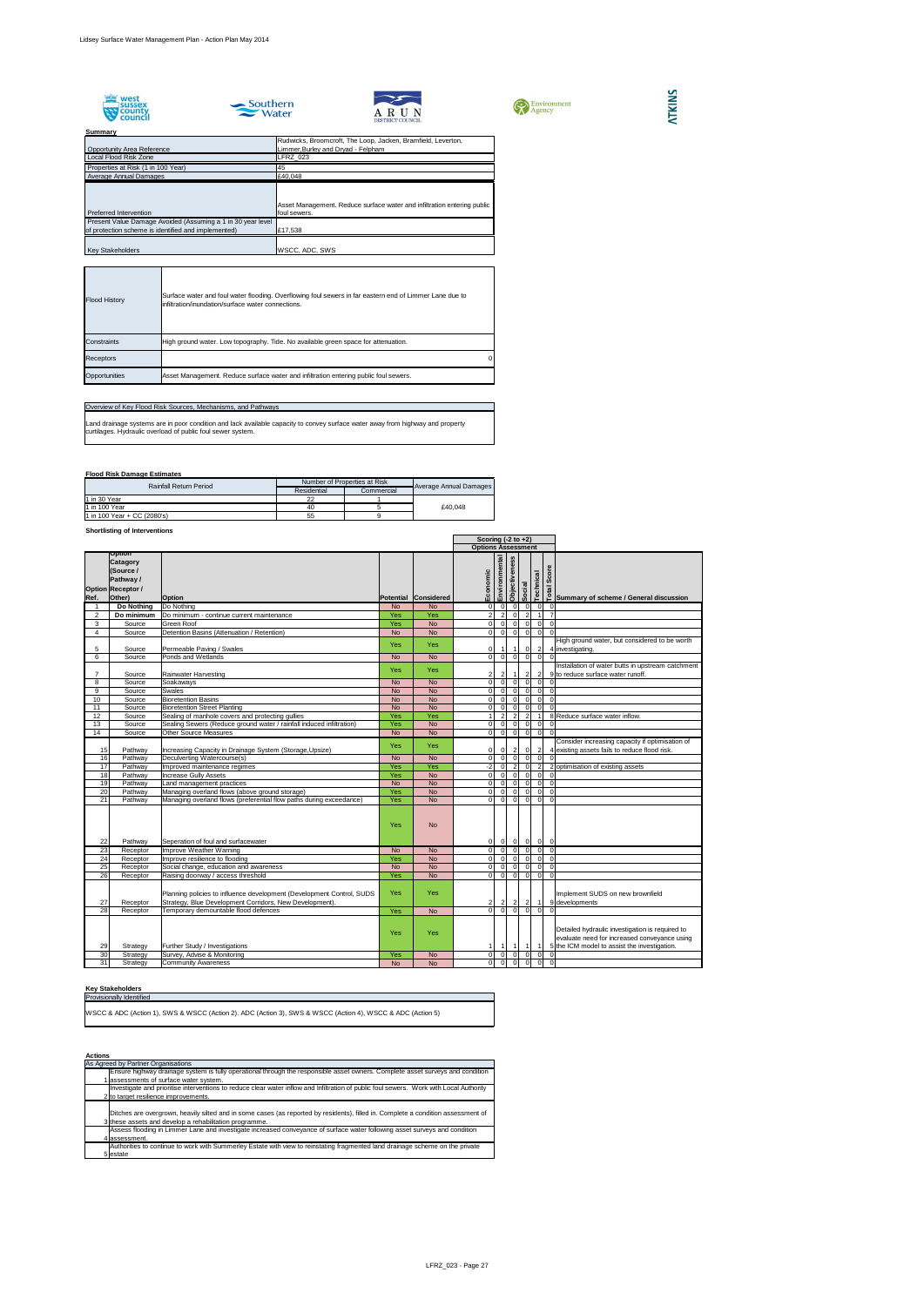









#### **Summary**

## **Flood Risk Damage Estimates**

## **Shortlisting of Interventions**

## **Key Stakeholders**

|                 |                                                                                                  |                                                                                                                                  |            |                      | Scoring $(-2 \text{ to } +2)$                      |                |                |                |                                                                                                                                                 |
|-----------------|--------------------------------------------------------------------------------------------------|----------------------------------------------------------------------------------------------------------------------------------|------------|----------------------|----------------------------------------------------|----------------|----------------|----------------|-------------------------------------------------------------------------------------------------------------------------------------------------|
|                 |                                                                                                  |                                                                                                                                  |            |                      | <b>Options Assessment</b>                          |                |                |                |                                                                                                                                                 |
| Ref.            | <b>Option</b><br><b>Catagory</b><br>(Source /<br>Pathway /<br><b>Option Receptor /</b><br>Other) | <b>Option</b>                                                                                                                    |            | Potential Considered | Environmental<br><b>Objectiveness</b><br>Economic  | Social         | Technical      | Score<br>Total | Summary of scheme / General discussion                                                                                                          |
|                 | Do Nothing                                                                                       | Do Nothing                                                                                                                       | <b>No</b>  | <b>No</b>            | $\Omega$<br>$\Omega$                               | $\Omega$       |                |                |                                                                                                                                                 |
| $\overline{2}$  | Do minimum                                                                                       | Do minimum - continue current maintenance                                                                                        | Yes        | Yes                  | $\overline{2}$<br>$\overline{2}$<br>$\Omega$       |                |                |                |                                                                                                                                                 |
|                 |                                                                                                  | Green Roof                                                                                                                       | Yes        | <b>No</b>            | $\overline{0}$<br>$\Omega$<br>$\Omega$             | $\Omega$       | $\Omega$       | $\Omega$       |                                                                                                                                                 |
| 3<br>4          | Source<br>Source                                                                                 | Detention Basins (Attenuation / Retention)                                                                                       | <b>No</b>  | <b>No</b>            | $\overline{0}$<br>$\overline{0}$<br>$\Omega$       | $\overline{0}$ | $\overline{0}$ | $\Omega$       |                                                                                                                                                 |
|                 |                                                                                                  |                                                                                                                                  |            |                      |                                                    |                |                |                | High ground water, but considered to be worth                                                                                                   |
| 5               | Source                                                                                           | Permeable Paving / Swales                                                                                                        | <b>Yes</b> | <b>Yes</b>           | 01                                                 | <sup>0</sup>   | $\overline{2}$ |                | 4 investigating.                                                                                                                                |
| 6               | Source                                                                                           | Ponds and Wetlands                                                                                                               | <b>No</b>  | <b>No</b>            | $\overline{0}$<br>$\overline{0}$<br>$\overline{0}$ | $\overline{0}$ | $\Omega$       |                |                                                                                                                                                 |
|                 |                                                                                                  |                                                                                                                                  |            |                      |                                                    |                |                |                | Installation of water butts in upstream catchment                                                                                               |
|                 | Source                                                                                           | <b>Rainwater Harvesting</b>                                                                                                      | <b>Yes</b> | <b>Yes</b>           |                                                    |                |                |                | 9 to reduce surface water runoff.                                                                                                               |
| 8               | Source                                                                                           | Soakaways                                                                                                                        | <b>No</b>  | <b>No</b>            | $\overline{0}$<br>$\Omega$<br>$\Omega$             |                |                |                |                                                                                                                                                 |
| 9               | Source                                                                                           | <b>Swales</b>                                                                                                                    | <b>No</b>  | <b>No</b>            | $\Omega$<br>ΩI<br>$\Omega$                         | $\Omega$       | $\Omega$       | $\Omega$       |                                                                                                                                                 |
| 10              | Source                                                                                           | <b>Bioretention Basins</b>                                                                                                       | <b>No</b>  | <b>No</b>            | $\Omega$<br>ΩI                                     |                | $\Omega$       | $\Omega$       |                                                                                                                                                 |
| 11              | Source                                                                                           | <b>Bioretention Street Planting</b>                                                                                              | <b>No</b>  | <b>No</b>            | $\Omega$<br>ΩI                                     |                |                |                |                                                                                                                                                 |
| 12              | Source                                                                                           | Sealing of manhole covers and protecting gullies                                                                                 | Yes        | Yes                  | $\overline{2}$<br>$\overline{2}$                   | $\mathcal{P}$  |                |                | 8 Reduce surface water inflow.                                                                                                                  |
| 13              | Source                                                                                           | Sealing Sewers (Reduce ground water / rainfall induced infiltration)                                                             | Yes        | <b>No</b>            | $\overline{0}$<br>$\Omega$<br>$\overline{0}$       | $\overline{0}$ | $\overline{0}$ |                |                                                                                                                                                 |
| 14              | Source                                                                                           | <b>Other Source Measures</b>                                                                                                     | <b>No</b>  | <b>No</b>            | $\overline{0}$<br>0l<br>$\overline{0}$             | $\overline{0}$ | $\Omega$       |                |                                                                                                                                                 |
|                 |                                                                                                  |                                                                                                                                  |            |                      |                                                    |                |                |                | Consider increasing capacity if optimisation of                                                                                                 |
| 15              | Pathway                                                                                          | Increasing Capacity in Drainage System (Storage, Upsize)                                                                         | <b>Yes</b> | <b>Yes</b>           | 0<br>2                                             |                |                |                | 4 existing assets fails to reduce flood risk.                                                                                                   |
| 16              | Pathway                                                                                          | Deculverting Watercourse(s)                                                                                                      | <b>No</b>  | <b>No</b>            | $\overline{0}$<br>$\Omega$<br>$\Omega$             | $\Omega$       | $\Omega$       |                |                                                                                                                                                 |
| 17              | Pathway                                                                                          | Improved maintenance regimes                                                                                                     | Yes        | Yes                  | $-2$<br>$\overline{0}$                             |                |                |                | 2 optimisation of existing assets                                                                                                               |
| 18              | Pathway                                                                                          | <b>Increase Gully Assets</b>                                                                                                     | Yes        | <b>No</b>            | $\Omega$<br>$\Omega$<br>$\Omega$                   | $\Omega$       | $\Omega$       |                |                                                                                                                                                 |
| 19              | Pathway                                                                                          | Land management practices                                                                                                        | <b>No</b>  | <b>No</b>            | $\overline{0}$<br>$\Omega$<br>$\Omega$             | $\Omega$       | $\Omega$       | $\Omega$       |                                                                                                                                                 |
| 20              | Pathway                                                                                          | Managing overland flows (above ground storage)                                                                                   | Yes        | <b>No</b>            | $\Omega$<br>$\overline{0}$<br>$\Omega$             | $\Omega$       | $\Omega$       | $\Omega$       |                                                                                                                                                 |
| 21              | Pathway                                                                                          | Managing overland flows (preferential flow paths during exceedance)                                                              | <b>Yes</b> | <b>No</b>            | $\overline{0}$<br>$\Omega$<br>$\Omega$             | $\Omega$       | $\overline{0}$ | $\Omega$       |                                                                                                                                                 |
| 22              | Pathway                                                                                          | Seperation of foul and surfacewater                                                                                              | <b>Yes</b> | <b>No</b>            | $\overline{0}$<br>$\overline{0}$<br>0I             | $\Omega$       | $\overline{0}$ | $\overline{0}$ |                                                                                                                                                 |
| $\overline{23}$ | Receptor                                                                                         | Improve Weather Warning                                                                                                          | <b>No</b>  | <b>No</b>            | 0l<br>$\overline{0}$<br>$\Omega$                   | $\Omega$       | <sup>0</sup>   | $\Omega$       |                                                                                                                                                 |
| 24              | Receptor                                                                                         | Improve resilience to flooding                                                                                                   | Yes        | <b>No</b>            | $\overline{0}$<br>0                                |                | $\overline{0}$ | $\Omega$       |                                                                                                                                                 |
| 25              | Receptor                                                                                         | Social change, education and awareness                                                                                           | <b>No</b>  | <b>No</b>            | $\overline{0}$<br>0l<br>$\Omega$                   | $\Omega$       | $\Omega$       | $\Omega$       |                                                                                                                                                 |
| 26              | Receptor                                                                                         | Raising doorway / access threshold                                                                                               | Yes        | <b>No</b>            | $\Omega$<br>$\overline{0}$<br>$\Omega$             | $\Omega$       | $\Omega$       | $\Omega$       |                                                                                                                                                 |
| 27              | Receptor                                                                                         | Planning policies to influence development (Development Control, SUDS<br>Strategy, Blue Development Corridors, New Development). | <b>Yes</b> | Yes                  | 2<br>$\mathbf{2}$<br>$\mathbf{2}$                  |                |                |                | Implement SUDS on new brownfield<br>9 developments                                                                                              |
| 28              | Receptor                                                                                         | Temporary demountable flood defences                                                                                             | Yes        | <b>No</b>            | $\overline{0}$<br>$\Omega$<br>$\Omega$             | $\Omega$       |                |                |                                                                                                                                                 |
| 29              | Strategy                                                                                         | Further Study / Investigations                                                                                                   | <b>Yes</b> | Yes                  |                                                    |                |                |                | Detailed hydraulic investigation is required to<br>evaluate need for increased conveyance using<br>5 the ICM model to assist the investigation. |
| 30              | Strategy                                                                                         | Survey, Advise & Monitoring                                                                                                      | <b>Yes</b> | <b>No</b>            | $\overline{O}$<br>$\overline{0}$<br>0I             | $\Omega$       | 0              | 0              |                                                                                                                                                 |
| 31              | Strategy                                                                                         | <b>Community Awareness</b>                                                                                                       | <b>No</b>  | <b>No</b>            | $\overline{0}$<br>$\Omega$                         | $\Omega$       | $\Omega$       | $\overline{0}$ |                                                                                                                                                 |

| <b>Provisionally Identified</b> |  |
|---------------------------------|--|
|                                 |  |

WSCC & ADC (Action 1), SWS & WSCC (Action 2). ADC (Action 3), SWS & WSCC (Action 4), WSCC & ADC (Action 5)

| <b>Actions</b> |                                                                                                                                                                                             |
|----------------|---------------------------------------------------------------------------------------------------------------------------------------------------------------------------------------------|
|                | As Agreed by Partner Organisations                                                                                                                                                          |
|                | Ensure highway drainage system is fully operational through the responsible asset owners. Complete asset surveys and condition                                                              |
|                | I assessments of surface water system.                                                                                                                                                      |
|                | Investigate and prioritise interventions to reduce clear water inflow and Infiltration of public foul sewers. Work with Local Authority                                                     |
|                | 2 to target resilience improvements.                                                                                                                                                        |
|                | Ditches are overgrown, heavily silted and in some cases (as reported by residents), filled in. Complete a condition assessment of<br>3 these assets and develop a rehabilitation programme. |
|                | Assess flooding in Limmer Lane and investigate increased conveyance of surface water following asset surveys and condition                                                                  |
|                | 4 assessment.                                                                                                                                                                               |
|                | Authorities to continue to work with Summerley Estate with view to reinstating fragmented land drainage scheme on the private                                                               |
|                | 5 estate                                                                                                                                                                                    |

## Overview of Key Flood Risk Sources, Mechanisms, and Pathways

| <b>Rainfall Return Period</b> | Number of Properties at Risk | Average Annual Damages |         |  |
|-------------------------------|------------------------------|------------------------|---------|--|
|                               | Residential                  | Commercial             |         |  |
| 11 in 30 Year                 |                              |                        |         |  |
| 11 in 100 Year                | 40                           |                        | £40.048 |  |
| 1 in 100 Year + CC (2080's)   | 55                           |                        |         |  |

Land drainage systems are in poor condition and lack available capacity to convey surface water away from highway and property curtilages. Hydraulic overload of public foul sewer system.

| <b>Flood History</b> | Surface water and foul water flooding. Overflowing foul sewers in far eastern end of Limmer Lane due to<br>infiltration/inundation/surface water connections. |  |
|----------------------|---------------------------------------------------------------------------------------------------------------------------------------------------------------|--|
| <b>Constraints</b>   | High ground water. Low topography. Tide. No available green space for attenuation.                                                                            |  |
| <b>Receptors</b>     |                                                                                                                                                               |  |
| Opportunities        | Asset Management. Reduce surface water and infiltration entering public foul sewers.                                                                          |  |

|                                                                                                                    | Rudwicks, Broomcroft, The Loop, Jacken, Bramfield, Leverton,                            |
|--------------------------------------------------------------------------------------------------------------------|-----------------------------------------------------------------------------------------|
| <b>Opportunity Area Reference</b>                                                                                  | Limmer, Burley and Dryad - Felpham                                                      |
| Local Flood Risk Zone                                                                                              | <b>LFRZ 023</b>                                                                         |
| Properties at Risk (1 in 100 Year)                                                                                 | 45                                                                                      |
| Average Annual Damages                                                                                             | £40,048                                                                                 |
| Preferred Intervention                                                                                             | Asset Management. Reduce surface water and infiltration entering public<br>foul sewers. |
| Present Value Damage Avoided (Assuming a 1 in 30 year level<br>of protection scheme is identified and implemented) | £17,538                                                                                 |
| <b>Key Stakeholders</b>                                                                                            | <b>WSCC, ADC, SWS</b>                                                                   |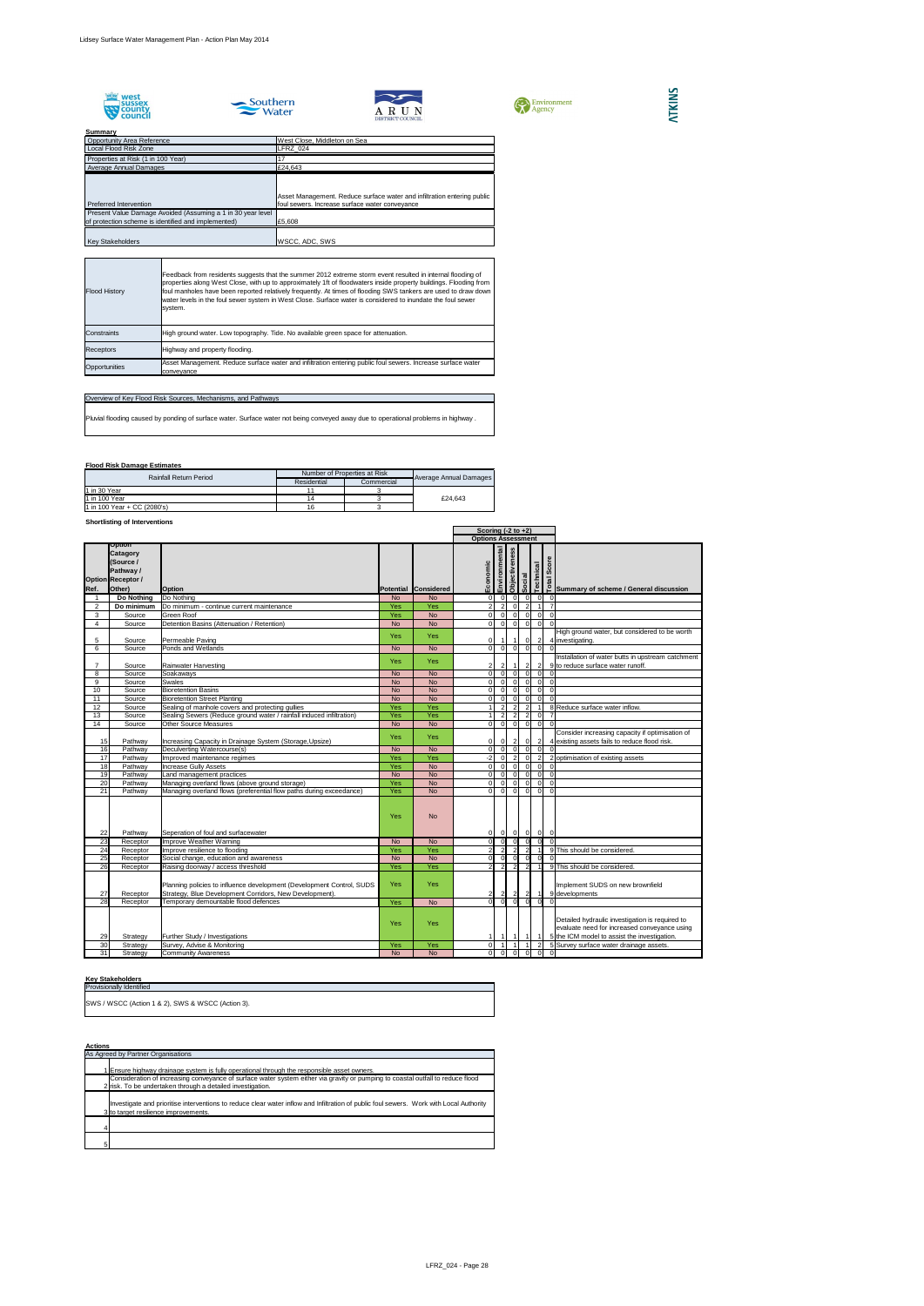









## **Summary**

## **Flood Risk Damage Estimates**

## **Shortlisting of Interventions**

#### **Key Stakeholders**

|                       |                                                                                                         |                                                                                                                                  |                         |                         | Scoring $(-2 \text{ to } +2)$ |                                  |                      |                                  |                      |                                    |                                                                                                                                                 |
|-----------------------|---------------------------------------------------------------------------------------------------------|----------------------------------------------------------------------------------------------------------------------------------|-------------------------|-------------------------|-------------------------------|----------------------------------|----------------------|----------------------------------|----------------------|------------------------------------|-------------------------------------------------------------------------------------------------------------------------------------------------|
|                       |                                                                                                         |                                                                                                                                  |                         |                         | <b>Options Assessment</b>     |                                  |                      |                                  |                      |                                    |                                                                                                                                                 |
| Ref.                  | <b>Option</b><br><b>Catagory</b><br>(Source /<br><b>Pathway /</b><br><b>Option Receptor /</b><br>Other) | <b>Option</b>                                                                                                                    |                         | Potential Considered    | Economic                      | Environmental                    | <b>Objectiveness</b> | Social                           |                      | Score<br><b>Technical</b><br>Total | Summary of scheme / General discussion                                                                                                          |
|                       | Do Nothing                                                                                              | Do Nothing                                                                                                                       | <b>No</b>               | <b>No</b>               | $\overline{0}$                | $\overline{0}$                   |                      | $\Omega$                         | $\overline{0}$       | $\Omega$                           | $\Omega$                                                                                                                                        |
| 2                     | Do minimum                                                                                              | Do minimum - continue current maintenance                                                                                        | Yes                     | <b>Yes</b>              | $\overline{2}$                | $\vert$ 2                        |                      | $\overline{0}$                   | $\overline{2}$       |                                    |                                                                                                                                                 |
| 3                     | Source                                                                                                  | <b>Green Roof</b>                                                                                                                | Yes                     | <b>No</b>               | $\overline{0}$                | $\overline{0}$                   |                      | 0                                | 0                    | $\overline{0}$                     | $\Omega$                                                                                                                                        |
| 4                     | Source                                                                                                  | Detention Basins (Attenuation / Retention)                                                                                       | <b>No</b>               | <b>No</b>               | $\overline{O}$                | $\overline{0}$                   |                      | 0                                | $\overline{0}$       | $\overline{0}$                     |                                                                                                                                                 |
| 5                     | Source                                                                                                  | Permeable Paving                                                                                                                 | <b>Yes</b>              | <b>Yes</b>              | $\overline{0}$                |                                  |                      |                                  | 0I                   | $\vert$ 2                          | High ground water, but considered to be worth<br>4 investigating.                                                                               |
| 6                     | Source                                                                                                  | Ponds and Wetlands                                                                                                               | <b>No</b>               | <b>No</b>               | $\overline{0}$                | $\overline{0}$                   |                      | 0                                | $\overline{0}$       | $\overline{0}$                     |                                                                                                                                                 |
| $\overline{7}$        | Source                                                                                                  | <b>Rainwater Harvesting</b>                                                                                                      | <b>Yes</b>              | <b>Yes</b>              | $\mathbf{2}$                  | $\mathbf{2}$                     |                      |                                  | $\overline{2}$       | 2                                  | Installation of water butts in upstream catchment<br>9 to reduce surface water runoff.                                                          |
| 8                     | Source                                                                                                  | Soakaways                                                                                                                        | <b>No</b>               | <b>No</b>               | $\overline{0}$                | $\overline{0}$                   |                      | 0l                               | $\Omega$             | $\overline{0}$                     |                                                                                                                                                 |
| 9                     | Source                                                                                                  | <b>Swales</b>                                                                                                                    | <b>No</b>               | <b>No</b>               | $\overline{0}$                | $\overline{0}$                   |                      | $\overline{0}$                   | $\overline{0}$       | $\Omega$                           |                                                                                                                                                 |
| 10                    | Source                                                                                                  | <b>Bioretention Basins</b>                                                                                                       | <b>No</b>               | <b>No</b>               | $\overline{0}$                | $\overline{0}$                   |                      | $\overline{0}$                   | $\overline{0}$       | $\overline{0}$                     |                                                                                                                                                 |
| 11                    | Source                                                                                                  | <b>Bioretention Street Planting</b>                                                                                              | <b>No</b>               | <b>No</b>               | 0                             | $\overline{0}$                   |                      | 0l                               | $\overline{0}$       | $\overline{0}$                     |                                                                                                                                                 |
| 12                    | Source                                                                                                  | Sealing of manhole covers and protecting gullies                                                                                 | Yes                     | Yes                     |                               | $\overline{2}$                   |                      | $\overline{2}$                   | 2                    |                                    | 8 Reduce surface water inflow.                                                                                                                  |
| $\overline{13}$<br>14 | Source<br>Source                                                                                        | Sealing Sewers (Reduce ground water / rainfall induced infiltration)<br><b>Other Source Measures</b>                             | Yes                     | Yes                     | Οl                            | $\overline{2}$<br>$\overline{0}$ |                      | $\overline{2}$<br>$\overline{0}$ | $\overline{2}$<br> 0 | $\overline{0}$<br>$\overline{0}$   |                                                                                                                                                 |
| 15                    | Pathway                                                                                                 | Increasing Capacity in Drainage System (Storage, Upsize)                                                                         | <b>No</b><br><b>Yes</b> | <b>No</b><br><b>Yes</b> | 01                            | 0                                |                      | 2                                | $\overline{0}$       | $\mathbf{2}$                       | Consider increasing capacity if optimisation of<br>4 existing assets fails to reduce flood risk.                                                |
| 16                    | Pathway                                                                                                 | Deculverting Watercourse(s)                                                                                                      | <b>No</b>               | <b>No</b>               | $\overline{O}$                | $\overline{0}$                   |                      | 0                                | $\overline{0}$       | $\overline{0}$                     |                                                                                                                                                 |
| 17                    | Pathway                                                                                                 | Improved maintenance regimes                                                                                                     | Yes                     | Yes                     | $-2 \vert$                    | $\overline{0}$                   |                      | $\overline{2}$                   | $\Omega$             | $\overline{2}$                     | 2 optimisation of existing assets                                                                                                               |
| 18                    | Pathway                                                                                                 | <b>Increase Gully Assets</b>                                                                                                     | Yes                     | <b>No</b>               | $\overline{0}$                | $\overline{0}$                   |                      | $\overline{0}$                   | $\Omega$             | $\Omega$                           |                                                                                                                                                 |
| 19                    | Pathway                                                                                                 | Land management practices                                                                                                        | <b>No</b>               | <b>No</b>               | $\overline{0}$                | $\overline{0}$                   |                      | $\overline{0}$                   | $\overline{0}$       | $\overline{0}$                     | $\Omega$                                                                                                                                        |
| 20                    | Pathway                                                                                                 | Managing overland flows (above ground storage)                                                                                   | Yes                     | <b>No</b>               | $\overline{0}$                | $\overline{0}$                   |                      | $\overline{0}$                   | $\overline{0}$       | $\overline{0}$                     |                                                                                                                                                 |
| 21                    | Pathway                                                                                                 | Managing overland flows (preferential flow paths during exceedance)                                                              | Yes                     | <b>No</b>               | 0                             | $\overline{0}$                   |                      | 0l                               | $\overline{0}$       | $\overline{0}$                     |                                                                                                                                                 |
| 22                    | Pathway                                                                                                 | Seperation of foul and surfacewater                                                                                              | <b>Yes</b>              | <b>No</b>               | $\overline{0}$                | $\overline{0}$                   |                      | 0                                | $\overline{0}$       | 0 <br>$\overline{0}$               |                                                                                                                                                 |
| 23                    | Receptor                                                                                                | Improve Weather Warning                                                                                                          | <b>No</b>               | <b>No</b>               | $\overline{0}$                | 0                                |                      | $\overline{0}$                   | 0                    | $\overline{0}$                     |                                                                                                                                                 |
| 24                    | Receptor                                                                                                | Improve resilience to flooding                                                                                                   | Yes                     | Yes                     | $\overline{2}$                | $\vert$ 2                        |                      | $\overline{2}$                   | $\overline{2}$       |                                    | 9 This should be considered.                                                                                                                    |
| 25                    | Receptor                                                                                                | Social change, education and awareness                                                                                           | <b>No</b>               | <b>No</b>               | $\overline{0}$                | 0                                |                      | - O I                            | $\Omega$             | $\Omega$                           |                                                                                                                                                 |
| 26                    | Receptor                                                                                                | Raising doorway / access threshold                                                                                               | <b>Yes</b>              | Yes                     | 2 <sup>1</sup>                | $\overline{2}$                   |                      | $\overline{2}$                   | $\mathcal{P}$        |                                    | 9 This should be considered.                                                                                                                    |
| 27                    | Receptor                                                                                                | Planning policies to influence development (Development Control, SUDS<br>Strategy, Blue Development Corridors, New Development). | Yes                     | Yes                     | $\mathbf{2}$                  | $\mathbf{2}$                     |                      | $\mathbf{2}$                     | $\overline{2}$       |                                    | Implement SUDS on new brownfield<br>9 developments                                                                                              |
| 28                    | Receptor                                                                                                | Temporary demountable flood defences                                                                                             | Yes                     | <b>No</b>               | Οl                            | 0                                |                      | $\Omega$                         | -0.                  | $\Omega$                           |                                                                                                                                                 |
| 29                    | Strategy                                                                                                | Further Study / Investigations                                                                                                   | Yes                     | Yes                     |                               |                                  |                      |                                  |                      |                                    | Detailed hydraulic investigation is required to<br>evaluate need for increased conveyance using<br>5 the ICM model to assist the investigation. |
| 30 <sup>°</sup>       | Strategy                                                                                                | Survey, Advise & Monitoring                                                                                                      | Yes                     | Yes                     | $\overline{0}$                | $\overline{1}$                   |                      |                                  |                      | $\overline{2}$                     | 5 Survey surface water drainage assets.                                                                                                         |
| $\overline{31}$       | Strategy                                                                                                | <b>Community Awareness</b>                                                                                                       | <b>No</b>               | <b>No</b>               | $\overline{0}$                | $\overline{0}$                   |                      | $\overline{0}$                   | $\overline{0}$       | $\overline{0}$                     | $\Omega$                                                                                                                                        |

| _____________                                     |
|---------------------------------------------------|
| <b>Provisionally Identified</b>                   |
| SWS / WSCC (Action 1 & 2), SWS & WSCC (Action 3). |
|                                                   |

| As Agreed by Partner Organisations                                                                                                                                              |
|---------------------------------------------------------------------------------------------------------------------------------------------------------------------------------|
|                                                                                                                                                                                 |
| 1 Ensure highway drainage system is fully operational through the responsible asset owners.                                                                                     |
| Consideration of increasing conveyance of surface water system either via gravity or pumping to coastal outfall to reduce flood                                                 |
| 2 risk. To be undertaken through a detailed investigation.                                                                                                                      |
| Investigate and prioritise interventions to reduce clear water inflow and Infiltration of public foul sewers. Work with Local Authority<br>3 to target resilience improvements. |
|                                                                                                                                                                                 |
| 5                                                                                                                                                                               |

| <b>Rainfall Return Period</b> | Number of Properties at Risk |            |                        |
|-------------------------------|------------------------------|------------|------------------------|
|                               | Residential                  | Commercial | Average Annual Damages |
| $1$ in 30 Year                |                              |            |                        |
| 11 in 100 Year                |                              |            | £24.643                |
| 1 in 100 Year + CC (2080's)   |                              |            |                        |

| Overview of Key Flood Risk Sources, Mechanisms, and Pathways                                                                       |
|------------------------------------------------------------------------------------------------------------------------------------|
| Pluvial flooding caused by ponding of surface water. Surface water not being conveyed away due to operational problems in highway. |

| <b>Flood History</b> | Feedback from residents suggests that the summer 2012 extreme storm event resulted in internal flooding of<br>properties along West Close, with up to approximately 1ft of floodwaters inside property buildings. Flooding from<br>foul manholes have been reported relatively frequently. At times of flooding SWS tankers are used to draw down<br>water levels in the foul sewer system in West Close. Surface water is considered to inundate the foul sewer<br>system. |
|----------------------|-----------------------------------------------------------------------------------------------------------------------------------------------------------------------------------------------------------------------------------------------------------------------------------------------------------------------------------------------------------------------------------------------------------------------------------------------------------------------------|
| <b>Constraints</b>   | High ground water. Low topography. Tide. No available green space for attenuation.                                                                                                                                                                                                                                                                                                                                                                                          |
| <b>Receptors</b>     | Highway and property flooding.                                                                                                                                                                                                                                                                                                                                                                                                                                              |
| Opportunities        | Asset Management. Reduce surface water and infiltration entering public foul sewers. Increase surface water<br>conveyance                                                                                                                                                                                                                                                                                                                                                   |

| <b>Opportunity Area Reference</b>                           | West Close, Middleton on Sea                                            |
|-------------------------------------------------------------|-------------------------------------------------------------------------|
| Local Flood Risk Zone                                       | LFRZ 024                                                                |
| Properties at Risk (1 in 100 Year)                          |                                                                         |
| Average Annual Damages                                      | £24,643                                                                 |
|                                                             |                                                                         |
|                                                             | Asset Management. Reduce surface water and infiltration entering public |
| Preferred Intervention                                      | foul sewers. Increase surface water conveyance                          |
| Present Value Damage Avoided (Assuming a 1 in 30 year level |                                                                         |
| of protection scheme is identified and implemented)         | £5,608                                                                  |
|                                                             |                                                                         |
| <b>Key Stakeholders</b>                                     | <b>WSCC, ADC, SWS</b>                                                   |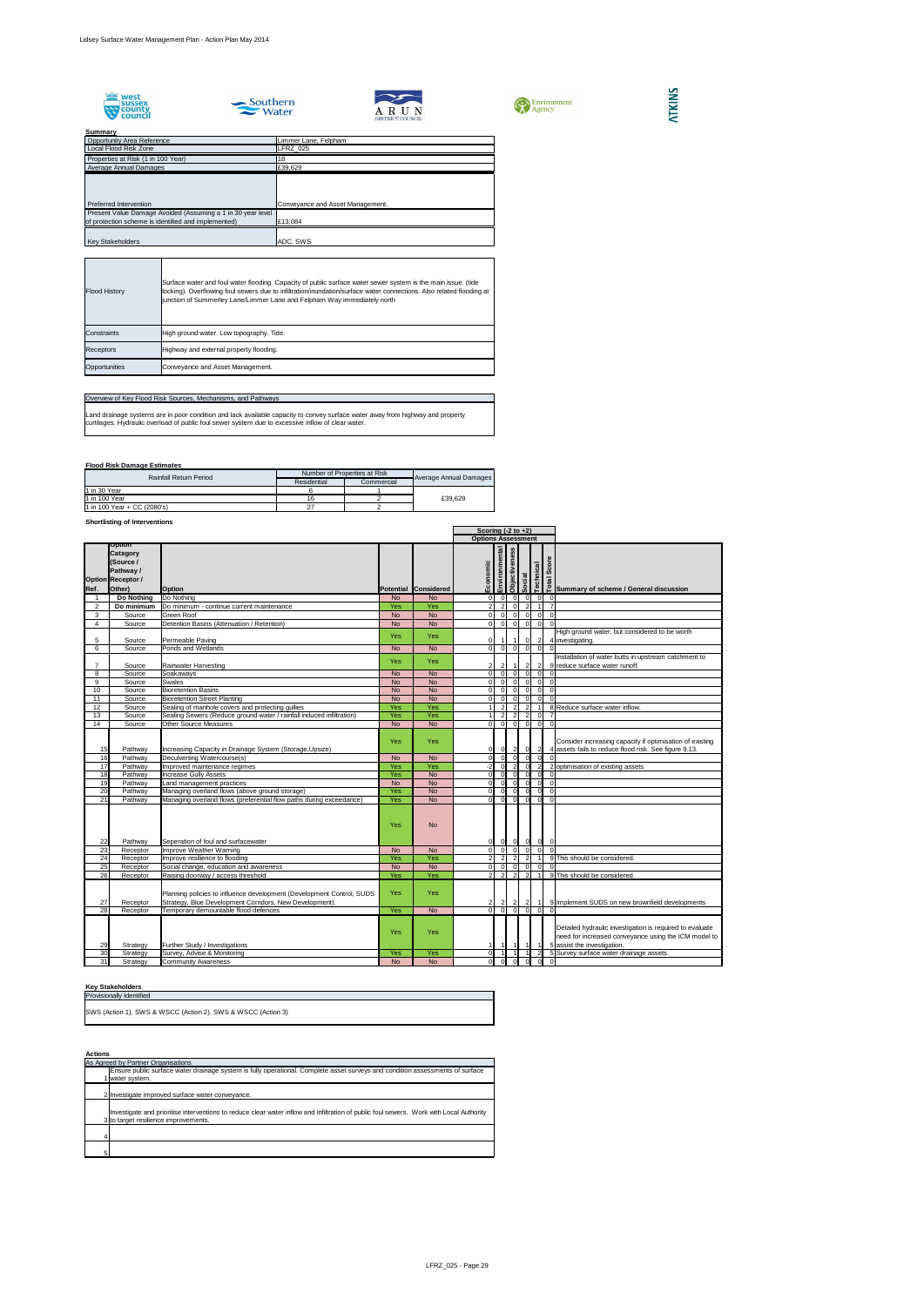









## **Summary**

## **Flood Risk Damage Estimates**

## **Shortlisting of Interventions**

|                 |                                                                                           |                                                                                                                                                                          |                   |                           |                            | Scoring $(-2 \text{ to } +2)$ |                                  |                                  |                                  |  |                                                                                                                                                 |
|-----------------|-------------------------------------------------------------------------------------------|--------------------------------------------------------------------------------------------------------------------------------------------------------------------------|-------------------|---------------------------|----------------------------|-------------------------------|----------------------------------|----------------------------------|----------------------------------|--|-------------------------------------------------------------------------------------------------------------------------------------------------|
|                 |                                                                                           |                                                                                                                                                                          |                   | <b>Options Assessment</b> |                            |                               |                                  |                                  |                                  |  |                                                                                                                                                 |
| Ref.            | Option<br><b>Catagory</b><br>(Source /<br>Pathway /<br><b>Option Receptor /</b><br>Other) | <b>Option</b>                                                                                                                                                            |                   | Potential Considered      | Economic                   | Environmental                 | Objectiveness                    | Social                           | <b>Technical</b>                 |  | es contracted before the contracted before the contraction contracted before a summary of scheme / General discussion                           |
|                 | Do Nothing                                                                                | Do Nothing                                                                                                                                                               | <b>No</b>         | <b>No</b>                 | $\Omega$                   |                               | . O                              | $\Omega$                         | 0                                |  | 0                                                                                                                                               |
| $\overline{2}$  | Do minimum                                                                                | Do minimum - continue current maintenance                                                                                                                                | <b>Yes</b>        | Yes                       | $\mathfrak{p}$             | $\overline{2}$                | $\Omega$                         | $\overline{2}$                   |                                  |  | $\overline{7}$                                                                                                                                  |
| 3               | Source                                                                                    | <b>Green Roof</b>                                                                                                                                                        | <b>No</b>         | <b>No</b>                 | ΩI                         | $\Omega$                      | $\Omega$                         | $\overline{0}$                   | $\overline{0}$                   |  | $\mathbf 0$                                                                                                                                     |
| 4               | Source                                                                                    | Detention Basins (Attenuation / Retention)                                                                                                                               | <b>No</b>         | <b>No</b>                 | $\Omega$                   | $\Omega$                      | $\overline{0}$                   | $\overline{0}$                   | $\overline{0}$                   |  | $\Omega$                                                                                                                                        |
| 5               | Source                                                                                    | Permeable Paving                                                                                                                                                         | <b>Yes</b>        | <b>Yes</b>                |                            |                               |                                  | $\overline{0}$                   | $\overline{2}$                   |  | High ground water, but considered to be worth<br>4 investigating.                                                                               |
| 6               | Source                                                                                    | Ponds and Wetlands                                                                                                                                                       | <b>No</b>         | <b>No</b>                 | $\overline{0}$             | $\overline{0}$                | 0                                | $\overline{0}$                   | $\overline{0}$                   |  | $\Omega$                                                                                                                                        |
|                 | Source                                                                                    | <b>Rainwater Harvesting</b>                                                                                                                                              | <b>Yes</b>        | <b>Yes</b>                |                            |                               | $\overline{1}$                   | $\overline{2}$                   | $\sqrt{2}$                       |  | Installation of water butts in upstream catchment to<br>9 reduce surface water runoff.                                                          |
| 8               | Source                                                                                    | Soakaways                                                                                                                                                                | <b>No</b>         | <b>No</b>                 | $\Omega$                   |                               | . O                              | $\Omega$                         | $\Omega$                         |  |                                                                                                                                                 |
| 9               | Source                                                                                    | <b>Swales</b>                                                                                                                                                            | <b>No</b>         | <b>No</b>                 | $\Omega$                   |                               | -01                              | $\Omega$                         | $\mathbf 0$                      |  | $\overline{0}$                                                                                                                                  |
| 10              | Source                                                                                    | <b>Bioretention Basins</b>                                                                                                                                               | <b>No</b>         | <b>No</b>                 | $\Omega$                   |                               | . O                              | $\Omega$                         | $\mathbf 0$                      |  | $\overline{0}$                                                                                                                                  |
| 11              | Source                                                                                    | <b>Bioretention Street Planting</b>                                                                                                                                      | <b>No</b>         | <b>No</b>                 | $\Omega$                   | $\Omega$                      | $\Omega$                         | $\overline{0}$                   | $\Omega$                         |  | $\overline{0}$                                                                                                                                  |
| 12 <sub>2</sub> | Source                                                                                    | Sealing of manhole covers and protecting gullies                                                                                                                         | <b>Yes</b>        | Yes                       |                            | $\overline{2}$                | $\overline{2}$                   | $\overline{2}$                   |                                  |  | 8 Reduce surface water inflow.                                                                                                                  |
| 13<br>14        | Source<br>Source                                                                          | Sealing Sewers (Reduce ground water / rainfall induced infiltration)<br><b>Other Source Measures</b>                                                                     | Yes<br><b>No</b>  | Yes<br><b>No</b>          | $\Omega$                   | $\overline{2}$<br>$\Omega$    | $\overline{2}$<br>$\overline{0}$ | $\overline{2}$<br>$\overline{0}$ | $\mathbf 0$<br>$\overline{0}$    |  | $\overline{0}$                                                                                                                                  |
| 15              | Pathway                                                                                   | Increasing Capacity in Drainage System (Storage, Upsize)                                                                                                                 | Yes               | <b>Yes</b>                | $\overline{0}$             | 0I                            | $\vert$ 2                        | 0                                | $\overline{2}$                   |  | Consider increasing capacity if optimisation of existing<br>4 assets fails to reduce flood risk. See figure 9.13.                               |
| 16              | Pathway                                                                                   | Deculverting Watercourse(s)                                                                                                                                              | <b>No</b>         | <b>No</b>                 | $\Omega$                   |                               | - 0 I                            | $\Omega$                         | $\overline{0}$                   |  |                                                                                                                                                 |
| 17              | Pathway                                                                                   | Improved maintenance regimes                                                                                                                                             | Yes               | Yes                       | -21                        |                               |                                  | $\overline{0}$                   | $\overline{2}$                   |  | 2 optimisation of existing assets                                                                                                               |
| 18              | Pathway                                                                                   | <b>Increase Gully Assets</b>                                                                                                                                             | <b>Yes</b>        | <b>No</b>                 | $\Omega$                   |                               | - Ol                             | $\Omega$                         | $\overline{0}$                   |  | $\overline{0}$                                                                                                                                  |
| 19              | Pathway                                                                                   | Land management practices                                                                                                                                                | <b>No</b>         | <b>No</b>                 | ΩI                         | $\Omega$                      | -OI                              | 0                                | $\overline{0}$                   |  | $\overline{0}$                                                                                                                                  |
| 20              | Pathway                                                                                   | Managing overland flows (above ground storage)                                                                                                                           | Yes               | <b>No</b>                 | $\Omega$<br>ΩI             | 0I<br>$\Omega$                | - Ol                             | 0                                | $\overline{0}$                   |  | $\overline{0}$                                                                                                                                  |
| 21<br>22        | Pathway<br>Pathway                                                                        | Managing overland flows (preferential flow paths during exceedance)<br>Seperation of foul and surfacewater                                                               | <b>Yes</b><br>Yes | <b>No</b><br><b>No</b>    | 01                         | 0                             | -ol<br> 0                        | 0 <br> 0                         | $\overline{0}$<br>$\overline{0}$ |  | $\overline{0}$<br>$\overline{0}$                                                                                                                |
| 23              | Receptor                                                                                  | Improve Weather Warning                                                                                                                                                  | <b>No</b>         | <b>No</b>                 | $\Omega$                   | $\Omega$                      | $\overline{0}$                   | $\overline{0}$                   | $\Omega$                         |  | $\overline{0}$                                                                                                                                  |
| 24              | Receptor                                                                                  | Improve resilience to flooding                                                                                                                                           | Yes               | Yes                       |                            | 2                             | $\overline{2}$                   | $\overline{2}$                   |                                  |  | 9 This should be considered.                                                                                                                    |
| 25<br>26        | Receptor                                                                                  | Social change, education and awareness<br>Raising doorway / access threshold                                                                                             | <b>No</b><br>Yes  | <b>No</b><br>Yes          | $\Omega$<br>$\overline{2}$ | $\overline{2}$                | $\overline{0}$<br>$\overline{2}$ | $\overline{0}$<br>$\overline{2}$ | $\mathbf 0$                      |  | 9 This should be considered.                                                                                                                    |
| 27<br>28        | Receptor<br>Receptor<br>Receptor                                                          | Planning policies to influence development (Development Control, SUDS<br>Strategy, Blue Development Corridors, New Development).<br>Temporary demountable flood defences | Yes<br>Yes        | Yes<br><b>No</b>          | $\Omega$                   | $\mathbf{2}$                  | $\mathbf{2}$<br>- 01             | $\mathbf{2}$<br>$\Omega$         | $\Omega$                         |  | 9 Implement SUDS on new brownfield developments                                                                                                 |
|                 |                                                                                           |                                                                                                                                                                          |                   |                           |                            |                               |                                  |                                  |                                  |  |                                                                                                                                                 |
| 29              | Strategy                                                                                  | <b>Further Study / Investigations</b>                                                                                                                                    | Yes               | Yes                       |                            |                               |                                  |                                  |                                  |  | Detailed hydraulic investigation is required to evaluate<br>need for increased conveyance using the ICM model to<br>5 assist the investigation. |
| 30              | Strategy                                                                                  | Survey, Advise & Monitoring                                                                                                                                              | Yes               | Yes                       | ΩI                         |                               |                                  |                                  | $\overline{2}$                   |  | 5 Survey surface water drainage assets.                                                                                                         |
| 31              | Strategy                                                                                  | <b>Community Awareness</b>                                                                                                                                               | <b>No</b>         | <b>No</b>                 | $\Omega$                   |                               |                                  |                                  |                                  |  |                                                                                                                                                 |

## **Key Stakeholders**

| <b>Provisionally Identified</b>                              |
|--------------------------------------------------------------|
| SWS (Action 1), SWS & WSCC (Action 2). SWS & WSCC (Action 3) |

| <b>Actions</b> |                                                                                                                                                                                 |
|----------------|---------------------------------------------------------------------------------------------------------------------------------------------------------------------------------|
|                | As Agreed by Partner Organisations                                                                                                                                              |
|                | Ensure public surface water drainage system is fully operational. Complete asset surveys and condition assessments of surface                                                   |
|                | 1 water system.                                                                                                                                                                 |
|                |                                                                                                                                                                                 |
|                | 2 Investigate improved surface water conveyance.                                                                                                                                |
|                | Investigate and prioritise interventions to reduce clear water inflow and Infiltration of public foul sewers. Work with Local Authority<br>3 to target resilience improvements. |
| 4              |                                                                                                                                                                                 |
| 5              |                                                                                                                                                                                 |

## Overview of Key Flood Risk Sources, Mechanisms, and Pathways

| <b>Rainfall Return Period</b> | Number of Properties at Risk |            |                        |  |
|-------------------------------|------------------------------|------------|------------------------|--|
|                               | Residential                  | Commercial | Average Annual Damages |  |
| $1$ in 30 Year                |                              |            |                        |  |
| 11 in 100 Year                | 16                           |            | £39.629                |  |
| 1 in 100 Year + CC $(2080's)$ |                              |            |                        |  |

Land drainage systems are in poor condition and lack available capacity to convey surface water away from highway and property curtilages. Hydraulic overload of public foul sewer system due to excessive inflow of clear water.

| <b>Flood History</b> | Surface water and foul water flooding Capacity of public surface water sewer system is the main issue. (tide<br>locking). Overflowing foul sewers due to infiltration/inundation/surface water connections. Also related flooding at<br>junction of Summerley Lane/Limmer Lane and Felpham Way immediately north |
|----------------------|------------------------------------------------------------------------------------------------------------------------------------------------------------------------------------------------------------------------------------------------------------------------------------------------------------------|
| Constraints          | High ground water. Low topography. Tide.                                                                                                                                                                                                                                                                         |
| <b>Receptors</b>     | Highway and external property flooding.                                                                                                                                                                                                                                                                          |
| Opportunities        | Conveyance and Asset Management.                                                                                                                                                                                                                                                                                 |

| ________                                                    |                                  |
|-------------------------------------------------------------|----------------------------------|
| <b>Opportunity Area Reference</b>                           | Limmer Lane, Felpham             |
| Local Flood Risk Zone                                       | LFRZ_025                         |
| Properties at Risk (1 in 100 Year)                          | 18                               |
| Average Annual Damages                                      | £39,629                          |
|                                                             |                                  |
|                                                             |                                  |
|                                                             |                                  |
| Preferred Intervention                                      | Conveyance and Asset Management. |
| Present Value Damage Avoided (Assuming a 1 in 30 year level |                                  |
| of protection scheme is identified and implemented)         | £13,084                          |
|                                                             |                                  |
| <b>Key Stakeholders</b>                                     | ADC, SWS                         |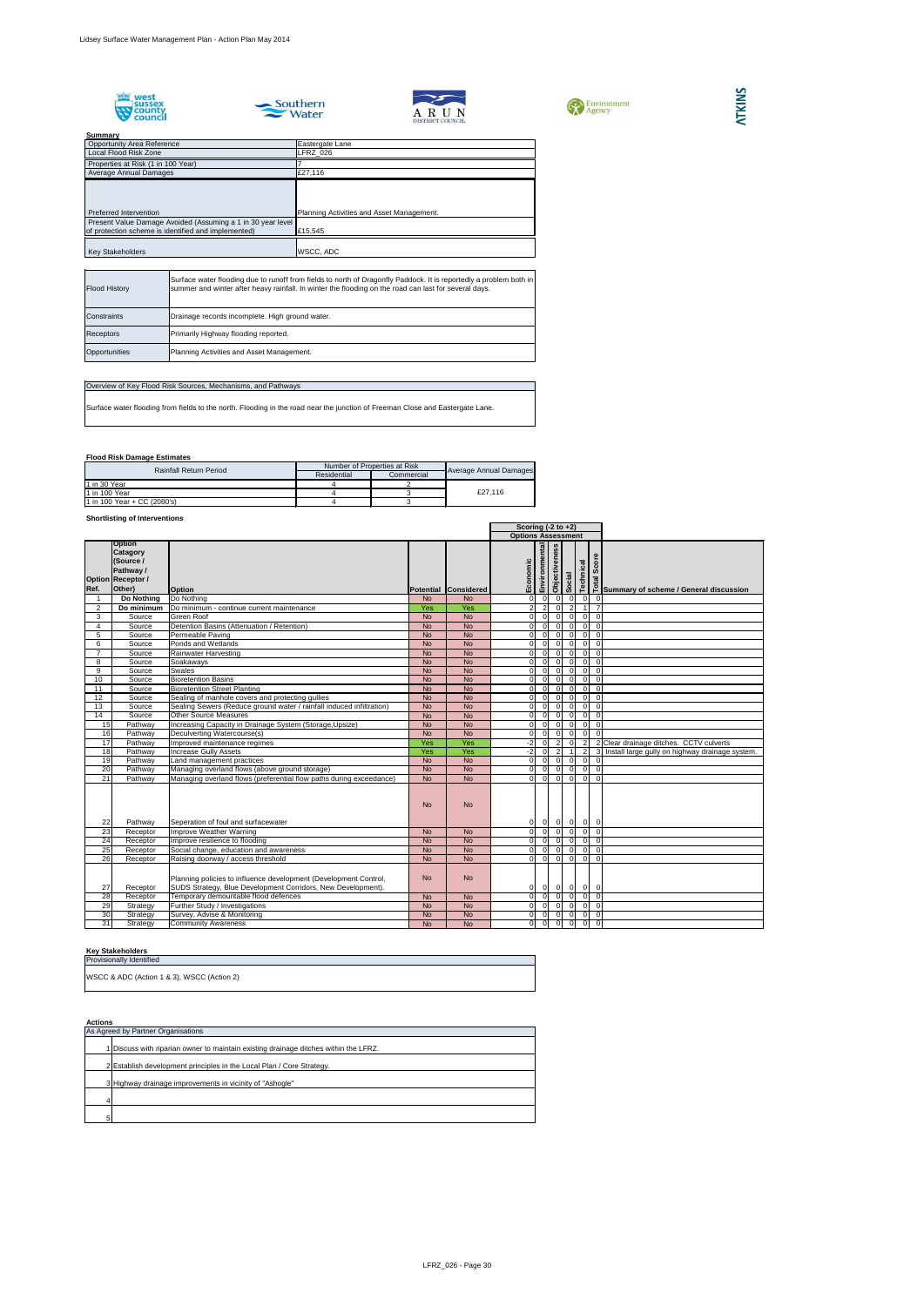







**Flood Risk Damage Estimates**

## **Shortlisting of Interventions**

| Summary                                                                                                            |                                           |
|--------------------------------------------------------------------------------------------------------------------|-------------------------------------------|
| <b>Opportunity Area Reference</b>                                                                                  | Eastergate Lane                           |
| Local Flood Risk Zone                                                                                              | LFRZ 026                                  |
| Properties at Risk (1 in 100 Year)                                                                                 |                                           |
| Average Annual Damages                                                                                             | £27,116                                   |
| Preferred Intervention                                                                                             | Planning Activities and Asset Management. |
| Present Value Damage Avoided (Assuming a 1 in 30 year level<br>of protection scheme is identified and implemented) | £15,545                                   |
| <b>Key Stakeholders</b>                                                                                            | WSCC, ADC                                 |

## **Key Stakeholders**

|      |                                                                                                  |                                                                                                                                  |                | Scoring $(-2 \text{ to } +2)$ |                |                           |                |                                                                |                |                                            |                                                                   |
|------|--------------------------------------------------------------------------------------------------|----------------------------------------------------------------------------------------------------------------------------------|----------------|-------------------------------|----------------|---------------------------|----------------|----------------------------------------------------------------|----------------|--------------------------------------------|-------------------------------------------------------------------|
|      |                                                                                                  |                                                                                                                                  |                |                               |                | <b>Options Assessment</b> |                |                                                                |                |                                            |                                                                   |
| Ref. | <b>Option</b><br><b>Catagory</b><br>(Source /<br>Pathway /<br><b>Option Receptor /</b><br>Other) | <b>Option</b>                                                                                                                    |                | Potential Considered          | omic<br>Econ   | Environmental             | Objectiveness  | Social                                                         | Technical      | Score                                      | 흥<br>은 Summary of scheme / General discussion                     |
|      | Do Nothing                                                                                       | Do Nothing                                                                                                                       | <b>No</b>      | <b>No</b>                     | $\overline{0}$ | $\Omega$                  | $\Omega$       | $\mathbf 0$                                                    |                | 0 <br>$\Omega$                             |                                                                   |
| 2    | Do minimum                                                                                       | Do minimum - continue current maintenance                                                                                        | Yes            | Yes                           | 21             |                           | $\Omega$       | $\overline{2}$                                                 |                | 7<br>$\overline{1}$                        |                                                                   |
| 3    | Source                                                                                           | <b>Green Roof</b>                                                                                                                | <b>No</b>      | <b>No</b>                     | $\overline{0}$ | $\Omega$                  | $\overline{0}$ | $\overline{0}$                                                 |                | $\overline{0}$<br>$\overline{0}$           |                                                                   |
| 4    | Source                                                                                           | Detention Basins (Attenuation / Retention)                                                                                       | <b>No</b>      | <b>No</b>                     | $\overline{0}$ | $\Omega$                  | $\Omega$       | $\Omega$                                                       |                | 0 <br>$\overline{0}$                       |                                                                   |
| 5    | Source                                                                                           | Permeable Paving                                                                                                                 | <b>No</b>      | <b>No</b>                     | $\overline{0}$ |                           | $\Omega$       | $\Omega$                                                       |                | 0 <br>$\overline{0}$                       |                                                                   |
| 6    | Source                                                                                           | Ponds and Wetlands                                                                                                               | <b>No</b>      | <b>No</b>                     | $\overline{0}$ | $\Omega$                  | . O            | $\Omega$                                                       |                | 0 <br>$\Omega$                             |                                                                   |
|      | Source                                                                                           | Rainwater Harvesting                                                                                                             | <b>No</b>      | <b>No</b>                     | 0I             |                           | $\Omega$       | $\Omega$                                                       |                | $\overline{0}$<br>$\Omega$                 |                                                                   |
| 8    | Source                                                                                           | Soakaways                                                                                                                        | <b>No</b>      | <b>No</b>                     | $\overline{0}$ | $\Omega$                  | $\Omega$       | $\overline{0}$                                                 |                | $\overline{0}$<br>$\overline{0}$           |                                                                   |
| 9    | Source                                                                                           | <b>Swales</b>                                                                                                                    | <b>No</b>      | <b>No</b>                     | 0I             | $\Omega$                  | $\Omega$       | $\Omega$                                                       |                | 0 <br>$\overline{0}$                       |                                                                   |
| 10   | Source                                                                                           | <b>Bioretention Basins</b>                                                                                                       | <b>No</b>      | <b>No</b>                     | $\overline{0}$ | $\Omega$                  | $\Omega$       | $\Omega$                                                       |                | $\overline{0}$<br>$\overline{0}$           |                                                                   |
| 11   | Source                                                                                           | <b>Bioretention Street Planting</b>                                                                                              | <b>No</b>      | <b>No</b>                     | $\overline{0}$ |                           | $\Omega$       | $\Omega$                                                       |                | $\overline{0}$<br>$\Omega$                 |                                                                   |
| 12   | Source                                                                                           | Sealing of manhole covers and protecting gullies                                                                                 | <b>No</b>      | <b>No</b>                     | $\overline{0}$ |                           | $\Omega$       | $\Omega$                                                       |                | 0 <br>$\Omega$                             |                                                                   |
| 13   | Source                                                                                           | Sealing Sewers (Reduce ground water / rainfall induced infiltration)                                                             | <b>No</b>      | <b>No</b>                     | $\overline{0}$ |                           | $\Omega$       | $\Omega$                                                       |                | 0 <br>$\Omega$                             |                                                                   |
| 14   | Source                                                                                           | <b>Other Source Measures</b>                                                                                                     | <b>No</b>      | <b>No</b>                     | 0I             |                           | $\Omega$       | $\Omega$                                                       |                | 0 <br>$\Omega$                             |                                                                   |
| 15   | Pathway                                                                                          | Increasing Capacity in Drainage System (Storage, Upsize)                                                                         | <b>No</b>      | <b>No</b>                     | $\overline{0}$ | $\Omega$                  | $\Omega$       | $\Omega$                                                       |                | $\overline{0}$<br>$\mathbf 0$              |                                                                   |
| 16   | Pathway                                                                                          | Deculverting Watercourse(s)                                                                                                      | <b>No</b>      | <b>No</b>                     | $\overline{0}$ | $\Omega$                  | - O I          | $\Omega$                                                       |                | $\overline{0}$<br>$\Omega$                 |                                                                   |
| 17   | Pathway                                                                                          | Improved maintenance regimes                                                                                                     | Yes            | Yes                           | $-2$           |                           | $\overline{2}$ | $\mathbf 0$                                                    |                | $\overline{2}$                             | 2 Clear drainage ditches. CCTV culverts                           |
| 18   | Pathway                                                                                          | <b>Increase Gully Assets</b>                                                                                                     | Yes            | Yes                           | $-2$           |                           | $\overline{2}$ |                                                                |                | $\overline{2}$                             | $\overline{3}$<br>Install large gully on highway drainage system. |
| 19   | Pathway                                                                                          | Land management practices                                                                                                        | <b>No</b>      | <b>No</b>                     | $\overline{0}$ |                           | $\Omega$       | $\Omega$                                                       |                | 0 <br>$\Omega$                             |                                                                   |
| 20   | Pathway                                                                                          | Managing overland flows (above ground storage)                                                                                   | <b>No</b>      | <b>No</b>                     | $\overline{0}$ |                           | $\Omega$       | $\Omega$                                                       |                | $\overline{0}$<br>$\Omega$                 |                                                                   |
| 21   | Pathway                                                                                          | Managing overland flows (preferential flow paths during exceedance)                                                              | <b>No</b>      | <b>No</b>                     | 0I             | $\Omega$                  | $\Omega$       | $\Omega$                                                       |                | $\overline{0}$<br>$\Omega$                 |                                                                   |
| 22   | Pathway                                                                                          | Seperation of foul and surfacewater                                                                                              | <b>No</b>      | <b>No</b>                     | 0              | $\overline{0}$            | 0              | $\overline{0}$                                                 |                | $ 0 $ 0                                    |                                                                   |
| 23   | Receptor                                                                                         | Improve Weather Warning                                                                                                          | <b>No</b>      | <b>No</b>                     | $\overline{0}$ | $\Omega$                  | 0              | $\overline{0}$                                                 |                | $\overline{0}$<br>$\overline{0}$           |                                                                   |
| 24   | Receptor                                                                                         | Improve resilience to flooding                                                                                                   | <b>No</b>      | <b>No</b>                     | $\overline{0}$ | - 0 I                     | 0              | $\overline{0}$                                                 | $\overline{0}$ | $\overline{0}$                             |                                                                   |
| 25   | Receptor                                                                                         | Social change, education and awareness                                                                                           | $\overline{N}$ | $\overline{N}$                | $\overline{0}$ |                           |                | $\begin{array}{c c} 0 & 0 & 0 \\ \hline 0 & 0 & 0 \end{array}$ |                | $0\quad 0$                                 |                                                                   |
| 26   | Receptor                                                                                         | Raising doorway / access threshold                                                                                               | <b>No</b>      | <b>No</b>                     | $\overline{0}$ |                           |                |                                                                |                | $\overline{0}$<br>$\overline{0}$           |                                                                   |
| 27   | Receptor                                                                                         | Planning policies to influence development (Development Control,<br>SUDS Strategy, Blue Development Corridors, New Development). | <b>No</b>      | <b>No</b>                     | 0              | - O I                     | 0              | $\overline{0}$                                                 |                | $\overline{0}$<br>- 0                      |                                                                   |
| 28   | Receptor                                                                                         | Temporary demountable flood defences                                                                                             | <b>No</b>      | <b>No</b>                     | $\overline{0}$ | $\Omega$                  | $\Omega$       | $\overline{0}$                                                 |                | $\overline{0}$<br>$\overline{\phantom{a}}$ |                                                                   |
| 29   | Strategy                                                                                         | Further Study / Investigations                                                                                                   | <b>No</b>      | <b>No</b>                     | 0              | $\overline{0}$            | $\overline{0}$ | $\overline{0}$                                                 |                | $\begin{matrix} 0 \\ 0 \end{matrix}$       |                                                                   |
| 30   | Strategy                                                                                         | Survey, Advise & Monitoring                                                                                                      | <b>No</b>      | No                            | 0              | $\overline{0}$            | $\overline{0}$ | $\overline{0}$                                                 |                | $\frac{1}{2}$                              |                                                                   |
| 31   | Strategy                                                                                         | <b>Community Awareness</b>                                                                                                       | <b>No</b>      | <b>No</b>                     | 0              | 0                         | $\overline{0}$ | $\overline{0}$                                                 |                | $0$ 0                                      |                                                                   |

| <b>Flood History</b> | Surface water flooding due to runoff from fields to north of Dragonfly Paddock. It is reportedly a problem both in<br>summer and winter after heavy rainfall. In winter the flooding on the road can last for several days. |
|----------------------|-----------------------------------------------------------------------------------------------------------------------------------------------------------------------------------------------------------------------------|
| <b>Constraints</b>   | Drainage records incomplete. High ground water.                                                                                                                                                                             |
| Receptors            | Primarily Highway flooding reported.                                                                                                                                                                                        |
| Opportunities        | Planning Activities and Asset Management.                                                                                                                                                                                   |

## Overview of Key Flood Risk Sources, Mechanisms, and Pathways

Surface water flooding from fields to the north. Flooding in the road near the junction of Freeman Close and Eastergate Lane.

| <b>Rainfall Return Period</b> | Number of Properties at Risk |            |                        |  |
|-------------------------------|------------------------------|------------|------------------------|--|
|                               | Residential                  | Commercial | Average Annual Damages |  |
| 11 in 30 Year                 |                              |            |                        |  |
| 11 in 100 Year                |                              |            | £27.116                |  |
| 1 in 100 Year + CC (2080's)   |                              |            |                        |  |

| <b>Actions</b> |                                                                                      |  |  |  |  |  |
|----------------|--------------------------------------------------------------------------------------|--|--|--|--|--|
|                | As Agreed by Partner Organisations                                                   |  |  |  |  |  |
|                | 1 Discuss with riparian owner to maintain existing drainage ditches within the LFRZ. |  |  |  |  |  |
|                | 2 Establish development principles in the Local Plan / Core Strategy.                |  |  |  |  |  |
|                | 3 Highway drainage improvements in vicinity of "Ashogle"                             |  |  |  |  |  |
|                |                                                                                      |  |  |  |  |  |
| 5              |                                                                                      |  |  |  |  |  |

| <b>Provisionally Identified</b>            |  |
|--------------------------------------------|--|
| WSCC & ADC (Action 1 & 3), WSCC (Action 2) |  |